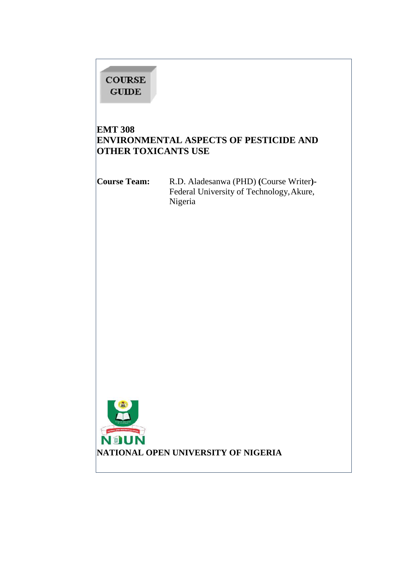# **EMT 308 ENT 308<br>
ENVIRONMENTAL ASPECTS OF PESTICIDE AND<br>
OTHER TOXICANTS USE EMT 308<br>ENVIRONMENTAL ASPECTS OF PE<br>OTHER TOXICANTS USE**

**Course Team:** R.D. Aladesanwa (PHD) **(**Course Writer**)- OTHER TOXICANTS USE**<br> **Course Team:** R.D. Aladesanwa (PHD) (Course Writer)-<br>
Federal University of Technology, Akure, Nigeria

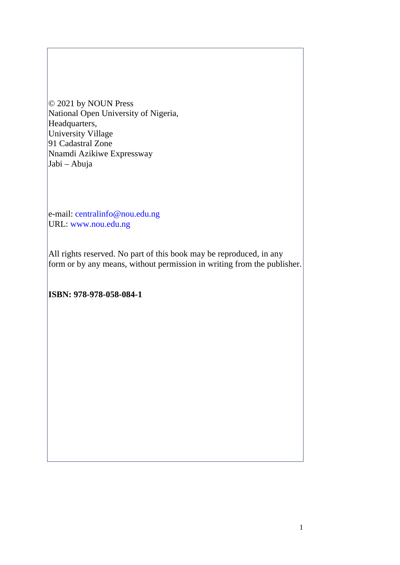© 2021 by NOUN Press National Open University of Nigeria, Headquarters, University Village 91 Cadastral Zone Nnamdi Azikiwe Expressway Jabi – Abuja

e-mail: centralinfo@nou.edu.ng URL: www.nou.edu.ng

All rights reserved. No part of this book may be reproduced, in any form or by any means, without permission in writing from the publisher.

**ISBN: 978-978-058-084-1**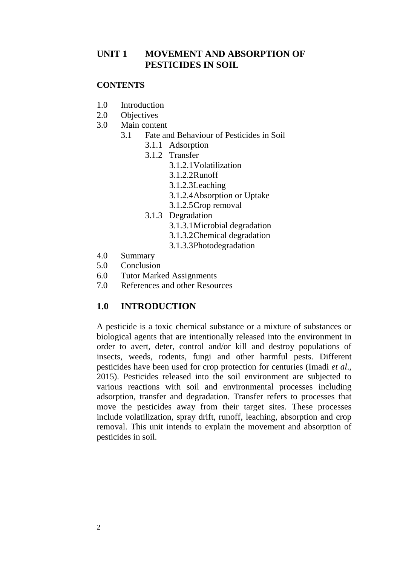#### **UNIT 1 MOVEMENT AND ABSORPTION OF PESTICIDES IN SOIL**

#### **CONTENTS**

- 1.0 Introduction
- 2.0 Objectives
- 3.0 Main content
	- 3.1 Fate and Behaviour of Pesticides in Soil
		- 3.1.1 Adsorption
		- 3.1.2 Transfer
			- 3.1.2.1Volatilization
			- 3.1.2.2Runoff
			- 3.1.2.3Leaching
			- 3.1.2.4Absorption or Uptake
			- 3.1.2.5Crop removal
		- 3.1.3 Degradation
			- 3.1.3.1Microbial degradation
			- 3.1.3.2Chemical degradation
			- 3.1.3.3Photodegradation
- 4.0 Summary
- 5.0 Conclusion
- 6.0 Tutor Marked Assignments
- 7.0 References and other Resources

### **1.0 INTRODUCTION**

A pesticide is a toxic chemical substance or a mixture of substances or biological agents that are intentionally released into the environment in order to avert, deter, control and/or kill and destroy populations of insects, weeds, rodents, fungi and other harmful pests. Different pesticides have been used for crop protection for centuries (Imadi *et al*., 2015). Pesticides released into the soil environment are subjected to various reactions with soil and environmental processes including adsorption, transfer and degradation. Transfer refers to processes that move the pesticides away from their target sites. These processes include volatilization, spray drift, runoff, leaching, absorption and crop removal. This unit intends to explain the movement and absorption of pesticides in soil.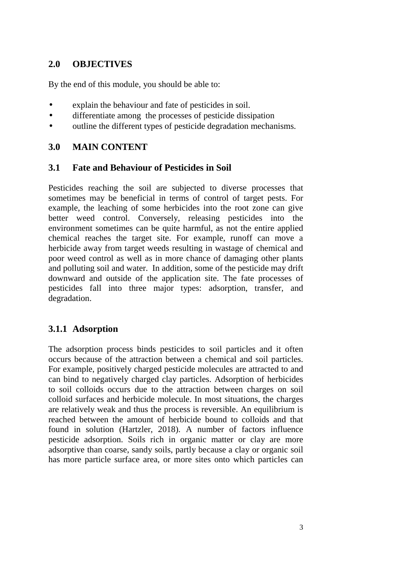### **2.0 OBJECTIVES**

By the end of this module, you should be able to:

- explain the behaviour and fate of pesticides in soil.
- differentiate among the processes of pesticide dissipation
- outline the different types of pesticide degradation mechanisms.

#### **3.0 MAIN CONTENT**

#### **3.1 Fate and Behaviour of Pesticides in Soil**

Pesticides reaching the soil are subjected to diverse processes that sometimes may be beneficial in terms of control of target pests. For example, the leaching of some herbicides into the root zone can give better weed control. Conversely, releasing pesticides into the environment sometimes can be quite harmful, as not the entire applied chemical reaches the target site. For example, runoff can move a herbicide away from target weeds resulting in wastage of chemical and poor weed control as well as in more chance of damaging other plants and polluting soil and water. In addition, some of the pesticide may drift downward and outside of the application site. The fate processes of pesticides fall into three major types: adsorption, transfer, and degradation.

### **3.1.1 Adsorption**

The adsorption process binds pesticides to soil particles and it often occurs because of the attraction between a chemical and soil particles. For example, positively charged pesticide molecules are attracted to and can bind to negatively charged clay particles. Adsorption of herbicides to soil colloids occurs due to the attraction between charges on soil colloid surfaces and herbicide molecule. In most situations, the charges are relatively weak and thus the process is reversible. An equilibrium is reached between the amount of herbicide bound to colloids and that found in solution (Hartzler, 2018). A number of factors influence pesticide adsorption. Soils rich in organic matter or clay are more adsorptive than coarse, sandy soils, partly because a clay or organic soil has more particle surface area, or more sites onto which particles can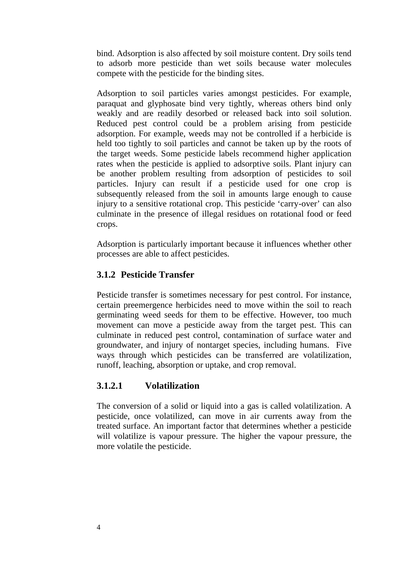bind. Adsorption is also affected by soil moisture content. Dry soils tend to adsorb more pesticide than wet soils because water molecules compete with the pesticide for the binding sites.

Adsorption to soil particles varies amongst pesticides. For example, paraquat and glyphosate bind very tightly, whereas others bind only weakly and are readily desorbed or released back into soil solution. Reduced pest control could be a problem arising from pesticide adsorption. For example, weeds may not be controlled if a herbicide is held too tightly to soil particles and cannot be taken up by the roots of the target weeds. Some pesticide labels recommend higher application rates when the pesticide is applied to adsorptive soils. Plant injury can be another problem resulting from adsorption of pesticides to soil particles. Injury can result if a pesticide used for one crop is subsequently released from the soil in amounts large enough to cause injury to a sensitive rotational crop. This pesticide 'carry-over' can also culminate in the presence of illegal residues on rotational food or feed crops.

Adsorption is particularly important because it influences whether other processes are able to affect pesticides.

# **3.1.2 Pesticide Transfer**

Pesticide transfer is sometimes necessary for pest control. For instance, certain preemergence herbicides need to move within the soil to reach germinating weed seeds for them to be effective. However, too much movement can move a pesticide away from the target pest. This can culminate in reduced pest control, contamination of surface water and groundwater, and injury of nontarget species, including humans. Five ways through which pesticides can be transferred are volatilization, runoff, leaching, absorption or uptake, and crop removal.

### **3.1.2.1 Volatilization**

The conversion of a solid or liquid into a gas is called volatilization. A pesticide, once volatilized, can move in air currents away from the treated surface. An important factor that determines whether a pesticide will volatilize is vapour pressure. The higher the vapour pressure, the more volatile the pesticide.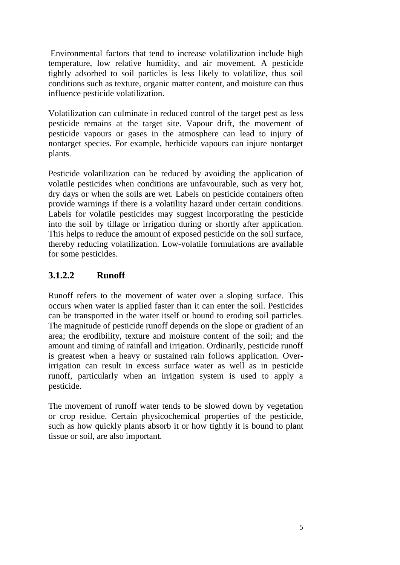Environmental factors that tend to increase volatilization include high temperature, low relative humidity, and air movement. A pesticide tightly adsorbed to soil particles is less likely to volatilize, thus soil conditions such as texture, organic matter content, and moisture can thus influence pesticide volatilization.

Volatilization can culminate in reduced control of the target pest as less pesticide remains at the target site. Vapour drift, the movement of pesticide vapours or gases in the atmosphere can lead to injury of nontarget species. For example, herbicide vapours can injure nontarget plants.

Pesticide volatilization can be reduced by avoiding the application of volatile pesticides when conditions are unfavourable, such as very hot, dry days or when the soils are wet. Labels on pesticide containers often provide warnings if there is a volatility hazard under certain conditions. Labels for volatile pesticides may suggest incorporating the pesticide into the soil by tillage or irrigation during or shortly after application. This helps to reduce the amount of exposed pesticide on the soil surface, thereby reducing volatilization. Low-volatile formulations are available for some pesticides.

# **3.1.2.2 Runoff**

Runoff refers to the movement of water over a sloping surface. This occurs when water is applied faster than it can enter the soil. Pesticides can be transported in the water itself or bound to eroding soil particles. The magnitude of pesticide runoff depends on the slope or gradient of an area; the erodibility, texture and moisture content of the soil; and the amount and timing of rainfall and irrigation. Ordinarily, pesticide runoff is greatest when a heavy or sustained rain follows application. Overirrigation can result in excess surface water as well as in pesticide runoff, particularly when an irrigation system is used to apply a pesticide.

The movement of runoff water tends to be slowed down by vegetation or crop residue. Certain physicochemical properties of the pesticide, such as how quickly plants absorb it or how tightly it is bound to plant tissue or soil, are also important.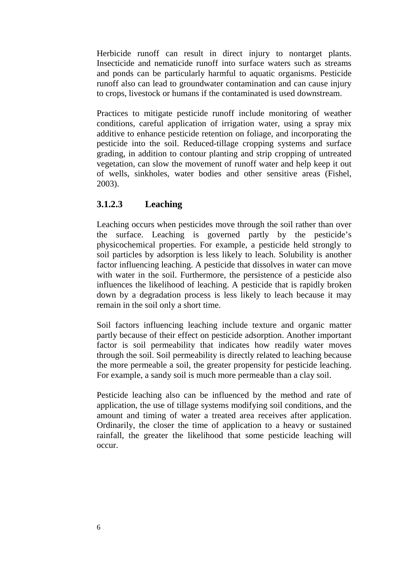Herbicide runoff can result in direct injury to nontarget plants. Insecticide and nematicide runoff into surface waters such as streams and ponds can be particularly harmful to aquatic organisms. Pesticide runoff also can lead to groundwater contamination and can cause injury to crops, livestock or humans if the contaminated is used downstream.

Practices to mitigate pesticide runoff include monitoring of weather conditions, careful application of irrigation water, using a spray mix additive to enhance pesticide retention on foliage, and incorporating the pesticide into the soil. Reduced-tillage cropping systems and surface grading, in addition to contour planting and strip cropping of untreated vegetation, can slow the movement of runoff water and help keep it out of wells, sinkholes, water bodies and other sensitive areas (Fishel, 2003).

#### **3.1.2.3 Leaching**

Leaching occurs when pesticides move through the soil rather than over the surface. Leaching is governed partly by the pesticide's physicochemical properties. For example, a pesticide held strongly to soil particles by adsorption is less likely to leach. Solubility is another factor influencing leaching. A pesticide that dissolves in water can move with water in the soil. Furthermore, the persistence of a pesticide also influences the likelihood of leaching. A pesticide that is rapidly broken down by a degradation process is less likely to leach because it may remain in the soil only a short time.

Soil factors influencing leaching include texture and organic matter partly because of their effect on pesticide adsorption. Another important factor is soil permeability that indicates how readily water moves through the soil. Soil permeability is directly related to leaching because the more permeable a soil, the greater propensity for pesticide leaching. For example, a sandy soil is much more permeable than a clay soil.

Pesticide leaching also can be influenced by the method and rate of application, the use of tillage systems modifying soil conditions, and the amount and timing of water a treated area receives after application. Ordinarily, the closer the time of application to a heavy or sustained rainfall, the greater the likelihood that some pesticide leaching will occur.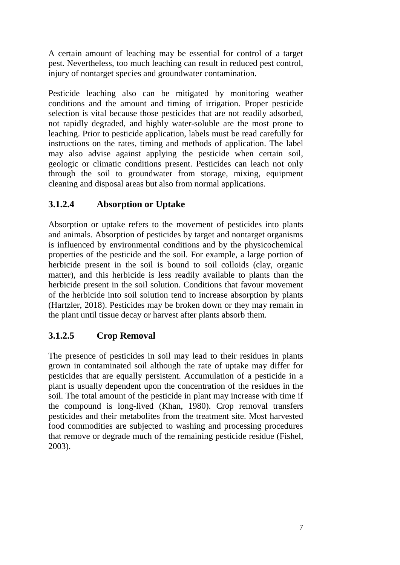A certain amount of leaching may be essential for control of a target pest. Nevertheless, too much leaching can result in reduced pest control, injury of nontarget species and groundwater contamination.

Pesticide leaching also can be mitigated by monitoring weather conditions and the amount and timing of irrigation. Proper pesticide selection is vital because those pesticides that are not readily adsorbed, not rapidly degraded, and highly water-soluble are the most prone to leaching. Prior to pesticide application, labels must be read carefully for instructions on the rates, timing and methods of application. The label may also advise against applying the pesticide when certain soil, geologic or climatic conditions present. Pesticides can leach not only through the soil to groundwater from storage, mixing, equipment cleaning and disposal areas but also from normal applications.

# **3.1.2.4 Absorption or Uptake**

Absorption or uptake refers to the movement of pesticides into plants and animals. Absorption of pesticides by target and nontarget organisms is influenced by environmental conditions and by the physicochemical properties of the pesticide and the soil. For example, a large portion of herbicide present in the soil is bound to soil colloids (clay, organic matter), and this herbicide is less readily available to plants than the herbicide present in the soil solution. Conditions that favour movement of the herbicide into soil solution tend to increase absorption by plants (Hartzler, 2018). Pesticides may be broken down or they may remain in the plant until tissue decay or harvest after plants absorb them.

# **3.1.2.5 Crop Removal**

The presence of pesticides in soil may lead to their residues in plants grown in contaminated soil although the rate of uptake may differ for pesticides that are equally persistent. Accumulation of a pesticide in a plant is usually dependent upon the concentration of the residues in the soil. The total amount of the pesticide in plant may increase with time if the compound is long-lived (Khan, 1980). Crop removal transfers pesticides and their metabolites from the treatment site. Most harvested food commodities are subjected to washing and processing procedures that remove or degrade much of the remaining pesticide residue (Fishel, 2003).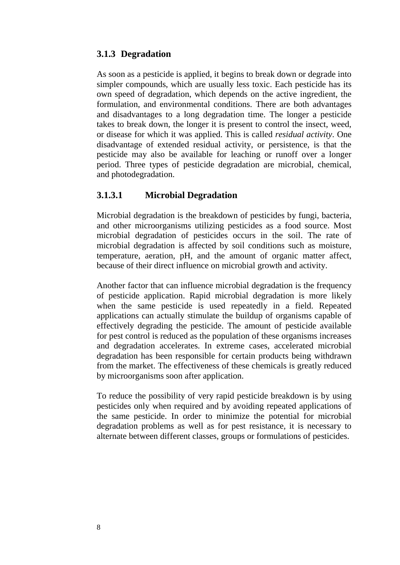### **3.1.3 Degradation**

As soon as a pesticide is applied, it begins to break down or degrade into simpler compounds, which are usually less toxic. Each pesticide has its own speed of degradation, which depends on the active ingredient, the formulation, and environmental conditions. There are both advantages and disadvantages to a long degradation time. The longer a pesticide takes to break down, the longer it is present to control the insect, weed, or disease for which it was applied. This is called *residual activity*. One disadvantage of extended residual activity, or persistence, is that the pesticide may also be available for leaching or runoff over a longer period. Three types of pesticide degradation are microbial, chemical, and photodegradation.

#### **3.1.3.1 Microbial Degradation**

Microbial degradation is the breakdown of pesticides by fungi, bacteria, and other microorganisms utilizing pesticides as a food source. Most microbial degradation of pesticides occurs in the soil. The rate of microbial degradation is affected by soil conditions such as moisture, temperature, aeration, pH, and the amount of organic matter affect, because of their direct influence on microbial growth and activity.

Another factor that can influence microbial degradation is the frequency of pesticide application. Rapid microbial degradation is more likely when the same pesticide is used repeatedly in a field. Repeated applications can actually stimulate the buildup of organisms capable of effectively degrading the pesticide. The amount of pesticide available for pest control is reduced as the population of these organisms increases and degradation accelerates. In extreme cases, accelerated microbial degradation has been responsible for certain products being withdrawn from the market. The effectiveness of these chemicals is greatly reduced by microorganisms soon after application.

To reduce the possibility of very rapid pesticide breakdown is by using pesticides only when required and by avoiding repeated applications of the same pesticide. In order to minimize the potential for microbial degradation problems as well as for pest resistance, it is necessary to alternate between different classes, groups or formulations of pesticides.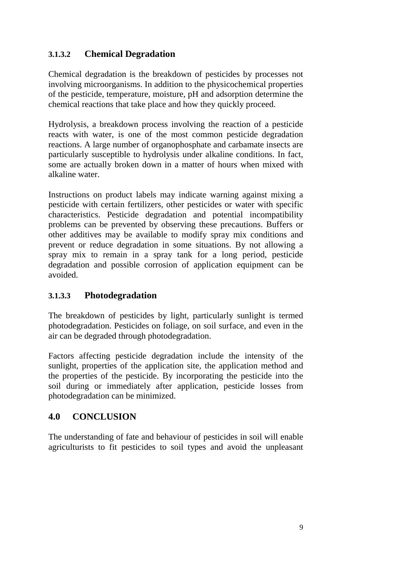# **3.1.3.2 Chemical Degradation**

Chemical degradation is the breakdown of pesticides by processes not involving microorganisms. In addition to the physicochemical properties of the pesticide, temperature, moisture, pH and adsorption determine the chemical reactions that take place and how they quickly proceed.

Hydrolysis, a breakdown process involving the reaction of a pesticide reacts with water, is one of the most common pesticide degradation reactions. A large number of organophosphate and carbamate insects are particularly susceptible to hydrolysis under alkaline conditions. In fact, some are actually broken down in a matter of hours when mixed with alkaline water.

Instructions on product labels may indicate warning against mixing a pesticide with certain fertilizers, other pesticides or water with specific characteristics. Pesticide degradation and potential incompatibility problems can be prevented by observing these precautions. Buffers or other additives may be available to modify spray mix conditions and prevent or reduce degradation in some situations. By not allowing a spray mix to remain in a spray tank for a long period, pesticide degradation and possible corrosion of application equipment can be avoided.

### **3.1.3.3 Photodegradation**

The breakdown of pesticides by light, particularly sunlight is termed photodegradation. Pesticides on foliage, on soil surface, and even in the air can be degraded through photodegradation.

Factors affecting pesticide degradation include the intensity of the sunlight, properties of the application site, the application method and the properties of the pesticide. By incorporating the pesticide into the soil during or immediately after application, pesticide losses from photodegradation can be minimized.

# **4.0 CONCLUSION**

The understanding of fate and behaviour of pesticides in soil will enable agriculturists to fit pesticides to soil types and avoid the unpleasant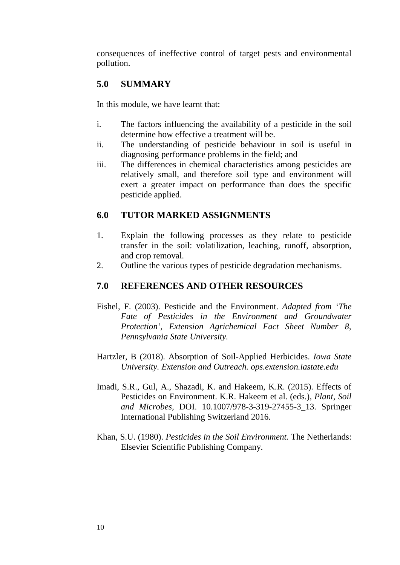consequences of ineffective control of target pests and environmental pollution.

# **5.0 SUMMARY**

In this module, we have learnt that:

- i. The factors influencing the availability of a pesticide in the soil determine how effective a treatment will be.
- ii. The understanding of pesticide behaviour in soil is useful in diagnosing performance problems in the field; and
- iii. The differences in chemical characteristics among pesticides are relatively small, and therefore soil type and environment will exert a greater impact on performance than does the specific pesticide applied.

# **6.0 TUTOR MARKED ASSIGNMENTS**

- 1. Explain the following processes as they relate to pesticide transfer in the soil: volatilization, leaching, runoff, absorption, and crop removal.
- 2. Outline the various types of pesticide degradation mechanisms.

#### **7.0 REFERENCES AND OTHER RESOURCES**

- Fishel, F. (2003). Pesticide and the Environment. *Adapted from 'The Fate of Pesticides in the Environment and Groundwater Protection', Extension Agrichemical Fact Sheet Number 8, Pennsylvania State University.*
- Hartzler, B (2018). Absorption of Soil-Applied Herbicides. *Iowa State University. Extension and Outreach. ops.extension.iastate.edu*
- Imadi, S.R., Gul, A., Shazadi, K. and Hakeem, K.R. (2015). Effects of Pesticides on Environment. K.R. Hakeem et al. (eds.), *Plant, Soil and Microbes,* DOI. 10.1007/978-3-319-27455-3\_13. Springer International Publishing Switzerland 2016.
- Khan, S.U. (1980). *Pesticides in the Soil Environment.* The Netherlands: Elsevier Scientific Publishing Company.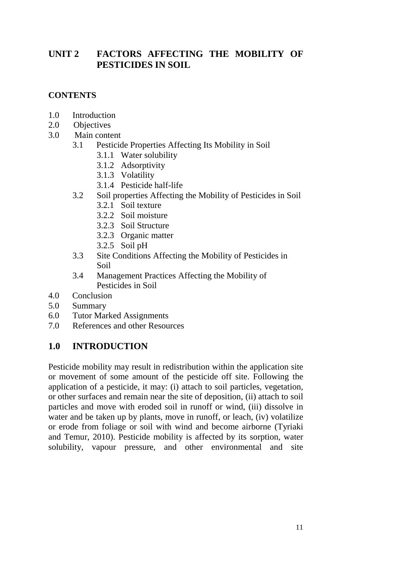# **UNIT 2 FACTORS AFFECTING THE MOBILITY OF PESTICIDES IN SOIL**

# **CONTENTS**

- 1.0 Introduction
- 2.0 Objectives
- 3.0 Main content
	- 3.1 Pesticide Properties Affecting Its Mobility in Soil
		- 3.1.1 Water solubility
		- 3.1.2 Adsorptivity
		- 3.1.3 Volatility
		- 3.1.4 Pesticide half-life
	- 3.2 Soil properties Affecting the Mobility of Pesticides in Soil
		- 3.2.1 Soil texture
		- 3.2.2 Soil moisture
		- 3.2.3 Soil Structure
		- 3.2.3 Organic matter
		- 3.2.5 Soil pH
	- 3.3 Site Conditions Affecting the Mobility of Pesticides in Soil
	- 3.4 Management Practices Affecting the Mobility of Pesticides in Soil
- 4.0 Conclusion
- 5.0 Summary
- 6.0 Tutor Marked Assignments
- 7.0 References and other Resources

# **1.0 INTRODUCTION**

Pesticide mobility may result in redistribution within the application site or movement of some amount of the pesticide off site. Following the application of a pesticide, it may: (i) attach to soil particles, vegetation, or other surfaces and remain near the site of deposition, (ii) attach to soil particles and move with eroded soil in runoff or wind, (iii) dissolve in water and be taken up by plants, move in runoff, or leach, (iv) volatilize or erode from foliage or soil with wind and become airborne (Tyriaki and Temur, 2010). Pesticide mobility is affected by its sorption, water solubility, vapour pressure, and other environmental and site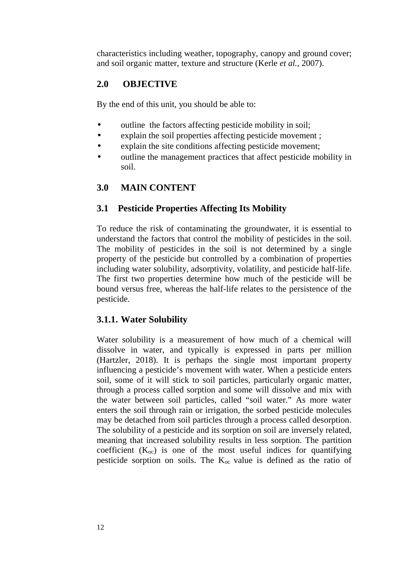characteristics including weather, topography, canopy and ground cover; and soil organic matter, texture and structure (Kerle *et al.*, 2007).

#### **2.0 OBJECTIVE**

By the end of this unit, you should be able to:

- outline the factors affecting pesticide mobility in soil;
- explain the soil properties affecting pesticide movement ;
- explain the site conditions affecting pesticide movement;
- outline the management practices that affect pesticide mobility in soil.

#### **3.0 MAIN CONTENT**

#### **3.1 Pesticide Properties Affecting Its Mobility**

To reduce the risk of contaminating the groundwater, it is essential to understand the factors that control the mobility of pesticides in the soil. The mobility of pesticides in the soil is not determined by a single property of the pesticide but controlled by a combination of properties including water solubility, adsorptivity, volatility, and pesticide half-life. The first two properties determine how much of the pesticide will be bound versus free, whereas the half-life relates to the persistence of the pesticide.

#### **3.1.1. Water Solubility**

Water solubility is a measurement of how much of a chemical will dissolve in water, and typically is expressed in parts per million (Hartzler, 2018). It is perhaps the single most important property influencing a pesticide's movement with water. When a pesticide enters soil, some of it will stick to soil particles, particularly organic matter, through a process called sorption and some will dissolve and mix with the water between soil particles, called "soil water." As more water enters the soil through rain or irrigation, the sorbed pesticide molecules may be detached from soil particles through a process called desorption. The solubility of a pesticide and its sorption on soil are inversely related, meaning that increased solubility results in less sorption. The partition coefficient  $(K_{oc})$  is one of the most useful indices for quantifying pesticide sorption on soils. The  $K_{\infty}$  value is defined as the ratio of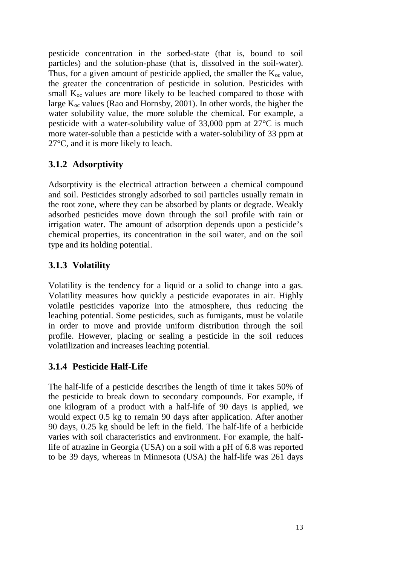pesticide concentration in the sorbed-state (that is, bound to soil particles) and the solution-phase (that is, dissolved in the soil-water). Thus, for a given amount of pesticide applied, the smaller the  $K_{\text{oc}}$  value, the greater the concentration of pesticide in solution. Pesticides with small K<sub>oc</sub> values are more likely to be leached compared to those with large Koc values (Rao and Hornsby, 2001). In other words, the higher the water solubility value, the more soluble the chemical. For example, a pesticide with a water-solubility value of  $33,000$  ppm at  $27^{\circ}$ C is much more water-soluble than a pesticide with a water-solubility of 33 ppm at 27°C, and it is more likely to leach.

# **3.1.2 Adsorptivity**

Adsorptivity is the electrical attraction between a chemical compound and soil. Pesticides strongly adsorbed to soil particles usually remain in the root zone, where they can be absorbed by plants or degrade. Weakly adsorbed pesticides move down through the soil profile with rain or irrigation water. The amount of adsorption depends upon a pesticide's chemical properties, its concentration in the soil water, and on the soil type and its holding potential.

# **3.1.3 Volatility**

Volatility is the tendency for a liquid or a solid to change into a gas. Volatility measures how quickly a pesticide evaporates in air. Highly volatile pesticides vaporize into the atmosphere, thus reducing the leaching potential. Some pesticides, such as fumigants, must be volatile in order to move and provide uniform distribution through the soil profile. However, placing or sealing a pesticide in the soil reduces volatilization and increases leaching potential.

# **3.1.4 Pesticide Half-Life**

The half-life of a pesticide describes the length of time it takes 50% of the pesticide to break down to secondary compounds. For example, if one kilogram of a product with a half-life of 90 days is applied, we would expect 0.5 kg to remain 90 days after application. After another 90 days, 0.25 kg should be left in the field. The half-life of a herbicide varies with soil characteristics and environment. For example, the halflife of atrazine in Georgia (USA) on a soil with a pH of 6.8 was reported to be 39 days, whereas in Minnesota (USA) the half-life was 261 days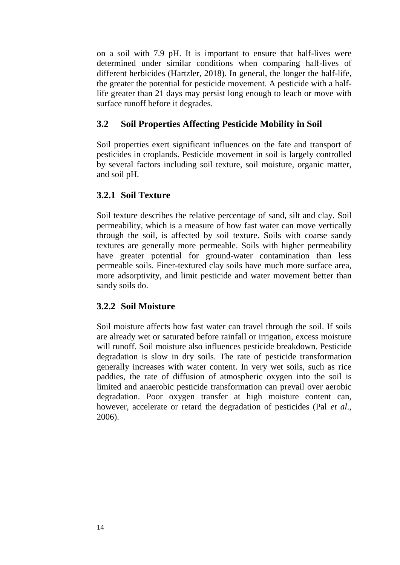on a soil with 7.9 pH. It is important to ensure that half-lives were determined under similar conditions when comparing half-lives of different herbicides (Hartzler, 2018). In general, the longer the half-life, the greater the potential for pesticide movement. A pesticide with a halflife greater than 21 days may persist long enough to leach or move with surface runoff before it degrades.

# **3.2 Soil Properties Affecting Pesticide Mobility in Soil**

Soil properties exert significant influences on the fate and transport of pesticides in croplands. Pesticide movement in soil is largely controlled by several factors including soil texture, soil moisture, organic matter, and soil pH.

# **3.2.1 Soil Texture**

Soil texture describes the relative percentage of sand, silt and clay. Soil permeability, which is a measure of how fast water can move vertically through the soil, is affected by soil texture. Soils with coarse sandy textures are generally more permeable. Soils with higher permeability have greater potential for ground-water contamination than less permeable soils. Finer-textured clay soils have much more surface area, more adsorptivity, and limit pesticide and water movement better than sandy soils do.

### **3.2.2 Soil Moisture**

Soil moisture affects how fast water can travel through the soil. If soils are already wet or saturated before rainfall or irrigation, excess moisture will runoff. Soil moisture also influences pesticide breakdown. Pesticide degradation is slow in dry soils. The rate of pesticide transformation generally increases with water content. In very wet soils, such as rice paddies, the rate of diffusion of atmospheric oxygen into the soil is limited and anaerobic pesticide transformation can prevail over aerobic degradation. Poor oxygen transfer at high moisture content can, however, accelerate or retard the degradation of pesticides (Pal *et al*., 2006).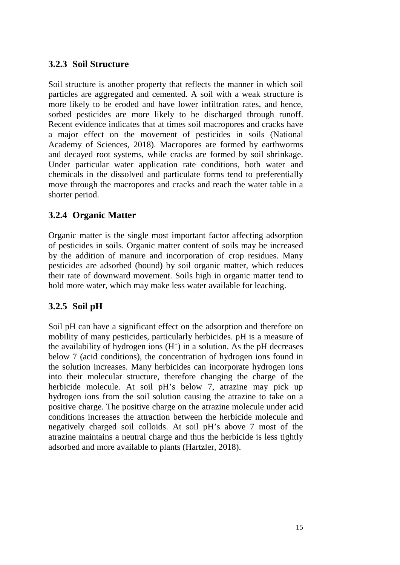# **3.2.3 Soil Structure**

Soil structure is another property that reflects the manner in which soil particles are aggregated and cemented. A soil with a weak structure is more likely to be eroded and have lower infiltration rates, and hence, sorbed pesticides are more likely to be discharged through runoff. Recent evidence indicates that at times soil macropores and cracks have a major effect on the movement of pesticides in soils (National Academy of Sciences, 2018). Macropores are formed by earthworms and decayed root systems, while cracks are formed by soil shrinkage. Under particular water application rate conditions, both water and chemicals in the dissolved and particulate forms tend to preferentially move through the macropores and cracks and reach the water table in a shorter period.

# **3.2.4 Organic Matter**

Organic matter is the single most important factor affecting adsorption of pesticides in soils. Organic matter content of soils may be increased by the addition of manure and incorporation of crop residues. Many pesticides are adsorbed (bound) by soil organic matter, which reduces their rate of downward movement. Soils high in organic matter tend to hold more water, which may make less water available for leaching.

# **3.2.5 Soil pH**

Soil pH can have a significant effect on the adsorption and therefore on mobility of many pesticides, particularly herbicides. pH is a measure of the availability of hydrogen ions  $(H<sup>+</sup>)$  in a solution. As the pH decreases below 7 (acid conditions), the concentration of hydrogen ions found in the solution increases. Many herbicides can incorporate hydrogen ions into their molecular structure, therefore changing the charge of the herbicide molecule. At soil pH's below 7, atrazine may pick up hydrogen ions from the soil solution causing the atrazine to take on a positive charge. The positive charge on the atrazine molecule under acid conditions increases the attraction between the herbicide molecule and negatively charged soil colloids. At soil pH's above 7 most of the atrazine maintains a neutral charge and thus the herbicide is less tightly adsorbed and more available to plants (Hartzler, 2018).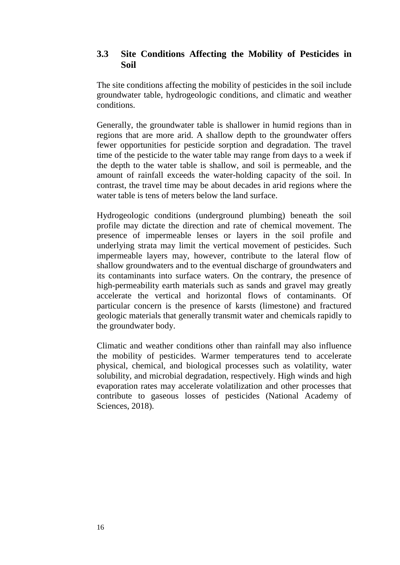### **3.3 Site Conditions Affecting the Mobility of Pesticides in Soil**

The site conditions affecting the mobility of pesticides in the soil include groundwater table, hydrogeologic conditions, and climatic and weather conditions.

Generally, the groundwater table is shallower in humid regions than in regions that are more arid. A shallow depth to the groundwater offers fewer opportunities for pesticide sorption and degradation. The travel time of the pesticide to the water table may range from days to a week if the depth to the water table is shallow, and soil is permeable, and the amount of rainfall exceeds the water-holding capacity of the soil. In contrast, the travel time may be about decades in arid regions where the water table is tens of meters below the land surface.

Hydrogeologic conditions (underground plumbing) beneath the soil profile may dictate the direction and rate of chemical movement. The presence of impermeable lenses or layers in the soil profile and underlying strata may limit the vertical movement of pesticides. Such impermeable layers may, however, contribute to the lateral flow of shallow groundwaters and to the eventual discharge of groundwaters and its contaminants into surface waters. On the contrary, the presence of high-permeability earth materials such as sands and gravel may greatly accelerate the vertical and horizontal flows of contaminants. Of particular concern is the presence of karsts (limestone) and fractured geologic materials that generally transmit water and chemicals rapidly to the groundwater body.

Climatic and weather conditions other than rainfall may also influence the mobility of pesticides. Warmer temperatures tend to accelerate physical, chemical, and biological processes such as volatility, water solubility, and microbial degradation, respectively. High winds and high evaporation rates may accelerate volatilization and other processes that contribute to gaseous losses of pesticides (National Academy of Sciences, 2018).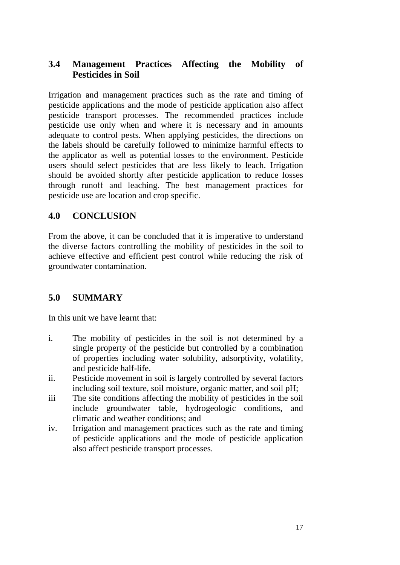# **3.4 Management Practices Affecting the Mobility of Pesticides in Soil**

Irrigation and management practices such as the rate and timing of pesticide applications and the mode of pesticide application also affect pesticide transport processes. The recommended practices include pesticide use only when and where it is necessary and in amounts adequate to control pests. When applying pesticides, the directions on the labels should be carefully followed to minimize harmful effects to the applicator as well as potential losses to the environment. Pesticide users should select pesticides that are less likely to leach. Irrigation should be avoided shortly after pesticide application to reduce losses through runoff and leaching. The best management practices for pesticide use are location and crop specific.

# **4.0 CONCLUSION**

From the above, it can be concluded that it is imperative to understand the diverse factors controlling the mobility of pesticides in the soil to achieve effective and efficient pest control while reducing the risk of groundwater contamination.

# **5.0 SUMMARY**

In this unit we have learnt that:

- i. The mobility of pesticides in the soil is not determined by a single property of the pesticide but controlled by a combination of properties including water solubility, adsorptivity, volatility, and pesticide half-life.
- ii. Pesticide movement in soil is largely controlled by several factors including soil texture, soil moisture, organic matter, and soil pH;
- iii The site conditions affecting the mobility of pesticides in the soil include groundwater table, hydrogeologic conditions, and climatic and weather conditions; and
- iv. Irrigation and management practices such as the rate and timing of pesticide applications and the mode of pesticide application also affect pesticide transport processes.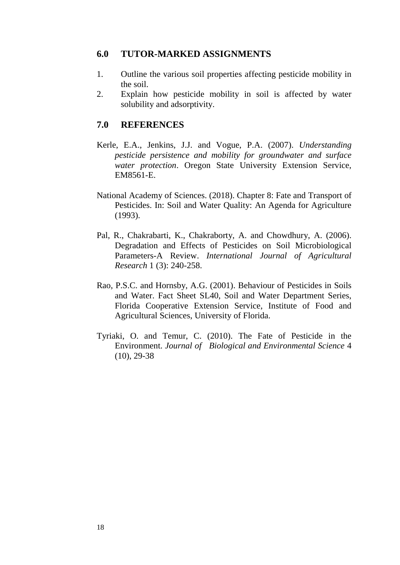#### **6.0 TUTOR-MARKED ASSIGNMENTS**

- 1. Outline the various soil properties affecting pesticide mobility in the soil.
- 2. Explain how pesticide mobility in soil is affected by water solubility and adsorptivity.

#### **7.0 REFERENCES**

- Kerle, E.A., Jenkins, J.J. and Vogue, P.A. (2007). *Understanding pesticide persistence and mobility for groundwater and surface water protection*. Oregon State University Extension Service, EM8561-E.
- National Academy of Sciences. (2018). Chapter 8: Fate and Transport of Pesticides. In: Soil and Water Quality: An Agenda for Agriculture (1993).
- Pal, R., Chakrabarti, K., Chakraborty, A. and Chowdhury, A. (2006). Degradation and Effects of Pesticides on Soil Microbiological Parameters-A Review. *International Journal of Agricultural Research* 1 (3): 240-258.
- Rao, P.S.C. and Hornsby, A.G. (2001). Behaviour of Pesticides in Soils and Water. Fact Sheet SL40, Soil and Water Department Series, Florida Cooperative Extension Service, Institute of Food and Agricultural Sciences, University of Florida.
- Tyriaki, O. and Temur, C. (2010). The Fate of Pesticide in the Environment. *Journal of Biological and Environmental Science* 4 (10), 29-38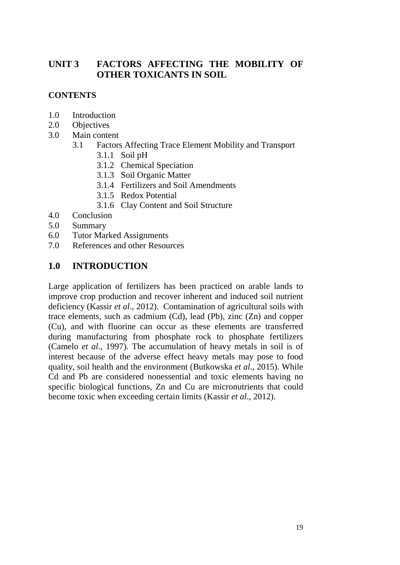# **UNIT 3 FACTORS AFFECTING THE MOBILITY OF OTHER TOXICANTS IN SOIL**

#### **CONTENTS**

- 1.0 Introduction
- 2.0 Objectives
- 3.0 Main content
	- 3.1 Factors Affecting Trace Element Mobility and Transport
		- 3.1.1 Soil pH
		- 3.1.2 Chemical Speciation
		- 3.1.3 Soil Organic Matter
		- 3.1.4 Fertilizers and Soil Amendments
		- 3.1.5 Redox Potential
		- 3.1.6 Clay Content and Soil Structure
- 4.0 Conclusion
- 5.0 Summary
- 6.0 Tutor Marked Assignments
- 7.0 References and other Resources

### **1.0 INTRODUCTION**

Large application of fertilizers has been practiced on arable lands to improve crop production and recover inherent and induced soil nutrient deficiency (Kassir *et al*., 2012). Contamination of agricultural soils with trace elements, such as cadmium (Cd), lead (Pb), zinc (Zn) and copper (Cu), and with fluorine can occur as these elements are transferred during manufacturing from phosphate rock to phosphate fertilizers (Camelo *et al*., 1997). The accumulation of heavy metals in soil is of interest because of the adverse effect heavy metals may pose to food quality, soil health and the environment (Butkowska *et al*., 2015). While Cd and Pb are considered nonessential and toxic elements having no specific biological functions, Zn and Cu are micronutrients that could become toxic when exceeding certain limits (Kassir *et al*., 2012).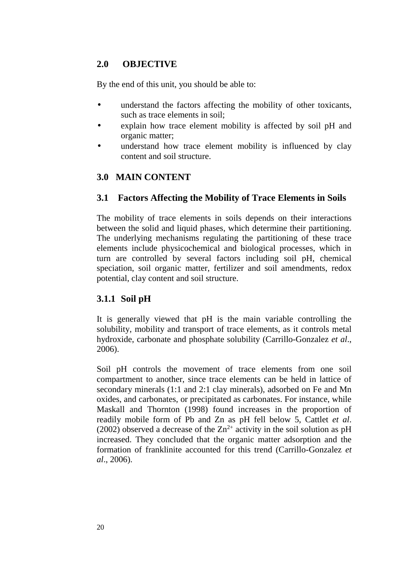# **2.0 OBJECTIVE**

By the end of this unit, you should be able to:

- understand the factors affecting the mobility of other toxicants, such as trace elements in soil;
- explain how trace element mobility is affected by soil pH and organic matter;
- understand how trace element mobility is influenced by clay content and soil structure.

# **3.0 MAIN CONTENT**

# **3.1 Factors Affecting the Mobility of Trace Elements in Soils**

The mobility of trace elements in soils depends on their interactions between the solid and liquid phases, which determine their partitioning. The underlying mechanisms regulating the partitioning of these trace elements include physicochemical and biological processes, which in turn are controlled by several factors including soil pH, chemical speciation, soil organic matter, fertilizer and soil amendments, redox potential, clay content and soil structure.

# **3.1.1 Soil pH**

It is generally viewed that pH is the main variable controlling the solubility, mobility and transport of trace elements, as it controls metal hydroxide, carbonate and phosphate solubility (Carrillo-Gonzalez *et al*., 2006).

Soil pH controls the movement of trace elements from one soil compartment to another, since trace elements can be held in lattice of secondary minerals (1:1 and 2:1 clay minerals), adsorbed on Fe and Mn oxides, and carbonates, or precipitated as carbonates. For instance, while Maskall and Thornton (1998) found increases in the proportion of readily mobile form of Pb and Zn as pH fell below 5, Cattlet *et al*. (2002) observed a decrease of the  $\text{Zn}^{2+}$  activity in the soil solution as pH increased. They concluded that the organic matter adsorption and the formation of franklinite accounted for this trend (Carrillo-Gonzalez *et al*., 2006).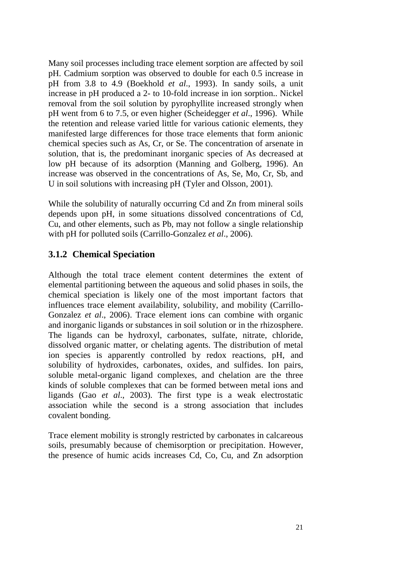Many soil processes including trace element sorption are affected by soil pH. Cadmium sorption was observed to double for each 0.5 increase in pH from 3.8 to 4.9 (Boekhold *et al*., 1993). In sandy soils, a unit increase in pH produced a 2- to 10-fold increase in ion sorption.. Nickel removal from the soil solution by pyrophyllite increased strongly when pH went from 6 to 7.5, or even higher (Scheidegger *et al*., 1996). While the retention and release varied little for various cationic elements, they manifested large differences for those trace elements that form anionic chemical species such as As, Cr, or Se. The concentration of arsenate in solution, that is, the predominant inorganic species of As decreased at low pH because of its adsorption (Manning and Golberg, 1996). An increase was observed in the concentrations of As, Se, Mo, Cr, Sb, and U in soil solutions with increasing pH (Tyler and Olsson, 2001).

While the solubility of naturally occurring Cd and Zn from mineral soils depends upon pH, in some situations dissolved concentrations of Cd, Cu, and other elements, such as Pb, may not follow a single relationship with pH for polluted soils (Carrillo-Gonzalez *et al*., 2006).

### **3.1.2 Chemical Speciation**

Although the total trace element content determines the extent of elemental partitioning between the aqueous and solid phases in soils, the chemical speciation is likely one of the most important factors that influences trace element availability, solubility, and mobility (Carrillo- Gonzalez *et al*., 2006). Trace element ions can combine with organic and inorganic ligands or substances in soil solution or in the rhizosphere. The ligands can be hydroxyl, carbonates, sulfate, nitrate, chloride, dissolved organic matter, or chelating agents. The distribution of metal ion species is apparently controlled by redox reactions, pH, and solubility of hydroxides, carbonates, oxides, and sulfides. Ion pairs, soluble metal-organic ligand complexes, and chelation are the three kinds of soluble complexes that can be formed between metal ions and ligands (Gao *et al*., 2003). The first type is a weak electrostatic association while the second is a strong association that includes covalent bonding.

Trace element mobility is strongly restricted by carbonates in calcareous soils, presumably because of chemisorption or precipitation. However, the presence of humic acids increases Cd, Co, Cu, and Zn adsorption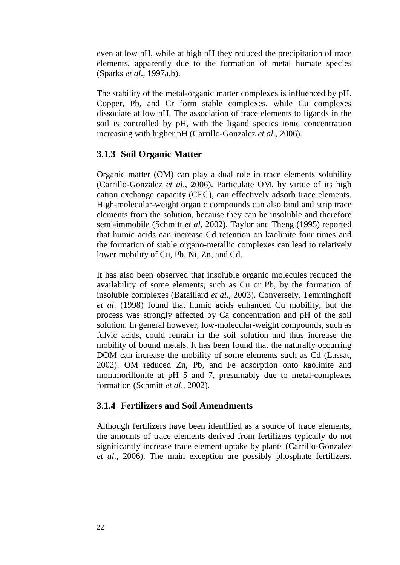even at low pH, while at high pH they reduced the precipitation of trace elements, apparently due to the formation of metal humate species (Sparks *et al*., 1997a,b).

The stability of the metal-organic matter complexes is influenced by pH. Copper, Pb, and Cr form stable complexes, while Cu complexes dissociate at low pH. The association of trace elements to ligands in the soil is controlled by pH, with the ligand species ionic concentration increasing with higher pH (Carrillo-Gonzalez *et al*., 2006).

#### **3.1.3 Soil Organic Matter**

Organic matter (OM) can play a dual role in trace elements solubility (Carrillo-Gonzalez *et al*., 2006). Particulate OM, by virtue of its high cation exchange capacity (CEC), can effectively adsorb trace elements. High-molecular-weight organic compounds can also bind and strip trace elements from the solution, because they can be insoluble and therefore semi-immobile (Schmitt *et al*, 2002). Taylor and Theng (1995) reported that humic acids can increase Cd retention on kaolinite four times and the formation of stable organo-metallic complexes can lead to relatively lower mobility of Cu, Pb, Ni, Zn, and Cd.

It has also been observed that insoluble organic molecules reduced the availability of some elements, such as Cu or Pb, by the formation of insoluble complexes (Bataillard *et al*., 2003). Conversely, Temminghoff *et al*. (1998) found that humic acids enhanced Cu mobility, but the process was strongly affected by Ca concentration and pH of the soil solution. In general however, low-molecular-weight compounds, such as fulvic acids, could remain in the soil solution and thus increase the mobility of bound metals. It has been found that the naturally occurring DOM can increase the mobility of some elements such as Cd (Lassat, 2002). OM reduced Zn, Pb, and Fe adsorption onto kaolinite and montmorillonite at pH 5 and 7, presumably due to metal-complexes formation (Schmitt *et al*., 2002).

#### **3.1.4 Fertilizers and Soil Amendments**

Although fertilizers have been identified as a source of trace elements, the amounts of trace elements derived from fertilizers typically do not significantly increase trace element uptake by plants (Carrillo-Gonzalez *et al*., 2006). The main exception are possibly phosphate fertilizers.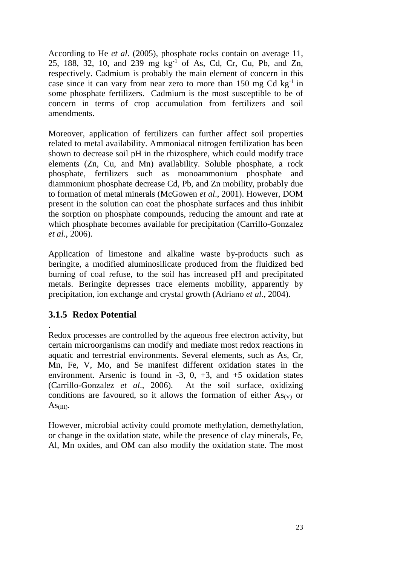According to He *et al*. (2005), phosphate rocks contain on average 11, 25, 188, 32, 10, and 239 mg kg-1 of As, Cd, Cr, Cu, Pb, and Zn, respectively. Cadmium is probably the main element of concern in this case since it can vary from near zero to more than  $150 \text{ mg } Cd \text{ kg}^{-1}$  in some phosphate fertilizers. Cadmium is the most susceptible to be of concern in terms of crop accumulation from fertilizers and soil amendments.

Moreover, application of fertilizers can further affect soil properties related to metal availability. Ammoniacal nitrogen fertilization has been shown to decrease soil pH in the rhizosphere, which could modify trace elements (Zn, Cu, and Mn) availability. Soluble phosphate, a rock phosphate, fertilizers such as monoammonium phosphate and diammonium phosphate decrease Cd, Pb, and Zn mobility, probably due to formation of metal minerals (McGowen *et al*., 2001). However, DOM present in the solution can coat the phosphate surfaces and thus inhibit the sorption on phosphate compounds, reducing the amount and rate at which phosphate becomes available for precipitation (Carrillo-Gonzalez *et al*., 2006).

Application of limestone and alkaline waste by-products such as beringite, a modified aluminosilicate produced from the fluidized bed burning of coal refuse, to the soil has increased pH and precipitated metals. Beringite depresses trace elements mobility, apparently by precipitation, ion exchange and crystal growth (Adriano *et al*., 2004).

# **3.1.5 Redox Potential**

.Redox processes are controlled by the aqueous free electron activity, but certain microorganisms can modify and mediate most redox reactions in aquatic and terrestrial environments. Several elements, such as As, Cr, Mn, Fe, V, Mo, and Se manifest different oxidation states in the environment. Arsenic is found in  $-3$ , 0,  $+3$ , and  $+5$  oxidation states (Carrillo-Gonzalez *et al*., 2006). At the soil surface, oxidizing conditions are favoured, so it allows the formation of either  $As_{(V)}$  or  $As$ (III).

However, microbial activity could promote methylation, demethylation, or change in the oxidation state, while the presence of clay minerals, Fe, Al, Mn oxides, and OM can also modify the oxidation state. The most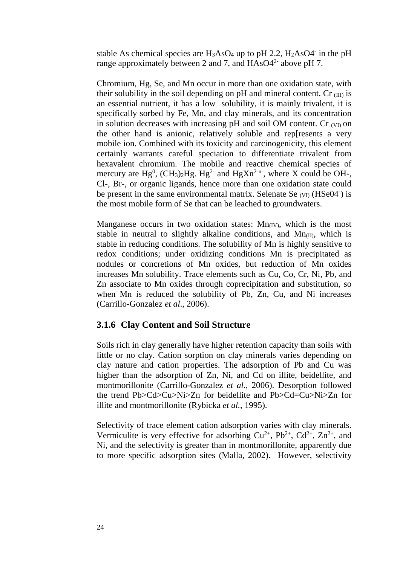stable As chemical species are  $H_3AsO_4$  up to pH 2.2,  $H_2AsO4$  in the pH range approximately between 2 and 7, and  $HASO4<sup>2</sup>$  above pH 7.

Chromium, Hg, Se, and Mn occur in more than one oxidation state, with their solubility in the soil depending on  $pH$  and mineral content. Cr  $(m)$  is an essential nutrient, it has a low solubility, it is mainly trivalent, it is specifically sorbed by Fe, Mn, and clay minerals, and its concentration in solution decreases with increasing  $pH$  and soil OM content. Cr  $\alpha p$  on the other hand is anionic, relatively soluble and rep[resents a very mobile ion. Combined with its toxicity and carcinogenicity, this element certainly warrants careful speciation to differentiate trivalent from hexavalent chromium. The mobile and reactive chemical species of mercury are Hg<sup>0</sup>,  $(CH_3)_2Hg$ . Hg<sup>2-</sup> and HgXn<sup>2-n-</sup>, where X could be OH-, Cl-, Br-, or organic ligands, hence more than one oxidation state could be present in the same environmental matrix. Selenate Se  $_{\text{(VI)}}$  (HSe04<sup>-</sup>) is the most mobile form of Se that can be leached to groundwaters.

Manganese occurs in two oxidation states:  $Mn_{(IV)}$ , which is the most stable in neutral to slightly alkaline conditions, and  $Mn_{(II)}$ , which is stable in reducing conditions. The solubility of Mn is highly sensitive to redox conditions; under oxidizing conditions Mn is precipitated as nodules or concretions of Mn oxides, but reduction of Mn oxides increases Mn solubility. Trace elements such as Cu, Co, Cr, Ni, Pb, and Zn associate to Mn oxides through coprecipitation and substitution, so when Mn is reduced the solubility of Pb, Zn, Cu, and Ni increases (Carrillo-Gonzalez *et al*., 2006).

#### **3.1.6 Clay Content and Soil Structure**

Soils rich in clay generally have higher retention capacity than soils with little or no clay. Cation sorption on clay minerals varies depending on clay nature and cation properties. The adsorption of Pb and Cu was higher than the adsorption of Zn, Ni, and Cd on illite, beidellite, and montmorillonite (Carrillo-Gonzalez *et al*., 2006). Desorption followed the trend Pb>Cd>Cu>Ni>Zn for beidellite and Pb>Cd=Cu>Ni>Zn for illite and montmorillonite (Rybicka *et al.*, 1995).

Selectivity of trace element cation adsorption varies with clay minerals. Vermiculite is very effective for adsorbing  $Cu^{2+}$ ,  $Pb^{2+}$ ,  $Cd^{2+}$ ,  $Zn^{2+}$ , and Ni, and the selectivity is greater than in montmorillonite, apparently due to more specific adsorption sites (Malla, 2002). However, selectivity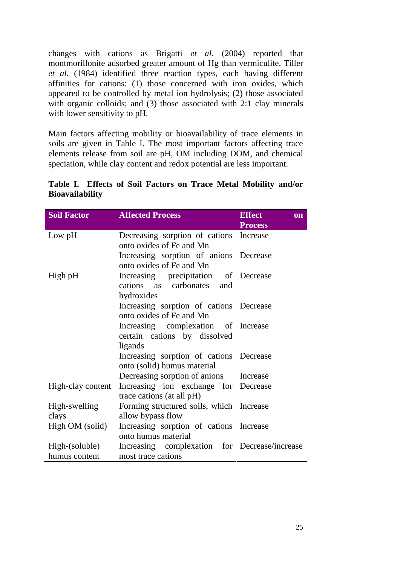changes with cations as Brigatti *et al*. (2004) reported that montmorillonite adsorbed greater amount of Hg than vermiculite. Tiller *et al.* (1984) identified three reaction types, each having different affinities for cations: (1) those concerned with iron oxides, which appeared to be controlled by metal ion hydrolysis; (2) those associated with organic colloids; and (3) those associated with 2:1 clay minerals with lower sensitivity to pH.

Main factors affecting mobility or bioavailability of trace elements in soils are given in Table I. The most important factors affecting trace elements release from soil are pH, OM including DOM, and chemical speciation, while clay content and redox potential are less important.

| <b>Soil Factor</b> | <b>Affected Process</b>                                           | <b>Effect</b><br>on<br><b>Process</b> |
|--------------------|-------------------------------------------------------------------|---------------------------------------|
| Low pH             | Decreasing sorption of cations Increase                           |                                       |
|                    | onto oxides of Fe and Mn                                          |                                       |
|                    | Increasing sorption of anions Decrease                            |                                       |
|                    | onto oxides of Fe and Mn                                          |                                       |
| High pH            | Increasing precipitation of Decrease                              |                                       |
|                    | cations as carbonates and                                         |                                       |
|                    | hydroxides                                                        |                                       |
|                    | Increasing sorption of cations Decrease                           |                                       |
|                    | onto oxides of Fe and Mn                                          |                                       |
|                    | Increasing complexation of Increase                               |                                       |
|                    | certain cations by dissolved                                      |                                       |
|                    | ligands                                                           |                                       |
|                    | Increasing sorption of cations Decrease                           |                                       |
|                    | onto (solid) humus material                                       |                                       |
|                    | Decreasing sorption of anions Increase                            |                                       |
| High-clay content  | Increasing ion exchange for Decrease<br>trace cations (at all pH) |                                       |
| High-swelling      | Forming structured soils, which Increase                          |                                       |
| clays              | allow bypass flow                                                 |                                       |
| High OM (solid)    | Increasing sorption of cations Increase                           |                                       |
|                    | onto humus material                                               |                                       |
| High-(soluble)     | Increasing complexation for Decrease/increase                     |                                       |
| humus content      | most trace cations                                                |                                       |

| Table I. Effects of Soil Factors on Trace Metal Mobility and/or |  |  |  |  |  |  |  |  |
|-----------------------------------------------------------------|--|--|--|--|--|--|--|--|
| <b>Bioavailability</b>                                          |  |  |  |  |  |  |  |  |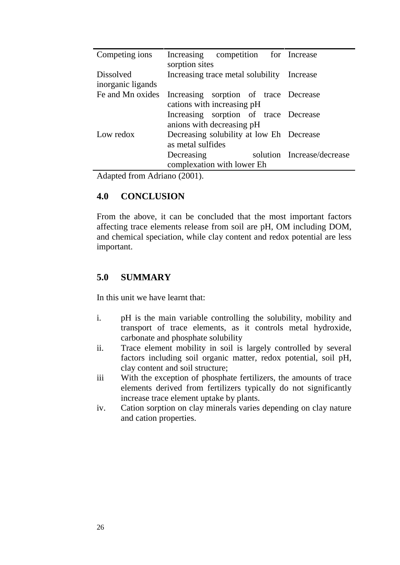| Competing ions                        | Increasing competition for Increase<br>sorption sites                                |                            |
|---------------------------------------|--------------------------------------------------------------------------------------|----------------------------|
| <b>Dissolved</b><br>inorganic ligands | Increasing trace metal solubility Increase                                           |                            |
|                                       | Fe and Mn oxides Increasing sorption of trace Decrease<br>cations with increasing pH |                            |
|                                       | Increasing sorption of trace Decrease<br>anions with decreasing pH                   |                            |
| Low redox                             | Decreasing solubility at low Eh Decrease<br>as metal sulfides                        |                            |
|                                       | Decreasing<br>complexation with lower Eh                                             | solution Increase/decrease |

Adapted from Adriano (2001).

#### **4.0 CONCLUSION**

From the above, it can be concluded that the most important factors affecting trace elements release from soil are pH, OM including DOM, and chemical speciation, while clay content and redox potential are less important.

#### **5.0 SUMMARY**

In this unit we have learnt that:

- i. pH is the main variable controlling the solubility, mobility and transport of trace elements, as it controls metal hydroxide, carbonate and phosphate solubility
- ii. Trace element mobility in soil is largely controlled by several factors including soil organic matter, redox potential, soil pH, clay content and soil structure;
- iii With the exception of phosphate fertilizers, the amounts of trace elements derived from fertilizers typically do not significantly increase trace element uptake by plants.
- iv. Cation sorption on clay minerals varies depending on clay nature and cation properties.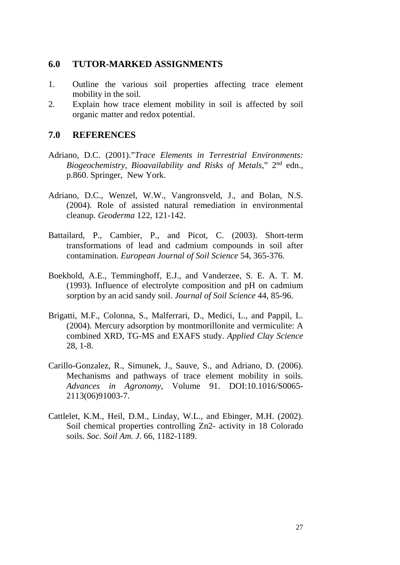### **6.0 TUTOR-MARKED ASSIGNMENTS**

- 1. Outline the various soil properties affecting trace element mobility in the soil.
- 2. Explain how trace element mobility in soil is affected by soil organic matter and redox potential.

#### **7.0 REFERENCES**

- Adriano, D.C. (2001)."*Trace Elements in Terrestrial Environments: Biogeochemistry, Bioavailability and Risks of Metals*," 2nd edn., p.860. Springer, New York.
- Adriano, D.C., Wenzel, W.W., Vangronsveld, J., and Bolan, N.S. (2004). Role of assisted natural remediation in environmental cleanup. *Geoderma* 122, 121-142.
- Battailard, P., Cambier, P., and Picot, C. (2003). Short-term transformations of lead and cadmium compounds in soil after contamination. *European Journal of Soil Science* 54, 365-376.
- Boekhold, A.E., Temminghoff, E.J., and Vanderzee, S. E. A. T. M. (1993). Influence of electrolyte composition and pH on cadmium sorption by an acid sandy soil. *Journal of Soil Science* 44, 85-96.
- Brigatti, M.F., Colonna, S., Malferrari, D., Medici, L., and Pappil, L. (2004). Mercury adsorption by montmorillonite and vermiculite: A combined XRD, TG-MS and EXAFS study. *Applied Clay Science* 28, 1-8.
- Carillo-Gonzalez, R., Simunek, J., Sauve, S., and Adriano, D. (2006). Mechanisms and pathways of trace element mobility in soils. *Advances in Agronomy*, Volume 91. DOI:10.1016/S0065- 2113(06)91003-7.
- Cattlelet, K.M., Heil, D.M., Linday, W.L., and Ebinger, M.H. (2002). Soil chemical properties controlling Zn2- activity in 18 Colorado soils. *Soc. Soil Am. J*. 66, 1182-1189.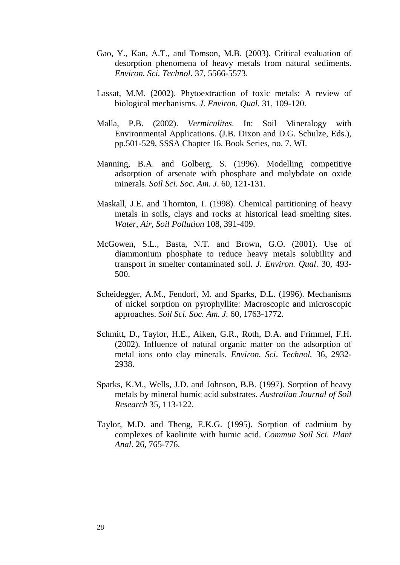- Gao, Y., Kan, A.T., and Tomson, M.B. (2003). Critical evaluation of desorption phenomena of heavy metals from natural sediments. *Environ. Sci. Technol*. 37, 5566-5573.
- Lassat, M.M. (2002). Phytoextraction of toxic metals: A review of biological mechanisms. *J*. *Environ. Qual.* 31, 109-120.
- Malla, P.B. (2002). *Vermiculites*. In: Soil Mineralogy with Environmental Applications. (J.B. Dixon and D.G. Schulze, Eds.), pp.501-529, SSSA Chapter 16. Book Series, no. 7. WI.
- Manning, B.A. and Golberg, S. (1996). Modelling competitive adsorption of arsenate with phosphate and molybdate on oxide minerals. *Soil Sci. Soc. Am. J*. 60, 121-131.
- Maskall, J.E. and Thornton, I. (1998). Chemical partitioning of heavy metals in soils, clays and rocks at historical lead smelting sites. *Water, Air, Soil Pollution* 108, 391-409.
- McGowen, S.L., Basta, N.T. and Brown, G.O. (2001). Use of diammonium phosphate to reduce heavy metals solubility and transport in smelter contaminated soil. *J. Environ. Qual*. 30, 493- 500.
- Scheidegger, A.M., Fendorf, M. and Sparks, D.L. (1996). Mechanisms of nickel sorption on pyrophyllite: Macroscopic and microscopic approaches. *Soil Sci. Soc. Am. J.* 60, 1763-1772.
- Schmitt, D., Taylor, H.E., Aiken, G.R., Roth, D.A. and Frimmel, F.H. (2002). Influence of natural organic matter on the adsorption of metal ions onto clay minerals. *Environ. Sci*. *Technol.* 36, 2932- 2938.
- Sparks, K.M., Wells, J.D. and Johnson, B.B. (1997). Sorption of heavy metals by mineral humic acid substrates. *Australian Journal of Soil Research* 35, 113-122.
- Taylor, M.D. and Theng, E.K.G. (1995). Sorption of cadmium by complexes of kaolinite with humic acid. *Commun Soil Sci. Plant Anal*. 26, 765-776.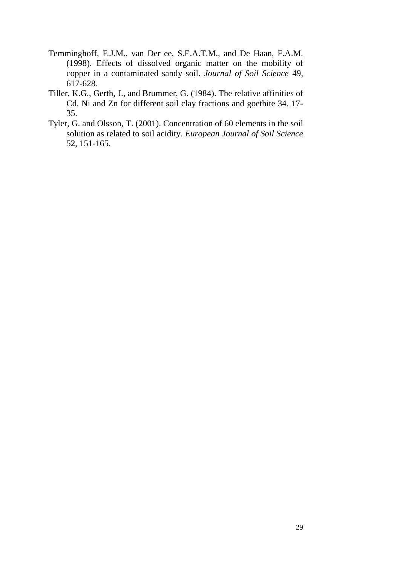- Temminghoff, E.J.M., van Der ee, S.E.A.T.M., and De Haan, F.A.M. (1998). Effects of dissolved organic matter on the mobility of copper in a contaminated sandy soil. *Journal of Soil Science* 49, 617-628.
- Tiller, K.G., Gerth, J., and Brummer, G. (1984). The relative affinities of Cd, Ni and Zn for different soil clay fractions and goethite 34, 17- 35.
- Tyler, G. and Olsson, T. (2001). Concentration of 60 elements in the soil solution as related to soil acidity. *European Journal of Soil Science* 52, 151-165.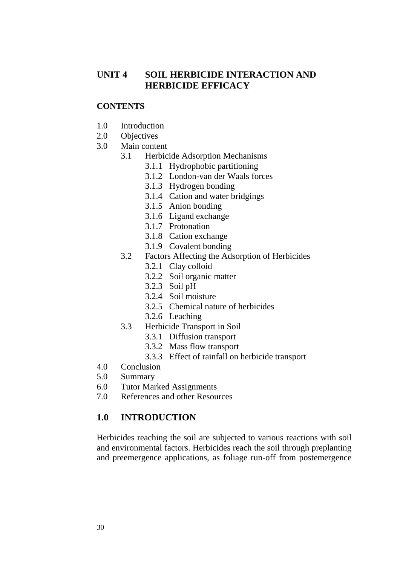### **UNIT 4 SOIL HERBICIDE INTERACTION AND HERBICIDE EFFICACY**

#### **CONTENTS**

- 1.0 Introduction
- 2.0 Objectives
- 3.0 Main content
	- 3.1 Herbicide Adsorption Mechanisms
		- 3.1.1 Hydrophobic partitioning
		- 3.1.2 London-van der Waals forces
		- 3.1.3 Hydrogen bonding
		- 3.1.4 Cation and water bridgings
		- 3.1.5 Anion bonding
		- 3.1.6 Ligand exchange
		- 3.1.7 Protonation
		- 3.1.8 Cation exchange
		- 3.1.9 Covalent bonding
	- 3.2 Factors Affecting the Adsorption of Herbicides
		- 3.2.1 Clay colloid
		- 3.2.2 Soil organic matter
		- 3.2.3 Soil pH
		- 3.2.4 Soil moisture
		- 3.2.5 Chemical nature of herbicides
		- 3.2.6 Leaching
	- 3.3 Herbicide Transport in Soil
		- 3.3.1 Diffusion transport
		- 3.3.2 Mass flow transport
		- 3.3.3 Effect of rainfall on herbicide transport
- 4.0 Conclusion
- 5.0 Summary
- 6.0 Tutor Marked Assignments
- 7.0 References and other Resources

# **1.0 INTRODUCTION**

Herbicides reaching the soil are subjected to various reactions with soil and environmental factors. Herbicides reach the soil through preplanting and preemergence applications, as foliage run-off from postemergence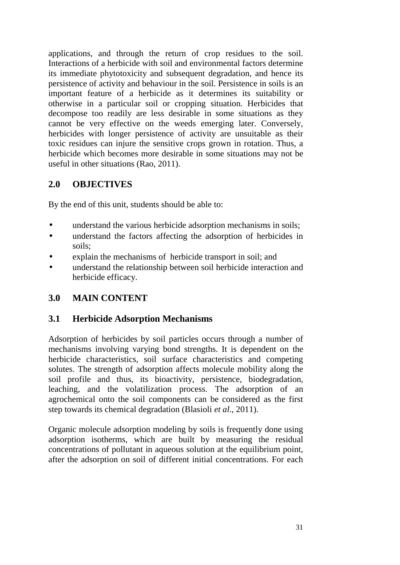applications, and through the return of crop residues to the soil. Interactions of a herbicide with soil and environmental factors determine its immediate phytotoxicity and subsequent degradation, and hence its persistence of activity and behaviour in the soil. Persistence in soils is an important feature of a herbicide as it determines its suitability or otherwise in a particular soil or cropping situation. Herbicides that decompose too readily are less desirable in some situations as they cannot be very effective on the weeds emerging later. Conversely, herbicides with longer persistence of activity are unsuitable as their toxic residues can injure the sensitive crops grown in rotation. Thus, a herbicide which becomes more desirable in some situations may not be useful in other situations (Rao, 2011).

# **2.0 OBJECTIVES**

By the end of this unit, students should be able to:

- understand the various herbicide adsorption mechanisms in soils;
- understand the factors affecting the adsorption of herbicides in soils;
- explain the mechanisms of herbicide transport in soil; and
- understand the relationship between soil herbicide interaction and herbicide efficacy.

# **3.0 MAIN CONTENT**

### **3.1 Herbicide Adsorption Mechanisms**

Adsorption of herbicides by soil particles occurs through a number of mechanisms involving varying bond strengths. It is dependent on the herbicide characteristics, soil surface characteristics and competing solutes. The strength of adsorption affects molecule mobility along the soil profile and thus, its bioactivity, persistence, biodegradation, leaching, and the volatilization process. The adsorption of an agrochemical onto the soil components can be considered as the first step towards its chemical degradation (Blasioli *et al*., 2011).

Organic molecule adsorption modeling by soils is frequently done using adsorption isotherms, which are built by measuring the residual concentrations of pollutant in aqueous solution at the equilibrium point, after the adsorption on soil of different initial concentrations. For each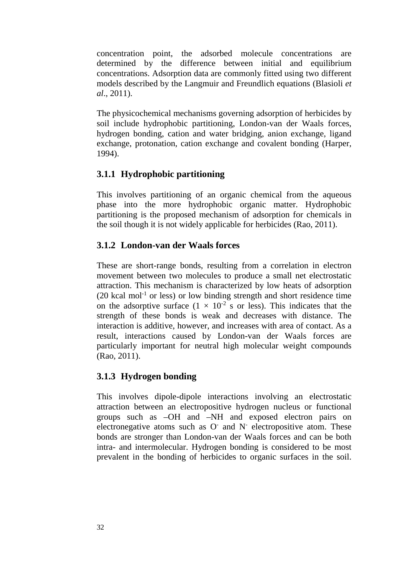concentration point, the adsorbed molecule concentrations are determined by the difference between initial and equilibrium concentrations. Adsorption data are commonly fitted using two different models described by the Langmuir and Freundlich equations (Blasioli *et al*., 2011).

The physicochemical mechanisms governing adsorption of herbicides by soil include hydrophobic partitioning, London-van der Waals forces, hydrogen bonding, cation and water bridging, anion exchange, ligand exchange, protonation, cation exchange and covalent bonding (Harper, 1994).

### **3.1.1 Hydrophobic partitioning**

This involves partitioning of an organic chemical from the aqueous phase into the more hydrophobic organic matter. Hydrophobic partitioning is the proposed mechanism of adsorption for chemicals in the soil though it is not widely applicable for herbicides (Rao, 2011).

# **3.1.2 London-van der Waals forces**

These are short-range bonds, resulting from a correlation in electron movement between two molecules to produce a small net electrostatic attraction. This mechanism is characterized by low heats of adsorption  $(20 \text{ kcal mol}^{-1} \text{ or } \text{less})$  or low binding strength and short residence time on the adsorptive surface  $(1 \times 10^{-2})$  s or less). This indicates that the strength of these bonds is weak and decreases with distance. The interaction is additive, however, and increases with area of contact. As a result, interactions caused by London-van der Waals forces are particularly important for neutral high molecular weight compounds (Rao, 2011).

### **3.1.3 Hydrogen bonding**

This involves dipole-dipole interactions involving an electrostatic attraction between an electropositive hydrogen nucleus or functional groups such as –OH and –NH and exposed electron pairs on electronegative atoms such as  $O<sub>-</sub>$  and  $N<sub>-</sub>$  electropositive atom. These bonds are stronger than London-van der Waals forces and can be both intra- and intermolecular. Hydrogen bonding is considered to be most prevalent in the bonding of herbicides to organic surfaces in the soil.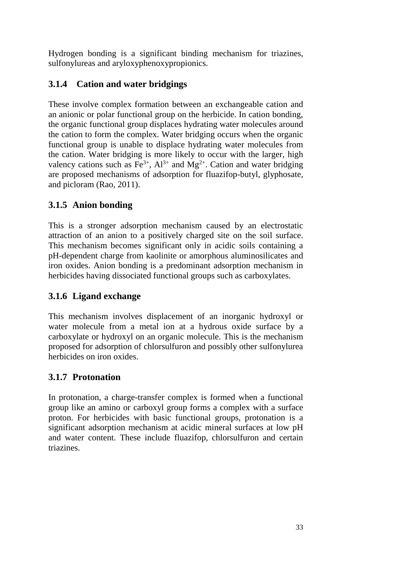Hydrogen bonding is a significant binding mechanism for triazines, sulfonylureas and aryloxyphenoxypropionics.

# **3.1.4 Cation and water bridgings**

These involve complex formation between an exchangeable cation and an anionic or polar functional group on the herbicide. In cation bonding, the organic functional group displaces hydrating water molecules around the cation to form the complex. Water bridging occurs when the organic functional group is unable to displace hydrating water molecules from the cation. Water bridging is more likely to occur with the larger, high valency cations such as  $Fe^{3+}$ ,  $Al^{3+}$  and  $Mg^{2+}$ . Cation and water bridging are proposed mechanisms of adsorption for fluazifop-butyl, glyphosate, and picloram (Rao, 2011).

# **3.1.5 Anion bonding**

This is a stronger adsorption mechanism caused by an electrostatic attraction of an anion to a positively charged site on the soil surface. This mechanism becomes significant only in acidic soils containing a pH-dependent charge from kaolinite or amorphous aluminosilicates and iron oxides. Anion bonding is a predominant adsorption mechanism in herbicides having dissociated functional groups such as carboxylates.

# **3.1.6 Ligand exchange**

This mechanism involves displacement of an inorganic hydroxyl or water molecule from a metal ion at a hydrous oxide surface by a carboxylate or hydroxyl on an organic molecule. This is the mechanism proposed for adsorption of chlorsulfuron and possibly other sulfonylurea herbicides on iron oxides.

# **3.1.7 Protonation**

In protonation, a charge-transfer complex is formed when a functional group like an amino or carboxyl group forms a complex with a surface proton. For herbicides with basic functional groups, protonation is a significant adsorption mechanism at acidic mineral surfaces at low pH and water content. These include fluazifop, chlorsulfuron and certain triazines.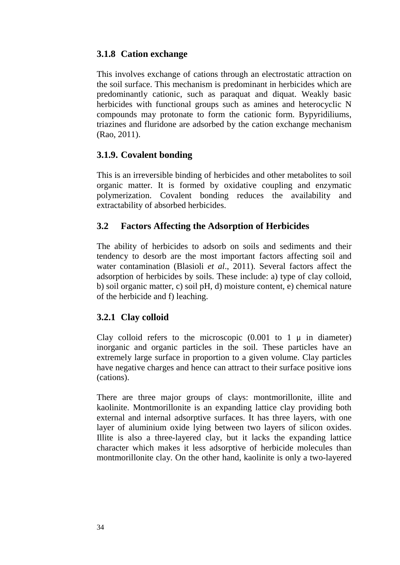# **3.1.8 Cation exchange**

This involves exchange of cations through an electrostatic attraction on the soil surface. This mechanism is predominant in herbicides which are predominantly cationic, such as paraquat and diquat. Weakly basic herbicides with functional groups such as amines and heterocyclic N compounds may protonate to form the cationic form. Bypyridiliums, triazines and fluridone are adsorbed by the cation exchange mechanism (Rao, 2011).

#### **3.1.9. Covalent bonding**

This is an irreversible binding of herbicides and other metabolites to soil organic matter. It is formed by oxidative coupling and enzymatic polymerization. Covalent bonding reduces the availability and extractability of absorbed herbicides.

#### **3.2 Factors Affecting the Adsorption of Herbicides**

The ability of herbicides to adsorb on soils and sediments and their tendency to desorb are the most important factors affecting soil and water contamination (Blasioli *et al*., 2011). Several factors affect the adsorption of herbicides by soils. These include: a) type of clay colloid, b) soil organic matter, c) soil pH, d) moisture content, e) chemical nature of the herbicide and f) leaching.

### **3.2.1 Clay colloid**

Clay colloid refers to the microscopic  $(0.001)$  to 1  $\mu$  in diameter) inorganic and organic particles in the soil. These particles have an extremely large surface in proportion to a given volume. Clay particles have negative charges and hence can attract to their surface positive ions (cations).

There are three major groups of clays: montmorillonite, illite and kaolinite. Montmorillonite is an expanding lattice clay providing both external and internal adsorptive surfaces. It has three layers, with one layer of aluminium oxide lying between two layers of silicon oxides. Illite is also a three-layered clay, but it lacks the expanding lattice character which makes it less adsorptive of herbicide molecules than montmorillonite clay. On the other hand, kaolinite is only a two-layered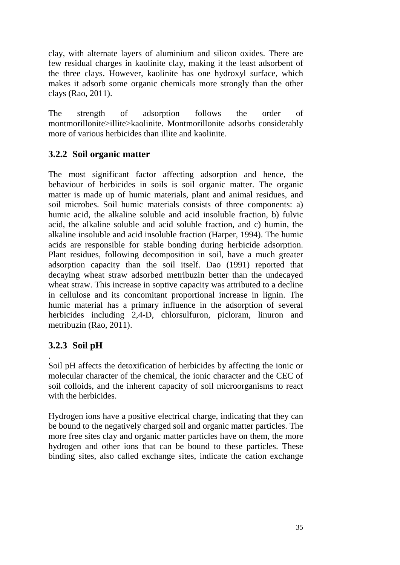clay, with alternate layers of aluminium and silicon oxides. There are few residual charges in kaolinite clay, making it the least adsorbent of the three clays. However, kaolinite has one hydroxyl surface, which makes it adsorb some organic chemicals more strongly than the other clays (Rao, 2011).

The strength of adsorption follows the order of montmorillonite>illite>kaolinite. Montmorillonite adsorbs considerably more of various herbicides than illite and kaolinite.

# **3.2.2 Soil organic matter**

The most significant factor affecting adsorption and hence, the behaviour of herbicides in soils is soil organic matter. The organic matter is made up of humic materials, plant and animal residues, and soil microbes. Soil humic materials consists of three components: a) humic acid, the alkaline soluble and acid insoluble fraction, b) fulvic acid, the alkaline soluble and acid soluble fraction, and c) humin, the alkaline insoluble and acid insoluble fraction (Harper, 1994). The humic acids are responsible for stable bonding during herbicide adsorption. Plant residues, following decomposition in soil, have a much greater adsorption capacity than the soil itself. Dao (1991) reported that decaying wheat straw adsorbed metribuzin better than the undecayed wheat straw. This increase in soptive capacity was attributed to a decline in cellulose and its concomitant proportional increase in lignin. The humic material has a primary influence in the adsorption of several herbicides including 2,4-D, chlorsulfuron, picloram, linuron and metribuzin (Rao, 2011).

# **3.2.3 Soil pH**

.Soil pH affects the detoxification of herbicides by affecting the ionic or molecular character of the chemical, the ionic character and the CEC of soil colloids, and the inherent capacity of soil microorganisms to react with the herbicides.

Hydrogen ions have a positive electrical charge, indicating that they can be bound to the negatively charged soil and organic matter particles. The more free sites clay and organic matter particles have on them, the more hydrogen and other ions that can be bound to these particles. These binding sites, also called exchange sites, indicate the cation exchange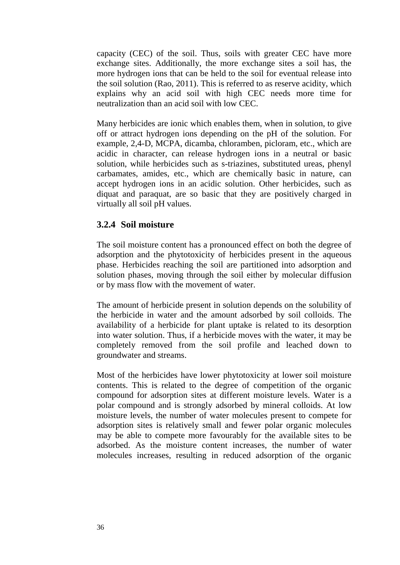capacity (CEC) of the soil. Thus, soils with greater CEC have more exchange sites. Additionally, the more exchange sites a soil has, the more hydrogen ions that can be held to the soil for eventual release into the soil solution (Rao, 2011). This is referred to as reserve acidity, which explains why an acid soil with high CEC needs more time for neutralization than an acid soil with low CEC.

Many herbicides are ionic which enables them, when in solution, to give off or attract hydrogen ions depending on the pH of the solution. For example, 2,4-D, MCPA, dicamba, chloramben, picloram, etc., which are acidic in character, can release hydrogen ions in a neutral or basic solution, while herbicides such as s-triazines, substituted ureas, phenyl carbamates, amides, etc., which are chemically basic in nature, can accept hydrogen ions in an acidic solution. Other herbicides, such as diquat and paraquat, are so basic that they are positively charged in virtually all soil pH values.

### **3.2.4 Soil moisture**

The soil moisture content has a pronounced effect on both the degree of adsorption and the phytotoxicity of herbicides present in the aqueous phase. Herbicides reaching the soil are partitioned into adsorption and solution phases, moving through the soil either by molecular diffusion or by mass flow with the movement of water.

The amount of herbicide present in solution depends on the solubility of the herbicide in water and the amount adsorbed by soil colloids. The availability of a herbicide for plant uptake is related to its desorption into water solution. Thus, if a herbicide moves with the water, it may be completely removed from the soil profile and leached down to groundwater and streams.

Most of the herbicides have lower phytotoxicity at lower soil moisture contents. This is related to the degree of competition of the organic compound for adsorption sites at different moisture levels. Water is a polar compound and is strongly adsorbed by mineral colloids. At low moisture levels, the number of water molecules present to compete for adsorption sites is relatively small and fewer polar organic molecules may be able to compete more favourably for the available sites to be adsorbed. As the moisture content increases, the number of water molecules increases, resulting in reduced adsorption of the organic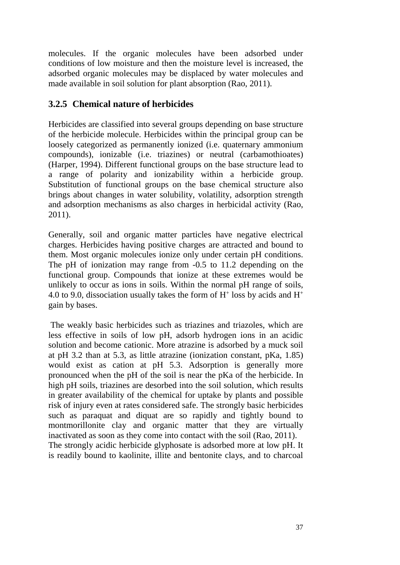molecules. If the organic molecules have been adsorbed under conditions of low moisture and then the moisture level is increased, the adsorbed organic molecules may be displaced by water molecules and made available in soil solution for plant absorption (Rao, 2011).

# **3.2.5 Chemical nature of herbicides**

Herbicides are classified into several groups depending on base structure of the herbicide molecule. Herbicides within the principal group can be loosely categorized as permanently ionized (i.e. quaternary ammonium compounds), ionizable (i.e. triazines) or neutral (carbamothioates) (Harper, 1994). Different functional groups on the base structure lead to a range of polarity and ionizability within a herbicide group. Substitution of functional groups on the base chemical structure also brings about changes in water solubility, volatility, adsorption strength and adsorption mechanisms as also charges in herbicidal activity (Rao, 2011).

Generally, soil and organic matter particles have negative electrical charges. Herbicides having positive charges are attracted and bound to them. Most organic molecules ionize only under certain pH conditions. The pH of ionization may range from -0.5 to 11.2 depending on the functional group. Compounds that ionize at these extremes would be unlikely to occur as ions in soils. Within the normal pH range of soils, 4.0 to 9.0, dissociation usually takes the form of  $H^+$  loss by acids and  $H^+$ gain by bases.

The weakly basic herbicides such as triazines and triazoles, which are less effective in soils of low pH, adsorb hydrogen ions in an acidic solution and become cationic. More atrazine is adsorbed by a muck soil at pH 3.2 than at 5.3, as little atrazine (ionization constant, pKa, 1.85) would exist as cation at pH 5.3. Adsorption is generally more pronounced when the pH of the soil is near the pKa of the herbicide. In high pH soils, triazines are desorbed into the soil solution, which results in greater availability of the chemical for uptake by plants and possible risk of injury even at rates considered safe. The strongly basic herbicides such as paraquat and diquat are so rapidly and tightly bound to montmorillonite clay and organic matter that they are virtually inactivated as soon as they come into contact with the soil (Rao, 2011). The strongly acidic herbicide glyphosate is adsorbed more at low pH. It is readily bound to kaolinite, illite and bentonite clays, and to charcoal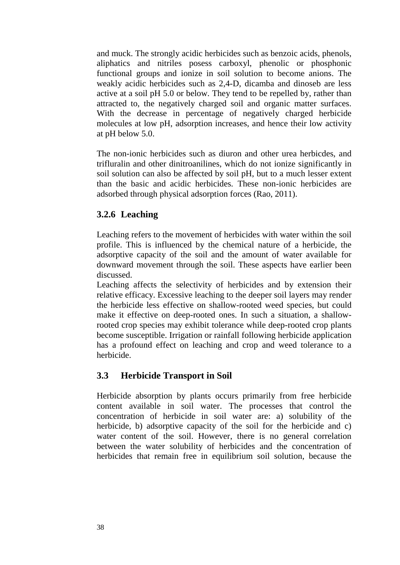and muck. The strongly acidic herbicides such as benzoic acids, phenols, aliphatics and nitriles posess carboxyl, phenolic or phosphonic functional groups and ionize in soil solution to become anions. The weakly acidic herbicides such as 2,4-D, dicamba and dinoseb are less active at a soil pH 5.0 or below. They tend to be repelled by, rather than attracted to, the negatively charged soil and organic matter surfaces. With the decrease in percentage of negatively charged herbicide molecules at low pH, adsorption increases, and hence their low activity at pH below 5.0.

The non-ionic herbicides such as diuron and other urea herbicdes, and trifluralin and other dinitroanilines, which do not ionize significantly in soil solution can also be affected by soil pH, but to a much lesser extent than the basic and acidic herbicides. These non-ionic herbicides are adsorbed through physical adsorption forces (Rao, 2011).

# **3.2.6 Leaching**

Leaching refers to the movement of herbicides with water within the soil profile. This is influenced by the chemical nature of a herbicide, the adsorptive capacity of the soil and the amount of water available for downward movement through the soil. These aspects have earlier been discussed.

Leaching affects the selectivity of herbicides and by extension their relative efficacy. Excessive leaching to the deeper soil layers may render the herbicide less effective on shallow-rooted weed species, but could make it effective on deep-rooted ones. In such a situation, a shallowrooted crop species may exhibit tolerance while deep-rooted crop plants become susceptible. Irrigation or rainfall following herbicide application has a profound effect on leaching and crop and weed tolerance to a herbicide.

# **3.3 Herbicide Transport in Soil**

Herbicide absorption by plants occurs primarily from free herbicide content available in soil water. The processes that control the concentration of herbicide in soil water are: a) solubility of the herbicide, b) adsorptive capacity of the soil for the herbicide and c) water content of the soil. However, there is no general correlation between the water solubility of herbicides and the concentration of herbicides that remain free in equilibrium soil solution, because the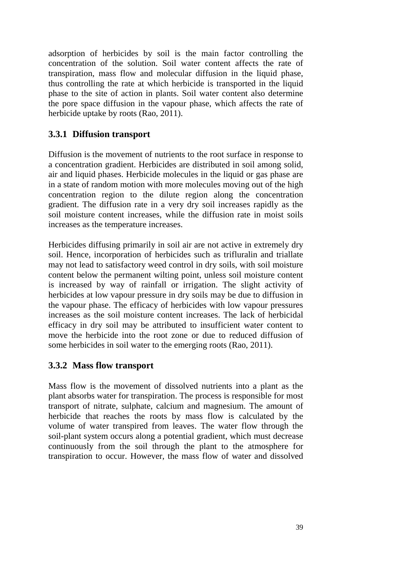adsorption of herbicides by soil is the main factor controlling the concentration of the solution. Soil water content affects the rate of transpiration, mass flow and molecular diffusion in the liquid phase, thus controlling the rate at which herbicide is transported in the liquid phase to the site of action in plants. Soil water content also determine the pore space diffusion in the vapour phase, which affects the rate of herbicide uptake by roots (Rao, 2011).

# **3.3.1 Diffusion transport**

Diffusion is the movement of nutrients to the root surface in response to a concentration gradient. Herbicides are distributed in soil among solid, air and liquid phases. Herbicide molecules in the liquid or gas phase are in a state of random motion with more molecules moving out of the high concentration region to the dilute region along the concentration gradient. The diffusion rate in a very dry soil increases rapidly as the soil moisture content increases, while the diffusion rate in moist soils increases as the temperature increases.

Herbicides diffusing primarily in soil air are not active in extremely dry soil. Hence, incorporation of herbicides such as trifluralin and triallate may not lead to satisfactory weed control in dry soils, with soil moisture content below the permanent wilting point, unless soil moisture content is increased by way of rainfall or irrigation. The slight activity of herbicides at low vapour pressure in dry soils may be due to diffusion in the vapour phase. The efficacy of herbicides with low vapour pressures increases as the soil moisture content increases. The lack of herbicidal efficacy in dry soil may be attributed to insufficient water content to move the herbicide into the root zone or due to reduced diffusion of some herbicides in soil water to the emerging roots (Rao, 2011).

# **3.3.2 Mass flow transport**

Mass flow is the movement of dissolved nutrients into a plant as the plant absorbs water for transpiration. The process is responsible for most transport of nitrate, sulphate, calcium and magnesium. The amount of herbicide that reaches the roots by mass flow is calculated by the volume of water transpired from leaves. The water flow through the soil-plant system occurs along a potential gradient, which must decrease continuously from the soil through the plant to the atmosphere for transpiration to occur. However, the mass flow of water and dissolved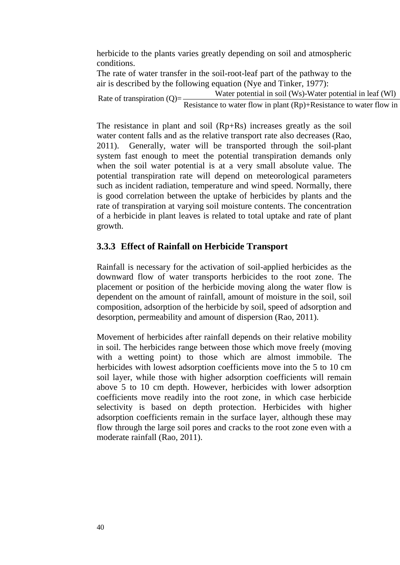herbicide to the plants varies greatly depending on soil and atmospheric conditions.

The rate of water transfer in the soil-root-leaf part of the pathway to the air is described by the following equation (Nye and Tinker, 1977):<br>Water potential in soil (Ws)-Water potential in leaf (WI)

Rate of transpiration  $(Q) = \frac{W \text{ act potential in son (Ws)-Wate potential in leaf (Wl)}}{\text{Resistance to water flow in plant (Rp)+Resistance to water flow in}}$ 

The resistance in plant and soil (Rp+Rs) increases greatly as the soil water content falls and as the relative transport rate also decreases (Rao, 2011). Generally, water will be transported through the soil-plant system fast enough to meet the potential transpiration demands only when the soil water potential is at a very small absolute value. The potential transpiration rate will depend on meteorological parameters such as incident radiation, temperature and wind speed. Normally, there is good correlation between the uptake of herbicides by plants and the rate of transpiration at varying soil moisture contents. The concentration of a herbicide in plant leaves is related to total uptake and rate of plant growth.

### **3.3.3 Effect of Rainfall on Herbicide Transport**

Rainfall is necessary for the activation of soil-applied herbicides as the downward flow of water transports herbicides to the root zone. The placement or position of the herbicide moving along the water flow is dependent on the amount of rainfall, amount of moisture in the soil, soil composition, adsorption of the herbicide by soil, speed of adsorption and desorption, permeability and amount of dispersion (Rao, 2011).

Movement of herbicides after rainfall depends on their relative mobility in soil. The herbicides range between those which move freely (moving with a wetting point) to those which are almost immobile. The herbicides with lowest adsorption coefficients move into the 5 to 10 cm soil layer, while those with higher adsorption coefficients will remain above 5 to 10 cm depth. However, herbicides with lower adsorption coefficients move readily into the root zone, in which case herbicide selectivity is based on depth protection. Herbicides with higher adsorption coefficients remain in the surface layer, although these may flow through the large soil pores and cracks to the root zone even with a moderate rainfall (Rao, 2011).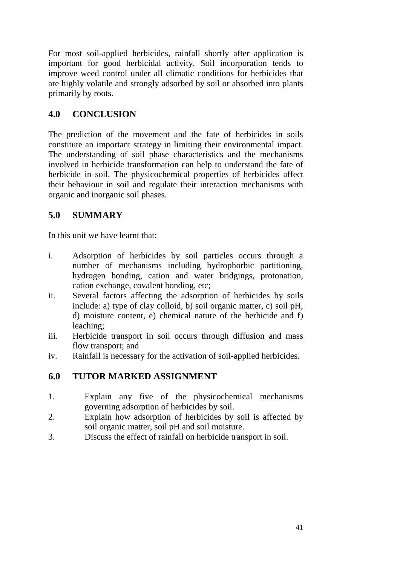For most soil-applied herbicides, rainfall shortly after application is important for good herbicidal activity. Soil incorporation tends to improve weed control under all climatic conditions for herbicides that are highly volatile and strongly adsorbed by soil or absorbed into plants primarily by roots.

# **4.0 CONCLUSION**

The prediction of the movement and the fate of herbicides in soils constitute an important strategy in limiting their environmental impact. The understanding of soil phase characteristics and the mechanisms involved in herbicide transformation can help to understand the fate of herbicide in soil. The physicochemical properties of herbicides affect their behaviour in soil and regulate their interaction mechanisms with organic and inorganic soil phases.

# **5.0 SUMMARY**

In this unit we have learnt that:

- i. Adsorption of herbicides by soil particles occurs through a number of mechanisms including hydrophorbic partitioning, hydrogen bonding, cation and water bridgings, protonation, cation exchange, covalent bonding, etc;
- ii. Several factors affecting the adsorption of herbicides by soils include: a) type of clay colloid, b) soil organic matter, c) soil pH, d) moisture content, e) chemical nature of the herbicide and f) leaching;
- iii. Herbicide transport in soil occurs through diffusion and mass flow transport; and
- iv. Rainfall is necessary for the activation of soil-applied herbicides.

# **6.0 TUTOR MARKED ASSIGNMENT**

- 1. Explain any five of the physicochemical mechanisms governing adsorption of herbicides by soil.
- 2. Explain how adsorption of herbicides by soil is affected by soil organic matter, soil pH and soil moisture.
- 3. Discuss the effect of rainfall on herbicide transport in soil.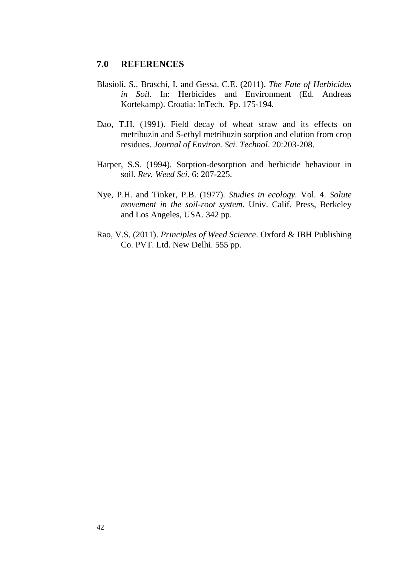#### **7.0 REFERENCES**

- Blasioli, S., Braschi, I. and Gessa, C.E. (2011). *The Fate of Herbicides in Soil.* In: Herbicides and Environment (Ed. Andreas Kortekamp). Croatia: InTech. Pp. 175-194.
- Dao, T.H. (1991). Field decay of wheat straw and its effects on metribuzin and S-ethyl metribuzin sorption and elution from crop residues. *Journal of Environ. Sci. Technol*. 20:203-208.
- Harper, S.S. (1994). Sorption-desorption and herbicide behaviour in soil. *Rev. Weed Sci*. 6: 207-225.
- Nye, P.H. and Tinker, P.B. (1977). *Studies in ecology.* Vol. 4. *Solute movement in the soil-root system*. Univ. Calif. Press, Berkeley and Los Angeles, USA. 342 pp.
- Rao, V.S. (2011). *Principles of Weed Science*. Oxford & IBH Publishing Co. PVT. Ltd. New Delhi. 555 pp.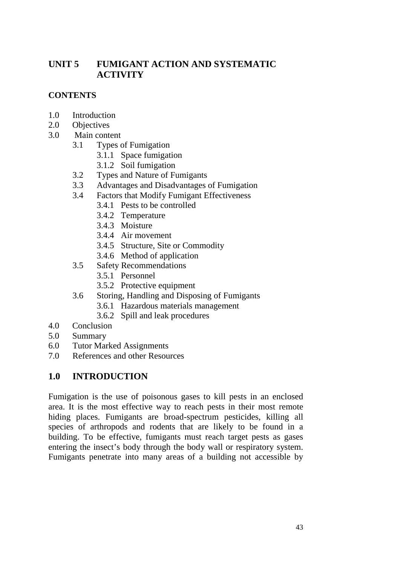# **UNIT 5 FUMIGANT ACTION AND SYSTEMATIC ACTIVITY**

# **CONTENTS**

- 1.0 Introduction
- 2.0 Objectives
- 3.0 Main content
	- 3.1 Types of Fumigation
		- 3.1.1 Space fumigation
		- 3.1.2 Soil fumigation
	- 3.2 Types and Nature of Fumigants
	- 3.3 Advantages and Disadvantages of Fumigation
	- 3.4 Factors that Modify Fumigant Effectiveness
		- 3.4.1 Pests to be controlled
		- 3.4.2 Temperature
		- 3.4.3 Moisture
		- 3.4.4 Air movement
		- 3.4.5 Structure, Site or Commodity
		- 3.4.6 Method of application
	- 3.5 Safety Recommendations
		- 3.5.1 Personnel
		- 3.5.2 Protective equipment
	- 3.6 Storing, Handling and Disposing of Fumigants
		- 3.6.1 Hazardous materials management
		- 3.6.2 Spill and leak procedures
- 4.0 Conclusion
- 5.0 Summary
- 6.0 Tutor Marked Assignments
- 7.0 References and other Resources

# **1.0 INTRODUCTION**

Fumigation is the use of poisonous gases to kill pests in an enclosed area. It is the most effective way to reach pests in their most remote hiding places. Fumigants are broad-spectrum pesticides, killing all species of arthropods and rodents that are likely to be found in a building. To be effective, fumigants must reach target pests as gases entering the insect's body through the body wall or respiratory system. Fumigants penetrate into many areas of a building not accessible by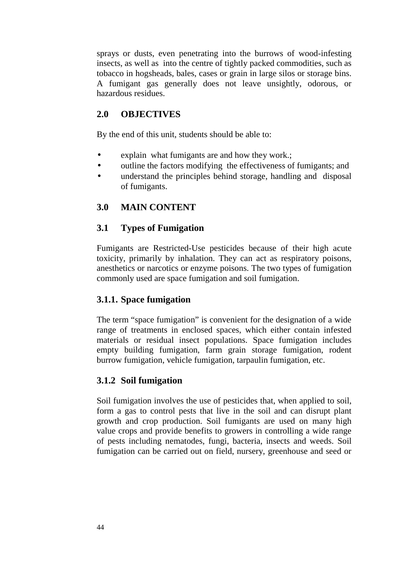sprays or dusts, even penetrating into the burrows of wood-infesting insects, as well as into the centre of tightly packed commodities, such as tobacco in hogsheads, bales, cases or grain in large silos or storage bins. A fumigant gas generally does not leave unsightly, odorous, or hazardous residues.

# **2.0 OBJECTIVES**

By the end of this unit, students should be able to:

- explain what fumigants are and how they work.;
- outline the factors modifying the effectiveness of fumigants; and
- understand the principles behind storage, handling and disposal of fumigants.

# **3.0 MAIN CONTENT**

# **3.1 Types of Fumigation**

Fumigants are Restricted-Use pesticides because of their high acute toxicity, primarily by inhalation. They can act as respiratory poisons, anesthetics or narcotics or enzyme poisons. The two types of fumigation commonly used are space fumigation and soil fumigation.

# **3.1.1. Space fumigation**

The term "space fumigation" is convenient for the designation of a wide range of treatments in enclosed spaces, which either contain infested materials or residual insect populations. Space fumigation includes empty building fumigation, farm grain storage fumigation, rodent burrow fumigation, vehicle fumigation, tarpaulin fumigation, etc.

# **3.1.2 Soil fumigation**

Soil fumigation involves the use of pesticides that, when applied to soil, form a gas to control pests that live in the soil and can disrupt plant growth and crop production. Soil fumigants are used on many high value crops and provide benefits to growers in controlling a wide range of pests including nematodes, fungi, bacteria, insects and weeds. Soil fumigation can be carried out on field, nursery, greenhouse and seed or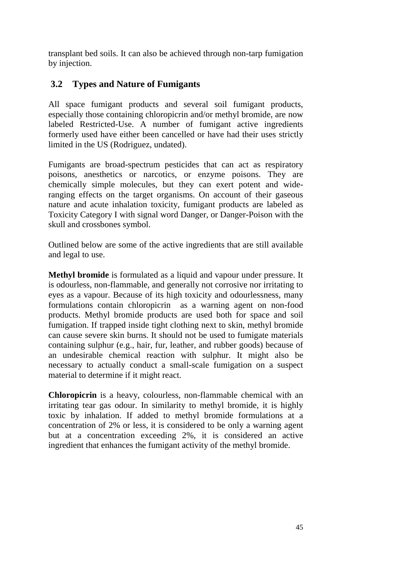transplant bed soils. It can also be achieved through non-tarp fumigation by injection.

# **3.2 Types and Nature of Fumigants**

All space fumigant products and several soil fumigant products, especially those containing chloropicrin and/or methyl bromide, are now labeled Restricted-Use. A number of fumigant active ingredients formerly used have either been cancelled or have had their uses strictly limited in the US (Rodriguez, undated).

Fumigants are broad-spectrum pesticides that can act as respiratory poisons, anesthetics or narcotics, or enzyme poisons. They are chemically simple molecules, but they can exert potent and wideranging effects on the target organisms. On account of their gaseous nature and acute inhalation toxicity, fumigant products are labeled as Toxicity Category I with signal word Danger, or Danger-Poison with the skull and crossbones symbol.

Outlined below are some of the active ingredients that are still available and legal to use.

**Methyl bromide** is formulated as a liquid and vapour under pressure. It is odourless, non-flammable, and generally not corrosive nor irritating to eyes as a vapour. Because of its high toxicity and odourlessness, many formulations contain chloropicrin as a warning agent on non-food products. Methyl bromide products are used both for space and soil fumigation. If trapped inside tight clothing next to skin, methyl bromide can cause severe skin burns. It should not be used to fumigate materials containing sulphur (e.g., hair, fur, leather, and rubber goods) because of an undesirable chemical reaction with sulphur. It might also be necessary to actually conduct a small-scale fumigation on a suspect material to determine if it might react.

**Chloropicrin** is a heavy, colourless, non-flammable chemical with an irritating tear gas odour. In similarity to methyl bromide, it is highly toxic by inhalation. If added to methyl bromide formulations at a concentration of 2% or less, it is considered to be only a warning agent but at a concentration exceeding 2%, it is considered an active ingredient that enhances the fumigant activity of the methyl bromide.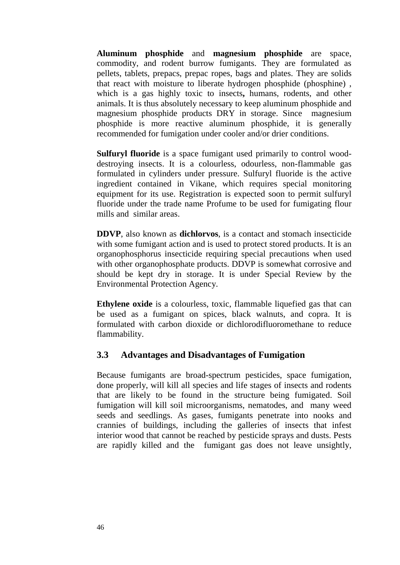**Aluminum phosphide** and **magnesium phosphide** are space, commodity, and rodent burrow fumigants. They are formulated as pellets, tablets, prepacs, prepac ropes, bags and plates. They are solids that react with moisture to liberate hydrogen phosphide (phosphine) , which is a gas highly toxic to insects**,** humans, rodents, and other animals. It is thus absolutely necessary to keep aluminum phosphide and magnesium phosphide products DRY in storage. Since magnesium phosphide is more reactive aluminum phosphide, it is generally recommended for fumigation under cooler and/or drier conditions.

**Sulfuryl fluoride** is a space fumigant used primarily to control wood destroying insects. It is a colourless, odourless, non-flammable gas formulated in cylinders under pressure. Sulfuryl fluoride is the active ingredient contained in Vikane, which requires special monitoring equipment for its use. Registration is expected soon to permit sulfuryl fluoride under the trade name Profume to be used for fumigating flour mills and similar areas.

**DDVP**, also known as **dichlorvos**, is a contact and stomach insecticide with some fumigant action and is used to protect stored products. It is an organophosphorus insecticide requiring special precautions when used with other organophosphate products. DDVP is somewhat corrosive and should be kept dry in storage. It is under Special Review by the Environmental Protection Agency.

**Ethylene oxide** is a colourless, toxic, flammable liquefied gas that can be used as a fumigant on spices, black walnuts, and copra. It is formulated with carbon dioxide or dichlorodifluoromethane to reduce flammability.

#### **3.3 Advantages and Disadvantages of Fumigation**

Because fumigants are broad-spectrum pesticides, space fumigation, done properly, will kill all species and life stages of insects and rodents that are likely to be found in the structure being fumigated. Soil fumigation will kill soil microorganisms, nematodes, and many weed seeds and seedlings. As gases, fumigants penetrate into nooks and crannies of buildings, including the galleries of insects that infest interior wood that cannot be reached by pesticide sprays and dusts. Pests are rapidly killed and the fumigant gas does not leave unsightly,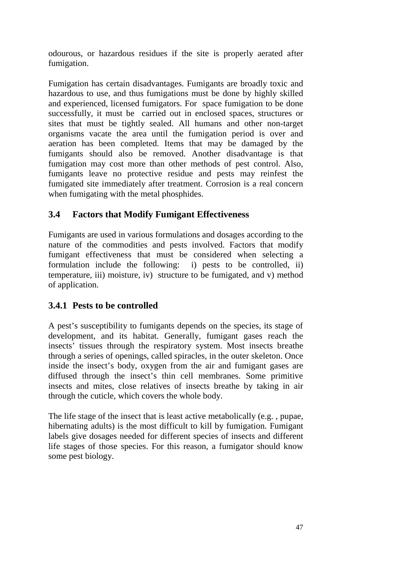odourous, or hazardous residues if the site is properly aerated after fumigation.

Fumigation has certain disadvantages. Fumigants are broadly toxic and hazardous to use, and thus fumigations must be done by highly skilled and experienced, licensed fumigators. For space fumigation to be done successfully, it must be carried out in enclosed spaces, structures or sites that must be tightly sealed. All humans and other non-target organisms vacate the area until the fumigation period is over and aeration has been completed. Items that may be damaged by the fumigants should also be removed. Another disadvantage is that fumigation may cost more than other methods of pest control. Also, fumigants leave no protective residue and pests may reinfest the fumigated site immediately after treatment. Corrosion is a real concern when fumigating with the metal phosphides.

# **3.4 Factors that Modify Fumigant Effectiveness**

Fumigants are used in various formulations and dosages according to the nature of the commodities and pests involved. Factors that modify fumigant effectiveness that must be considered when selecting a formulation include the following: i) pests to be controlled, ii) temperature, iii) moisture, iv) structure to be fumigated, and v) method of application.

# **3.4.1 Pests to be controlled**

A pest's susceptibility to fumigants depends on the species, its stage of development, and its habitat. Generally, fumigant gases reach the insects' tissues through the respiratory system. Most insects breathe through a series of openings, called spiracles, in the outer skeleton. Once inside the insect's body, oxygen from the air and fumigant gases are diffused through the insect's thin cell membranes. Some primitive insects and mites, close relatives of insects breathe by taking in air through the cuticle, which covers the whole body.

The life stage of the insect that is least active metabolically (e.g. , pupae, hibernating adults) is the most difficult to kill by fumigation. Fumigant labels give dosages needed for different species of insects and different life stages of those species. For this reason, a fumigator should know some pest biology.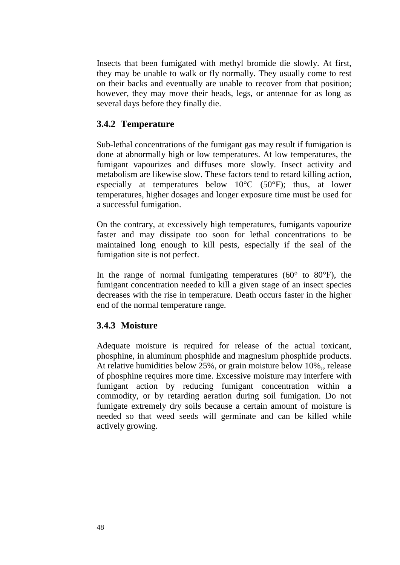Insects that been fumigated with methyl bromide die slowly. At first, they may be unable to walk or fly normally. They usually come to rest on their backs and eventually are unable to recover from that position; however, they may move their heads, legs, or antennae for as long as several days before they finally die.

#### **3.4.2 Temperature**

Sub-lethal concentrations of the fumigant gas may result if fumigation is done at abnormally high or low temperatures. At low temperatures, the fumigant vapourizes and diffuses more slowly. Insect activity and metabolism are likewise slow. These factors tend to retard killing action, especially at temperatures below 10°C (50°F); thus, at lower temperatures, higher dosages and longer exposure time must be used for a successful fumigation.

On the contrary, at excessively high temperatures, fumigants vapourize faster and may dissipate too soon for lethal concentrations to be maintained long enough to kill pests, especially if the seal of the fumigation site is not perfect.

In the range of normal fumigating temperatures ( $60^{\circ}$  to  $80^{\circ}$ F), the fumigant concentration needed to kill a given stage of an insect species decreases with the rise in temperature. Death occurs faster in the higher end of the normal temperature range.

#### **3.4.3 Moisture**

Adequate moisture is required for release of the actual toxicant, phosphine, in aluminum phosphide and magnesium phosphide products. At relative humidities below 25%, or grain moisture below 10%,, release of phosphine requires more time. Excessive moisture may interfere with fumigant action by reducing fumigant concentration within a commodity, or by retarding aeration during soil fumigation. Do not fumigate extremely dry soils because a certain amount of moisture is needed so that weed seeds will germinate and can be killed while actively growing.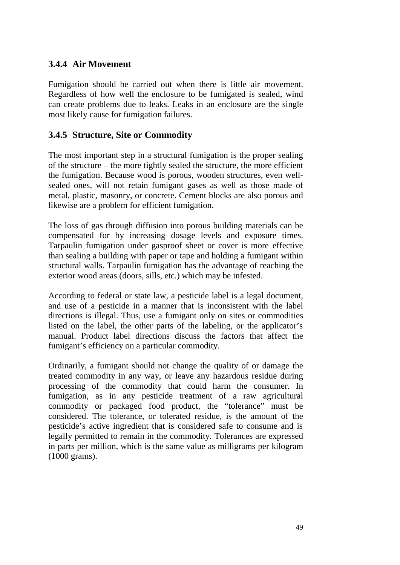# **3.4.4 Air Movement**

Fumigation should be carried out when there is little air movement. Regardless of how well the enclosure to be fumigated is sealed, wind can create problems due to leaks. Leaks in an enclosure are the single most likely cause for fumigation failures.

# **3.4.5 Structure, Site or Commodity**

The most important step in a structural fumigation is the proper sealing of the structure – the more tightly sealed the structure, the more efficient the fumigation. Because wood is porous, wooden structures, even well sealed ones, will not retain fumigant gases as well as those made of metal, plastic, masonry, or concrete. Cement blocks are also porous and likewise are a problem for efficient fumigation.

The loss of gas through diffusion into porous building materials can be compensated for by increasing dosage levels and exposure times. Tarpaulin fumigation under gasproof sheet or cover is more effective than sealing a building with paper or tape and holding a fumigant within structural walls. Tarpaulin fumigation has the advantage of reaching the exterior wood areas (doors, sills, etc.) which may be infested.

According to federal or state law, a pesticide label is a legal document, and use of a pesticide in a manner that is inconsistent with the label directions is illegal. Thus, use a fumigant only on sites or commodities listed on the label, the other parts of the labeling, or the applicator's manual. Product label directions discuss the factors that affect the fumigant's efficiency on a particular commodity.

Ordinarily, a fumigant should not change the quality of or damage the treated commodity in any way, or leave any hazardous residue during processing of the commodity that could harm the consumer. In fumigation, as in any pesticide treatment of a raw agricultural commodity or packaged food product, the "tolerance" must be considered. The tolerance, or tolerated residue, is the amount of the pesticide's active ingredient that is considered safe to consume and is legally permitted to remain in the commodity. Tolerances are expressed in parts per million, which is the same value as milligrams per kilogram (1000 grams).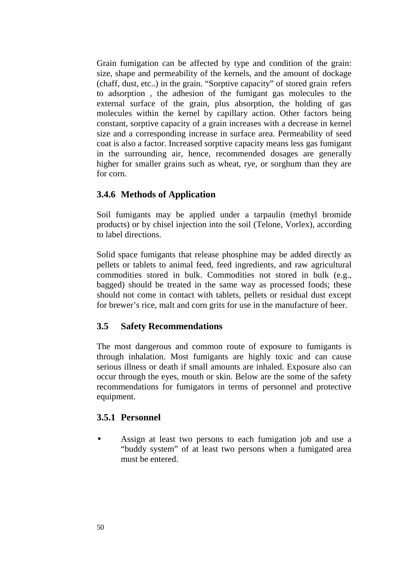Grain fumigation can be affected by type and condition of the grain: size, shape and permeability of the kernels, and the amount of dockage (chaff, dust, etc..) in the grain. "Sorptive capacity" of stored grain refers to adsorption , the adhesion of the fumigant gas molecules to the external surface of the grain, plus absorption, the holding of gas molecules within the kernel by capillary action. Other factors being constant, sorptive capacity of a grain increases with a decrease in kernel size and a corresponding increase in surface area. Permeability of seed coat is also a factor. Increased sorptive capacity means less gas fumigant in the surrounding air, hence, recommended dosages are generally higher for smaller grains such as wheat, rye, or sorghum than they are for corn.

# **3.4.6 Methods of Application**

Soil fumigants may be applied under a tarpaulin (methyl bromide products) or by chisel injection into the soil (Telone, Vorlex), according to label directions.

Solid space fumigants that release phosphine may be added directly as pellets or tablets to animal feed, feed ingredients, and raw agricultural commodities stored in bulk. Commodities not stored in bulk (e.g., bagged) should be treated in the same way as processed foods; these should not come in contact with tablets, pellets or residual dust except for brewer's rice, malt and corn grits for use in the manufacture of beer.

# **3.5 Safety Recommendations**

The most dangerous and common route of exposure to fumigants is through inhalation. Most fumigants are highly toxic and can cause serious illness or death if small amounts are inhaled. Exposure also can occur through the eyes, mouth or skin. Below are the some of the safety recommendations for fumigators in terms of personnel and protective equipment.

# **3.5.1 Personnel**

 Assign at least two persons to each fumigation job and use a "buddy system" of at least two persons when a fumigated area must be entered.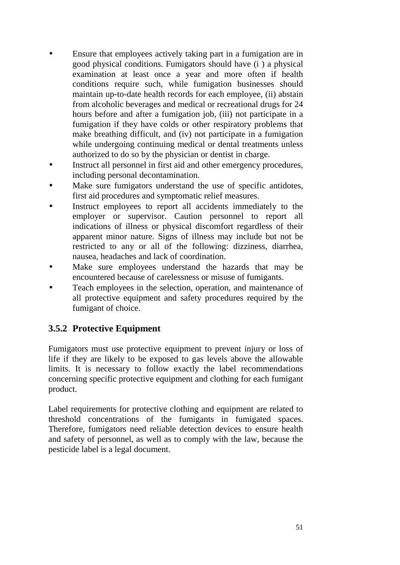- Ensure that employees actively taking part in a fumigation are in good physical conditions. Fumigators should have (i ) a physical examination at least once a year and more often if health conditions require such, while fumigation businesses should maintain up-to-date health records for each employee, (ii) abstain from alcoholic beverages and medical or recreational drugs for 24 hours before and after a fumigation job, (iii) not participate in a fumigation if they have colds or other respiratory problems that make breathing difficult, and (iv) not participate in a fumigation while undergoing continuing medical or dental treatments unless authorized to do so by the physician or dentist in charge.
- Instruct all personnel in first aid and other emergency procedures, including personal decontamination.
- Make sure fumigators understand the use of specific antidotes, first aid procedures and symptomatic relief measures.
- Instruct employees to report all accidents immediately to the employer or supervisor. Caution personnel to report all indications of illness or physical discomfort regardless of their apparent minor nature. Signs of illness may include but not be restricted to any or all of the following: dizziness, diarrhea, nausea, headaches and lack of coordination.
- Make sure employees understand the hazards that may be encountered because of carelessness or misuse of fumigants.
- Teach employees in the selection, operation, and maintenance of all protective equipment and safety procedures required by the fumigant of choice.

# **3.5.2 Protective Equipment**

Fumigators must use protective equipment to prevent injury or loss of life if they are likely to be exposed to gas levels above the allowable limits. It is necessary to follow exactly the label recommendations concerning specific protective equipment and clothing for each fumigant product.

Label requirements for protective clothing and equipment are related to threshold concentrations of the fumigants in fumigated spaces. Therefore, fumigators need reliable detection devices to ensure health and safety of personnel, as well as to comply with the law, because the pesticide label is a legal document.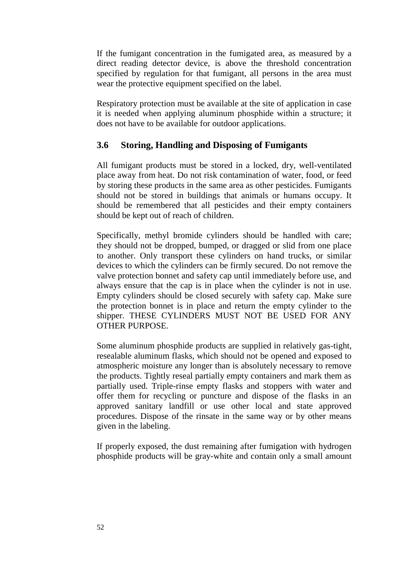If the fumigant concentration in the fumigated area, as measured by a direct reading detector device, is above the threshold concentration specified by regulation for that fumigant, all persons in the area must wear the protective equipment specified on the label.

Respiratory protection must be available at the site of application in case it is needed when applying aluminum phosphide within a structure; it does not have to be available for outdoor applications.

### **3.6 Storing, Handling and Disposing of Fumigants**

All fumigant products must be stored in a locked, dry, well-ventilated place away from heat. Do not risk contamination of water, food, or feed by storing these products in the same area as other pesticides. Fumigants should not be stored in buildings that animals or humans occupy. It should be remembered that all pesticides and their empty containers should be kept out of reach of children.

Specifically, methyl bromide cylinders should be handled with care; they should not be dropped, bumped, or dragged or slid from one place to another. Only transport these cylinders on hand trucks, or similar devices to which the cylinders can be firmly secured. Do not remove the valve protection bonnet and safety cap until immediately before use, and always ensure that the cap is in place when the cylinder is not in use. Empty cylinders should be closed securely with safety cap. Make sure the protection bonnet is in place and return the empty cylinder to the shipper. THESE CYLINDERS MUST NOT BE USED FOR ANY OTHER PURPOSE.

Some aluminum phosphide products are supplied in relatively gas-tight, resealable aluminum flasks, which should not be opened and exposed to atmospheric moisture any longer than is absolutely necessary to remove the products. Tightly reseal partially empty containers and mark them as partially used. Triple-rinse empty flasks and stoppers with water and offer them for recycling or puncture and dispose of the flasks in an approved sanitary landfill or use other local and state approved procedures. Dispose of the rinsate in the same way or by other means given in the labeling.

If properly exposed, the dust remaining after fumigation with hydrogen phosphide products will be gray-white and contain only a small amount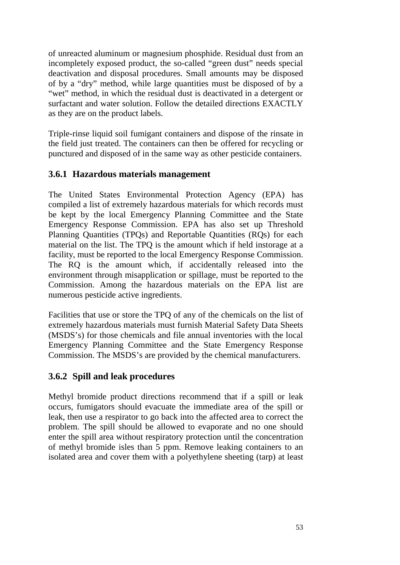of unreacted aluminum or magnesium phosphide. Residual dust from an incompletely exposed product, the so-called "green dust" needs special deactivation and disposal procedures. Small amounts may be disposed of by a "dry" method, while large quantities must be disposed of by a "wet" method, in which the residual dust is deactivated in a detergent or surfactant and water solution. Follow the detailed directions EXACTLY as they are on the product labels.

Triple-rinse liquid soil fumigant containers and dispose of the rinsate in the field just treated. The containers can then be offered for recycling or punctured and disposed of in the same way as other pesticide containers.

### **3.6.1 Hazardous materials management**

The United States Environmental Protection Agency (EPA) has compiled a list of extremely hazardous materials for which records must be kept by the local Emergency Planning Committee and the State Emergency Response Commission. EPA has also set up Threshold Planning Quantities (TPQs) and Reportable Quantities (RQs) for each material on the list. The TPQ is the amount which if held instorage at a facility, must be reported to the local Emergency Response Commission. The RQ is the amount which, if accidentally released into the environment through misapplication or spillage, must be reported to the Commission. Among the hazardous materials on the EPA list are numerous pesticide active ingredients.

Facilities that use or store the TPQ of any of the chemicals on the list of extremely hazardous materials must furnish Material Safety Data Sheets (MSDS's) for those chemicals and file annual inventories with the local Emergency Planning Committee and the State Emergency Response Commission. The MSDS's are provided by the chemical manufacturers.

# **3.6.2 Spill and leak procedures**

Methyl bromide product directions recommend that if a spill or leak occurs, fumigators should evacuate the immediate area of the spill or leak, then use a respirator to go back into the affected area to correct the problem. The spill should be allowed to evaporate and no one should enter the spill area without respiratory protection until the concentration of methyl bromide isles than 5 ppm. Remove leaking containers to an isolated area and cover them with a polyethylene sheeting (tarp) at least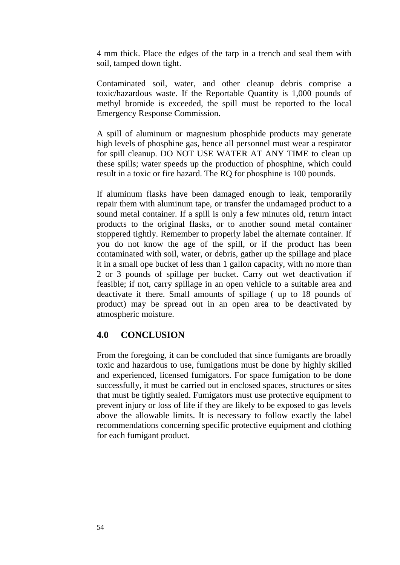4 mm thick. Place the edges of the tarp in a trench and seal them with soil, tamped down tight.

Contaminated soil, water, and other cleanup debris comprise a toxic/hazardous waste. If the Reportable Quantity is 1,000 pounds of methyl bromide is exceeded, the spill must be reported to the local Emergency Response Commission.

A spill of aluminum or magnesium phosphide products may generate high levels of phosphine gas, hence all personnel must wear a respirator for spill cleanup. DO NOT USE WATER AT ANY TIME to clean up these spills; water speeds up the production of phosphine, which could result in a toxic or fire hazard. The RQ for phosphine is 100 pounds.

If aluminum flasks have been damaged enough to leak, temporarily repair them with aluminum tape, or transfer the undamaged product to a sound metal container. If a spill is only a few minutes old, return intact products to the original flasks, or to another sound metal container stoppered tightly. Remember to properly label the alternate container. If you do not know the age of the spill, or if the product has been contaminated with soil, water, or debris, gather up the spillage and place it in a small ope bucket of less than 1 gallon capacity, with no more than 2 or 3 pounds of spillage per bucket. Carry out wet deactivation if feasible; if not, carry spillage in an open vehicle to a suitable area and deactivate it there. Small amounts of spillage ( up to 18 pounds of product) may be spread out in an open area to be deactivated by atmospheric moisture.

#### **4.0 CONCLUSION**

From the foregoing, it can be concluded that since fumigants are broadly toxic and hazardous to use, fumigations must be done by highly skilled and experienced, licensed fumigators. For space fumigation to be done successfully, it must be carried out in enclosed spaces, structures or sites that must be tightly sealed. Fumigators must use protective equipment to prevent injury or loss of life if they are likely to be exposed to gas levels above the allowable limits. It is necessary to follow exactly the label recommendations concerning specific protective equipment and clothing for each fumigant product.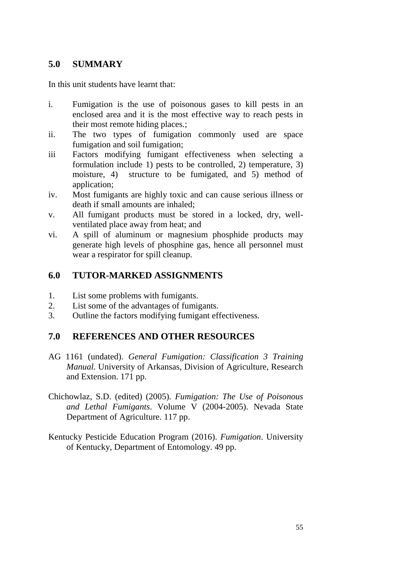# **5.0 SUMMARY**

In this unit students have learnt that:

- i. Fumigation is the use of poisonous gases to kill pests in an enclosed area and it is the most effective way to reach pests in their most remote hiding places.;
- ii. The two types of fumigation commonly used are space fumigation and soil fumigation;
- iii Factors modifying fumigant effectiveness when selecting a formulation include 1) pests to be controlled, 2) temperature, 3) moisture, 4) structure to be fumigated, and 5) method of application;
- iv. Most fumigants are highly toxic and can cause serious illness or death if small amounts are inhaled;
- v. All fumigant products must be stored in a locked, dry, well ventilated place away from heat; and
- vi. A spill of aluminum or magnesium phosphide products may generate high levels of phosphine gas, hence all personnel must wear a respirator for spill cleanup.

# **6.0 TUTOR-MARKED ASSIGNMENTS**

- 1. List some problems with fumigants.
- 2. List some of the advantages of fumigants.
- 3. Outline the factors modifying fumigant effectiveness.

# **7.0 REFERENCES AND OTHER RESOURCES**

- AG 1161 (undated). *General Fumigation: Classification 3 Training Manual*. University of Arkansas, Division of Agriculture, Research and Extension. 171 pp.
- Chichowlaz, S.D. (edited) (2005). *Fumigation: The Use of Poisonous and Lethal Fumigants*. Volume V (2004-2005). Nevada State Department of Agriculture. 117 pp.
- Kentucky Pesticide Education Program (2016). *Fumigation*. University of Kentucky, Department of Entomology. 49 pp.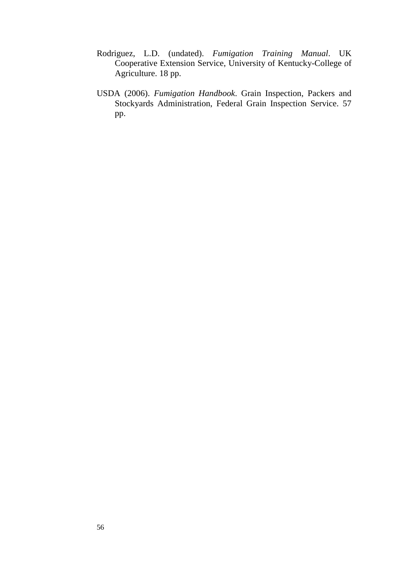- Rodriguez, L.D. (undated). *Fumigation Training Manual*. UK Cooperative Extension Service, University of Kentucky-College of Agriculture. 18 pp.
- USDA (2006). *Fumigation Handbook*. Grain Inspection, Packers and Stockyards Administration, Federal Grain Inspection Service. 57 pp.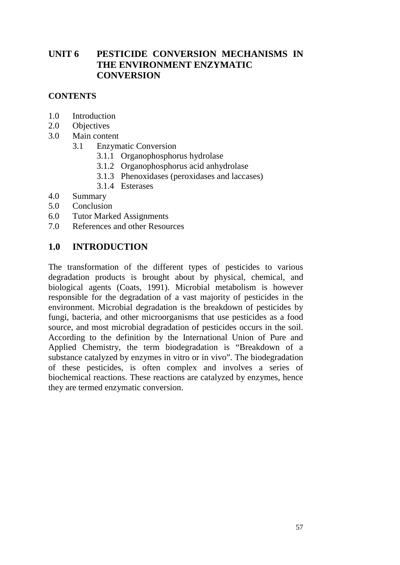# **UNIT 6 PESTICIDE CONVERSION MECHANISMS IN THE ENVIRONMENT ENZYMATIC CONVERSION**

#### **CONTENTS**

- 1.0 Introduction
- 2.0 Objectives
- 3.0 Main content
	- 3.1 Enzymatic Conversion
		- 3.1.1 Organophosphorus hydrolase
		- 3.1.2 Organophosphorus acid anhydrolase
		- 3.1.3 Phenoxidases (peroxidases and laccases)
		- 3.1.4 Esterases
- 4.0 Summary
- 5.0 Conclusion
- 6.0 Tutor Marked Assignments
- 7.0 References and other Resources

### **1.0 INTRODUCTION**

The transformation of the different types of pesticides to various degradation products is brought about by physical, chemical, and biological agents (Coats, 1991). Microbial metabolism is however responsible for the degradation of a vast majority of pesticides in the environment. Microbial degradation is the breakdown of pesticides by fungi, bacteria, and other microorganisms that use pesticides as a food source, and most microbial degradation of pesticides occurs in the soil. According to the definition by the International Union of Pure and Applied Chemistry, the term biodegradation is "Breakdown of a substance catalyzed by enzymes in vitro or in vivo". The biodegradation of these pesticides, is often complex and involves a series of biochemical reactions. These reactions are catalyzed by enzymes, hence they are termed enzymatic conversion.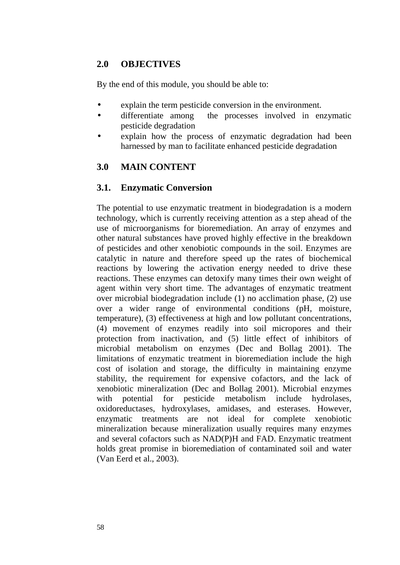# **2.0 OBJECTIVES**

By the end of this module, you should be able to:

- explain the term pesticide conversion in the environment.
- differentiate among the processes involved in enzymatic pesticide degradation
- explain how the process of enzymatic degradation had been harnessed by man to facilitate enhanced pesticide degradation

# **3.0 MAIN CONTENT**

### **3.1. Enzymatic Conversion**

The potential to use enzymatic treatment in biodegradation is a modern technology, which is currently receiving attention as a step ahead of the use of microorganisms for bioremediation. An array of enzymes and other natural substances have proved highly effective in the breakdown of pesticides and other xenobiotic compounds in the soil. Enzymes are catalytic in nature and therefore speed up the rates of biochemical reactions by lowering the activation energy needed to drive these reactions. These enzymes can detoxify many times their own weight of agent within very short time. The advantages of enzymatic treatment over microbial biodegradation include (1) no acclimation phase, (2) use over a wider range of environmental conditions (pH, moisture, temperature), (3) effectiveness at high and low pollutant concentrations, (4) movement of enzymes readily into soil micropores and their protection from inactivation, and (5) little effect of inhibitors of microbial metabolism on enzymes (Dec and Bollag 2001). The limitations of enzymatic treatment in bioremediation include the high cost of isolation and storage, the difficulty in maintaining enzyme stability, the requirement for expensive cofactors, and the lack of xenobiotic mineralization (Dec and Bollag 2001). Microbial enzymes with potential for pesticide metabolism include hydrolases, oxidoreductases, hydroxylases, amidases, and esterases. However, enzymatic treatments are not ideal for complete xenobiotic mineralization because mineralization usually requires many enzymes and several cofactors such as NAD(P)H and FAD. Enzymatic treatment holds great promise in bioremediation of contaminated soil and water (Van Eerd et al., 2003).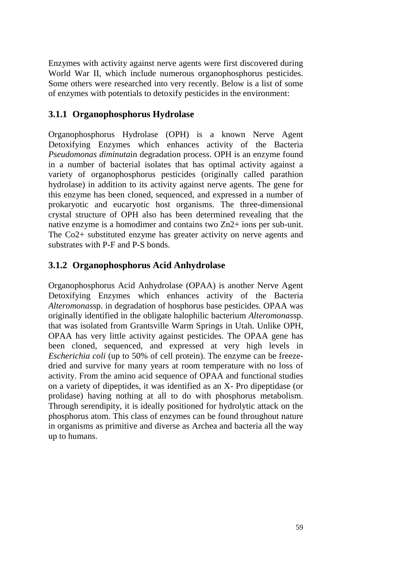Enzymes with activity against nerve agents were first discovered during World War II, which include numerous organophosphorus pesticides. Some others were researched into very recently. Below is a list of some of enzymes with potentials to detoxify pesticides in the environment:

# **3.1.1 Organophosphorus Hydrolase**

Organophosphorus Hydrolase (OPH) is a known Nerve Agent Detoxifying Enzymes which enhances activity of the Bacteria *Pseudomonas diminuta*in degradation process. OPH is an enzyme found in a number of bacterial isolates that has optimal activity against a variety of organophosphorus pesticides (originally called parathion hydrolase) in addition to its activity against nerve agents. The gene for this enzyme has been cloned, sequenced, and expressed in a number of prokaryotic and eucaryotic host organisms. The three-dimensional crystal structure of OPH also has been determined revealing that the native enzyme is a homodimer and contains two Zn2+ ions per sub-unit. The Co2+ substituted enzyme has greater activity on nerve agents and substrates with P-F and P-S bonds.

# **3.1.2 Organophosphorus Acid Anhydrolase**

Organophosphorus Acid Anhydrolase (OPAA) is another Nerve Agent Detoxifying Enzymes which enhances activity of the Bacteria *Alteromonas*sp. in degradation of hosphorus base pesticides. OPAA was originally identified in the obligate halophilic bacterium *Alteromonas*sp. that was isolated from Grantsville Warm Springs in Utah. Unlike OPH, OPAA has very little activity against pesticides. The OPAA gene has been cloned, sequenced, and expressed at very high levels in *Escherichia coli* (up to 50% of cell protein). The enzyme can be freeze dried and survive for many years at room temperature with no loss of activity. From the amino acid sequence of OPAA and functional studies on a variety of dipeptides, it was identified as an X- Pro dipeptidase (or prolidase) having nothing at all to do with phosphorus metabolism. Through serendipity, it is ideally positioned for hydrolytic attack on the phosphorus atom. This class of enzymes can be found throughout nature in organisms as primitive and diverse as Archea and bacteria all the way up to humans.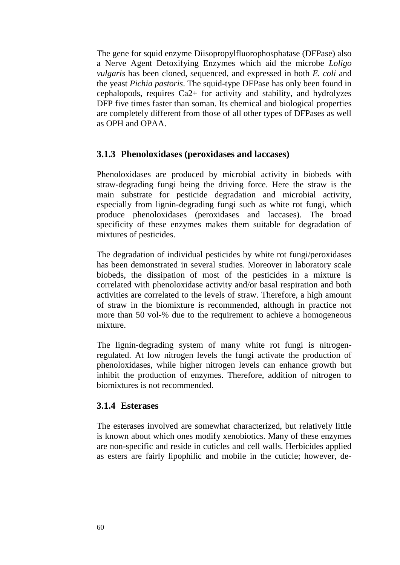The gene for squid enzyme Diisopropylfluorophosphatase (DFPase) also a Nerve Agent Detoxifying Enzymes which aid the microbe *Loligo vulgaris* has been cloned, sequenced, and expressed in both *E. coli* and the yeast *Pichia pastoris*. The squid-type DFPase has only been found in cephalopods, requires Ca2+ for activity and stability, and hydrolyzes DFP five times faster than soman. Its chemical and biological properties are completely different from those of all other types of DFPases as well as OPH and OPAA.

#### **3.1.3 Phenoloxidases (peroxidases and laccases)**

Phenoloxidases are produced by microbial activity in biobeds with straw-degrading fungi being the driving force. Here the straw is the main substrate for pesticide degradation and microbial activity, especially from lignin-degrading fungi such as white rot fungi, which produce phenoloxidases (peroxidases and laccases). The broad specificity of these enzymes makes them suitable for degradation of mixtures of pesticides.

The degradation of individual pesticides by white rot fungi/peroxidases has been demonstrated in several studies. Moreover in laboratory scale biobeds, the dissipation of most of the pesticides in a mixture is correlated with phenoloxidase activity and/or basal respiration and both activities are correlated to the levels of straw. Therefore, a high amount of straw in the biomixture is recommended, although in practice not more than 50 vol-% due to the requirement to achieve a homogeneous mixture.

The lignin-degrading system of many white rot fungi is nitrogenregulated. At low nitrogen levels the fungi activate the production of phenoloxidases, while higher nitrogen levels can enhance growth but inhibit the production of enzymes. Therefore, addition of nitrogen to biomixtures is not recommended.

#### **3.1.4 Esterases**

The esterases involved are somewhat characterized, but relatively little is known about which ones modify xenobiotics. Many of these enzymes are non-specific and reside in cuticles and cell walls. Herbicides applied as esters are fairly lipophilic and mobile in the cuticle; however, de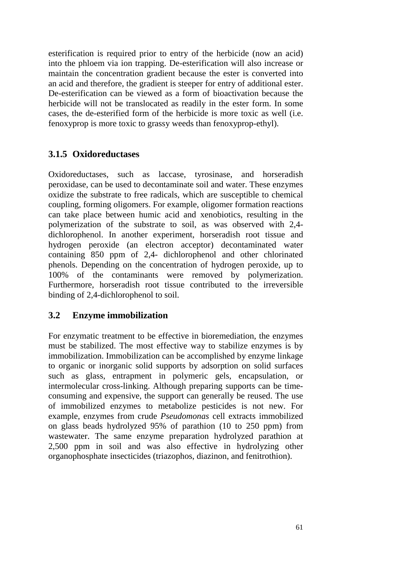esterification is required prior to entry of the herbicide (now an acid) into the phloem via ion trapping. De-esterification will also increase or maintain the concentration gradient because the ester is converted into an acid and therefore, the gradient is steeper for entry of additional ester. De-esterification can be viewed as a form of bioactivation because the herbicide will not be translocated as readily in the ester form. In some cases, the de-esterified form of the herbicide is more toxic as well (i.e. fenoxyprop is more toxic to grassy weeds than fenoxyprop-ethyl).

# **3.1.5 Oxidoreductases**

Oxidoreductases, such as laccase, tyrosinase, and horseradish peroxidase, can be used to decontaminate soil and water. These enzymes oxidize the substrate to free radicals, which are susceptible to chemical coupling, forming oligomers. For example, oligomer formation reactions can take place between humic acid and xenobiotics, resulting in the polymerization of the substrate to soil, as was observed with 2,4 dichlorophenol. In another experiment, horseradish root tissue and hydrogen peroxide (an electron acceptor) decontaminated water containing 850 ppm of 2,4- dichlorophenol and other chlorinated phenols. Depending on the concentration of hydrogen peroxide, up to 100% of the contaminants were removed by polymerization. Furthermore, horseradish root tissue contributed to the irreversible binding of 2,4-dichlorophenol to soil.

# **3.2 Enzyme immobilization**

For enzymatic treatment to be effective in bioremediation, the enzymes must be stabilized. The most effective way to stabilize enzymes is by immobilization. Immobilization can be accomplished by enzyme linkage to organic or inorganic solid supports by adsorption on solid surfaces such as glass, entrapment in polymeric gels, encapsulation, or intermolecular cross-linking. Although preparing supports can be time consuming and expensive, the support can generally be reused. The use of immobilized enzymes to metabolize pesticides is not new. For example, enzymes from crude *Pseudomonas* cell extracts immobilized on glass beads hydrolyzed 95% of parathion (10 to 250 ppm) from wastewater. The same enzyme preparation hydrolyzed parathion at 2,500 ppm in soil and was also effective in hydrolyzing other organophosphate insecticides (triazophos, diazinon, and fenitrothion).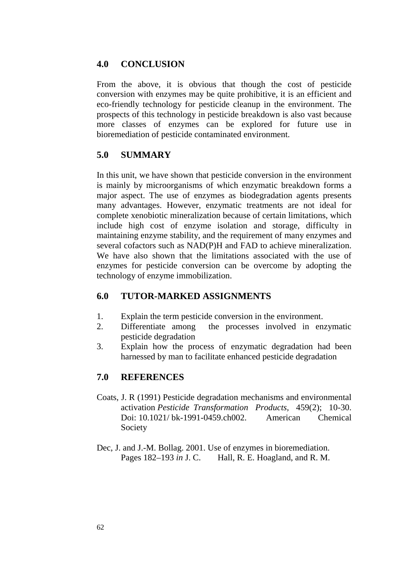# **4.0 CONCLUSION**

From the above, it is obvious that though the cost of pesticide conversion with enzymes may be quite prohibitive, it is an efficient and eco-friendly technology for pesticide cleanup in the environment. The prospects of this technology in pesticide breakdown is also vast because more classes of enzymes can be explored for future use in bioremediation of pesticide contaminated environment.

### **5.0 SUMMARY**

In this unit, we have shown that pesticide conversion in the environment is mainly by microorganisms of which enzymatic breakdown forms a major aspect. The use of enzymes as biodegradation agents presents many advantages. However, enzymatic treatments are not ideal for complete xenobiotic mineralization because of certain limitations, which include high cost of enzyme isolation and storage, difficulty in maintaining enzyme stability, and the requirement of many enzymes and several cofactors such as NAD(P)H and FAD to achieve mineralization. We have also shown that the limitations associated with the use of enzymes for pesticide conversion can be overcome by adopting the technology of enzyme immobilization.

# **6.0 TUTOR-MARKED ASSIGNMENTS**

- 1. Explain the term pesticide conversion in the environment.
- 2. Differentiate among the processes involved in enzymatic pesticide degradation
- 3. Explain how the process of enzymatic degradation had been harnessed by man to facilitate enhanced pesticide degradation

# **7.0 REFERENCES**

- Coats, J. R (1991) Pesticide degradation mechanisms and environmental activation *Pesticide Transformation Products,* 459(2); 10-30. Doi: 10.1021/ bk-1991-0459.ch002. American Chemical Society
- Dec, J. and J.-M. Bollag. 2001. Use of enzymes in bioremediation. Pages 182–193 *in* J. C. Hall, R. E. Hoagland, and R. M.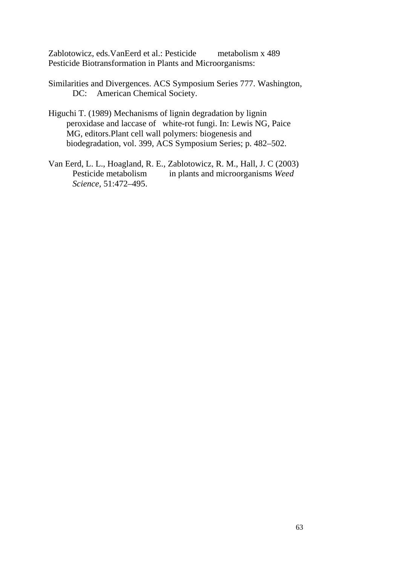Zablotowicz, eds. VanEerd et al.: Pesticide metabolism x 489 Pesticide Biotransformation in Plants and Microorganisms:

- Similarities and Divergences. ACS Symposium Series 777. Washington, DC: American Chemical Society.
- Higuchi T. (1989) Mechanisms of lignin degradation by lignin peroxidase and laccase of white-rot fungi. In: Lewis NG, Paice MG, editors.Plant cell wall polymers: biogenesis and biodegradation, vol. 399, ACS Symposium Series; p. 482–502.
- Van Eerd, L. L., Hoagland, R. E., Zablotowicz, R. M., Hall, J. C (2003) Pesticide metabolism in plants and microorganisms *Weed Science,* 51:472–495.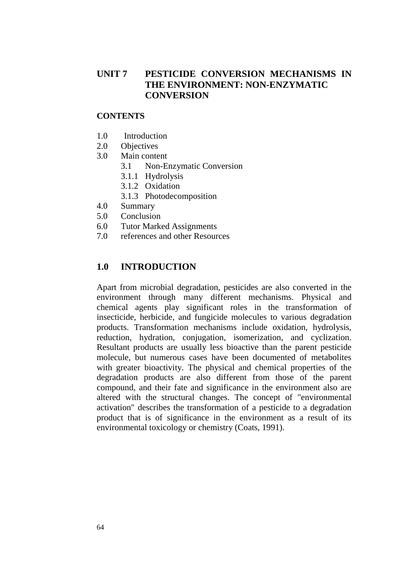# **UNIT 7 PESTICIDE CONVERSION MECHANISMS IN THE ENVIRONMENT: NON-ENZYMATIC CONVERSION**

#### **CONTENTS**

- 1.0 Introduction
- 2.0 Objectives
- 3.0 Main content
	- 3.1 Non-Enzymatic Conversion
	- 3.1.1 Hydrolysis
	- 3.1.2 Oxidation
	- 3.1.3 Photodecomposition
- 4.0 Summary
- 5.0 Conclusion
- 6.0 Tutor Marked Assignments
- 7.0 references and other Resources

#### **1.0 INTRODUCTION**

Apart from microbial degradation, pesticides are also converted in the environment through many different mechanisms. Physical and chemical agents play significant roles in the transformation of insecticide, herbicide, and fungicide molecules to various degradation products. Transformation mechanisms include oxidation, hydrolysis, reduction, hydration, conjugation, isomerization, and cyclization. Resultant products are usually less bioactive than the parent pesticide molecule, but numerous cases have been documented of metabolites with greater bioactivity. The physical and chemical properties of the degradation products are also different from those of the parent compound, and their fate and significance in the environment also are altered with the structural changes. The concept of "environmental activation" describes the transformation of a pesticide to a degradation product that is of significance in the environment as a result of its environmental toxicology or chemistry (Coats, 1991).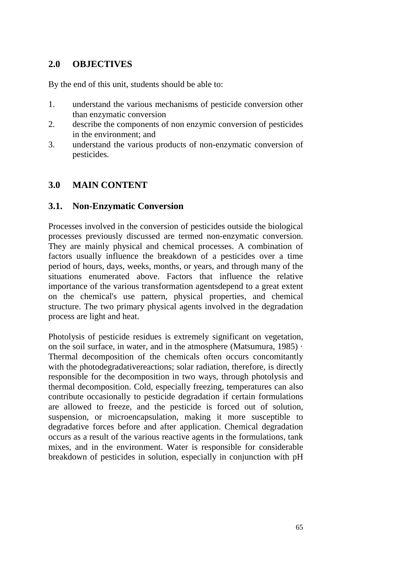# **2.0 OBJECTIVES**

By the end of this unit, students should be able to:

- 1. understand the various mechanisms of pesticide conversion other than enzymatic conversion
- 2. describe the components of non enzymic conversion of pesticides in the environment; and
- 3. understand the various products of non-enzymatic conversion of pesticides.

# **3.0 MAIN CONTENT**

# **3.1. Non-Enzymatic Conversion**

Processes involved in the conversion of pesticides outside the biological processes previously discussed are termed non-enzymatic conversion. They are mainly physical and chemical processes. A combination of factors usually influence the breakdown of a pesticides over a time period of hours, days, weeks, months, or years, and through many of the situations enumerated above. Factors that influence the relative importance of the various transformation agentsdepend to a great extent on the chemical's use pattern, physical properties, and chemical structure. The two primary physical agents involved in the degradation process are light and heat.

Photolysis of pesticide residues is extremely significant on vegetation, on the soil surface, in water, and in the atmosphere (Matsumura, 1985) · Thermal decomposition of the chemicals often occurs concomitantly with the photodegradativereactions; solar radiation, therefore, is directly responsible for the decomposition in two ways, through photolysis and thermal decomposition. Cold, especially freezing, temperatures can also contribute occasionally to pesticide degradation if certain formulations are allowed to freeze, and the pesticide is forced out of solution, suspension, or microencapsulation, making it more susceptible to degradative forces before and after application. Chemical degradation occurs as a result of the various reactive agents in the formulations, tank mixes, and in the environment. Water is responsible for considerable breakdown of pesticides in solution, especially in conjunction with pH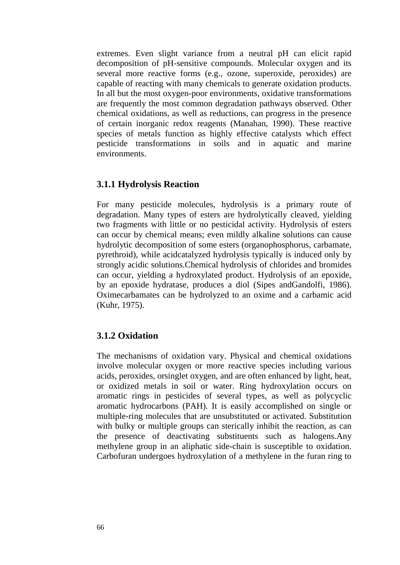extremes. Even slight variance from a neutral pH can elicit rapid decomposition of pH-sensitive compounds. Molecular oxygen and its several more reactive forms (e.g., ozone, superoxide, peroxides) are capable of reacting with many chemicals to generate oxidation products. In all but the most oxygen-poor environments, oxidative transformations are frequently the most common degradation pathways observed. Other chemical oxidations, as well as reductions, can progress in the presence of certain inorganic redox reagents (Manahan, 1990). These reactive species of metals function as highly effective catalysts which effect pesticide transformations in soils and in aquatic and marine environments.

#### **3.1.1 Hydrolysis Reaction**

For many pesticide molecules, hydrolysis is a primary route of degradation. Many types of esters are hydrolytically cleaved, yielding two fragments with little or no pesticidal activity. Hydrolysis of esters can occur by chemical means; even mildly alkaline solutions can cause hydrolytic decomposition of some esters (organophosphorus, carbamate, pyrethroid), while acidcatalyzed hydrolysis typically is induced only by strongly acidic solutions.Chemical hydrolysis of chlorides and bromides can occur, yielding a hydroxylated product. Hydrolysis of an epoxide, by an epoxide hydratase, produces a diol (Sipes andGandolfi, 1986). Oximecarbamates can be hydrolyzed to an oxime and a carbamic acid (Kuhr, 1975).

#### **3.1.2 Oxidation**

The mechanisms of oxidation vary. Physical and chemical oxidations involve molecular oxygen or more reactive species including various acids, peroxides, orsinglet oxygen, and are often enhanced by light, heat, or oxidized metals in soil or water. Ring hydroxylation occurs on aromatic rings in pesticides of several types, as well as polycyclic aromatic hydrocarbons (PAH). It is easily accomplished on single or multiple-ring molecules that are unsubstituted or activated. Substitution with bulky or multiple groups can sterically inhibit the reaction, as can the presence of deactivating substituents such as halogens.Any methylene group in an aliphatic side-chain is susceptible to oxidation. Carbofuran undergoes hydroxylation of a methylene in the furan ring to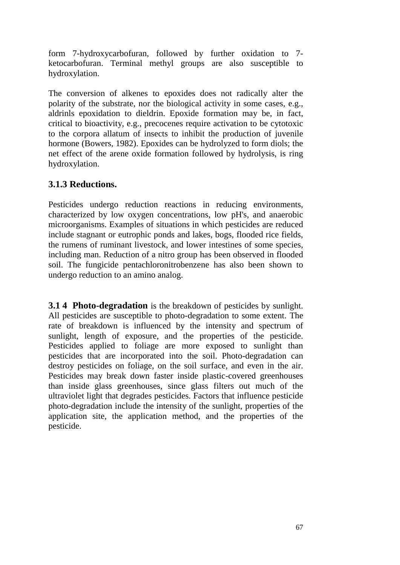form 7-hydroxycarbofuran, followed by further oxidation to 7 ketocarbofuran. Terminal methyl groups are also susceptible to hydroxylation.

The conversion of alkenes to epoxides does not radically alter the polarity of the substrate, nor the biological activity in some cases, e.g., aldrinls epoxidation to dieldrin. Epoxide formation may be, in fact, critical to bioactivity, e.g., precocenes require activation to be cytotoxic to the corpora allatum of insects to inhibit the production of juvenile hormone (Bowers, 1982). Epoxides can be hydrolyzed to form diols; the net effect of the arene oxide formation followed by hydrolysis, is ring hydroxylation.

# **3.1.3 Reductions.**

Pesticides undergo reduction reactions in reducing environments, characterized by low oxygen concentrations, low pH's, and anaerobic microorganisms. Examples of situations in which pesticides are reduced include stagnant or eutrophic ponds and lakes, bogs, flooded rice fields, the rumens of ruminant livestock, and lower intestines of some species, including man. Reduction of a nitro group has been observed in flooded soil. The fungicide pentachloronitrobenzene has also been shown to undergo reduction to an amino analog.

**3.1 4 Photo-degradation** is the breakdown of pesticides by sunlight. All pesticides are susceptible to photo-degradation to some extent. The rate of breakdown is influenced by the intensity and spectrum of sunlight, length of exposure, and the properties of the pesticide. Pesticides applied to foliage are more exposed to sunlight than pesticides that are incorporated into the soil. Photo-degradation can destroy pesticides on foliage, on the soil surface, and even in the air. Pesticides may break down faster inside plastic-covered greenhouses than inside glass greenhouses, since glass filters out much of the ultraviolet light that degrades pesticides. Factors that influence pesticide photo-degradation include the intensity of the sunlight, properties of the application site, the application method, and the properties of the pesticide.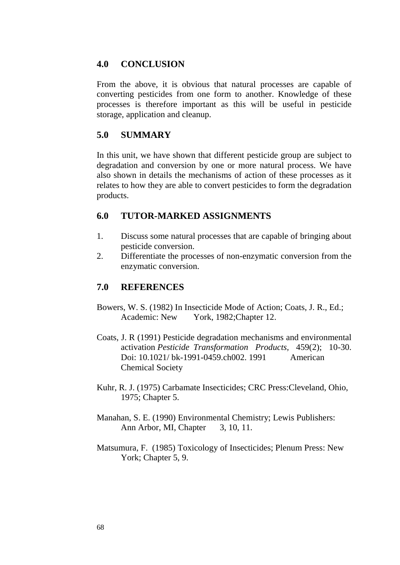# **4.0 CONCLUSION**

From the above, it is obvious that natural processes are capable of converting pesticides from one form to another. Knowledge of these processes is therefore important as this will be useful in pesticide storage, application and cleanup.

# **5.0 SUMMARY**

In this unit, we have shown that different pesticide group are subject to degradation and conversion by one or more natural process. We have also shown in details the mechanisms of action of these processes as it relates to how they are able to convert pesticides to form the degradation products.

# **6.0 TUTOR-MARKED ASSIGNMENTS**

- 1. Discuss some natural processes that are capable of bringing about pesticide conversion.
- 2. Differentiate the processes of non-enzymatic conversion from the enzymatic conversion.

# **7.0 REFERENCES**

- Bowers, W. S. (1982) In Insecticide Mode of Action; Coats, J. R., Ed.; Academic: New York, 1982; Chapter 12.
- Coats, J. R (1991) Pesticide degradation mechanisms and environmental activation *Pesticide Transformation Products,* 459(2); 10-30. Doi: 10.1021/ bk-1991-0459.ch002. 1991 American Chemical Society
- Kuhr, R. J. (1975) Carbamate Insecticides; CRC Press:Cleveland, Ohio, 1975; Chapter 5.
- Manahan, S. E. (1990) Environmental Chemistry; Lewis Publishers: Ann Arbor, MI, Chapter 3, 10, 11.
- Matsumura, F. (1985) Toxicology of Insecticides; Plenum Press: New York; Chapter 5, 9.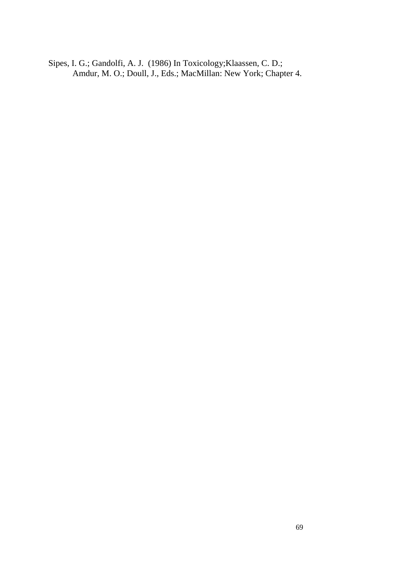Sipes, I. G.; Gandolfi, A. J. (1986) In Toxicology;Klaassen, C. D.; Amdur, M. O.; Doull, J., Eds.; MacMillan: New York; Chapter 4.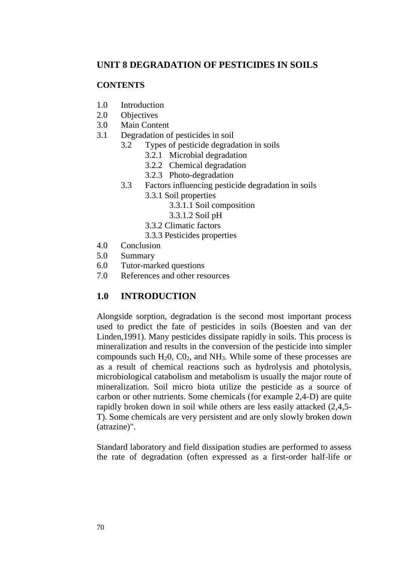#### **UNIT 8 DEGRADATION OF PESTICIDES IN SOILS**

#### **CONTENTS**

- 1.0 Introduction
- 2.0 Objectives
- 3.0 Main Content
- 3.1 Degradation of pesticides in soil
	- 3.2 Types of pesticide degradation in soils
		- 3.2.1 Microbial degradation
		- 3.2.2 Chemical degradation
		- 3.2.3 Photo-degradation
		- 3.3 Factors influencing pesticide degradation in soils
			- 3.3.1 Soil properties
				- 3.3.1.1 Soil composition
				- 3.3.1.2 Soil pH
				- 3.3.2 Climatic factors
				- 3.3.3 Pesticides properties
- 4.0 Conclusion
- 5.0 Summary
- 6.0 Tutor-marked questions
- 7.0 References and other resources

#### **1.0 INTRODUCTION**

Alongside sorption, degradation is the second most important process used to predict the fate of pesticides in soils (Boesten and van der Linden,1991). Many pesticides dissipate rapidly in soils. This process is mineralization and results in the conversion of the pesticide into simpler compounds such  $H_2O$ ,  $CO_2$ , and  $NH_3$ . While some of these processes are as a result of chemical reactions such as hydrolysis and photolysis, microbiological catabolism and metabolism is usually the major route of mineralization. Soil micro biota utilize the pesticide as a source of carbon or other nutrients. Some chemicals (for example 2,4-D) are quite rapidly broken down in soil while others are less easily attacked (2,4,5- T). Some chemicals are very persistent and are only slowly broken down (atrazine)".

Standard laboratory and field dissipation studies are performed to assess the rate of degradation (often expressed as a first-order half-life or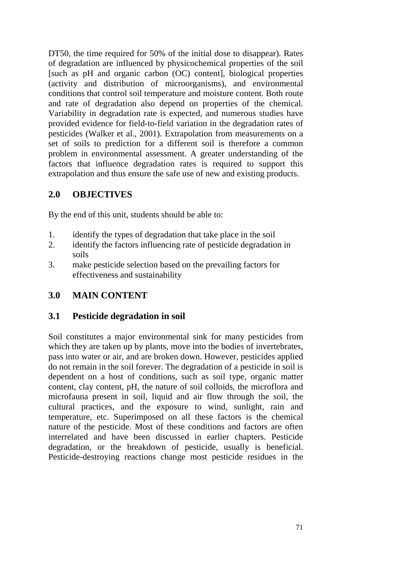DT50, the time required for 50% of the initial dose to disappear). Rates of degradation are influenced by physicochemical properties of the soil [such as pH and organic carbon (OC) content], biological properties (activity and distribution of microorganisms), and environmental conditions that control soil temperature and moisture content. Both route and rate of degradation also depend on properties of the chemical. Variability in degradation rate is expected, and numerous studies have provided evidence for field-to-field variation in the degradation rates of pesticides (Walker et al., 2001). Extrapolation from measurements on a set of soils to prediction for a different soil is therefore a common problem in environmental assessment. A greater understanding of the factors that influence degradation rates is required to support this extrapolation and thus ensure the safe use of new and existing products.

# **2.0 OBJECTIVES**

By the end of this unit, students should be able to:

- 1. identify the types of degradation that take place in the soil
- 2. identify the factors influencing rate of pesticide degradation in soils
- 3. make pesticide selection based on the prevailing factors for effectiveness and sustainability

# **3.0 MAIN CONTENT**

#### **3.1 Pesticide degradation in soil**

Soil constitutes a major environmental sink for many pesticides from which they are taken up by plants, move into the bodies of invertebrates, pass into water or air, and are broken down. However, pesticides applied do not remain in the soil forever. The degradation of a pesticide in soil is dependent on a host of conditions, such as soil type, organic matter content, clay content, pH, the nature of soil colloids, the microflora and microfauna present in soil, liquid and air flow through the soil, the cultural practices, and the exposure to wind, sunlight, rain and temperature, etc. Superimposed on all these factors is the chemical nature of the pesticide. Most of these conditions and factors are often interrelated and have been discussed in earlier chapters. Pesticide degradation, or the breakdown of pesticide, usually is beneficial. Pesticide-destroying reactions change most pesticide residues in the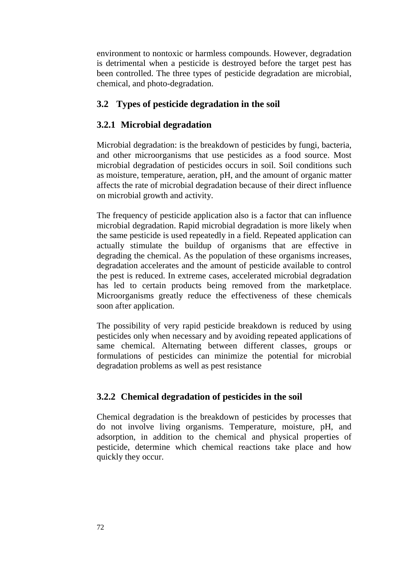environment to nontoxic or harmless compounds. However, degradation is detrimental when a pesticide is destroyed before the target pest has been controlled. The three types of pesticide degradation are microbial, chemical, and photo-degradation.

## **3.2 Types of pesticide degradation in the soil**

## **3.2.1 Microbial degradation**

Microbial degradation: is the breakdown of pesticides by fungi, bacteria, and other microorganisms that use pesticides as a food source. Most microbial degradation of pesticides occurs in soil. Soil conditions such as moisture, temperature, aeration, pH, and the amount of organic matter affects the rate of microbial degradation because of their direct influence on microbial growth and activity.

The frequency of pesticide application also is a factor that can influence microbial degradation. Rapid microbial degradation is more likely when the same pesticide is used repeatedly in a field. Repeated application can actually stimulate the buildup of organisms that are effective in degrading the chemical. As the population of these organisms increases, degradation accelerates and the amount of pesticide available to control the pest is reduced. In extreme cases, accelerated microbial degradation has led to certain products being removed from the marketplace. Microorganisms greatly reduce the effectiveness of these chemicals soon after application.

The possibility of very rapid pesticide breakdown is reduced by using pesticides only when necessary and by avoiding repeated applications of same chemical. Alternating between different classes, groups or formulations of pesticides can minimize the potential for microbial degradation problems as well as pest resistance

### **3.2.2 Chemical degradation of pesticides in the soil**

Chemical degradation is the breakdown of pesticides by processes that do not involve living organisms. Temperature, moisture, pH, and adsorption, in addition to the chemical and physical properties of pesticide, determine which chemical reactions take place and how quickly they occur.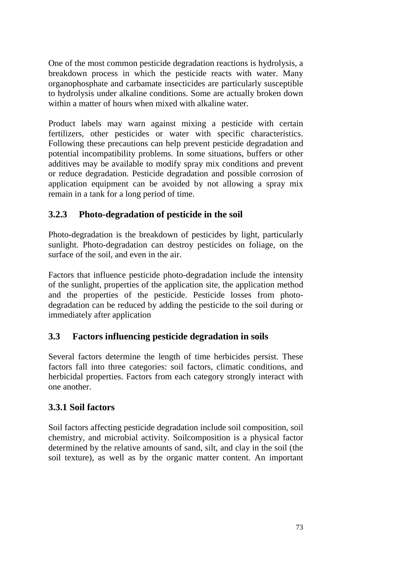One of the most common pesticide degradation reactions is hydrolysis, a breakdown process in which the pesticide reacts with water. Many organophosphate and carbamate insecticides are particularly susceptible to hydrolysis under alkaline conditions. Some are actually broken down within a matter of hours when mixed with alkaline water.

Product labels may warn against mixing a pesticide with certain fertilizers, other pesticides or water with specific characteristics. Following these precautions can help prevent pesticide degradation and potential incompatibility problems. In some situations, buffers or other additives may be available to modify spray mix conditions and prevent or reduce degradation. Pesticide degradation and possible corrosion of application equipment can be avoided by not allowing a spray mix remain in a tank for a long period of time.

## **3.2.3 Photo-degradation of pesticide in the soil**

Photo-degradation is the breakdown of pesticides by light, particularly sunlight. Photo-degradation can destroy pesticides on foliage, on the surface of the soil, and even in the air.

Factors that influence pesticide photo-degradation include the intensity of the sunlight, properties of the application site, the application method and the properties of the pesticide. Pesticide losses from photo degradation can be reduced by adding the pesticide to the soil during or immediately after application

## **3.3 Factors influencing pesticide degradation in soils**

Several factors determine the length of time herbicides persist. These factors fall into three categories: soil factors, climatic conditions, and herbicidal properties. Factors from each category strongly interact with one another.

### **3.3.1 Soil factors**

Soil factors affecting pesticide degradation include soil composition, soil chemistry, and microbial activity. Soilcomposition is a physical factor determined by the relative amounts of sand, silt, and clay in the soil (the soil texture), as well as by the organic matter content. An important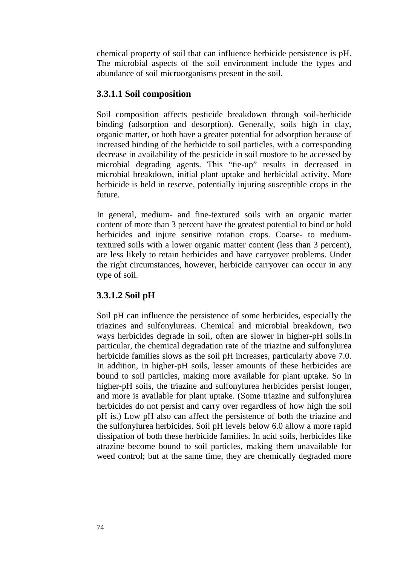chemical property of soil that can influence herbicide persistence is pH. The microbial aspects of the soil environment include the types and abundance of soil microorganisms present in the soil.

#### **3.3.1.1 Soil composition**

Soil composition affects pesticide breakdown through soil-herbicide binding (adsorption and desorption). Generally, soils high in clay, organic matter, or both have a greater potential for adsorption because of increased binding of the herbicide to soil particles, with a corresponding decrease in availability of the pesticide in soil mostore to be accessed by microbial degrading agents. This "tie-up" results in decreased in microbial breakdown, initial plant uptake and herbicidal activity. More herbicide is held in reserve, potentially injuring susceptible crops in the future.

In general, medium- and fine-textured soils with an organic matter content of more than 3 percent have the greatest potential to bind or hold herbicides and injure sensitive rotation crops. Coarse- to mediumtextured soils with a lower organic matter content (less than 3 percent), are less likely to retain herbicides and have carryover problems. Under the right circumstances, however, herbicide carryover can occur in any type of soil.

### **3.3.1.2 Soil pH**

Soil pH can influence the persistence of some herbicides, especially the triazines and sulfonylureas. Chemical and microbial breakdown, two ways herbicides degrade in soil, often are slower in higher-pH soils.In particular, the chemical degradation rate of the triazine and sulfonylurea herbicide families slows as the soil pH increases, particularly above 7.0. In addition, in higher-pH soils, lesser amounts of these herbicides are bound to soil particles, making more available for plant uptake. So in higher-pH soils, the triazine and sulfonylurea herbicides persist longer, and more is available for plant uptake. (Some triazine and sulfonylurea herbicides do not persist and carry over regardless of how high the soil pH is.) Low pH also can affect the persistence of both the triazine and the sulfonylurea herbicides. Soil pH levels below 6.0 allow a more rapid dissipation of both these herbicide families. In acid soils, herbicides like atrazine become bound to soil particles, making them unavailable for weed control; but at the same time, they are chemically degraded more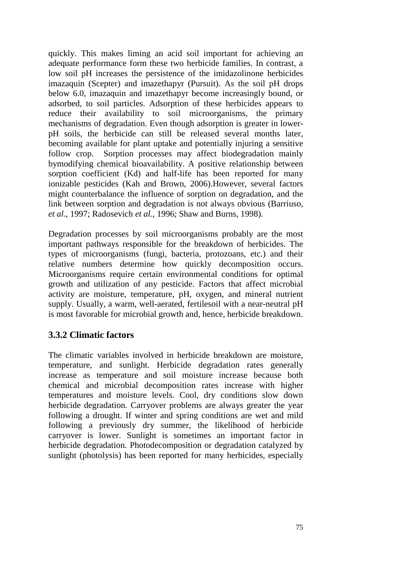quickly. This makes liming an acid soil important for achieving an adequate performance form these two herbicide families. In contrast, a low soil pH increases the persistence of the imidazolinone herbicides imazaquin (Scepter) and imazethapyr (Pursuit). As the soil pH drops below 6.0, imazaquin and imazethapyr become increasingly bound, or adsorbed, to soil particles. Adsorption of these herbicides appears to reduce their availability to soil microorganisms, the primary mechanisms of degradation. Even though adsorption is greater in lower pH soils, the herbicide can still be released several months later, becoming available for plant uptake and potentially injuring a sensitive follow crop. Sorption processes may affect biodegradation mainly bymodifying chemical bioavailability. A positive relationship between sorption coefficient (Kd) and half-life has been reported for many ionizable pesticides (Kah and Brown, 2006).However, several factors might counterbalance the influence of sorption on degradation, and the link between sorption and degradation is not always obvious (Barriuso, *et al*., 1997; Radosevich *et al*., 1996; Shaw and Burns, 1998).

Degradation processes by soil microorganisms probably are the most important pathways responsible for the breakdown of herbicides. The types of microorganisms (fungi, bacteria, protozoans, etc.) and their relative numbers determine how quickly decomposition occurs. Microorganisms require certain environmental conditions for optimal growth and utilization of any pesticide. Factors that affect microbial activity are moisture, temperature, pH, oxygen, and mineral nutrient supply. Usually, a warm, well-aerated, fertilesoil with a near-neutral pH is most favorable for microbial growth and, hence, herbicide breakdown.

### **3.3.2 Climatic factors**

The climatic variables involved in herbicide breakdown are moisture, temperature, and sunlight. Herbicide degradation rates generally increase as temperature and soil moisture increase because both chemical and microbial decomposition rates increase with higher temperatures and moisture levels. Cool, dry conditions slow down herbicide degradation. Carryover problems are always greater the year following a drought. If winter and spring conditions are wet and mild following a previously dry summer, the likelihood of herbicide carryover is lower. Sunlight is sometimes an important factor in herbicide degradation. Photodecomposition or degradation catalyzed by sunlight (photolysis) has been reported for many herbicides, especially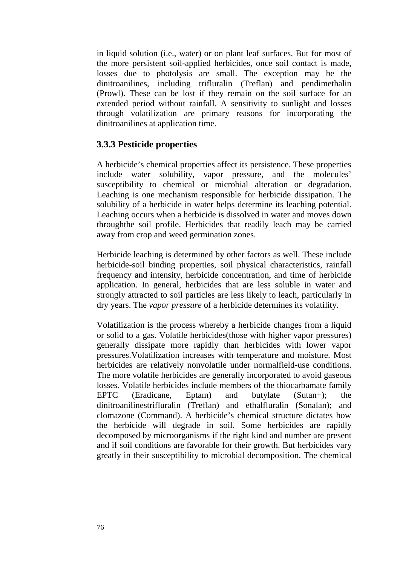in liquid solution (i.e., water) or on plant leaf surfaces. But for most of the more persistent soil-applied herbicides, once soil contact is made, losses due to photolysis are small. The exception may be the dinitroanilines, including trifluralin (Treflan) and pendimethalin (Prowl). These can be lost if they remain on the soil surface for an extended period without rainfall. A sensitivity to sunlight and losses through volatilization are primary reasons for incorporating the dinitroanilines at application time.

#### **3.3.3 Pesticide properties**

A herbicide's chemical properties affect its persistence. These properties include water solubility, vapor pressure, and the molecules' susceptibility to chemical or microbial alteration or degradation. Leaching is one mechanism responsible for herbicide dissipation. The solubility of a herbicide in water helps determine its leaching potential. Leaching occurs when a herbicide is dissolved in water and moves down throughthe soil profile. Herbicides that readily leach may be carried away from crop and weed germination zones.

Herbicide leaching is determined by other factors as well. These include herbicide-soil binding properties, soil physical characteristics, rainfall frequency and intensity, herbicide concentration, and time of herbicide application. In general, herbicides that are less soluble in water and strongly attracted to soil particles are less likely to leach, particularly in dry years. The *vapor pressure* of a herbicide determines its volatility.

Volatilization is the process whereby a herbicide changes from a liquid or solid to a gas. Volatile herbicides(those with higher vapor pressures) generally dissipate more rapidly than herbicides with lower vapor pressures.Volatilization increases with temperature and moisture. Most herbicides are relatively nonvolatile under normalfield-use conditions. The more volatile herbicides are generally incorporated to avoid gaseous losses. Volatile herbicides include members of the thiocarbamate family EPTC (Eradicane, Eptam) and butylate (Sutan+); the dinitroanilinestrifluralin (Treflan) and ethalfluralin (Sonalan); and clomazone (Command). A herbicide's chemical structure dictates how the herbicide will degrade in soil. Some herbicides are rapidly decomposed by microorganisms if the right kind and number are present and if soil conditions are favorable for their growth. But herbicides vary greatly in their susceptibility to microbial decomposition. The chemical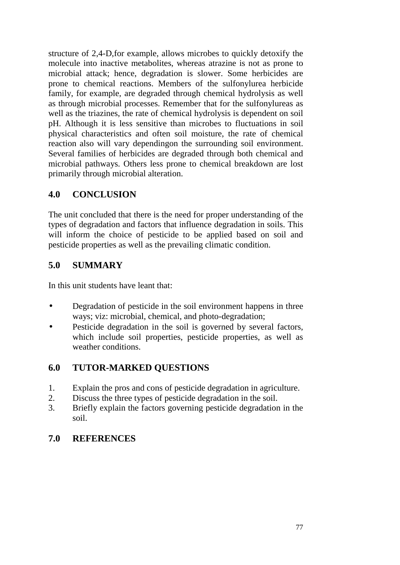structure of 2,4-D,for example, allows microbes to quickly detoxify the molecule into inactive metabolites, whereas atrazine is not as prone to microbial attack; hence, degradation is slower. Some herbicides are prone to chemical reactions. Members of the sulfonylurea herbicide family, for example, are degraded through chemical hydrolysis as well as through microbial processes. Remember that for the sulfonylureas as well as the triazines, the rate of chemical hydrolysis is dependent on soil pH. Although it is less sensitive than microbes to fluctuations in soil physical characteristics and often soil moisture, the rate of chemical reaction also will vary dependingon the surrounding soil environment. Several families of herbicides are degraded through both chemical and microbial pathways. Others less prone to chemical breakdown are lost primarily through microbial alteration.

## **4.0 CONCLUSION**

The unit concluded that there is the need for proper understanding of the types of degradation and factors that influence degradation in soils. This will inform the choice of pesticide to be applied based on soil and pesticide properties as well as the prevailing climatic condition.

## **5.0 SUMMARY**

In this unit students have leant that:

- Degradation of pesticide in the soil environment happens in three ways; viz: microbial, chemical, and photo-degradation;
- Pesticide degradation in the soil is governed by several factors, which include soil properties, pesticide properties, as well as weather conditions.

# **6.0 TUTOR-MARKED QUESTIONS**

- 1. Explain the pros and cons of pesticide degradation in agriculture.
- 2. Discuss the three types of pesticide degradation in the soil.
- 3. Briefly explain the factors governing pesticide degradation in the soil.

# **7.0 REFERENCES**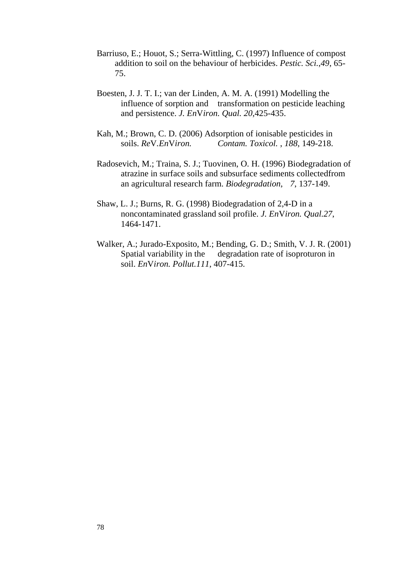- Barriuso, E.; Houot, S.; Serra-Wittling, C. (1997) Influence of compost addition to soil on the behaviour of herbicides. *Pestic. Sci.*,*49*, 65- 75.
- Boesten, J. J. T. I.; van der Linden, A. M. A. (1991) Modelling the influence of sorption and transformation on pesticide leaching and persistence. *J. En*V*iron. Qual. 20*,425-435.
- Kah, M.; Brown, C. D. (2006) Adsorption of ionisable pesticides in soils. *Re*V*.En*V*iron. Contam. Toxicol.* , *188*, 149-218.
- Radosevich, M.; Traina, S. J.; Tuovinen, O. H. (1996) Biodegradation of atrazine in surface soils and subsurface sediments collectedfrom an agricultural research farm. *Biodegradation*, *7*, 137-149.
- Shaw, L. J.; Burns, R. G. (1998) Biodegradation of 2,4-D in a noncontaminated grassland soil profile. *J. En*V*iron. Qual.27*, 1464-1471.
- Walker, A.; Jurado-Exposito, M.; Bending, G. D.; Smith, V. J. R. (2001) Spatial variability in the degradation rate of isoproturon in soil. *En*V*iron. Pollut.111*, 407-415.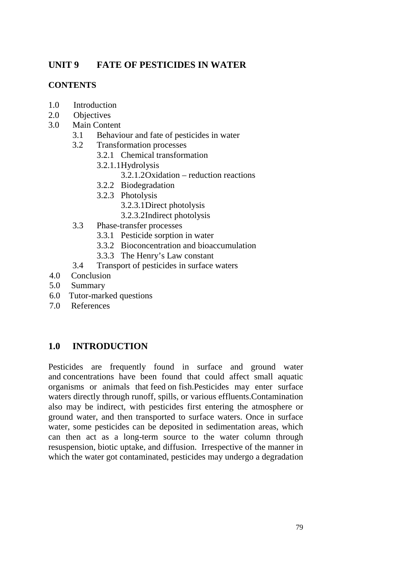## **UNIT 9 FATE OF PESTICIDES IN WATER**

#### **CONTENTS**

- 1.0 Introduction
- 2.0 Objectives
- 3.0 Main Content
	- 3.1 Behaviour and fate of pesticides in water
	- 3.2 Transformation processes
		- 3.2.1 Chemical transformation
		- 3.2.1.1Hydrolysis
			- 3.2.1.2Oxidation reduction reactions
		- 3.2.2 Biodegradation
		- 3.2.3 Photolysis
			- 3.2.3.1Direct photolysis
			- 3.2.3.2Indirect photolysis
	- 3.3 Phase-transfer processes
		- 3.3.1 Pesticide sorption in water
		- 3.3.2 Bioconcentration and bioaccumulation
		- 3.3.3 The Henry's Law constant
	- 3.4 Transport of pesticides in surface waters
- 4.0 Conclusion
- 5.0 Summary
- 6.0 Tutor-marked questions
- 7.0 References

### **1.0 INTRODUCTION**

Pesticides are frequently found in surface and ground water and concentrations have been found that could affect small aquatic organisms or animals that feed on fish.Pesticides may enter surface waters directly through runoff, spills, or various effluents.Contamination also may be indirect, with pesticides first entering the atmosphere or ground water, and then transported to surface waters. Once in surface water, some pesticides can be deposited in sedimentation areas, which can then act as a long-term source to the water column through resuspension, biotic uptake, and diffusion. Irrespective of the manner in which the water got contaminated, pesticides may undergo a degradation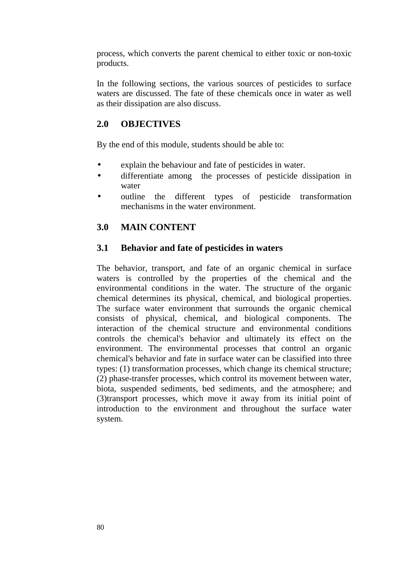process, which converts the parent chemical to either toxic or non-toxic products.

In the following sections, the various sources of pesticides to surface waters are discussed. The fate of these chemicals once in water as well as their dissipation are also discuss.

### **2.0 OBJECTIVES**

By the end of this module, students should be able to:

- explain the behaviour and fate of pesticides in water.
- differentiate among the processes of pesticide dissipation in water
- outline the different types of pesticide transformation mechanisms in the water environment.

#### **3.0 MAIN CONTENT**

#### **3.1 Behavior and fate of pesticides in waters**

The behavior, transport, and fate of an organic chemical in surface waters is controlled by the properties of the chemical and the environmental conditions in the water. The structure of the organic chemical determines its physical, chemical, and biological properties. The surface water environment that surrounds the organic chemical consists of physical, chemical, and biological components. The interaction of the chemical structure and environmental conditions controls the chemical's behavior and ultimately its effect on the environment. The environmental processes that control an organic chemical's behavior and fate in surface water can be classified into three types: (1) transformation processes, which change its chemical structure; (2) phase-transfer processes, which control its movement between water, biota, suspended sediments, bed sediments, and the atmosphere; and (3)transport processes, which move it away from its initial point of introduction to the environment and throughout the surface water system.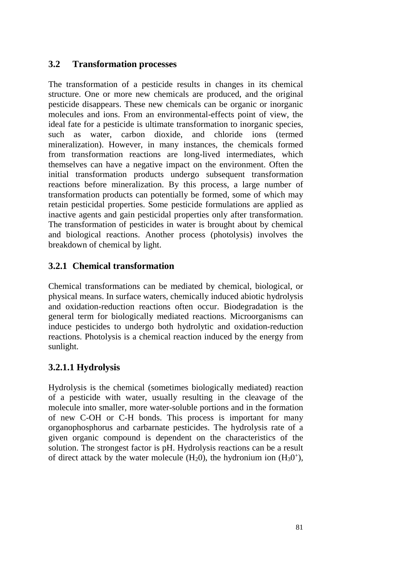#### **3.2 Transformation processes**

The transformation of a pesticide results in changes in its chemical structure. One or more new chemicals are produced, and the original pesticide disappears. These new chemicals can be organic or inorganic molecules and ions. From an environmental-effects point of view, the ideal fate for a pesticide is ultimate transformation to inorganic species, such as water, carbon dioxide, and chloride ions (termed mineralization). However, in many instances, the chemicals formed from transformation reactions are long-lived intermediates, which themselves can have a negative impact on the environment. Often the initial transformation products undergo subsequent transformation reactions before mineralization. By this process, a large number of transformation products can potentially be formed, some of which may retain pesticidal properties. Some pesticide formulations are applied as inactive agents and gain pesticidal properties only after transformation. The transformation of pesticides in water is brought about by chemical and biological reactions. Another process (photolysis) involves the breakdown of chemical by light.

## **3.2.1 Chemical transformation**

Chemical transformations can be mediated by chemical, biological, or physical means. In surface waters, chemically induced abiotic hydrolysis and oxidation-reduction reactions often occur. Biodegradation is the general term for biologically mediated reactions. Microorganisms can induce pesticides to undergo both hydrolytic and oxidation-reduction reactions. Photolysis is a chemical reaction induced by the energy from sunlight.

## **3.2.1.1 Hydrolysis**

Hydrolysis is the chemical (sometimes biologically mediated) reaction of a pesticide with water, usually resulting in the cleavage of the molecule into smaller, more water-soluble portions and in the formation of new C-OH or C-H bonds. This process is important for many organophosphorus and carbarnate pesticides. The hydrolysis rate of a given organic compound is dependent on the characteristics of the solution. The strongest factor is pH. Hydrolysis reactions can be a result of direct attack by the water molecule  $(H_2 0)$ , the hydronium ion  $(H_3 0<sup>+</sup>)$ ,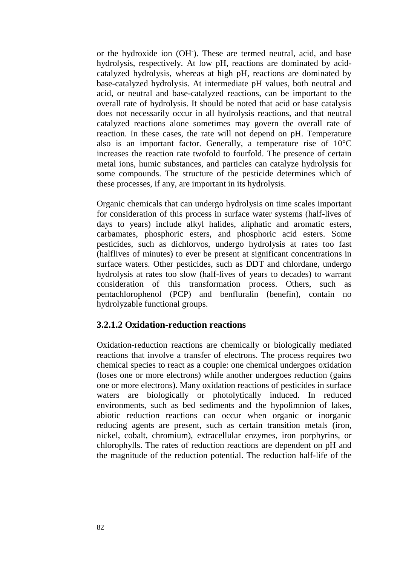or the hydroxide ion (OH-). These are termed neutral, acid, and base hydrolysis, respectively. At low pH, reactions are dominated by acid catalyzed hydrolysis, whereas at high pH, reactions are dominated by base-catalyzed hydrolysis. At intermediate pH values, both neutral and acid, or neutral and base-catalyzed reactions, can be important to the overall rate of hydrolysis. It should be noted that acid or base catalysis does not necessarily occur in all hydrolysis reactions, and that neutral catalyzed reactions alone sometimes may govern the overall rate of reaction. In these cases, the rate will not depend on pH. Temperature also is an important factor. Generally, a temperature rise of 10°C increases the reaction rate twofold to fourfold. The presence of certain metal ions, humic substances, and particles can catalyze hydrolysis for some compounds. The structure of the pesticide determines which of these processes, if any, are important in its hydrolysis.

Organic chemicals that can undergo hydrolysis on time scales important for consideration of this process in surface water systems (half-lives of days to years) include alkyl halides, aliphatic and aromatic esters, carbamates, phosphoric esters, and phosphoric acid esters. Some pesticides, such as dichlorvos, undergo hydrolysis at rates too fast (halflives of minutes) to ever be present at significant concentrations in surface waters. Other pesticides, such as DDT and chlordane, undergo hydrolysis at rates too slow (half-lives of years to decades) to warrant consideration of this transformation process. Others, such as pentachlorophenol (PCP) and benfluralin (benefin), contain no hydrolyzable functional groups.

#### **3.2.1.2 Oxidation-reduction reactions**

Oxidation-reduction reactions are chemically or biologically mediated reactions that involve a transfer of electrons. The process requires two chemical species to react as a couple: one chemical undergoes oxidation (loses one or more electrons) while another undergoes reduction (gains one or more electrons). Many oxidation reactions of pesticides in surface waters are biologically or photolytically induced. In reduced environments, such as bed sediments and the hypolimnion of lakes, abiotic reduction reactions can occur when organic or inorganic reducing agents are present, such as certain transition metals (iron, nickel, cobalt, chromium), extracellular enzymes, iron porphyrins, or chlorophylls. The rates of reduction reactions are dependent on pH and the magnitude of the reduction potential. The reduction half-life of the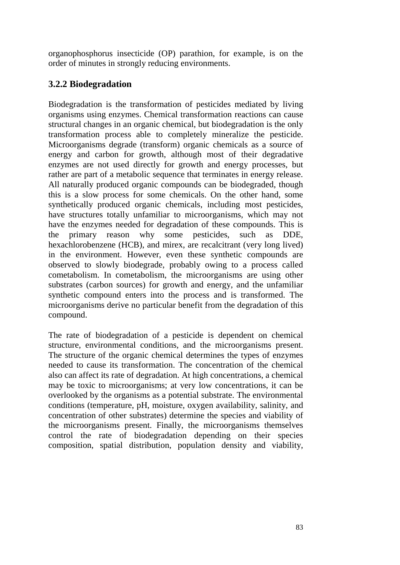organophosphorus insecticide (OP) parathion, for example, is on the order of minutes in strongly reducing environments.

## **3.2.2 Biodegradation**

Biodegradation is the transformation of pesticides mediated by living organisms using enzymes. Chemical transformation reactions can cause structural changes in an organic chemical, but biodegradation is the only transformation process able to completely mineralize the pesticide. Microorganisms degrade (transform) organic chemicals as a source of energy and carbon for growth, although most of their degradative enzymes are not used directly for growth and energy processes, but rather are part of a metabolic sequence that terminates in energy release. All naturally produced organic compounds can be biodegraded, though this is a slow process for some chemicals. On the other hand, some synthetically produced organic chemicals, including most pesticides, have structures totally unfamiliar to microorganisms, which may not have the enzymes needed for degradation of these compounds. This is the primary reason why some pesticides, such as DDE, hexachlorobenzene (HCB), and mirex, are recalcitrant (very long lived) in the environment. However, even these synthetic compounds are observed to slowly biodegrade, probably owing to a process called cometabolism. In cometabolism, the microorganisms are using other substrates (carbon sources) for growth and energy, and the unfamiliar synthetic compound enters into the process and is transformed. The microorganisms derive no particular benefit from the degradation of this compound.

The rate of biodegradation of a pesticide is dependent on chemical structure, environmental conditions, and the microorganisms present. The structure of the organic chemical determines the types of enzymes needed to cause its transformation. The concentration of the chemical also can affect its rate of degradation. At high concentrations, a chemical may be toxic to microorganisms; at very low concentrations, it can be overlooked by the organisms as a potential substrate. The environmental conditions (temperature, pH, moisture, oxygen availability, salinity, and concentration of other substrates) determine the species and viability of the microorganisms present. Finally, the microorganisms themselves control the rate of biodegradation depending on their species composition, spatial distribution, population density and viability,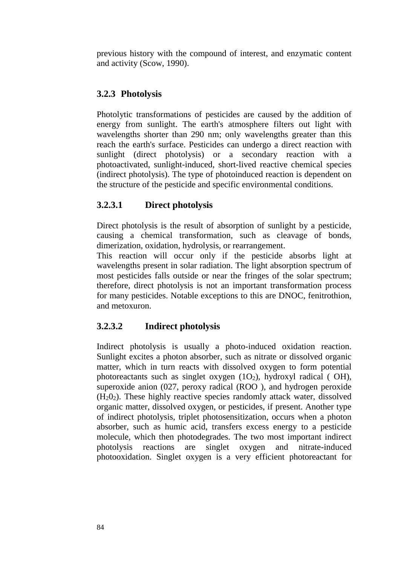previous history with the compound of interest, and enzymatic content and activity (Scow, 1990).

## **3.2.3 Photolysis**

Photolytic transformations of pesticides are caused by the addition of energy from sunlight. The earth's atmosphere filters out light with wavelengths shorter than 290 nm; only wavelengths greater than this reach the earth's surface. Pesticides can undergo a direct reaction with sunlight (direct photolysis) or a secondary reaction with a photoactivated, sunlight-induced, short-lived reactive chemical species (indirect photolysis). The type of photoinduced reaction is dependent on the structure of the pesticide and specific environmental conditions.

# **3.2.3.1 Direct photolysis**

Direct photolysis is the result of absorption of sunlight by a pesticide, causing a chemical transformation, such as cleavage of bonds, dimerization, oxidation, hydrolysis, or rearrangement.

This reaction will occur only if the pesticide absorbs light at wavelengths present in solar radiation. The light absorption spectrum of most pesticides falls outside or near the fringes of the solar spectrum; therefore, direct photolysis is not an important transformation process for many pesticides. Notable exceptions to this are DNOC, fenitrothion, and metoxuron.

## **3.2.3.2 Indirect photolysis**

Indirect photolysis is usually a photo-induced oxidation reaction. Sunlight excites a photon absorber, such as nitrate or dissolved organic matter, which in turn reacts with dissolved oxygen to form potential photoreactants such as singlet oxygen (1O2), hydroxyl radical ( OH), superoxide anion (027, peroxy radical (ROO ), and hydrogen peroxide  $(H<sub>2</sub>0<sub>2</sub>)$ . These highly reactive species randomly attack water, dissolved organic matter, dissolved oxygen, or pesticides, if present. Another type of indirect photolysis, triplet photosensitization, occurs when a photon absorber, such as humic acid, transfers excess energy to a pesticide molecule, which then photodegrades. The two most important indirect photolysis reactions are singlet oxygen and nitrate-induced photooxidation. Singlet oxygen is a very efficient photoreactant for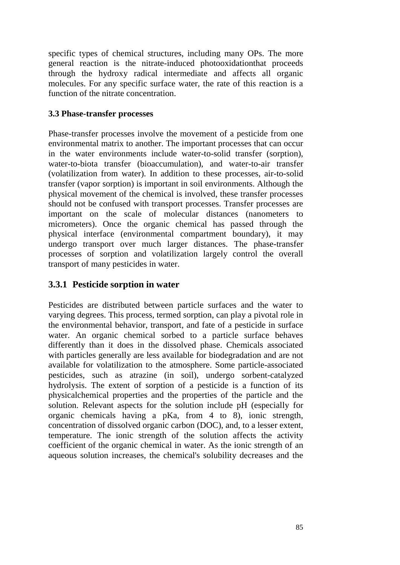specific types of chemical structures, including many OPs. The more general reaction is the nitrate-induced photooxidationthat proceeds through the hydroxy radical intermediate and affects all organic molecules. For any specific surface water, the rate of this reaction is a function of the nitrate concentration.

#### **3.3 Phase-transfer processes**

Phase-transfer processes involve the movement of a pesticide from one environmental matrix to another. The important processes that can occur in the water environments include water-to-solid transfer (sorption), water-to-biota transfer (bioaccumulation), and water-to-air transfer (volatilization from water). In addition to these processes, air-to-solid transfer (vapor sorption) is important in soil environments. Although the physical movement of the chemical is involved, these transfer processes should not be confused with transport processes. Transfer processes are important on the scale of molecular distances (nanometers to micrometers). Once the organic chemical has passed through the physical interface (environmental compartment boundary), it may undergo transport over much larger distances. The phase-transfer processes of sorption and volatilization largely control the overall transport of many pesticides in water.

## **3.3.1 Pesticide sorption in water**

Pesticides are distributed between particle surfaces and the water to varying degrees. This process, termed sorption, can play a pivotal role in the environmental behavior, transport, and fate of a pesticide in surface water. An organic chemical sorbed to a particle surface behaves differently than it does in the dissolved phase. Chemicals associated with particles generally are less available for biodegradation and are not available for volatilization to the atmosphere. Some particle-associated pesticides, such as atrazine (in soil), undergo sorbent-catalyzed hydrolysis. The extent of sorption of a pesticide is a function of its physicalchemical properties and the properties of the particle and the solution. Relevant aspects for the solution include pH (especially for organic chemicals having a pKa, from 4 to 8), ionic strength, concentration of dissolved organic carbon (DOC), and, to a lesser extent, temperature. The ionic strength of the solution affects the activity coefficient of the organic chemical in water. As the ionic strength of an aqueous solution increases, the chemical's solubility decreases and the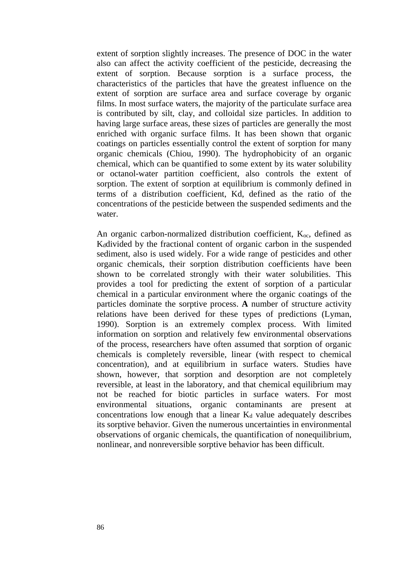extent of sorption slightly increases. The presence of DOC in the water also can affect the activity coefficient of the pesticide, decreasing the extent of sorption. Because sorption is a surface process, the characteristics of the particles that have the greatest influence on the extent of sorption are surface area and surface coverage by organic films. In most surface waters, the majority of the particulate surface area is contributed by silt, clay, and colloidal size particles. In addition to having large surface areas, these sizes of particles are generally the most enriched with organic surface films. It has been shown that organic coatings on particles essentially control the extent of sorption for many organic chemicals (Chiou, 1990). The hydrophobicity of an organic chemical, which can be quantified to some extent by its water solubility or octanol-water partition coefficient, also controls the extent of sorption. The extent of sorption at equilibrium is commonly defined in terms of a distribution coefficient, Kd, defined as the ratio of the concentrations of the pesticide between the suspended sediments and the water.

An organic carbon-normalized distribution coefficient,  $K_{\text{oc}}$ , defined as Kddivided by the fractional content of organic carbon in the suspended sediment, also is used widely. For a wide range of pesticides and other organic chemicals, their sorption distribution coefficients have been shown to be correlated strongly with their water solubilities. This provides a tool for predicting the extent of sorption of a particular chemical in a particular environment where the organic coatings of the particles dominate the sorptive process. **A** number of structure activity relations have been derived for these types of predictions (Lyman, 1990). Sorption is an extremely complex process. With limited information on sorption and relatively few environmental observations of the process, researchers have often assumed that sorption of organic chemicals is completely reversible, linear (with respect to chemical concentration), and at equilibrium in surface waters. Studies have shown, however, that sorption and desorption are not completely reversible, at least in the laboratory, and that chemical equilibrium may not be reached for biotic particles in surface waters. For most environmental situations, organic contaminants are present at concentrations low enough that a linear  $K_d$  value adequately describes its sorptive behavior. Given the numerous uncertainties in environmental observations of organic chemicals, the quantification of nonequilibrium, nonlinear, and nonreversible sorptive behavior has been difficult.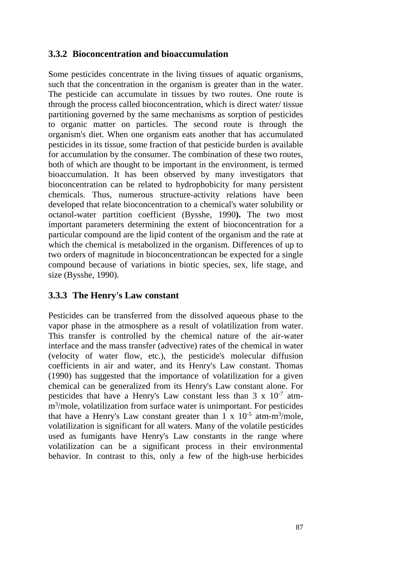### **3.3.2 Bioconcentration and bioaccumulation**

Some pesticides concentrate in the living tissues of aquatic organisms, such that the concentration in the organism is greater than in the water. The pesticide can accumulate in tissues by two routes. One route is through the process called bioconcentration, which is direct water/ tissue partitioning governed by the same mechanisms as sorption of pesticides to organic matter on particles. The second route is through the organism's diet. When one organism eats another that has accumulated pesticides in its tissue, some fraction of that pesticide burden is available for accumulation by the consumer. The combination of these two routes, both of which are thought to be important in the environment, is termed bioaccumulation. It has been observed by many investigators that bioconcentration can be related to hydrophobicity for many persistent chemicals. Thus, numerous structure-activity relations have been developed that relate bioconcentration to a chemical's water solubility or octanol-water partition coefficient (Bysshe, 1990**).** The two most important parameters determining the extent of bioconcentration for a particular compound are the lipid content of the organism and the rate at which the chemical is metabolized in the organism. Differences of up to two orders of magnitude in bioconcentrationcan be expected for a single compound because of variations in biotic species, sex, life stage, and size (Bysshe, 1990).

### **3.3.3 The Henry's Law constant**

Pesticides can be transferred from the dissolved aqueous phase to the vapor phase in the atmosphere as a result of volatilization from water. This transfer is controlled by the chemical nature of the air-water interface and the mass transfer (advective) rates of the chemical in water (velocity of water flow, etc.), the pesticide's molecular diffusion coefficients in air and water, and its Henry's Law constant. Thomas (1990) has suggested that the importance of volatilization for a given chemical can be generalized from its Henry's Law constant alone. For pesticides that have a Henry's Law constant less than  $3 \times 10^{-7}$  atmm<sup>3</sup> /mole, volatilization from surface water is unimportant. For pesticides that have a Henry's Law constant greater than  $1 \times 10^{-5}$  atm-m<sup>3</sup>/mole, volatilization is significant for all waters. Many of the volatile pesticides used as fumigants have Henry's Law constants in the range where volatilization can be a significant process in their environmental behavior. In contrast to this, only a few of the high-use herbicides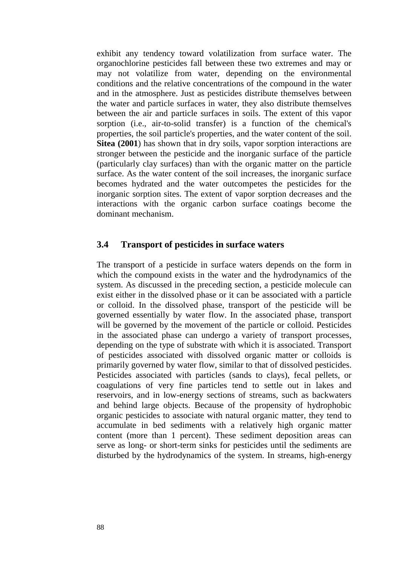exhibit any tendency toward volatilization from surface water. The organochlorine pesticides fall between these two extremes and may or may not volatilize from water, depending on the environmental conditions and the relative concentrations of the compound in the water and in the atmosphere. Just as pesticides distribute themselves between the water and particle surfaces in water, they also distribute themselves between the air and particle surfaces in soils. The extent of this vapor sorption (i.e., air-to-solid transfer) is a function of the chemical's properties, the soil particle's properties, and the water content of the soil. **Sitea (2001**) has shown that in dry soils, vapor sorption interactions are stronger between the pesticide and the inorganic surface of the particle (particularly clay surfaces) than with the organic matter on the particle surface. As the water content of the soil increases, the inorganic surface becomes hydrated and the water outcompetes the pesticides for the inorganic sorption sites. The extent of vapor sorption decreases and the interactions with the organic carbon surface coatings become the dominant mechanism.

#### **3.4 Transport of pesticides in surface waters**

The transport of a pesticide in surface waters depends on the form in which the compound exists in the water and the hydrodynamics of the system. As discussed in the preceding section, a pesticide molecule can exist either in the dissolved phase or it can be associated with a particle or colloid. In the dissolved phase, transport of the pesticide will be governed essentially by water flow. In the associated phase, transport will be governed by the movement of the particle or colloid. Pesticides in the associated phase can undergo a variety of transport processes, depending on the type of substrate with which it is associated. Transport of pesticides associated with dissolved organic matter or colloids is primarily governed by water flow, similar to that of dissolved pesticides. Pesticides associated with particles (sands to clays), fecal pellets, or coagulations of very fine particles tend to settle out in lakes and reservoirs, and in low-energy sections of streams, such as backwaters and behind large objects. Because of the propensity of hydrophobic organic pesticides to associate with natural organic matter, they tend to accumulate in bed sediments with a relatively high organic matter content (more than 1 percent). These sediment deposition areas can serve as long- or short-term sinks for pesticides until the sediments are disturbed by the hydrodynamics of the system. In streams, high-energy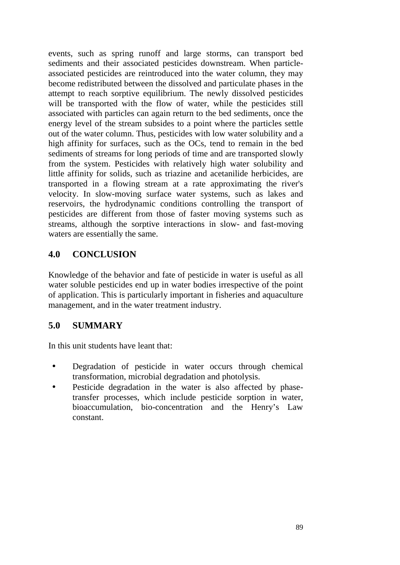events, such as spring runoff and large storms, can transport bed sediments and their associated pesticides downstream. When particle associated pesticides are reintroduced into the water column, they may become redistributed between the dissolved and particulate phases in the attempt to reach sorptive equilibrium. The newly dissolved pesticides will be transported with the flow of water, while the pesticides still associated with particles can again return to the bed sediments, once the energy level of the stream subsides to a point where the particles settle out of the water column. Thus, pesticides with low water solubility and a high affinity for surfaces, such as the OCs, tend to remain in the bed sediments of streams for long periods of time and are transported slowly from the system. Pesticides with relatively high water solubility and little affinity for solids, such as triazine and acetanilide herbicides, are transported in a flowing stream at a rate approximating the river's velocity. In slow-moving surface water systems, such as lakes and reservoirs, the hydrodynamic conditions controlling the transport of pesticides are different from those of faster moving systems such as streams, although the sorptive interactions in slow- and fast-moving waters are essentially the same.

## **4.0 CONCLUSION**

Knowledge of the behavior and fate of pesticide in water is useful as all water soluble pesticides end up in water bodies irrespective of the point of application. This is particularly important in fisheries and aquaculture management, and in the water treatment industry.

## **5.0 SUMMARY**

In this unit students have leant that:

- Degradation of pesticide in water occurs through chemical transformation, microbial degradation and photolysis.
- Pesticide degradation in the water is also affected by phasetransfer processes, which include pesticide sorption in water, bioaccumulation, bio-concentration and the Henry's Law constant.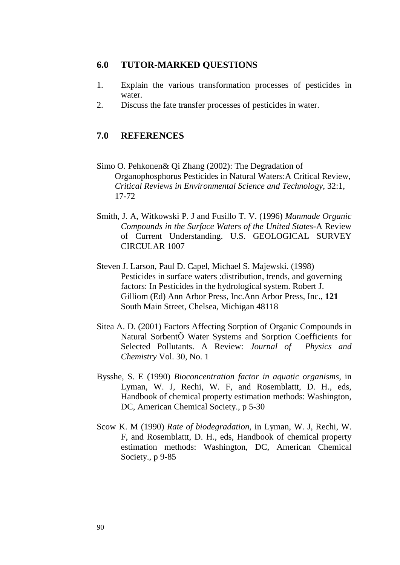#### **6.0 TUTOR-MARKED QUESTIONS**

- 1. Explain the various transformation processes of pesticides in water.
- 2. Discuss the fate transfer processes of pesticides in water.

#### **7.0 REFERENCES**

- Simo O. Pehkonen& Qi Zhang (2002): The Degradation of Organophosphorus Pesticides in Natural Waters:A Critical Review, *Critical Reviews in Environmental Science and Technology*, 32:1, 17-72
- Smith, J. A, Witkowski P. J and Fusillo T. V. (1996) *Manmade Organic Compounds in the Surface Waters of the United States*-A Review of Current Understanding. U.S. GEOLOGICAL SURVEY CIRCULAR 1007
- Steven J. Larson, Paul D. Capel, Michael S. Majewski. (1998) Pesticides in surface waters :distribution, trends, and governing factors: In Pesticides in the hydrological system. Robert J. Gilliom (Ed) Ann Arbor Press, Inc.Ann Arbor Press, Inc., **121** South Main Street, Chelsea, Michigan 48118
- Sitea A. D. (2001) Factors Affecting Sorption of Organic Compounds in Natural SorbentÕ Water Systems and Sorption Coefficients for Selected Pollutants. A Review: *Journal of Physics and Chemistry* Vol. 30, No. 1
- Bysshe, S. E (1990) *Bioconcentration factor in aquatic organisms,* in Lyman, W. J. Rechi, W. F. and Rosemblattt, D. H., eds. Handbook of chemical property estimation methods: Washington, DC, American Chemical Society., p 5-30
- Scow K. M (1990) *Rate of biodegradation,* in Lyman, W. J, Rechi, W. F, and Rosemblattt, D. H., eds, Handbook of chemical property estimation methods: Washington, DC, American Chemical Society., p 9-85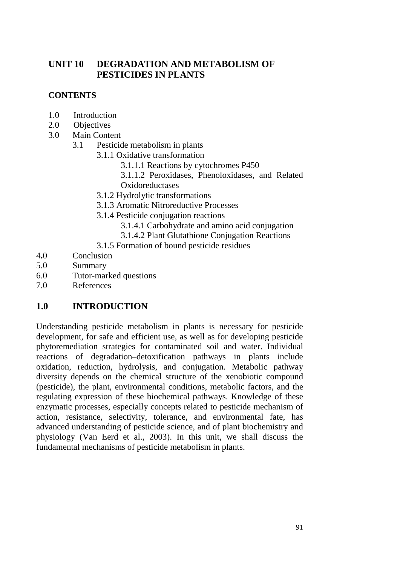## **UNIT 10 DEGRADATION AND METABOLISM OF PESTICIDES IN PLANTS**

### **CONTENTS**

- 1.0 Introduction
- 2.0 Objectives
- 3.0 Main Content
	- 3.1 Pesticide metabolism in plants
		- 3.1.1 Oxidative transformation
			- 3.1.1.1 Reactions by cytochromes P450
			- 3.1.1.2 Peroxidases, Phenoloxidases, and Related **Oxidoreductases**
		- 3.1.2 Hydrolytic transformations
		- 3.1.3 Aromatic Nitroreductive Processes
		- 3.1.4 Pesticide conjugation reactions
			- 3.1.4.1 Carbohydrate and amino acid conjugation
			- 3.1.4.2 Plant Glutathione Conjugation Reactions
		- 3.1.5 Formation of bound pesticide residues
- 4**.**0 Conclusion
- 5.0 Summary
- 6.0 Tutor-marked questions
- 7.0 References

## **1.0 INTRODUCTION**

Understanding pesticide metabolism in plants is necessary for pesticide development, for safe and efficient use, as well as for developing pesticide phytoremediation strategies for contaminated soil and water. Individual reactions of degradation–detoxification pathways in plants include oxidation, reduction, hydrolysis, and conjugation. Metabolic pathway diversity depends on the chemical structure of the xenobiotic compound (pesticide), the plant, environmental conditions, metabolic factors, and the regulating expression of these biochemical pathways. Knowledge of these enzymatic processes, especially concepts related to pesticide mechanism of action, resistance, selectivity, tolerance, and environmental fate, has advanced understanding of pesticide science, and of plant biochemistry and physiology (Van Eerd et al., 2003). In this unit, we shall discuss the fundamental mechanisms of pesticide metabolism in plants.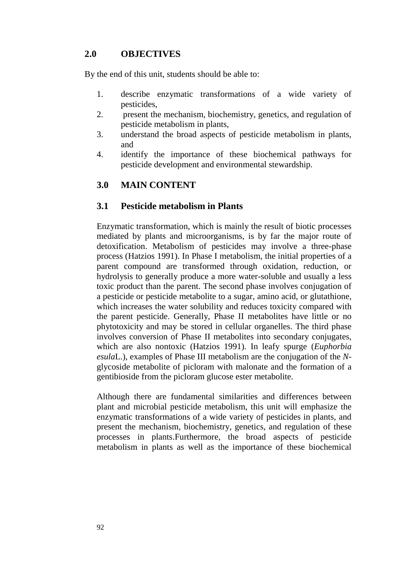## **2.0 OBJECTIVES**

By the end of this unit, students should be able to:

- 1. describe enzymatic transformations of a wide variety of pesticides,
- 2. present the mechanism, biochemistry, genetics, and regulation of pesticide metabolism in plants,
- 3. understand the broad aspects of pesticide metabolism in plants, and
- 4. identify the importance of these biochemical pathways for pesticide development and environmental stewardship.

### **3.0 MAIN CONTENT**

#### **3.1 Pesticide metabolism in Plants**

Enzymatic transformation, which is mainly the result of biotic processes mediated by plants and microorganisms, is by far the major route of detoxification. Metabolism of pesticides may involve a three-phase process (Hatzios 1991). In Phase I metabolism, the initial properties of a parent compound are transformed through oxidation, reduction, or hydrolysis to generally produce a more water-soluble and usually a less toxic product than the parent. The second phase involves conjugation of a pesticide or pesticide metabolite to a sugar, amino acid, or glutathione, which increases the water solubility and reduces toxicity compared with the parent pesticide. Generally, Phase II metabolites have little or no phytotoxicity and may be stored in cellular organelles. The third phase involves conversion of Phase II metabolites into secondary conjugates, which are also nontoxic (Hatzios 1991). In leafy spurge (*Euphorbia esula*L.), examples of Phase III metabolism are the conjugation of the *N* glycoside metabolite of picloram with malonate and the formation of a gentibioside from the picloram glucose ester metabolite.

Although there are fundamental similarities and differences between plant and microbial pesticide metabolism, this unit will emphasize the enzymatic transformations of a wide variety of pesticides in plants, and present the mechanism, biochemistry, genetics, and regulation of these processes in plants.Furthermore, the broad aspects of pesticide metabolism in plants as well as the importance of these biochemical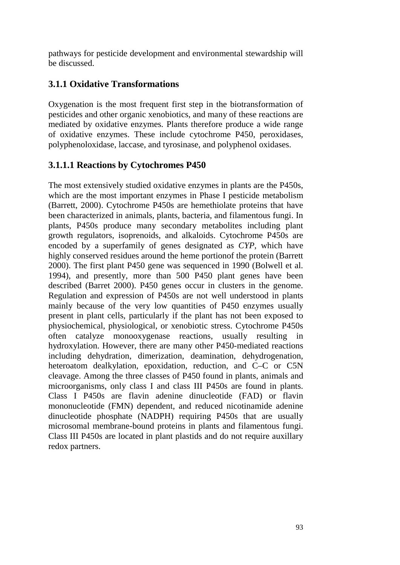pathways for pesticide development and environmental stewardship will be discussed.

## **3.1.1 Oxidative Transformations**

Oxygenation is the most frequent first step in the biotransformation of pesticides and other organic xenobiotics, and many of these reactions are mediated by oxidative enzymes. Plants therefore produce a wide range of oxidative enzymes. These include cytochrome P450, peroxidases, polyphenoloxidase, laccase, and tyrosinase, and polyphenol oxidases.

## **3.1.1.1 Reactions by Cytochromes P450**

The most extensively studied oxidative enzymes in plants are the P450s, which are the most important enzymes in Phase I pesticide metabolism (Barrett, 2000). Cytochrome P450s are hemethiolate proteins that have been characterized in animals, plants, bacteria, and filamentous fungi. In plants, P450s produce many secondary metabolites including plant growth regulators, isoprenoids, and alkaloids. Cytochrome P450s are encoded by a superfamily of genes designated as *CYP,* which have highly conserved residues around the heme portionof the protein (Barrett 2000). The first plant P450 gene was sequenced in 1990 (Bolwell et al. 1994), and presently, more than 500 P450 plant genes have been described (Barret 2000). P450 genes occur in clusters in the genome. Regulation and expression of P450s are not well understood in plants mainly because of the very low quantities of P450 enzymes usually present in plant cells, particularly if the plant has not been exposed to physiochemical, physiological, or xenobiotic stress. Cytochrome P450s often catalyze monooxygenase reactions, usually resulting in hydroxylation. However, there are many other P450-mediated reactions including dehydration, dimerization, deamination, dehydrogenation, heteroatom dealkylation, epoxidation, reduction, and C–C or C5N cleavage. Among the three classes of P450 found in plants, animals and microorganisms, only class I and class III P450s are found in plants. Class I P450s are flavin adenine dinucleotide (FAD) or flavin mononucleotide (FMN) dependent, and reduced nicotinamide adenine dinucleotide phosphate (NADPH) requiring P450s that are usually microsomal membrane-bound proteins in plants and filamentous fungi. Class III P450s are located in plant plastids and do not require auxillary redox partners.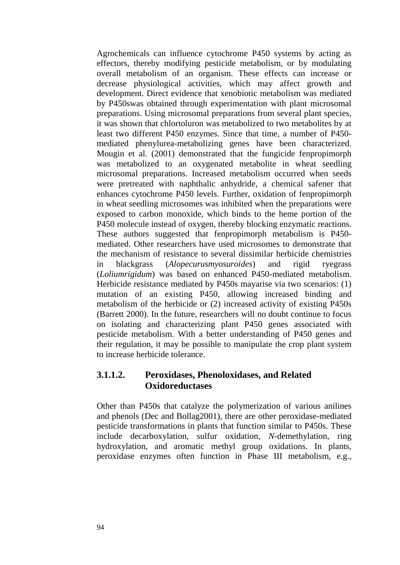Agrochemicals can influence cytochrome P450 systems by acting as effectors, thereby modifying pesticide metabolism, or by modulating overall metabolism of an organism. These effects can increase or decrease physiological activities, which may affect growth and development. Direct evidence that xenobiotic metabolism was mediated by P450swas obtained through experimentation with plant microsomal preparations. Using microsomal preparations from several plant species, it was shown that chlortoluron was metabolized to two metabolites by at least two different P450 enzymes. Since that time, a number of P450 mediated phenylurea-metabolizing genes have been characterized. Mougin et al. (2001) demonstrated that the fungicide fenpropimorph was metabolized to an oxygenated metabolite in wheat seedling microsomal preparations. Increased metabolism occurred when seeds were pretreated with naphthalic anhydride, a chemical safener that enhances cytochrome P450 levels. Further, oxidation of fenpropimorph in wheat seedling microsomes was inhibited when the preparations were exposed to carbon monoxide, which binds to the heme portion of the P450 molecule instead of oxygen, thereby blocking enzymatic reactions. These authors suggested that fenpropimorph metabolism is P450 mediated. Other researchers have used microsomes to demonstrate that the mechanism of resistance to several dissimilar herbicide chemistries in blackgrass (*Alopecurusmyosuroides*) and rigid ryegrass (*Loliumrigidum*) was based on enhanced P450-mediated metabolism. Herbicide resistance mediated by P450s mayarise via two scenarios: (1) mutation of an existing P450, allowing increased binding and metabolism of the herbicide or (2) increased activity of existing P450s (Barrett 2000). In the future, researchers will no doubt continue to focus on isolating and characterizing plant P450 genes associated with pesticide metabolism. With a better understanding of P450 genes and their regulation, it may be possible to manipulate the crop plant system to increase herbicide tolerance.

#### **3.1.1.2. Peroxidases, Phenoloxidases, and Related Oxidoreductases**

Other than P450s that catalyze the polymerization of various anilines and phenols (Dec and Bollag2001), there are other peroxidase-mediated pesticide transformations in plants that function similar to P450s. These include decarboxylation, sulfur oxidation, *N*-demethylation, ring hydroxylation, and aromatic methyl group oxidations. In plants, peroxidase enzymes often function in Phase III metabolism, e.g.,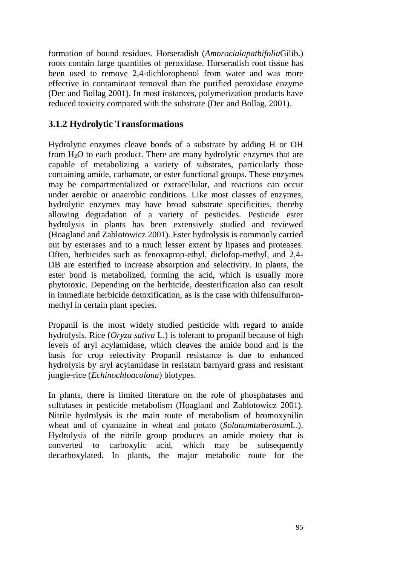formation of bound residues. Horseradish (*Amorocialapathifolia*Gilib.) roots contain large quantities of peroxidase. Horseradish root tissue has been used to remove 2,4-dichlorophenol from water and was more effective in contaminant removal than the purified peroxidase enzyme (Dec and Bollag 2001). In most instances, polymerization products have reduced toxicity compared with the substrate (Dec and Bollag, 2001).

### **3.1.2 Hydrolytic Transformations**

Hydrolytic enzymes cleave bonds of a substrate by adding H or OH from H2O to each product. There are many hydrolytic enzymes that are capable of metabolizing a variety of substrates, particularly those containing amide, carbamate, or ester functional groups. These enzymes may be compartmentalized or extracellular, and reactions can occur under aerobic or anaerobic conditions. Like most classes of enzymes, hydrolytic enzymes may have broad substrate specificities, thereby allowing degradation of a variety of pesticides. Pesticide ester hydrolysis in plants has been extensively studied and reviewed (Hoagland and Zablotowicz 2001). Ester hydrolysis is commonly carried out by esterases and to a much lesser extent by lipases and proteases. Often, herbicides such as fenoxaprop-ethyl, diclofop-methyl, and 2,4- DB are esterified to increase absorption and selectivity. In plants, the ester bond is metabolized, forming the acid, which is usually more phytotoxic. Depending on the herbicide, deesterification also can result in immediate herbicide detoxification, as is the case with thifensulfuron methyl in certain plant species.

Propanil is the most widely studied pesticide with regard to amide hydrolysis. Rice (*Oryza sativa* L.) is tolerant to propanil because of high levels of aryl acylamidase, which cleaves the amide bond and is the basis for crop selectivity Propanil resistance is due to enhanced hydrolysis by aryl acylamidase in resistant barnyard grass and resistant jungle-rice (*Echinochloacolona*) biotypes.

In plants, there is limited literature on the role of phosphatases and sulfatases in pesticide metabolism (Hoagland and Zablotowicz 2001). Nitrile hydrolysis is the main route of metabolism of bromoxynilin wheat and of cyanazine in wheat and potato (*Solanumtuberosum*L.). Hydrolysis of the nitrile group produces an amide moiety that is converted to carboxylic acid, which may be subsequently decarboxylated. In plants, the major metabolic route for the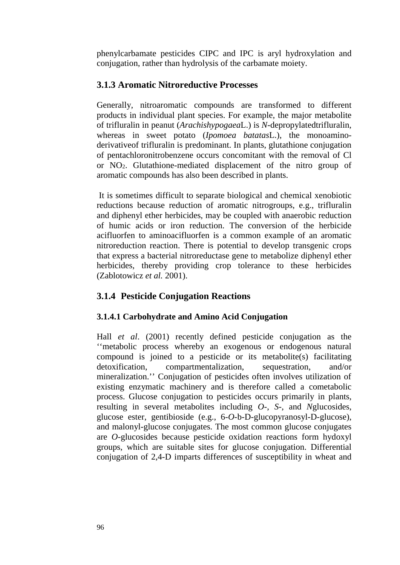phenylcarbamate pesticides CIPC and IPC is aryl hydroxylation and conjugation, rather than hydrolysis of the carbamate moiety.

### **3.1.3 Aromatic Nitroreductive Processes**

Generally, nitroaromatic compounds are transformed to different products in individual plant species. For example, the major metabolite of trifluralin in peanut (*Arachishypogaea*L.) is *N*-depropylatedtrifluralin, whereas in sweet potato (*Ipomoea batatas*L.), the monoamino derivativeof trifluralin is predominant. In plants, glutathione conjugation of pentachloronitrobenzene occurs concomitant with the removal of Cl or NO2. Glutathione-mediated displacement of the nitro group of aromatic compounds has also been described in plants.

It is sometimes difficult to separate biological and chemical xenobiotic reductions because reduction of aromatic nitrogroups, e.g., trifluralin and diphenyl ether herbicides, may be coupled with anaerobic reduction of humic acids or iron reduction. The conversion of the herbicide acifluorfen to aminoacifluorfen is a common example of an aromatic nitroreduction reaction. There is potential to develop transgenic crops that express a bacterial nitroreductase gene to metabolize diphenyl ether herbicides, thereby providing crop tolerance to these herbicides (Zablotowicz *et al.* 2001).

## **3.1.4 Pesticide Conjugation Reactions**

### **3.1.4.1 Carbohydrate and Amino Acid Conjugation**

Hall *et al*. (2001) recently defined pesticide conjugation as the ''metabolic process whereby an exogenous or endogenous natural compound is joined to a pesticide or its metabolite(s) facilitating detoxification, compartmentalization, sequestration, and/or mineralization.'' Conjugation of pesticides often involves utilization of existing enzymatic machinery and is therefore called a cometabolic process. Glucose conjugation to pesticides occurs primarily in plants, resulting in several metabolites including *O*-, *S*-, and *N*glucosides, glucose ester, gentibioside (e.g., 6-*O*-b-D-glucopyranosyl-D-glucose), and malonyl-glucose conjugates. The most common glucose conjugates are *O*-glucosides because pesticide oxidation reactions form hydoxyl groups, which are suitable sites for glucose conjugation. Differential conjugation of 2,4-D imparts differences of susceptibility in wheat and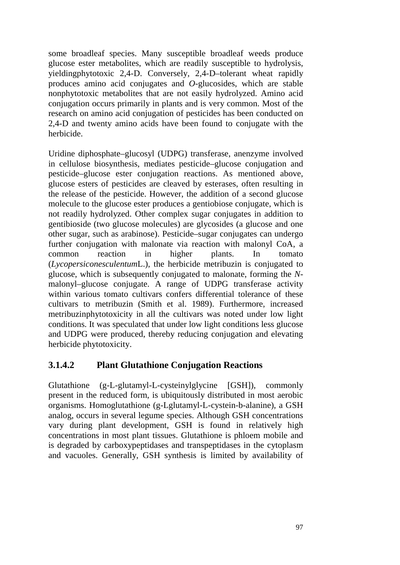some broadleaf species. Many susceptible broadleaf weeds produce glucose ester metabolites, which are readily susceptible to hydrolysis, yieldingphytotoxic 2,4-D. Conversely, 2,4-D–tolerant wheat rapidly produces amino acid conjugates and *O*-glucosides, which are stable nonphytotoxic metabolites that are not easily hydrolyzed. Amino acid conjugation occurs primarily in plants and is very common. Most of the research on amino acid conjugation of pesticides has been conducted on 2,4-D and twenty amino acids have been found to conjugate with the herbicide.

Uridine diphosphate–glucosyl (UDPG) transferase, anenzyme involved in cellulose biosynthesis, mediates pesticide–glucose conjugation and pesticide–glucose ester conjugation reactions. As mentioned above, glucose esters of pesticides are cleaved by esterases, often resulting in the release of the pesticide. However, the addition of a second glucose molecule to the glucose ester produces a gentiobiose conjugate, which is not readily hydrolyzed. Other complex sugar conjugates in addition to gentibioside (two glucose molecules) are glycosides (a glucose and one other sugar, such as arabinose). Pesticide–sugar conjugates can undergo further conjugation with malonate via reaction with malonyl CoA, a common reaction in higher plants. In tomato (*Lycopersiconesculentum*L.), the herbicide metribuzin is conjugated to glucose, which is subsequently conjugated to malonate, forming the *N* malonyl–glucose conjugate. A range of UDPG transferase activity within various tomato cultivars confers differential tolerance of these cultivars to metribuzin (Smith et al. 1989). Furthermore, increased metribuzinphytotoxicity in all the cultivars was noted under low light conditions. It was speculated that under low light conditions less glucose and UDPG were produced, thereby reducing conjugation and elevating herbicide phytotoxicity.

## **3.1.4.2 Plant Glutathione Conjugation Reactions**

Glutathione (g-L-glutamyl-L-cysteinylglycine [GSH]), commonly present in the reduced form, is ubiquitously distributed in most aerobic organisms. Homoglutathione (g-Lglutamyl-L-cystein-b-alanine), a GSH analog, occurs in several legume species. Although GSH concentrations vary during plant development, GSH is found in relatively high concentrations in most plant tissues. Glutathione is phloem mobile and is degraded by carboxypeptidases and transpeptidases in the cytoplasm and vacuoles. Generally, GSH synthesis is limited by availability of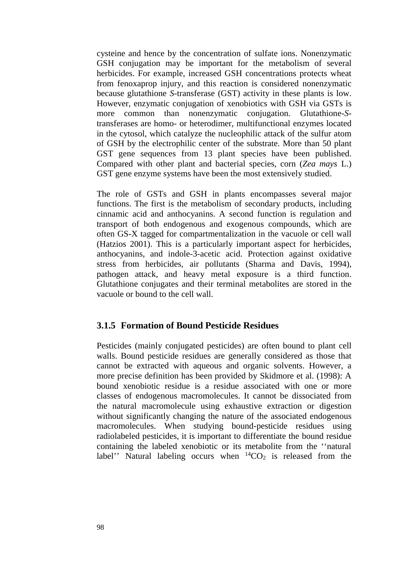cysteine and hence by the concentration of sulfate ions. Nonenzymatic GSH conjugation may be important for the metabolism of several herbicides. For example, increased GSH concentrations protects wheat from fenoxaprop injury, and this reaction is considered nonenzymatic because glutathione *S*-transferase (GST) activity in these plants is low. However, enzymatic conjugation of xenobiotics with GSH via GSTs is more common than nonenzymatic conjugation. Glutathione-*S*transferases are homo- or heterodimer, multifunctional enzymes located in the cytosol, which catalyze the nucleophilic attack of the sulfur atom of GSH by the electrophilic center of the substrate. More than 50 plant GST gene sequences from 13 plant species have been published. Compared with other plant and bacterial species, corn (*Zea mays* L.) GST gene enzyme systems have been the most extensively studied.

The role of GSTs and GSH in plants encompasses several major functions. The first is the metabolism of secondary products, including cinnamic acid and anthocyanins. A second function is regulation and transport of both endogenous and exogenous compounds, which are often GS-X tagged for compartmentalization in the vacuole or cell wall (Hatzios 2001). This is a particularly important aspect for herbicides, anthocyanins, and indole-3-acetic acid. Protection against oxidative stress from herbicides, air pollutants (Sharma and Davis, 1994), pathogen attack, and heavy metal exposure is a third function. Glutathione conjugates and their terminal metabolites are stored in the vacuole or bound to the cell wall.

#### **3.1.5 Formation of Bound Pesticide Residues**

Pesticides (mainly conjugated pesticides) are often bound to plant cell walls. Bound pesticide residues are generally considered as those that cannot be extracted with aqueous and organic solvents. However, a more precise definition has been provided by Skidmore et al. (1998): A bound xenobiotic residue is a residue associated with one or more classes of endogenous macromolecules. It cannot be dissociated from the natural macromolecule using exhaustive extraction or digestion without significantly changing the nature of the associated endogenous macromolecules. When studying bound-pesticide residues using radiolabeled pesticides, it is important to differentiate the bound residue containing the labeled xenobiotic or its metabolite from the ''natural label'' Natural labeling occurs when  ${}^{14}CO_2$  is released from the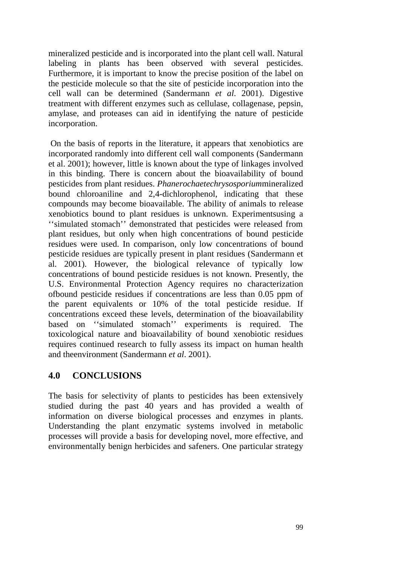mineralized pesticide and is incorporated into the plant cell wall. Natural labeling in plants has been observed with several pesticides. Furthermore, it is important to know the precise position of the label on the pesticide molecule so that the site of pesticide incorporation into the cell wall can be determined (Sandermann *et al*. 2001). Digestive treatment with different enzymes such as cellulase, collagenase, pepsin, amylase, and proteases can aid in identifying the nature of pesticide incorporation.

On the basis of reports in the literature, it appears that xenobiotics are incorporated randomly into different cell wall components (Sandermann et al. 2001); however, little is known about the type of linkages involved in this binding. There is concern about the bioavailability of bound pesticides from plant residues. *Phanerochaetechrysosporium*mineralized bound chloroaniline and 2,4-dichlorophenol, indicating that these compounds may become bioavailable. The ability of animals to release xenobiotics bound to plant residues is unknown. Experimentsusing a ''simulated stomach'' demonstrated that pesticides were released from plant residues, but only when high concentrations of bound pesticide residues were used. In comparison, only low concentrations of bound pesticide residues are typically present in plant residues (Sandermann et al. 2001). However, the biological relevance of typically low concentrations of bound pesticide residues is not known. Presently, the U.S. Environmental Protection Agency requires no characterization ofbound pesticide residues if concentrations are less than 0.05 ppm of the parent equivalents or 10% of the total pesticide residue. If concentrations exceed these levels, determination of the bioavailability based on ''simulated stomach'' experiments is required. The toxicological nature and bioavailability of bound xenobiotic residues requires continued research to fully assess its impact on human health and theenvironment (Sandermann *et al*. 2001).

### **4.0 CONCLUSIONS**

The basis for selectivity of plants to pesticides has been extensively studied during the past 40 years and has provided a wealth of information on diverse biological processes and enzymes in plants. Understanding the plant enzymatic systems involved in metabolic processes will provide a basis for developing novel, more effective, and environmentally benign herbicides and safeners. One particular strategy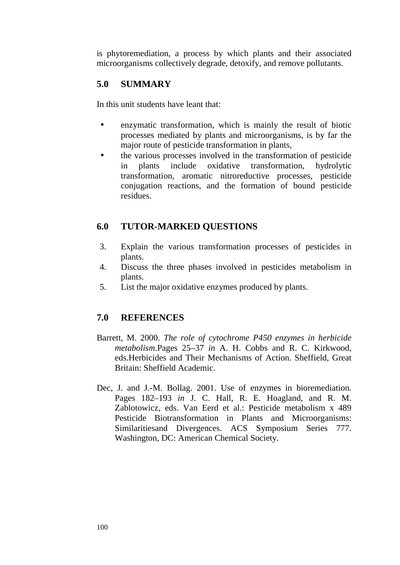is phytoremediation, a process by which plants and their associated microorganisms collectively degrade, detoxify, and remove pollutants.

## **5.0 SUMMARY**

In this unit students have leant that:

- enzymatic transformation, which is mainly the result of biotic processes mediated by plants and microorganisms, is by far the major route of pesticide transformation in plants,
- the various processes involved in the transformation of pesticide in plants include oxidative transformation, hydrolytic transformation, aromatic nitroreductive processes, pesticide conjugation reactions, and the formation of bound pesticide residues.

## **6.0 TUTOR-MARKED QUESTIONS**

- 3. Explain the various transformation processes of pesticides in plants.
- 4. Discuss the three phases involved in pesticides metabolism in plants.
- 5. List the major oxidative enzymes produced by plants.

### **7.0 REFERENCES**

- Barrett, M. 2000. *The role of cytochrome P450 enzymes in herbicide metabolism*.Pages 25–37 *in* A. H. Cobbs and R. C. Kirkwood, eds.Herbicides and Their Mechanisms of Action. Sheffield, Great Britain: Sheffield Academic.
- Dec, J. and J.-M. Bollag. 2001. Use of enzymes in bioremediation. Pages 182–193 *in* J. C. Hall, R. E. Hoagland, and R. M. Zablotowicz, eds. Van Eerd et al.: Pesticide metabolism x 489 Pesticide Biotransformation in Plants and Microorganisms: Similaritiesand Divergences. ACS Symposium Series 777. Washington, DC: American Chemical Society.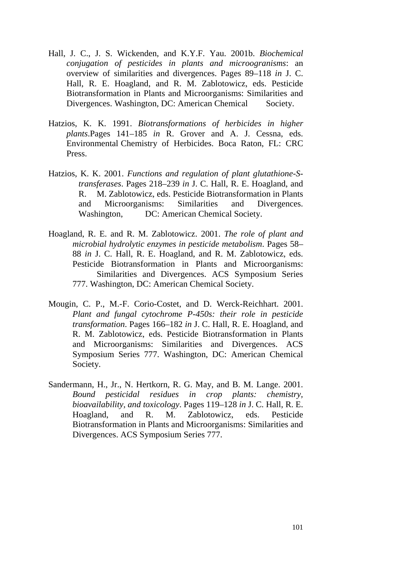- Hall, J. C., J. S. Wickenden, and K.Y.F. Yau. 2001b. *Biochemical conjugation of pesticides in plants and microogranisms*: an overview of similarities and divergences. Pages 89–118 *in* J. C. Hall, R. E. Hoagland, and R. M. Zablotowicz, eds. Pesticide Biotransformation in Plants and Microorganisms: Similarities and Divergences. Washington, DC: American Chemical Society.
- Hatzios, K. K. 1991. *Biotransformations of herbicides in higher plants*.Pages 141–185 *in* R. Grover and A. J. Cessna, eds. Environmental Chemistry of Herbicides. Boca Raton, FL: CRC Press.
- Hatzios, K. K. 2001. *Functions and regulation of plant glutathione-Stransferases*. Pages 218–239 *in* J. C. Hall, R. E. Hoagland, and R. M. Zablotowicz, eds. Pesticide Biotransformation in Plants and Microorganisms: Similarities and Divergences. Washington, DC: American Chemical Society.
- Hoagland, R. E. and R. M. Zablotowicz. 2001. *The role of plant and microbial hydrolytic enzymes in pesticide metabolism*. Pages 58– 88 *in* J. C. Hall, R. E. Hoagland, and R. M. Zablotowicz, eds. Pesticide Biotransformation in Plants and Microorganisms: Similarities and Divergences. ACS Symposium Series 777. Washington, DC: American Chemical Society.
- Mougin, C. P., M.-F. Corio-Costet, and D. Werck-Reichhart. 2001. *Plant and fungal cytochrome P-450s: their role in pesticide transformation*. Pages 166–182 *in* J. C. Hall, R. E. Hoagland, and R. M. Zablotowicz, eds. Pesticide Biotransformation in Plants and Microorganisms: Similarities and Divergences. ACS Symposium Series 777. Washington, DC: American Chemical Society.
- Sandermann, H., Jr., N. Hertkorn, R. G. May, and B. M. Lange. 2001. *Bound pesticidal residues in crop plants: chemistry, bioavailability, and toxicology*. Pages 119–128 *in* J. C. Hall, R. E. Hoagland, and R. M. Zablotowicz, eds. Pesticide Biotransformation in Plants and Microorganisms: Similarities and Divergences. ACS Symposium Series 777.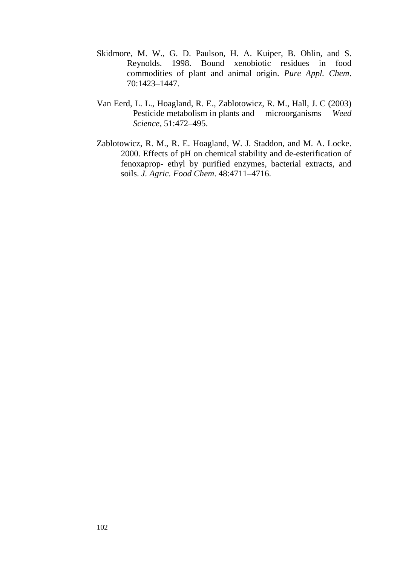- Skidmore, M. W., G. D. Paulson, H. A. Kuiper, B. Ohlin, and S. Reynolds. 1998. Bound xenobiotic residues in food commodities of plant and animal origin. *Pure Appl. Chem*. 70:1423–1447.
- Van Eerd, L. L., Hoagland, R. E., Zablotowicz, R. M., Hall, J. C (2003) Pesticide metabolism in plants and microorganisms *Weed Science,* 51:472–495.
- Zablotowicz, R. M., R. E. Hoagland, W. J. Staddon, and M. A. Locke. 2000. Effects of pH on chemical stability and de-esterification of fenoxaprop- ethyl by purified enzymes, bacterial extracts, and soils. *J. Agric. Food Chem*. 48:4711–4716.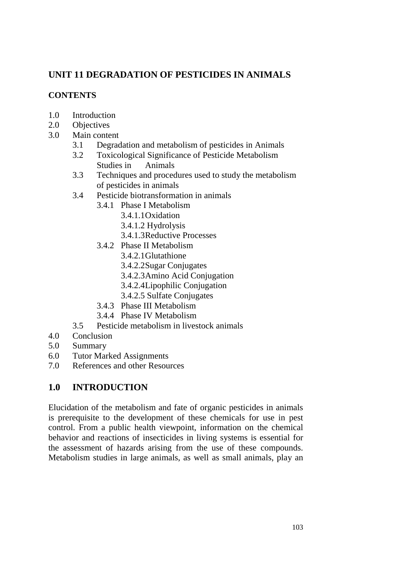# **UNIT 11 DEGRADATION OF PESTICIDES IN ANIMALS**

## **CONTENTS**

- 1.0 Introduction
- 2.0 Objectives
- 3.0 Main content
	- 3.1 Degradation and metabolism of pesticides in Animals
	- 3.2 Toxicological Significance of Pesticide Metabolism Studies in Animals
	- 3.3 Techniques and procedures used to study the metabolism of pesticides in animals
	- 3.4 Pesticide biotransformation in animals
		- 3.4.1 Phase I Metabolism
			- 3.4.1.1Oxidation
			- 3.4.1.2 Hydrolysis
			- 3.4.1.3Reductive Processes
		- 3.4.2 Phase II Metabolism
			- 3.4.2.1Glutathione
				- 3.4.2.2Sugar Conjugates
				- 3.4.2.3Amino Acid Conjugation
				- 3.4.2.4Lipophilic Conjugation
			- 3.4.2.5 Sulfate Conjugates
		- 3.4.3 Phase III Metabolism
		- 3.4.4 Phase IV Metabolism
	- 3.5 Pesticide metabolism in livestock animals
- 4.0 Conclusion
- 5.0 Summary
- 6.0 Tutor Marked Assignments
- 7.0 References and other Resources

## **1.0 INTRODUCTION**

Elucidation of the metabolism and fate of organic pesticides in animals is prerequisite to the development of these chemicals for use in pest control. From a public health viewpoint, information on the chemical behavior and reactions of insecticides in living systems is essential for the assessment of hazards arising from the use of these compounds. Metabolism studies in large animals, as well as small animals, play an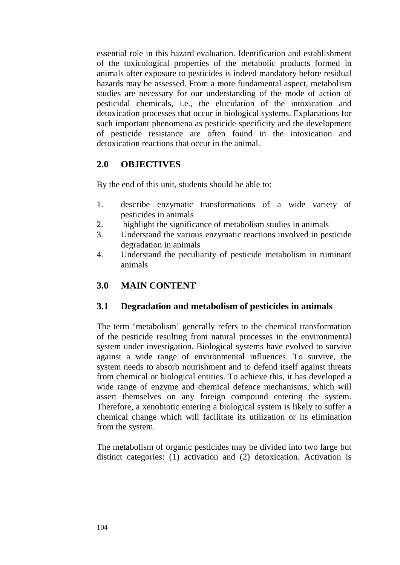essential role in this hazard evaluation. Identification and establishment of the toxicological properties of the metabolic products formed in animals after exposure to pesticides is indeed mandatory before residual hazards may be assessed. From a more fundamental aspect, metabolism studies are necessary for our understanding of the mode of action of pesticidal chemicals, i.e., the elucidation of the intoxication and detoxication processes that occur in biological systems. Explanations for such important phenomena as pesticide specificity and the development of pesticide resistance are often found in the intoxication and detoxication reactions that occur in the animal.

#### **2.0 OBJECTIVES**

By the end of this unit, students should be able to:

- 1. describe enzymatic transformations of a wide variety of pesticides in animals
- 2. highlight the significance of metabolism studies in animals
- 3. Understand the various enzymatic reactions involved in pesticide degradation in animals
- 4. Understand the peculiarity of pesticide metabolism in ruminant animals

#### **3.0 MAIN CONTENT**

#### **3.1 Degradation and metabolism of pesticides in animals**

The term 'metabolism' generally refers to the chemical transformation of the pesticide resulting from natural processes in the environmental system under investigation. Biological systems have evolved to survive against a wide range of environmental influences. To survive, the system needs to absorb nourishment and to defend itself against threats from chemical or biological entities. To achieve this, it has developed a wide range of enzyme and chemical defence mechanisms, which will assert themselves on any foreign compound entering the system. Therefore, a xenobiotic entering a biological system is likely to suffer a chemical change which will facilitate its utilization or its elimination from the system.

The metabolism of organic pesticides may be divided into two large but distinct categories: (1) activation and (2) detoxication. Activation is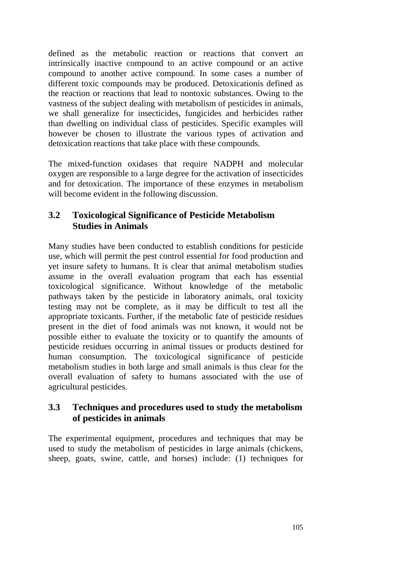defined as the metabolic reaction or reactions that convert an intrinsically inactive compound to an active compound or an active compound to another active compound. In some cases a number of different toxic compounds may be produced. Detoxicationis defined as the reaction or reactions that lead to nontoxic substances. Owing to the vastness of the subject dealing with metabolism of pesticides in animals, we shall generalize for insecticides, fungicides and herbicides rather than dwelling on individual class of pesticides. Specific examples will however be chosen to illustrate the various types of activation and detoxication reactions that take place with these compounds.

The mixed-function oxidases that require NADPH and molecular oxygen are responsible to a large degree for the activation of insecticides and for detoxication. The importance of these enzymes in metabolism will become evident in the following discussion.

### **3.2 Toxicological Significance of Pesticide Metabolism Studies in Animals**

Many studies have been conducted to establish conditions for pesticide use, which will permit the pest control essential for food production and yet insure safety to humans. It is clear that animal metabolism studies assume in the overall evaluation program that each has essential toxicological significance. Without knowledge of the metabolic pathways taken by the pesticide in laboratory animals, oral toxicity testing may not be complete, as it may be difficult to test all the appropriate toxicants. Further, if the metabolic fate of pesticide residues present in the diet of food animals was not known, it would not be possible either to evaluate the toxicity or to quantify the amounts of pesticide residues occurring in animal tissues or products destined for human consumption. The toxicological significance of pesticide metabolism studies in both large and small animals is thus clear for the overall evaluation of safety to humans associated with the use of agricultural pesticides.

## **3.3 Techniques and procedures used to study the metabolism of pesticides in animals**

The experimental equipment, procedures and techniques that may be used to study the metabolism of pesticides in large animals (chickens, sheep, goats, swine, cattle, and horses) include: (1) techniques for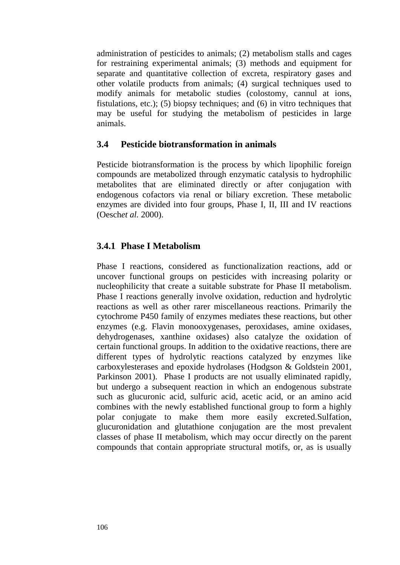administration of pesticides to animals; (2) metabolism stalls and cages for restraining experimental animals; (3) methods and equipment for separate and quantitative collection of excreta, respiratory gases and other volatile products from animals; (4) surgical techniques used to modify animals for metabolic studies (colostomy, cannul at ions, fistulations, etc.); (5) biopsy techniques; and (6) in vitro techniques that may be useful for studying the metabolism of pesticides in large animals.

#### **3.4 Pesticide biotransformation in animals**

Pesticide biotransformation is the process by which lipophilic foreign compounds are metabolized through enzymatic catalysis to hydrophilic metabolites that are eliminated directly or after conjugation with endogenous cofactors via renal or biliary excretion. These metabolic enzymes are divided into four groups, Phase I, II, III and IV reactions (Oesch*et al.* 2000).

### **3.4.1 Phase I Metabolism**

Phase I reactions, considered as functionalization reactions, add or uncover functional groups on pesticides with increasing polarity or nucleophilicity that create a suitable substrate for Phase II metabolism. Phase I reactions generally involve oxidation, reduction and hydrolytic reactions as well as other rarer miscellaneous reactions. Primarily the cytochrome P450 family of enzymes mediates these reactions, but other enzymes (e.g. Flavin monooxygenases, peroxidases, amine oxidases, dehydrogenases, xanthine oxidases) also catalyze the oxidation of certain functional groups. In addition to the oxidative reactions, there are different types of hydrolytic reactions catalyzed by enzymes like carboxylesterases and epoxide hydrolases (Hodgson & Goldstein 2001, Parkinson 2001). Phase I products are not usually eliminated rapidly, but undergo a subsequent reaction in which an endogenous substrate such as glucuronic acid, sulfuric acid, acetic acid, or an amino acid combines with the newly established functional group to form a highly polar conjugate to make them more easily excreted.Sulfation, glucuronidation and glutathione conjugation are the most prevalent classes of phase II metabolism, which may occur directly on the parent compounds that contain appropriate structural motifs, or, as is usually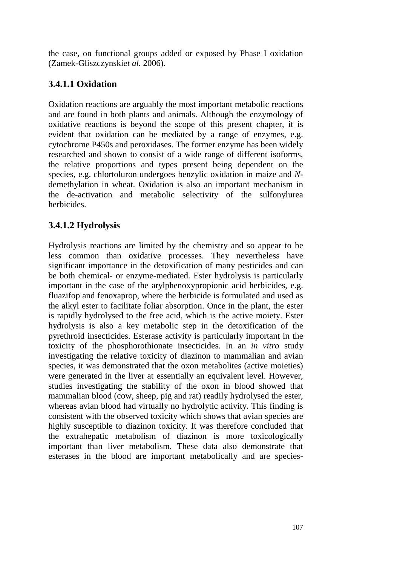the case, on functional groups added or exposed by Phase I oxidation (Zamek-Gliszczynski*et al.* 2006).

# **3.4.1.1 Oxidation**

Oxidation reactions are arguably the most important metabolic reactions and are found in both plants and animals. Although the enzymology of oxidative reactions is beyond the scope of this present chapter, it is evident that oxidation can be mediated by a range of enzymes, e.g. cytochrome P450s and peroxidases. The former enzyme has been widely researched and shown to consist of a wide range of different isoforms, the relative proportions and types present being dependent on the species, e.g. chlortoluron undergoes benzylic oxidation in maize and *N* demethylation in wheat. Oxidation is also an important mechanism in the de-activation and metabolic selectivity of the sulfonylurea herbicides.

# **3.4.1.2 Hydrolysis**

Hydrolysis reactions are limited by the chemistry and so appear to be less common than oxidative processes. They nevertheless have significant importance in the detoxification of many pesticides and can be both chemical- or enzyme-mediated. Ester hydrolysis is particularly important in the case of the arylphenoxypropionic acid herbicides, e.g. fluazifop and fenoxaprop, where the herbicide is formulated and used as the alkyl ester to facilitate foliar absorption. Once in the plant, the ester is rapidly hydrolysed to the free acid, which is the active moiety. Ester hydrolysis is also a key metabolic step in the detoxification of the pyrethroid insecticides. Esterase activity is particularly important in the toxicity of the phosphorothionate insecticides. In an *in vitro* study investigating the relative toxicity of diazinon to mammalian and avian species, it was demonstrated that the oxon metabolites (active moieties) were generated in the liver at essentially an equivalent level. However, studies investigating the stability of the oxon in blood showed that mammalian blood (cow, sheep, pig and rat) readily hydrolysed the ester, whereas avian blood had virtually no hydrolytic activity. This finding is consistent with the observed toxicity which shows that avian species are highly susceptible to diazinon toxicity. It was therefore concluded that the extrahepatic metabolism of diazinon is more toxicologically important than liver metabolism. These data also demonstrate that esterases in the blood are important metabolically and are species-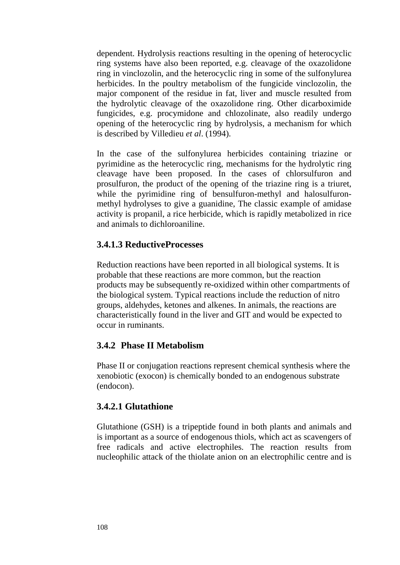dependent. Hydrolysis reactions resulting in the opening of heterocyclic ring systems have also been reported, e.g. cleavage of the oxazolidone ring in vinclozolin, and the heterocyclic ring in some of the sulfonylurea herbicides. In the poultry metabolism of the fungicide vinclozolin, the major component of the residue in fat, liver and muscle resulted from the hydrolytic cleavage of the oxazolidone ring. Other dicarboximide fungicides, e.g. procymidone and chlozolinate, also readily undergo opening of the heterocyclic ring by hydrolysis, a mechanism for which is described by Villedieu *et al*. (1994).

In the case of the sulfonylurea herbicides containing triazine or pyrimidine as the heterocyclic ring, mechanisms for the hydrolytic ring cleavage have been proposed. In the cases of chlorsulfuron and prosulfuron, the product of the opening of the triazine ring is a triuret, while the pyrimidine ring of bensulfuron-methyl and halosulfuron methyl hydrolyses to give a guanidine, The classic example of amidase activity is propanil, a rice herbicide, which is rapidly metabolized in rice and animals to dichloroaniline.

#### **3.4.1.3 ReductiveProcesses**

Reduction reactions have been reported in all biological systems. It is probable that these reactions are more common, but the reaction products may be subsequently re-oxidized within other compartments of the biological system. Typical reactions include the reduction of nitro groups, aldehydes, ketones and alkenes. In animals, the reactions are characteristically found in the liver and GIT and would be expected to occur in ruminants.

#### **3.4.2 Phase II Metabolism**

Phase II or conjugation reactions represent chemical synthesis where the xenobiotic (exocon) is chemically bonded to an endogenous substrate (endocon).

#### **3.4.2.1 Glutathione**

Glutathione (GSH) is a tripeptide found in both plants and animals and is important as a source of endogenous thiols, which act as scavengers of free radicals and active electrophiles. The reaction results from nucleophilic attack of the thiolate anion on an electrophilic centre and is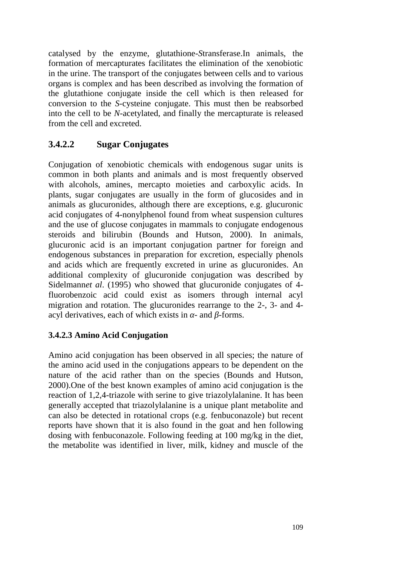catalysed by the enzyme, glutathione-*S*transferase.In animals, the formation of mercapturates facilitates the elimination of the xenobiotic in the urine. The transport of the conjugates between cells and to various organs is complex and has been described as involving the formation of the glutathione conjugate inside the cell which is then released for conversion to the *S*-cysteine conjugate. This must then be reabsorbed into the cell to be *N*-acetylated, and finally the mercapturate is released from the cell and excreted.

### **3.4.2.2 Sugar Conjugates**

Conjugation of xenobiotic chemicals with endogenous sugar units is common in both plants and animals and is most frequently observed with alcohols, amines, mercapto moieties and carboxylic acids. In plants, sugar conjugates are usually in the form of glucosides and in animals as glucuronides, although there are exceptions, e.g. glucuronic acid conjugates of 4-nonylphenol found from wheat suspension cultures and the use of glucose conjugates in mammals to conjugate endogenous steroids and bilirubin (Bounds and Hutson, 2000). In animals, glucuronic acid is an important conjugation partner for foreign and endogenous substances in preparation for excretion, especially phenols and acids which are frequently excreted in urine as glucuronides. An additional complexity of glucuronide conjugation was described by Sidelmann*et al*. (1995) who showed that glucuronide conjugates of 4 fluorobenzoic acid could exist as isomers through internal acyl migration and rotation. The glucuronides rearrange to the 2-, 3- and 4 acyl derivatives, each of which exists in - and -forms.

### **3.4.2.3 Amino Acid Conjugation**

Amino acid conjugation has been observed in all species; the nature of the amino acid used in the conjugations appears to be dependent on the nature of the acid rather than on the species (Bounds and Hutson, 2000).One of the best known examples of amino acid conjugation is the reaction of 1,2,4-triazole with serine to give triazolylalanine. It has been generally accepted that triazolylalanine is a unique plant metabolite and can also be detected in rotational crops (e.g. fenbuconazole) but recent reports have shown that it is also found in the goat and hen following dosing with fenbuconazole. Following feeding at 100 mg/kg in the diet, the metabolite was identified in liver, milk, kidney and muscle of the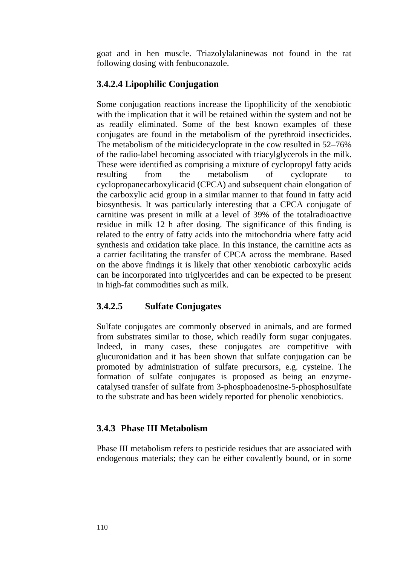goat and in hen muscle. Triazolylalaninewas not found in the rat following dosing with fenbuconazole.

### **3.4.2.4 Lipophilic Conjugation**

Some conjugation reactions increase the lipophilicity of the xenobiotic with the implication that it will be retained within the system and not be as readily eliminated. Some of the best known examples of these conjugates are found in the metabolism of the pyrethroid insecticides. The metabolism of the miticidecycloprate in the cow resulted in 52–76% of the radio-label becoming associated with triacylglycerols in the milk. These were identified as comprising a mixture of cyclopropyl fatty acids resulting from the metabolism of cycloprate to cyclopropanecarboxylicacid (CPCA) and subsequent chain elongation of the carboxylic acid group in a similar manner to that found in fatty acid biosynthesis. It was particularly interesting that a CPCA conjugate of carnitine was present in milk at a level of 39% of the totalradioactive residue in milk 12 h after dosing. The significance of this finding is related to the entry of fatty acids into the mitochondria where fatty acid synthesis and oxidation take place. In this instance, the carnitine acts as a carrier facilitating the transfer of CPCA across the membrane. Based on the above findings it is likely that other xenobiotic carboxylic acids can be incorporated into triglycerides and can be expected to be present in high-fat commodities such as milk.

## **3.4.2.5 Sulfate Conjugates**

Sulfate conjugates are commonly observed in animals, and are formed from substrates similar to those, which readily form sugar conjugates. Indeed, in many cases, these conjugates are competitive with glucuronidation and it has been shown that sulfate conjugation can be promoted by administration of sulfate precursors, e.g. cysteine. The formation of sulfate conjugates is proposed as being an enzyme catalysed transfer of sulfate from 3-phosphoadenosine-5-phosphosulfate to the substrate and has been widely reported for phenolic xenobiotics.

### **3.4.3 Phase III Metabolism**

Phase III metabolism refers to pesticide residues that are associated with endogenous materials; they can be either covalently bound, or in some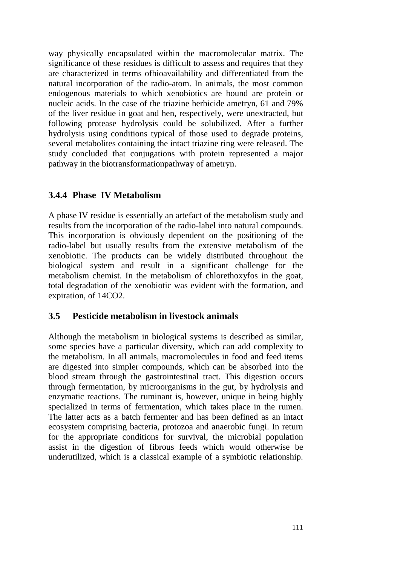way physically encapsulated within the macromolecular matrix. The significance of these residues is difficult to assess and requires that they are characterized in terms ofbioavailability and differentiated from the natural incorporation of the radio-atom. In animals, the most common endogenous materials to which xenobiotics are bound are protein or nucleic acids. In the case of the triazine herbicide ametryn, 61 and 79% of the liver residue in goat and hen, respectively, were unextracted, but following protease hydrolysis could be solubilized. After a further hydrolysis using conditions typical of those used to degrade proteins, several metabolites containing the intact triazine ring were released. The study concluded that conjugations with protein represented a major pathway in the biotransformationpathway of ametryn.

### **3.4.4 Phase IV Metabolism**

A phase IV residue is essentially an artefact of the metabolism study and results from the incorporation of the radio-label into natural compounds. This incorporation is obviously dependent on the positioning of the radio-label but usually results from the extensive metabolism of the xenobiotic. The products can be widely distributed throughout the biological system and result in a significant challenge for the metabolism chemist. In the metabolism of chlorethoxyfos in the goat, total degradation of the xenobiotic was evident with the formation, and expiration, of 14CO2.

#### **3.5 Pesticide metabolism in livestock animals**

Although the metabolism in biological systems is described as similar, some species have a particular diversity, which can add complexity to the metabolism. In all animals, macromolecules in food and feed items are digested into simpler compounds, which can be absorbed into the blood stream through the gastrointestinal tract. This digestion occurs through fermentation, by microorganisms in the gut, by hydrolysis and enzymatic reactions. The ruminant is, however, unique in being highly specialized in terms of fermentation, which takes place in the rumen. The latter acts as a batch fermenter and has been defined as an intact ecosystem comprising bacteria, protozoa and anaerobic fungi. In return for the appropriate conditions for survival, the microbial population assist in the digestion of fibrous feeds which would otherwise be underutilized, which is a classical example of a symbiotic relationship.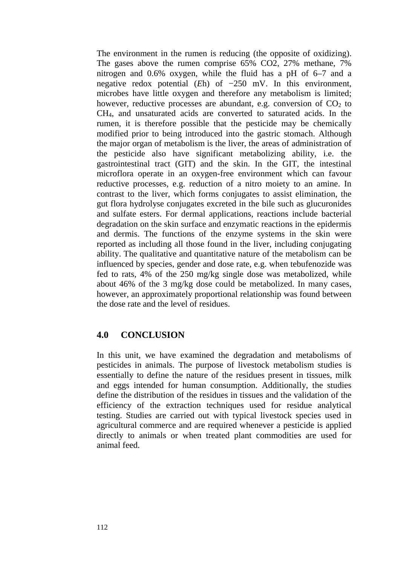The environment in the rumen is reducing (the opposite of oxidizing). The gases above the rumen comprise 65% CO2, 27% methane, 7% nitrogen and 0.6% oxygen, while the fluid has a pH of 6–7 and a negative redox potential (*E*h) of −250 mV. In this environment, microbes have little oxygen and therefore any metabolism is limited; however, reductive processes are abundant, e.g. conversion of  $CO<sub>2</sub>$  to CH4, and unsaturated acids are converted to saturated acids. In the rumen, it is therefore possible that the pesticide may be chemically modified prior to being introduced into the gastric stomach. Although the major organ of metabolism is the liver, the areas of administration of the pesticide also have significant metabolizing ability, i.e. the gastrointestinal tract (GIT) and the skin. In the GIT, the intestinal microflora operate in an oxygen-free environment which can favour reductive processes, e.g. reduction of a nitro moiety to an amine. In contrast to the liver, which forms conjugates to assist elimination, the gut flora hydrolyse conjugates excreted in the bile such as glucuronides and sulfate esters. For dermal applications, reactions include bacterial degradation on the skin surface and enzymatic reactions in the epidermis and dermis. The functions of the enzyme systems in the skin were reported as including all those found in the liver, including conjugating ability. The qualitative and quantitative nature of the metabolism can be influenced by species, gender and dose rate, e.g. when tebufenozide was fed to rats, 4% of the 250 mg/kg single dose was metabolized, while about 46% of the 3 mg/kg dose could be metabolized. In many cases, however, an approximately proportional relationship was found between the dose rate and the level of residues.

#### **4.0 CONCLUSION**

In this unit, we have examined the degradation and metabolisms of pesticides in animals. The purpose of livestock metabolism studies is essentially to define the nature of the residues present in tissues, milk and eggs intended for human consumption. Additionally, the studies define the distribution of the residues in tissues and the validation of the efficiency of the extraction techniques used for residue analytical testing. Studies are carried out with typical livestock species used in agricultural commerce and are required whenever a pesticide is applied directly to animals or when treated plant commodities are used for animal feed.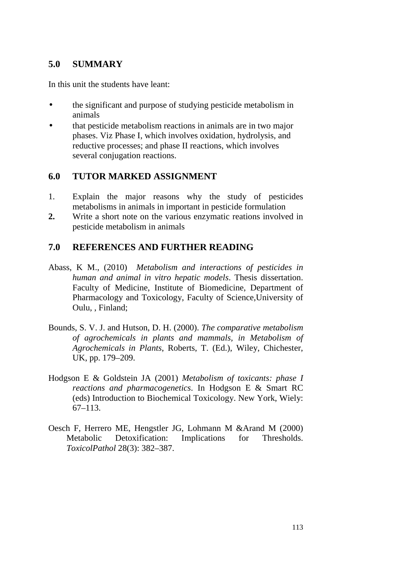### **5.0 SUMMARY**

In this unit the students have leant:

- the significant and purpose of studying pesticide metabolism in animals
- that pesticide metabolism reactions in animals are in two major phases. Viz Phase I, which involves oxidation, hydrolysis, and reductive processes; and phase II reactions, which involves several conjugation reactions.

### **6.0 TUTOR MARKED ASSIGNMENT**

- 1. Explain the major reasons why the study of pesticides metabolisms in animals in important in pesticide formulation
- **2.** Write a short note on the various enzymatic reations involved in pesticide metabolism in animals

### **7.0 REFERENCES AND FURTHER READING**

- Abass, K M., (2010) *Metabolism and interactions of pesticides in human and animal in vitro hepatic models*. Thesis dissertation. Faculty of Medicine, Institute of Biomedicine, Department of Pharmacology and Toxicology, Faculty of Science,University of Oulu, , Finland;
- Bounds, S. V. J. and Hutson, D. H. (2000). *The comparative metabolism of agrochemicals in plants and mammals, in Metabolism of Agrochemicals in Plants*, Roberts, T. (Ed.), Wiley, Chichester, UK, pp. 179–209.
- Hodgson E & Goldstein JA (2001) *Metabolism of toxicants: phase I reactions and pharmacogenetics*. In Hodgson E & Smart RC (eds) Introduction to Biochemical Toxicology. New York, Wiely: 67–113.
- Oesch F, Herrero ME, Hengstler JG, Lohmann M &Arand M (2000) Metabolic Detoxification: Implications for Thresholds. *ToxicolPathol* 28(3): 382–387.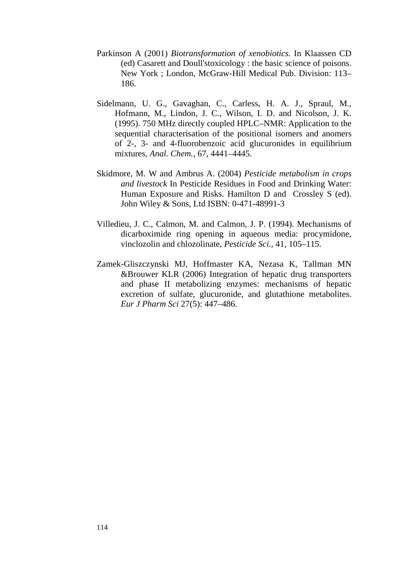- Parkinson A (2001) *Biotransformation of xenobiotics.* In Klaassen CD (ed) Casarett and Doull'stoxicology : the basic science of poisons. New York ; London, McGraw-Hill Medical Pub. Division: 113– 186.
- Sidelmann, U. G., Gavaghan, C., Carless, H. A. J., Spraul, M., Hofmann, M., Lindon, J. C., Wilson, I. D. and Nicolson, J. K. (1995). 750 MHz directly coupled HPLC–NMR: Application to the sequential characterisation of the positional isomers and anomers of 2-, 3- and 4-fluorobenzoic acid glucuronides in equilibrium mixtures, *Anal. Chem.*, 67, 4441–4445.
- Skidmore, M. W and Ambrus A. (2004) *Pesticide metabolism in crops and livestock* In Pesticide Residues in Food and Drinking Water: Human Exposure and Risks. Hamilton D and Crossley S (ed). John Wiley & Sons, Ltd ISBN: 0-471-48991-3
- Villedieu, J. C., Calmon, M. and Calmon, J. P. (1994). Mechanisms of dicarboximide ring opening in aqueous media: procymidone, vinclozolin and chlozolinate, *Pesticide Sci.*, 41, 105–115.
- Zamek-Gliszczynski MJ, Hoffmaster KA, Nezasa K, Tallman MN &Brouwer KLR (2006) Integration of hepatic drug transporters and phase II metabolizing enzymes: mechanisms of hepatic excretion of sulfate, glucuronide, and glutathione metabolites. *Eur J Pharm Sci* 27(5): 447–486.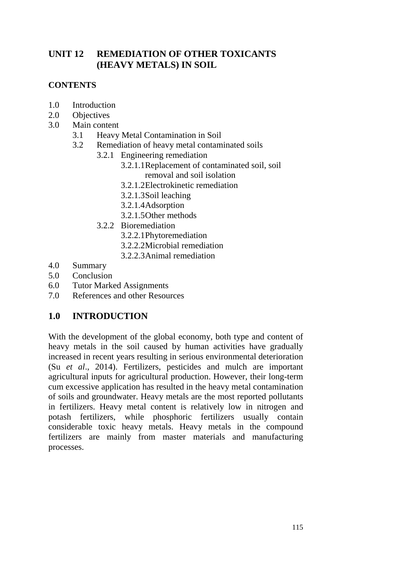# **UNIT 12 REMEDIATION OF OTHER TOXICANTS (HEAVY METALS) IN SOIL**

### **CONTENTS**

- 1.0 Introduction
- 2.0 Objectives
- 3.0 Main content
	- 3.1 Heavy Metal Contamination in Soil
	- 3.2 Remediation of heavy metal contaminated soils
		- 3.2.1 Engineering remediation
			- 3.2.1.1Replacement of contaminated soil, soil removal and soil isolation
			- 3.2.1.2Electrokinetic remediation
			- 3.2.1.3Soil leaching
			- 3.2.1.4Adsorption
			- 3.2.1.5Other methods
		- 3.2.2 Bioremediation
			- 3.2.2.1Phytoremediation
			- 3.2.2.2Microbial remediation
			- 3.2.2.3Animal remediation
- 4.0 Summary
- 5.0 Conclusion
- 6.0 Tutor Marked Assignments
- 7.0 References and other Resources

# **1.0 INTRODUCTION**

With the development of the global economy, both type and content of heavy metals in the soil caused by human activities have gradually increased in recent years resulting in serious environmental deterioration (Su *et al*., 2014). Fertilizers, pesticides and mulch are important agricultural inputs for agricultural production. However, their long-term cum excessive application has resulted in the heavy metal contamination of soils and groundwater. Heavy metals are the most reported pollutants in fertilizers. Heavy metal content is relatively low in nitrogen and potash fertilizers, while phosphoric fertilizers usually contain considerable toxic heavy metals. Heavy metals in the compound fertilizers are mainly from master materials and manufacturing processes.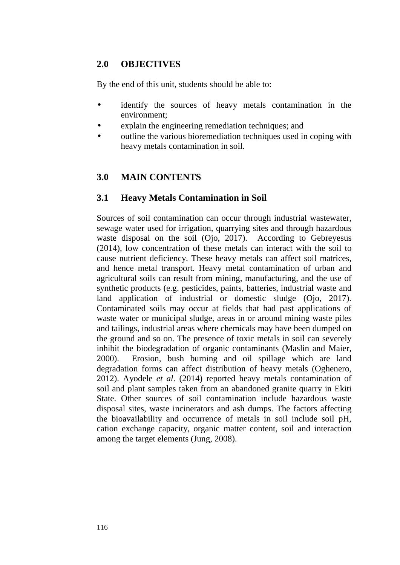### **2.0 OBJECTIVES**

By the end of this unit, students should be able to:

- identify the sources of heavy metals contamination in the environment;
- explain the engineering remediation techniques; and
- outline the various bioremediation techniques used in coping with heavy metals contamination in soil.

# **3.0 MAIN CONTENTS**

### **3.1 Heavy Metals Contamination in Soil**

Sources of soil contamination can occur through industrial wastewater, sewage water used for irrigation, quarrying sites and through hazardous waste disposal on the soil (Ojo, 2017). According to Gebreyesus (2014), low concentration of these metals can interact with the soil to cause nutrient deficiency. These heavy metals can affect soil matrices, and hence metal transport. Heavy metal contamination of urban and agricultural soils can result from mining, manufacturing, and the use of synthetic products (e.g. pesticides, paints, batteries, industrial waste and land application of industrial or domestic sludge (Ojo, 2017). Contaminated soils may occur at fields that had past applications of waste water or municipal sludge, areas in or around mining waste piles and tailings, industrial areas where chemicals may have been dumped on the ground and so on. The presence of toxic metals in soil can severely inhibit the biodegradation of organic contaminants (Maslin and Maier, 2000). Erosion, bush burning and oil spillage which are land degradation forms can affect distribution of heavy metals (Oghenero, 2012). Ayodele *et al*. (2014) reported heavy metals contamination of soil and plant samples taken from an abandoned granite quarry in Ekiti State. Other sources of soil contamination include hazardous waste disposal sites, waste incinerators and ash dumps. The factors affecting the bioavailability and occurrence of metals in soil include soil pH, cation exchange capacity, organic matter content, soil and interaction among the target elements (Jung, 2008).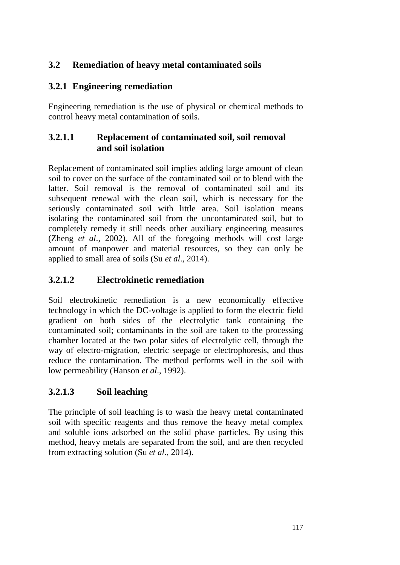# **3.2 Remediation of heavy metal contaminated soils**

## **3.2.1 Engineering remediation**

Engineering remediation is the use of physical or chemical methods to control heavy metal contamination of soils.

### **3.2.1.1 Replacement of contaminated soil, soil removal and soil isolation**

Replacement of contaminated soil implies adding large amount of clean soil to cover on the surface of the contaminated soil or to blend with the latter. Soil removal is the removal of contaminated soil and its subsequent renewal with the clean soil, which is necessary for the seriously contaminated soil with little area. Soil isolation means isolating the contaminated soil from the uncontaminated soil, but to completely remedy it still needs other auxiliary engineering measures (Zheng *et al*., 2002). All of the foregoing methods will cost large amount of manpower and material resources, so they can only be applied to small area of soils (Su *et al*., 2014).

# **3.2.1.2 Electrokinetic remediation**

Soil electrokinetic remediation is a new economically effective technology in which the DC-voltage is applied to form the electric field gradient on both sides of the electrolytic tank containing the contaminated soil; contaminants in the soil are taken to the processing chamber located at the two polar sides of electrolytic cell, through the way of electro-migration, electric seepage or electrophoresis, and thus reduce the contamination. The method performs well in the soil with low permeability (Hanson *et al*., 1992).

# **3.2.1.3 Soil leaching**

The principle of soil leaching is to wash the heavy metal contaminated soil with specific reagents and thus remove the heavy metal complex and soluble ions adsorbed on the solid phase particles. By using this method, heavy metals are separated from the soil, and are then recycled from extracting solution (Su *et al*., 2014).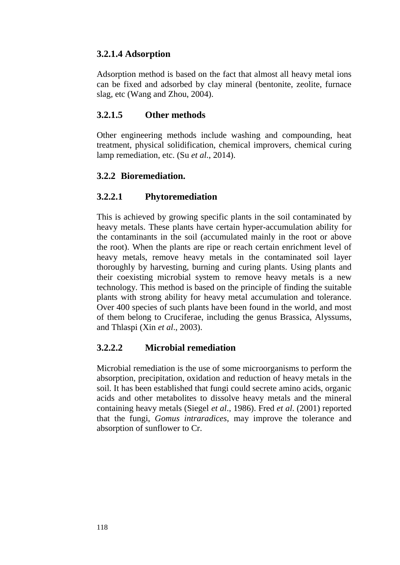### **3.2.1.4 Adsorption**

Adsorption method is based on the fact that almost all heavy metal ions can be fixed and adsorbed by clay mineral (bentonite, zeolite, furnace slag, etc (Wang and Zhou, 2004).

#### **3.2.1.5 Other methods**

Other engineering methods include washing and compounding, heat treatment, physical solidification, chemical improvers, chemical curing lamp remediation, etc. (Su *et al*., 2014).

#### **3.2.2 Bioremediation.**

#### **3.2.2.1 Phytoremediation**

This is achieved by growing specific plants in the soil contaminated by heavy metals. These plants have certain hyper-accumulation ability for the contaminants in the soil (accumulated mainly in the root or above the root). When the plants are ripe or reach certain enrichment level of heavy metals, remove heavy metals in the contaminated soil layer thoroughly by harvesting, burning and curing plants. Using plants and their coexisting microbial system to remove heavy metals is a new technology. This method is based on the principle of finding the suitable plants with strong ability for heavy metal accumulation and tolerance. Over 400 species of such plants have been found in the world, and most of them belong to Cruciferae, including the genus Brassica, Alyssums, and Thlaspi (Xin *et al*., 2003).

### **3.2.2.2 Microbial remediation**

Microbial remediation is the use of some microorganisms to perform the absorption, precipitation, oxidation and reduction of heavy metals in the soil. It has been established that fungi could secrete amino acids, organic acids and other metabolites to dissolve heavy metals and the mineral containing heavy metals (Siegel *et al*., 1986). Fred *et al*. (2001) reported that the fungi, *Gomus intraradices*, may improve the tolerance and absorption of sunflower to Cr.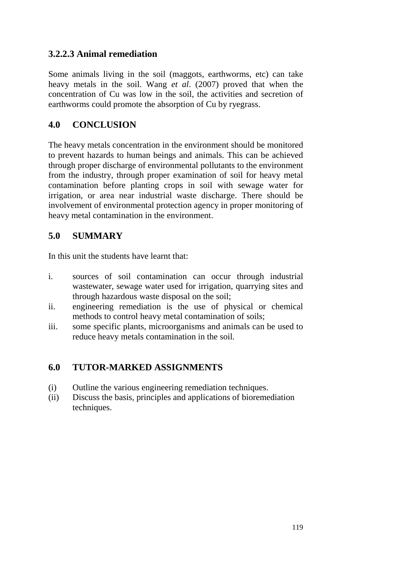### **3.2.2.3 Animal remediation**

Some animals living in the soil (maggots, earthworms, etc) can take heavy metals in the soil. Wang *et al*. (2007) proved that when the concentration of Cu was low in the soil, the activities and secretion of earthworms could promote the absorption of Cu by ryegrass.

### **4.0 CONCLUSION**

The heavy metals concentration in the environment should be monitored to prevent hazards to human beings and animals. This can be achieved through proper discharge of environmental pollutants to the environment from the industry, through proper examination of soil for heavy metal contamination before planting crops in soil with sewage water for irrigation, or area near industrial waste discharge. There should be involvement of environmental protection agency in proper monitoring of heavy metal contamination in the environment.

## **5.0 SUMMARY**

In this unit the students have learnt that:

- i. sources of soil contamination can occur through industrial wastewater, sewage water used for irrigation, quarrying sites and through hazardous waste disposal on the soil;
- ii. engineering remediation is the use of physical or chemical methods to control heavy metal contamination of soils;
- iii. some specific plants, microorganisms and animals can be used to reduce heavy metals contamination in the soil.

## **6.0 TUTOR-MARKED ASSIGNMENTS**

- (i) Outline the various engineering remediation techniques.
- (ii) Discuss the basis, principles and applications of bioremediation techniques.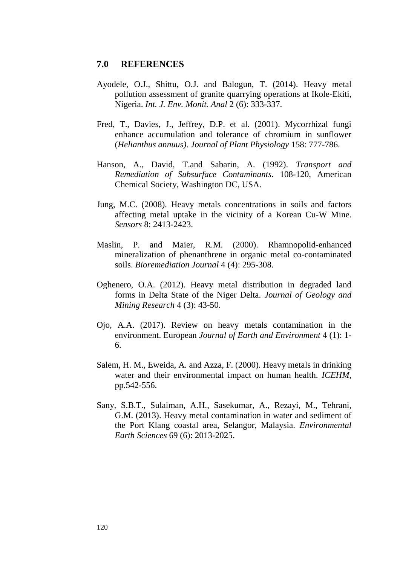#### **7.0 REFERENCES**

- Ayodele, O.J., Shittu, O.J. and Balogun, T. (2014). Heavy metal pollution assessment of granite quarrying operations at Ikole-Ekiti, Nigeria. *Int. J. Env. Monit. Anal* 2 (6): 333-337.
- Fred, T., Davies, J., Jeffrey, D.P. et al. (2001). Mycorrhizal fungi enhance accumulation and tolerance of chromium in sunflower (*Helianthus annuus)*. *Journal of Plant Physiology* 158: 777-786.
- Hanson, A., David, T.and Sabarin, A. (1992). *Transport and Remediation of Subsurface Contaminants*. 108-120, American Chemical Society, Washington DC, USA.
- Jung, M.C. (2008). Heavy metals concentrations in soils and factors affecting metal uptake in the vicinity of a Korean Cu-W Mine. *Sensors* 8: 2413-2423.
- Maslin, P. and Maier, R.M. (2000). Rhamnopolid-enhanced mineralization of phenanthrene in organic metal co-contaminated soils. *Bioremediation Journal* 4 (4): 295-308.
- Oghenero, O.A. (2012). Heavy metal distribution in degraded land forms in Delta State of the Niger Delta. *Journal of Geology and Mining Research* 4 (3): 43-50.
- Ojo, A.A. (2017). Review on heavy metals contamination in the environment. European *Journal of Earth and Environment* 4 (1): 1- 6.
- Salem, H. M., Eweida, A. and Azza, F. (2000). Heavy metals in drinking water and their environmental impact on human health. *ICEHM*, pp.542-556.
- Sany, S.B.T., Sulaiman, A.H., Sasekumar, A., Rezayi, M., Tehrani, G.M. (2013). Heavy metal contamination in water and sediment of the Port Klang coastal area, Selangor, Malaysia. *Environmental Earth Sciences* 69 (6): 2013-2025.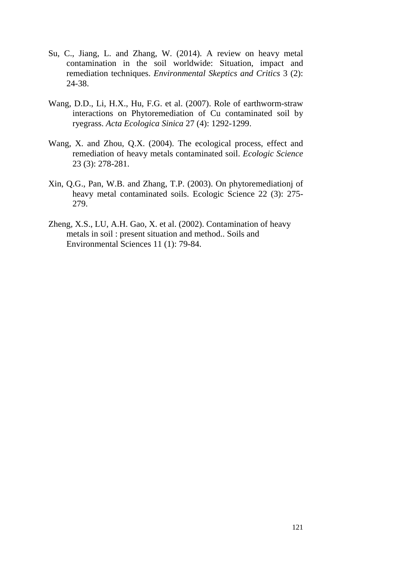- Su, C., Jiang, L. and Zhang, W. (2014). A review on heavy metal contamination in the soil worldwide: Situation, impact and remediation techniques. *Environmental Skeptics and Critics* 3 (2): 24-38.
- Wang, D.D., Li, H.X., Hu, F.G. et al. (2007). Role of earthworm-straw interactions on Phytoremediation of Cu contaminated soil by ryegrass. *Acta Ecologica Sinica* 27 (4): 1292-1299.
- Wang, X. and Zhou, Q.X. (2004). The ecological process, effect and remediation of heavy metals contaminated soil. *Ecologic Science* 23 (3): 278-281.
- Xin, Q.G., Pan, W.B. and Zhang, T.P. (2003). On phytoremediationj of heavy metal contaminated soils. Ecologic Science 22 (3): 275- 279.
- Zheng, X.S., LU, A.H. Gao, X. et al. (2002). Contamination of heavy metals in soil : present situation and method.. Soils and Environmental Sciences 11 (1): 79-84.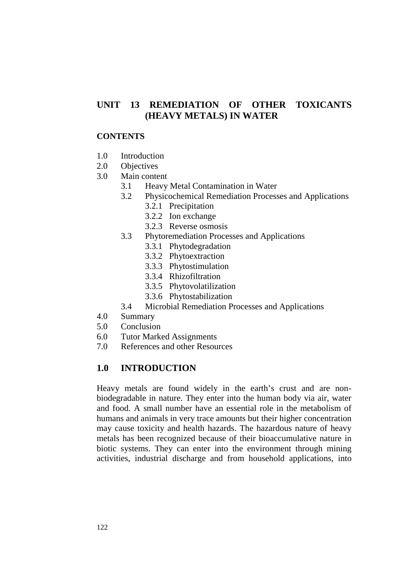# **UNIT 13 REMEDIATION OF OTHER TOXICANTS (HEAVY METALS) IN WATER**

#### **CONTENTS**

- 1.0 Introduction
- 2.0 Objectives
- 3.0 Main content
	- 3.1 Heavy Metal Contamination in Water
	- 3.2 Physicochemical Remediation Processes and Applications
		- 3.2.1 Precipitation
		- 3.2.2 Ion exchange
		- 3.2.3 Reverse osmosis
	- 3.3 Phytoremediation Processes and Applications
		- 3.3.1 Phytodegradation
		- 3.3.2 Phytoextraction
		- 3.3.3 Phytostimulation
		- 3.3.4 Rhizofiltration
		- 3.3.5 Phytovolatilization
		- 3.3.6 Phytostabilization
	- 3.4 Microbial Remediation Processes and Applications
- 4.0 Summary
- 5.0 Conclusion
- 6.0 Tutor Marked Assignments
- 7.0 References and other Resources

### **1.0 INTRODUCTION**

Heavy metals are found widely in the earth's crust and are non biodegradable in nature. They enter into the human body via air, water and food. A small number have an essential role in the metabolism of humans and animals in very trace amounts but their higher concentration may cause toxicity and health hazards. The hazardous nature of heavy metals has been recognized because of their bioaccumulative nature in biotic systems. They can enter into the environment through mining activities, industrial discharge and from household applications, into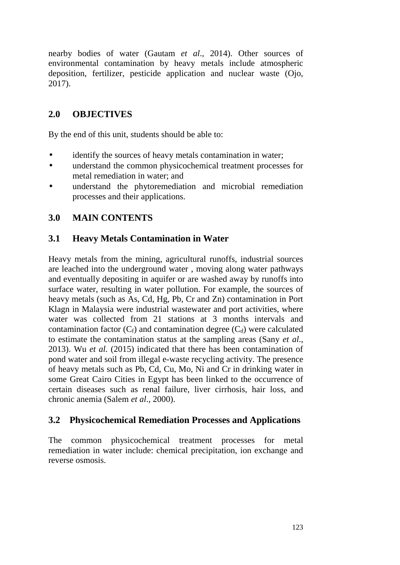nearby bodies of water (Gautam *et al*., 2014). Other sources of environmental contamination by heavy metals include atmospheric deposition, fertilizer, pesticide application and nuclear waste (Ojo, 2017).

### **2.0 OBJECTIVES**

By the end of this unit, students should be able to:

- identify the sources of heavy metals contamination in water;
- understand the common physicochemical treatment processes for metal remediation in water; and
- understand the phytoremediation and microbial remediation processes and their applications.

### **3.0 MAIN CONTENTS**

### **3.1 Heavy Metals Contamination in Water**

Heavy metals from the mining, agricultural runoffs, industrial sources are leached into the underground water , moving along water pathways and eventually depositing in aquifer or are washed away by runoffs into surface water, resulting in water pollution. For example, the sources of heavy metals (such as As, Cd, Hg, Pb, Cr and Zn) contamination in Port Klagn in Malaysia were industrial wastewater and port activities, where water was collected from 21 stations at 3 months intervals and contamination factor  $(C_f)$  and contamination degree  $(C_d)$  were calculated to estimate the contamination status at the sampling areas (Sany *et al*., 2013). Wu *et al.* (2015) indicated that there has been contamination of pond water and soil from illegal e-waste recycling activity. The presence of heavy metals such as Pb, Cd, Cu, Mo, Ni and Cr in drinking water in some Great Cairo Cities in Egypt has been linked to the occurrence of certain diseases such as renal failure, liver cirrhosis, hair loss, and chronic anemia (Salem *et al*., 2000).

#### **3.2 Physicochemical Remediation Processes and Applications**

The common physicochemical treatment processes for metal remediation in water include: chemical precipitation, ion exchange and reverse osmosis.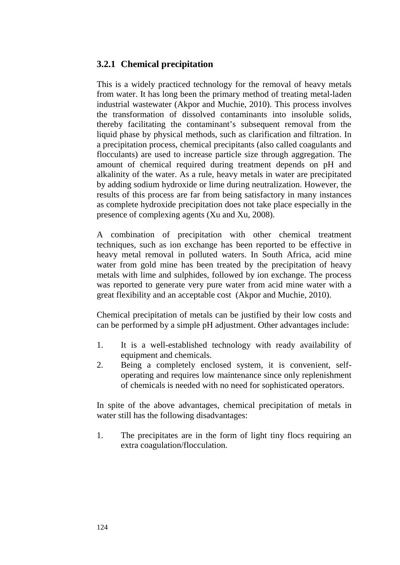### **3.2.1 Chemical precipitation**

This is a widely practiced technology for the removal of heavy metals from water. It has long been the primary method of treating metal-laden industrial wastewater (Akpor and Muchie, 2010). This process involves the transformation of dissolved contaminants into insoluble solids, thereby facilitating the contaminant's subsequent removal from the liquid phase by physical methods, such as clarification and filtration. In a precipitation process, chemical precipitants (also called coagulants and flocculants) are used to increase particle size through aggregation. The amount of chemical required during treatment depends on pH and alkalinity of the water. As a rule, heavy metals in water are precipitated by adding sodium hydroxide or lime during neutralization. However, the results of this process are far from being satisfactory in many instances as complete hydroxide precipitation does not take place especially in the presence of complexing agents (Xu and Xu, 2008).

A combination of precipitation with other chemical treatment techniques, such as ion exchange has been reported to be effective in heavy metal removal in polluted waters. In South Africa, acid mine water from gold mine has been treated by the precipitation of heavy metals with lime and sulphides, followed by ion exchange. The process was reported to generate very pure water from acid mine water with a great flexibility and an acceptable cost (Akpor and Muchie, 2010).

Chemical precipitation of metals can be justified by their low costs and can be performed by a simple pH adjustment. Other advantages include:

- 1. It is a well-established technology with ready availability of equipment and chemicals.
- 2. Being a completely enclosed system, it is convenient, self operating and requires low maintenance since only replenishment of chemicals is needed with no need for sophisticated operators.

In spite of the above advantages, chemical precipitation of metals in water still has the following disadvantages:

1. The precipitates are in the form of light tiny flocs requiring an extra coagulation/flocculation.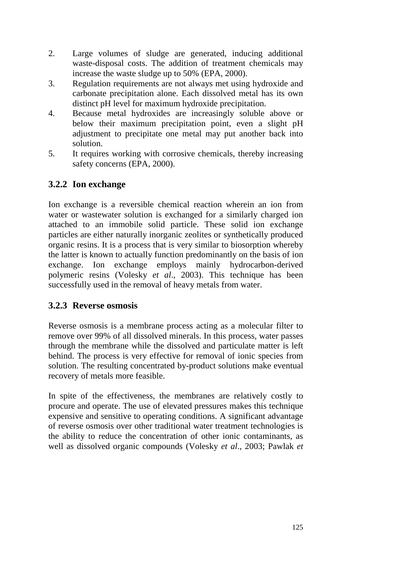- 2. Large volumes of sludge are generated, inducing additional waste-disposal costs. The addition of treatment chemicals may increase the waste sludge up to 50% (EPA, 2000).
- 3. Regulation requirements are not always met using hydroxide and carbonate precipitation alone. Each dissolved metal has its own distinct pH level for maximum hydroxide precipitation.
- 4. Because metal hydroxides are increasingly soluble above or below their maximum precipitation point, even a slight pH adjustment to precipitate one metal may put another back into solution.
- 5. It requires working with corrosive chemicals, thereby increasing safety concerns (EPA, 2000).

## **3.2.2 Ion exchange**

Ion exchange is a reversible chemical reaction wherein an ion from water or wastewater solution is exchanged for a similarly charged ion attached to an immobile solid particle. These solid ion exchange particles are either naturally inorganic zeolites or synthetically produced organic resins. It is a process that is very similar to biosorption whereby the latter is known to actually function predominantly on the basis of ion exchange. Ion exchange employs mainly hydrocarbon-derived polymeric resins (Volesky *et al*., 2003). This technique has been successfully used in the removal of heavy metals from water.

### **3.2.3 Reverse osmosis**

Reverse osmosis is a membrane process acting as a molecular filter to remove over 99% of all dissolved minerals. In this process, water passes through the membrane while the dissolved and particulate matter is left behind. The process is very effective for removal of ionic species from solution. The resulting concentrated by-product solutions make eventual recovery of metals more feasible.

In spite of the effectiveness, the membranes are relatively costly to procure and operate. The use of elevated pressures makes this technique expensive and sensitive to operating conditions. A significant advantage of reverse osmosis over other traditional water treatment technologies is the ability to reduce the concentration of other ionic contaminants, as well as dissolved organic compounds (Volesky *et al*., 2003; Pawlak *et*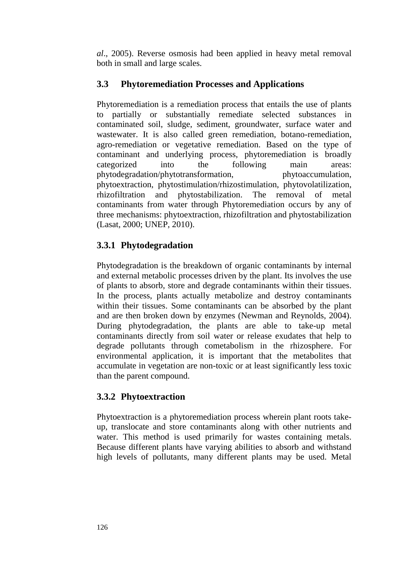*al*., 2005). Reverse osmosis had been applied in heavy metal removal both in small and large scales.

## **3.3 Phytoremediation Processes and Applications**

Phytoremediation is a remediation process that entails the use of plants to partially or substantially remediate selected substances in contaminated soil, sludge, sediment, groundwater, surface water and wastewater. It is also called green remediation, botano-remediation, agro-remediation or vegetative remediation. Based on the type of contaminant and underlying process, phytoremediation is broadly categorized into the following main areas: phytodegradation/phytotransformation, phytoaccumulation, phytoextraction, phytostimulation/rhizostimulation, phytovolatilization, rhizofiltration and phytostabilization. The removal of metal contaminants from water through Phytoremediation occurs by any of three mechanisms: phytoextraction, rhizofiltration and phytostabilization (Lasat, 2000; UNEP, 2010).

# **3.3.1 Phytodegradation**

Phytodegradation is the breakdown of organic contaminants by internal and external metabolic processes driven by the plant. Its involves the use of plants to absorb, store and degrade contaminants within their tissues. In the process, plants actually metabolize and destroy contaminants within their tissues. Some contaminants can be absorbed by the plant and are then broken down by enzymes (Newman and Reynolds, 2004). During phytodegradation, the plants are able to take-up metal contaminants directly from soil water or release exudates that help to degrade pollutants through cometabolism in the rhizosphere. For environmental application, it is important that the metabolites that accumulate in vegetation are non-toxic or at least significantly less toxic than the parent compound.

## **3.3.2 Phytoextraction**

Phytoextraction is a phytoremediation process wherein plant roots take up, translocate and store contaminants along with other nutrients and water. This method is used primarily for wastes containing metals. Because different plants have varying abilities to absorb and withstand high levels of pollutants, many different plants may be used. Metal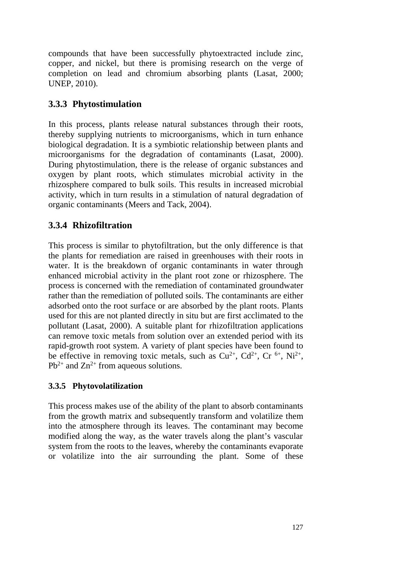compounds that have been successfully phytoextracted include zinc, copper, and nickel, but there is promising research on the verge of completion on lead and chromium absorbing plants (Lasat, 2000; UNEP, 2010).

### **3.3.3 Phytostimulation**

In this process, plants release natural substances through their roots, thereby supplying nutrients to microorganisms, which in turn enhance biological degradation. It is a symbiotic relationship between plants and microorganisms for the degradation of contaminants (Lasat, 2000). During phytostimulation, there is the release of organic substances and oxygen by plant roots, which stimulates microbial activity in the rhizosphere compared to bulk soils. This results in increased microbial activity, which in turn results in a stimulation of natural degradation of organic contaminants (Meers and Tack, 2004).

## **3.3.4 Rhizofiltration**

This process is similar to phytofiltration, but the only difference is that the plants for remediation are raised in greenhouses with their roots in water. It is the breakdown of organic contaminants in water through enhanced microbial activity in the plant root zone or rhizosphere. The process is concerned with the remediation of contaminated groundwater rather than the remediation of polluted soils. The contaminants are either adsorbed onto the root surface or are absorbed by the plant roots. Plants used for this are not planted directly in situ but are first acclimated to the pollutant (Lasat, 2000). A suitable plant for rhizofiltration applications can remove toxic metals from solution over an extended period with its rapid-growth root system. A variety of plant species have been found to be effective in removing toxic metals, such as  $Cu^{2+}$ ,  $Cd^{2+}$ ,  $Cr^{6+}$ ,  $Ni^{2+}$ ,  $Pb^{2+}$  and  $Zn^{2+}$  from aqueous solutions.

### **3.3.5 Phytovolatilization**

This process makes use of the ability of the plant to absorb contaminants from the growth matrix and subsequently transform and volatilize them into the atmosphere through its leaves. The contaminant may become modified along the way, as the water travels along the plant's vascular system from the roots to the leaves, whereby the contaminants evaporate or volatilize into the air surrounding the plant. Some of these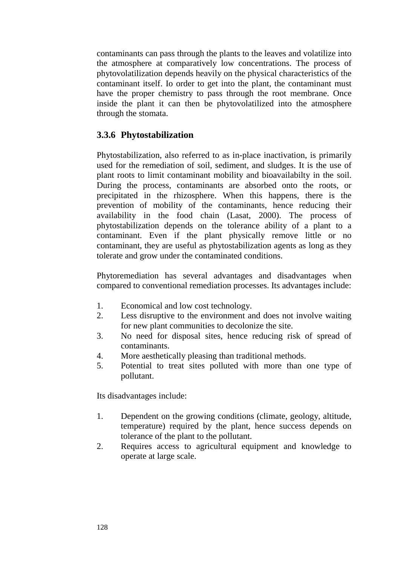contaminants can pass through the plants to the leaves and volatilize into the atmosphere at comparatively low concentrations. The process of phytovolatilization depends heavily on the physical characteristics of the contaminant itself. Io order to get into the plant, the contaminant must have the proper chemistry to pass through the root membrane. Once inside the plant it can then be phytovolatilized into the atmosphere through the stomata.

### **3.3.6 Phytostabilization**

Phytostabilization, also referred to as in-place inactivation, is primarily used for the remediation of soil, sediment, and sludges. It is the use of plant roots to limit contaminant mobility and bioavailabilty in the soil. During the process, contaminants are absorbed onto the roots, or precipitated in the rhizosphere. When this happens, there is the prevention of mobility of the contaminants, hence reducing their availability in the food chain (Lasat, 2000). The process of phytostabilization depends on the tolerance ability of a plant to a contaminant. Even if the plant physically remove little or no contaminant, they are useful as phytostabilization agents as long as they tolerate and grow under the contaminated conditions.

Phytoremediation has several advantages and disadvantages when compared to conventional remediation processes. Its advantages include:

- 1. Economical and low cost technology.
- 2. Less disruptive to the environment and does not involve waiting for new plant communities to decolonize the site.
- 3. No need for disposal sites, hence reducing risk of spread of contaminants.
- 4. More aesthetically pleasing than traditional methods.
- 5. Potential to treat sites polluted with more than one type of pollutant.

Its disadvantages include:

- 1. Dependent on the growing conditions (climate, geology, altitude, temperature) required by the plant, hence success depends on tolerance of the plant to the pollutant.
- 2. Requires access to agricultural equipment and knowledge to operate at large scale.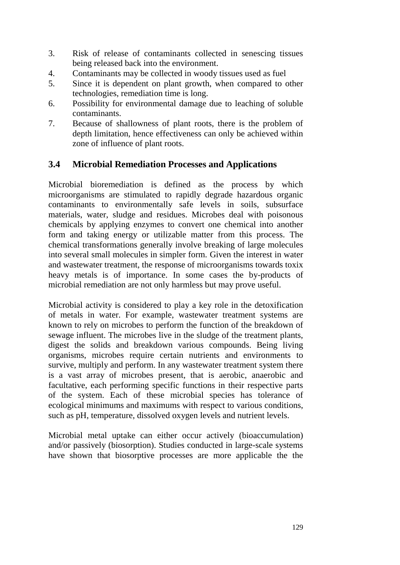- 3. Risk of release of contaminants collected in senescing tissues being released back into the environment.
- 4. Contaminants may be collected in woody tissues used as fuel
- 5. Since it is dependent on plant growth, when compared to other technologies, remediation time is long.
- 6. Possibility for environmental damage due to leaching of soluble contaminants.
- 7. Because of shallowness of plant roots, there is the problem of depth limitation, hence effectiveness can only be achieved within zone of influence of plant roots.

#### **3.4 Microbial Remediation Processes and Applications**

Microbial bioremediation is defined as the process by which microorganisms are stimulated to rapidly degrade hazardous organic contaminants to environmentally safe levels in soils, subsurface materials, water, sludge and residues. Microbes deal with poisonous chemicals by applying enzymes to convert one chemical into another form and taking energy or utilizable matter from this process. The chemical transformations generally involve breaking of large molecules into several small molecules in simpler form. Given the interest in water and wastewater treatment, the response of microorganisms towards toxix heavy metals is of importance. In some cases the by-products of microbial remediation are not only harmless but may prove useful.

Microbial activity is considered to play a key role in the detoxification of metals in water. For example, wastewater treatment systems are known to rely on microbes to perform the function of the breakdown of sewage influent. The microbes live in the sludge of the treatment plants, digest the solids and breakdown various compounds. Being living organisms, microbes require certain nutrients and environments to survive, multiply and perform. In any wastewater treatment system there is a vast array of microbes present, that is aerobic, anaerobic and facultative, each performing specific functions in their respective parts of the system. Each of these microbial species has tolerance of ecological minimums and maximums with respect to various conditions, such as pH, temperature, dissolved oxygen levels and nutrient levels.

Microbial metal uptake can either occur actively (bioaccumulation) and/or passively (biosorption). Studies conducted in large-scale systems have shown that biosorptive processes are more applicable the the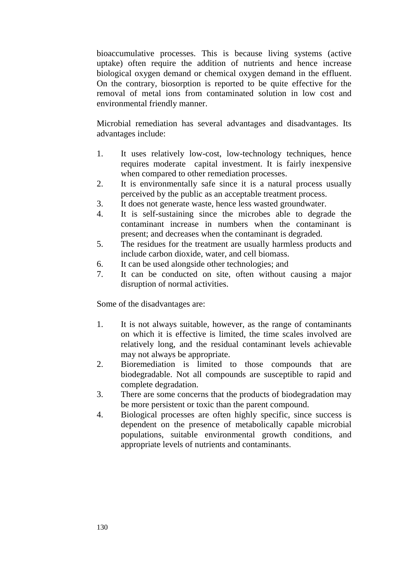bioaccumulative processes. This is because living systems (active uptake) often require the addition of nutrients and hence increase biological oxygen demand or chemical oxygen demand in the effluent. On the contrary, biosorption is reported to be quite effective for the removal of metal ions from contaminated solution in low cost and environmental friendly manner.

Microbial remediation has several advantages and disadvantages. Its advantages include:

- 1. It uses relatively low-cost, low-technology techniques, hence requires moderate capital investment. It is fairly inexpensive when compared to other remediation processes.
- 2. It is environmentally safe since it is a natural process usually perceived by the public as an acceptable treatment process.
- 3. It does not generate waste, hence less wasted groundwater.
- 4. It is self-sustaining since the microbes able to degrade the contaminant increase in numbers when the contaminant is present; and decreases when the contaminant is degraded.
- 5. The residues for the treatment are usually harmless products and include carbon dioxide, water, and cell biomass.
- 6. It can be used alongside other technologies; and
- 7. It can be conducted on site, often without causing a major disruption of normal activities.

Some of the disadvantages are:

- 1. It is not always suitable, however, as the range of contaminants on which it is effective is limited, the time scales involved are relatively long, and the residual contaminant levels achievable may not always be appropriate.
- 2. Bioremediation is limited to those compounds that are biodegradable. Not all compounds are susceptible to rapid and complete degradation.
- 3. There are some concerns that the products of biodegradation may be more persistent or toxic than the parent compound.
- 4. Biological processes are often highly specific, since success is dependent on the presence of metabolically capable microbial populations, suitable environmental growth conditions, and appropriate levels of nutrients and contaminants.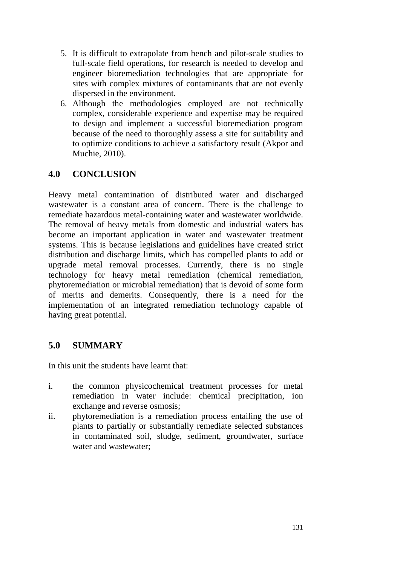- 5. It is difficult to extrapolate from bench and pilot-scale studies to full-scale field operations, for research is needed to develop and engineer bioremediation technologies that are appropriate for sites with complex mixtures of contaminants that are not evenly dispersed in the environment.
- 6. Although the methodologies employed are not technically complex, considerable experience and expertise may be required to design and implement a successful bioremediation program because of the need to thoroughly assess a site for suitability and to optimize conditions to achieve a satisfactory result (Akpor and Muchie, 2010).

# **4.0 CONCLUSION**

Heavy metal contamination of distributed water and discharged wastewater is a constant area of concern. There is the challenge to remediate hazardous metal-containing water and wastewater worldwide. The removal of heavy metals from domestic and industrial waters has become an important application in water and wastewater treatment systems. This is because legislations and guidelines have created strict distribution and discharge limits, which has compelled plants to add or upgrade metal removal processes. Currently, there is no single technology for heavy metal remediation (chemical remediation, phytoremediation or microbial remediation) that is devoid of some form of merits and demerits. Consequently, there is a need for the implementation of an integrated remediation technology capable of having great potential.

## **5.0 SUMMARY**

In this unit the students have learnt that:

- i. the common physicochemical treatment processes for metal remediation in water include: chemical precipitation, ion exchange and reverse osmosis;
- ii. phytoremediation is a remediation process entailing the use of plants to partially or substantially remediate selected substances in contaminated soil, sludge, sediment, groundwater, surface water and wastewater;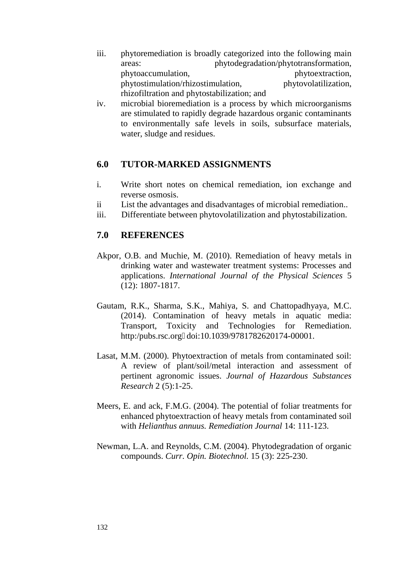- iii. phytoremediation is broadly categorized into the following main areas: phytodegradation/phytotransformation, phytoaccumulation, phytoextraction, phytostimulation/rhizostimulation, phytovolatilization, rhizofiltration and phytostabilization; and
- iv. microbial bioremediation is a process by which microorganisms are stimulated to rapidly degrade hazardous organic contaminants to environmentally safe levels in soils, subsurface materials, water, sludge and residues.

#### **6.0 TUTOR-MARKED ASSIGNMENTS**

- i. Write short notes on chemical remediation, ion exchange and reverse osmosis.
- ii List the advantages and disadvantages of microbial remediation..
- iii. Differentiate between phytovolatilization and phytostabilization.

#### **7.0 REFERENCES**

- Akpor, O.B. and Muchie, M. (2010). Remediation of heavy metals in drinking water and wastewater treatment systems: Processes and applications. *International Journal of the Physical Sciences* 5 (12): 1807-1817.
- Gautam, R.K., Sharma, S.K., Mahiya, S. and Chattopadhyaya, M.C. (2014). Contamination of heavy metals in aquatic media: Transport, Toxicity and Technologies for Remediation. http:/pubs.rsc.org doi:10.1039/9781782620174-00001.
- Lasat, M.M. (2000). Phytoextraction of metals from contaminated soil: A review of plant/soil/metal interaction and assessment of pertinent agronomic issues. *Journal of Hazardous Substances Research* 2 (5):1-25.
- Meers, E. and ack, F.M.G. (2004). The potential of foliar treatments for enhanced phytoextraction of heavy metals from contaminated soil with *Helianthus annuus. Remediation Journal* 14: 111-123.
- Newman, L.A. and Reynolds, C.M. (2004). Phytodegradation of organic compounds. *Curr. Opin. Biotechnol.* 15 (3): 225-230.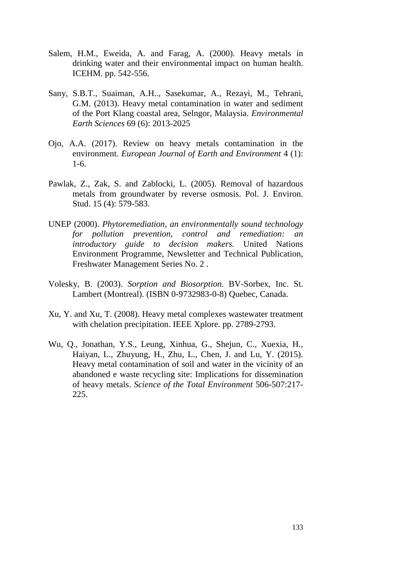- Salem, H.M., Eweida, A. and Farag, A. (2000). Heavy metals in drinking water and their environmental impact on human health. ICEHM. pp. 542-556.
- Sany, S.B.T., Suaiman, A.H.., Sasekumar, A., Rezayi, M., Tehrani, G.M. (2013). Heavy metal contamination in water and sediment of the Port Klang coastal area, Selngor, Malaysia. *Environmental Earth Sciences* 69 (6): 2013-2025
- Ojo, A.A. (2017). Review on heavy metals contamination in the environment. *European Journal of Earth and Environment* 4 (1): 1-6.
- Pawlak, Z., Zak, S. and Zablocki, L. (2005). Removal of hazardous metals from groundwater by reverse osmosis. Pol. J. Environ. Stud. 15 (4): 579-583.
- UNEP (2000). *Phytoremediation, an environmentally sound technology for pollution prevention, control and remediation: an introductory guide to decision makers.* United Nations Environment Programme, Newsletter and Technical Publication, Freshwater Management Series No. 2 .
- Volesky, B. (2003). *Sorption and Biosorption*. BV-Sorbex, Inc. St. Lambert (Montreal). (ISBN 0-9732983-0-8) Quebec, Canada.
- Xu, Y. and Xu, T. (2008). Heavy metal complexes wastewater treatment with chelation precipitation. IEEE Xplore. pp. 2789-2793.
- Wu, Q., Jonathan, Y.S., Leung, Xinhua, G., Shejun, C., Xuexia, H., Haiyan, L., Zhuyung, H., Zhu, L., Chen, J. and Lu, Y. (2015). Heavy metal contamination of soil and water in the vicinity of an abandoned e waste recycling site: Implications for dissemination of heavy metals. *Science of the Total Environment* 506-507:217- 225.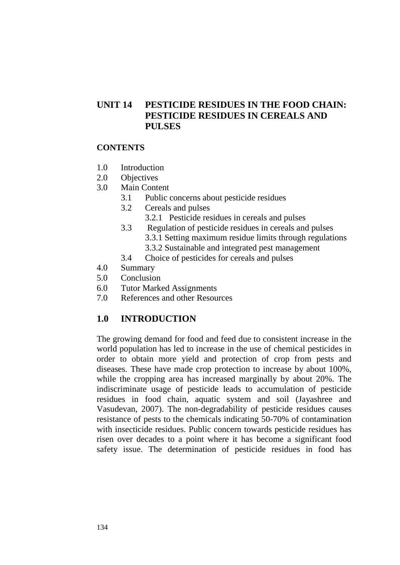# **UNIT 14 PESTICIDE RESIDUES IN THE FOOD CHAIN: PESTICIDE RESIDUES IN CEREALS AND PULSES**

#### **CONTENTS**

- 1.0 Introduction
- 2.0 Objectives
- 3.0 Main Content
	- 3.1 Public concerns about pesticide residues
	- 3.2 Cereals and pulses
		- 3.2.1 Pesticide residues in cereals and pulses
	- 3.3 Regulation of pesticide residues in cereals and pulses
		- 3.3.1 Setting maximum residue limits through regulations
		- 3.3.2 Sustainable and integrated pest management
	- 3.4 Choice of pesticides for cereals and pulses
- 4.0 Summary
- 5.0 Conclusion
- 6.0 Tutor Marked Assignments
- 7.0 References and other Resources

### **1.0 INTRODUCTION**

The growing demand for food and feed due to consistent increase in the world population has led to increase in the use of chemical pesticides in order to obtain more yield and protection of crop from pests and diseases. These have made crop protection to increase by about 100%, while the cropping area has increased marginally by about 20%. The indiscriminate usage of pesticide leads to accumulation of pesticide residues in food chain, aquatic system and soil (Jayashree and Vasudevan, 2007). The non-degradability of pesticide residues causes resistance of pests to the chemicals indicating 50-70% of contamination with insecticide residues. Public concern towards pesticide residues has risen over decades to a point where it has become a significant food safety issue. The determination of pesticide residues in food has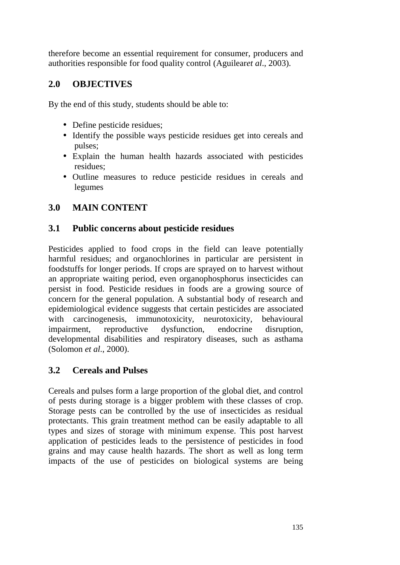therefore become an essential requirement for consumer, producers and authorities responsible for food quality control (Aguilear*et al*., 2003).

# **2.0 OBJECTIVES**

By the end of this study, students should be able to:

- Define pesticide residues;
- Identify the possible ways pesticide residues get into cereals and pulses;
- Explain the human health hazards associated with pesticides residues;
- Outline measures to reduce pesticide residues in cereals and legumes

# **3.0 MAIN CONTENT**

### **3.1 Public concerns about pesticide residues**

Pesticides applied to food crops in the field can leave potentially harmful residues; and organochlorines in particular are persistent in foodstuffs for longer periods. If crops are sprayed on to harvest without an appropriate waiting period, even organophosphorus insecticides can persist in food. Pesticide residues in foods are a growing source of concern for the general population. A substantial body of research and epidemiological evidence suggests that certain pesticides are associated with carcinogenesis, immunotoxicity, neurotoxicity, behavioural impairment, reproductive dysfunction, endocrine disruption, developmental disabilities and respiratory diseases, such as asthama (Solomon *et al*., 2000).

## **3.2 Cereals and Pulses**

Cereals and pulses form a large proportion of the global diet, and control of pests during storage is a bigger problem with these classes of crop. Storage pests can be controlled by the use of insecticides as residual protectants. This grain treatment method can be easily adaptable to all types and sizes of storage with minimum expense. This post harvest application of pesticides leads to the persistence of pesticides in food grains and may cause health hazards. The short as well as long term impacts of the use of pesticides on biological systems are being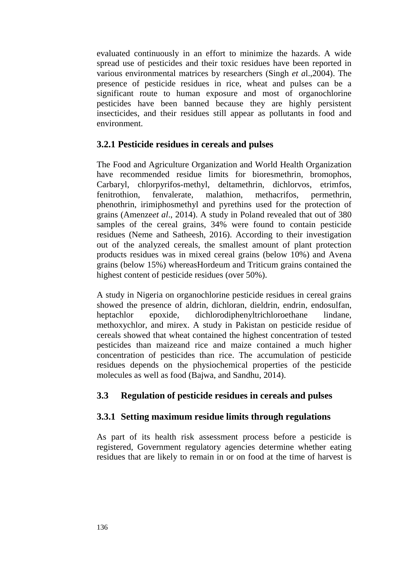evaluated continuously in an effort to minimize the hazards. A wide spread use of pesticides and their toxic residues have been reported in various environmental matrices by researchers (Singh *et a*l.,2004). The presence of pesticide residues in rice, wheat and pulses can be a significant route to human exposure and most of organochlorine pesticides have been banned because they are highly persistent insecticides, and their residues still appear as pollutants in food and environment.

### **3.2.1 Pesticide residues in cereals and pulses**

The Food and Agriculture Organization and World Health Organization have recommended residue limits for bioresmethrin, bromophos, Carbaryl, chlorpyrifos-methyl, deltamethrin, dichlorvos, etrimfos, fenitrothion, fenvalerate, malathion, methacrifos, permethrin, phenothrin, irimiphosmethyl and pyrethins used for the protection of grains (Amenze*et al*., 2014). A study in Poland revealed that out of 380 samples of the cereal grains, 34% were found to contain pesticide residues (Neme and Satheesh, 2016). According to their investigation out of the analyzed cereals, the smallest amount of plant protection products residues was in mixed cereal grains (below 10%) and Avena grains (below 15%) whereasHordeum and Triticum grains contained the highest content of pesticide residues (over 50%).

A study in Nigeria on organochlorine pesticide residues in cereal grains showed the presence of aldrin, dichloran, dieldrin, endrin, endosulfan, heptachlor epoxide, dichlorodiphenyltrichloroethane lindane, methoxychlor, and mirex. A study in Pakistan on pesticide residue of cereals showed that wheat contained the highest concentration of tested pesticides than maizeand rice and maize contained a much higher concentration of pesticides than rice. The accumulation of pesticide residues depends on the physiochemical properties of the pesticide molecules as well as food (Bajwa, and Sandhu, 2014).

## **3.3 Regulation of pesticide residues in cereals and pulses**

### **3.3.1 Setting maximum residue limits through regulations**

As part of its health risk assessment process before a pesticide is registered, Government regulatory agencies determine whether eating residues that are likely to remain in or on food at the time of harvest is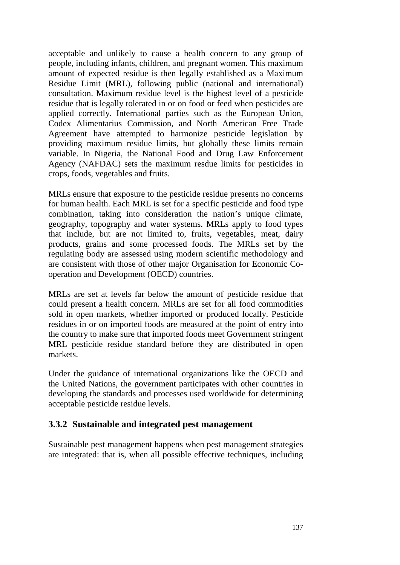acceptable and unlikely to cause a health concern to any group of people, including infants, children, and pregnant women. This maximum amount of expected residue is then legally established as a Maximum Residue Limit (MRL), following public (national and international) consultation. Maximum residue level is the highest level of a pesticide residue that is legally tolerated in or on food or feed when pesticides are applied correctly. International parties such as the European Union, Codex Alimentarius Commission, and North American Free Trade Agreement have attempted to harmonize pesticide legislation by providing maximum residue limits, but globally these limits remain variable. In Nigeria, the National Food and Drug Law Enforcement Agency (NAFDAC) sets the maximum resdue limits for pesticides in crops, foods, vegetables and fruits.

MRLs ensure that exposure to the pesticide residue presents no concerns for human health. Each MRL is set for a specific pesticide and food type combination, taking into consideration the nation's unique climate, geography, topography and water systems. MRLs apply to food types that include, but are not limited to, fruits, vegetables, meat, dairy products, grains and some processed foods. The MRLs set by the regulating body are assessed using modern scientific methodology and are consistent with those of other major Organisation for Economic Co operation and Development (OECD) countries.

MRLs are set at levels far below the amount of pesticide residue that could present a health concern. MRLs are set for all food commodities sold in open markets, whether imported or produced locally. Pesticide residues in or on imported foods are measured at the point of entry into the country to make sure that imported foods meet Government stringent MRL pesticide residue standard before they are distributed in open markets.

Under the guidance of international organizations like the OECD and the United Nations, the government participates with other countries in developing the standards and processes used worldwide for determining acceptable pesticide residue levels.

#### **3.3.2 Sustainable and integrated pest management**

Sustainable pest management happens when pest management strategies are integrated: that is, when all possible effective techniques, including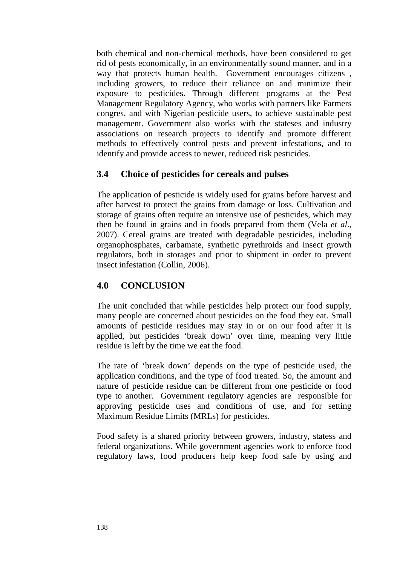both chemical and non-chemical methods, have been considered to get rid of pests economically, in an environmentally sound manner, and in a way that protects human health. Government encourages citizens , including growers, to reduce their reliance on and minimize their exposure to pesticides. Through different programs at the Pest Management Regulatory Agency, who works with partners like Farmers congres, and with Nigerian pesticide users, to achieve sustainable pest management. Government also works with the stateses and industry associations on research projects to identify and promote different methods to effectively control pests and prevent infestations, and to identify and provide access to newer, reduced risk pesticides.

### **3.4 Choice of pesticides for cereals and pulses**

The application of pesticide is widely used for grains before harvest and after harvest to protect the grains from damage or loss. Cultivation and storage of grains often require an intensive use of pesticides, which may then be found in grains and in foods prepared from them (Vela *et al*., 2007). Cereal grains are treated with degradable pesticides, including organophosphates, carbamate, synthetic pyrethroids and insect growth regulators, both in storages and prior to shipment in order to prevent insect infestation (Collin, 2006).

### **4.0 CONCLUSION**

The unit concluded that while pesticides help protect our food supply, many people are concerned about pesticides on the food they eat. Small amounts of pesticide residues may stay in or on our food after it is applied, but pesticides 'break down' over time, meaning very little residue is left by the time we eat the food.

The rate of 'break down' depends on the type of pesticide used, the application conditions, and the type of food treated. So, the amount and nature of pesticide residue can be different from one pesticide or food type to another. Government regulatory agencies are responsible for approving pesticide uses and conditions of use, and for setting Maximum Residue Limits (MRLs) for pesticides.

Food safety is a shared priority between growers, industry, statess and federal organizations. While government agencies work to enforce food regulatory laws, food producers help keep food safe by using and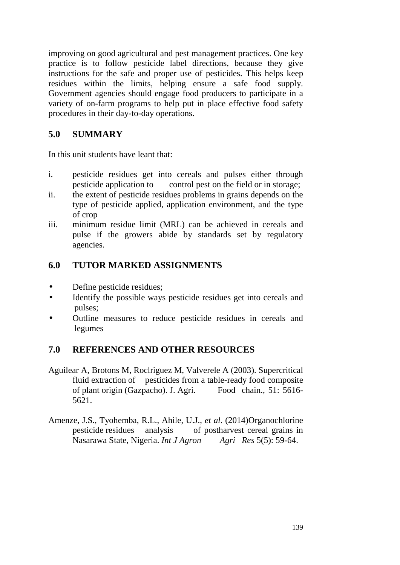improving on good agricultural and pest management practices. One key practice is to follow pesticide label directions, because they give instructions for the safe and proper use of pesticides. This helps keep residues within the limits, helping ensure a safe food supply. Government agencies should engage food producers to participate in a variety of on-farm programs to help put in place effective food safety procedures in their day-to-day operations.

### **5.0 SUMMARY**

In this unit students have leant that:

- i. pesticide residues get into cereals and pulses either through pesticide application to control pest on the field or in storage;
- ii. the extent of pesticide residues problems in grains depends on the type of pesticide applied, application environment, and the type of crop
- iii. minimum residue limit (MRL) can be achieved in cereals and pulse if the growers abide by standards set by regulatory agencies.

### **6.0 TUTOR MARKED ASSIGNMENTS**

- Define pesticide residues;
- Identify the possible ways pesticide residues get into cereals and pulses;
- Outline measures to reduce pesticide residues in cereals and legumes

## **7.0 REFERENCES AND OTHER RESOURCES**

- Aguilear A, Brotons M, Roclriguez M, Valverele A (2003). Supercritical fluid extraction of pesticides from a table-ready food composite of plant origin (Gazpacho). J. Agri. Food chain., 51: 5616- 5621.
- Amenze, J.S., Tyohemba, R.L., Ahile, U.J., *et al*. (2014)Organochlorine pesticide residues analysis of postharvest cereal grains in Nasarawa State, Nigeria. *Int J Agron Agri Res* 5(5): 59-64.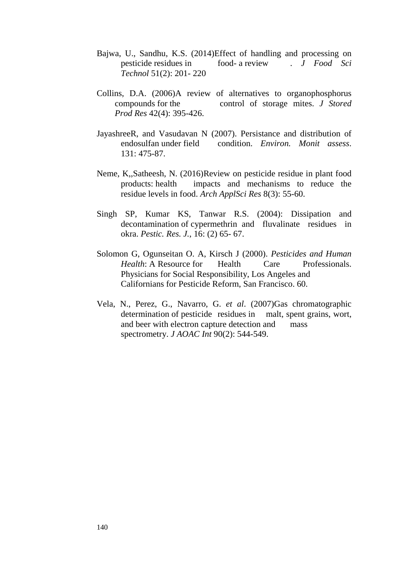- Bajwa, U., Sandhu, K.S. (2014)Effect of handling and processing on pesticide residues in food- a review . *J Food Sci Technol* 51(2): 201- 220
- Collins, D.A. (2006)A review of alternatives to organophosphorus compounds for the control of storage mites. *J Stored Prod Res* 42(4): 395-426.
- JayashreeR, and Vasudavan N (2007). Persistance and distribution of endosulfan under field condition. *Environ. Monit assess*. 131: 475-87.
- Neme, K,,Satheesh, N. (2016)Review on pesticide residue in plant food products: health impacts and mechanisms to reduce the residue levels in food. *Arch ApplSci Res* 8(3): 55-60.
- Singh SP, Kumar KS, Tanwar R.S. (2004): Dissipation and decontamination of cypermethrin and fluvalinate residues in okra. *Pestic. Res. J.*, 16: (2) 65- 67.
- Solomon G, Ogunseitan O. A, Kirsch J (2000). *Pesticides and Human Health*: A Resource for Health Care Professionals. Physicians for Social Responsibility, Los Angeles and Californians for Pesticide Reform, San Francisco. 60.
- Vela, N., Perez, G., Navarro, G. *et al*. (2007)Gas chromatographic determination of pesticide residues in malt, spent grains, wort, and beer with electron capture detection and mass spectrometry. *J AOAC Int* 90(2): 544-549.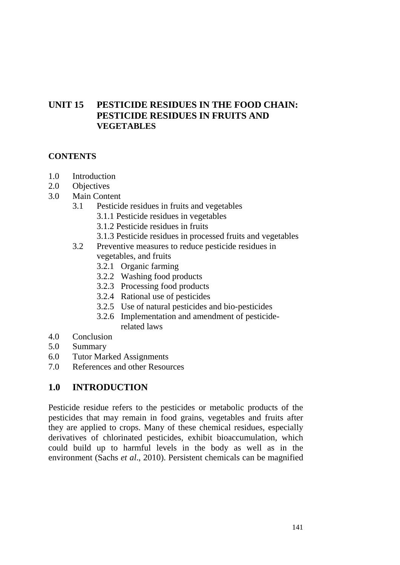# **UNIT 15 PESTICIDE RESIDUES IN THE FOOD CHAIN: PESTICIDE RESIDUES IN FRUITS AND VEGETABLES**

#### **CONTENTS**

- 1.0 Introduction
- 2.0 Objectives
- 3.0 Main Content
	- 3.1 Pesticide residues in fruits and vegetables
		- 3.1.1 Pesticide residues in vegetables
		- 3.1.2 Pesticide residues in fruits
		- 3.1.3 Pesticide residues in processed fruits and vegetables
	- 3.2 Preventive measures to reduce pesticide residues in
		- vegetables, and fruits
		- 3.2.1 Organic farming
		- 3.2.2 Washing food products
		- 3.2.3 Processing food products
		- 3.2.4 Rational use of pesticides
		- 3.2.5 Use of natural pesticides and bio-pesticides
		- 3.2.6 Implementation and amendment of pesticiderelated laws
- 4.0 Conclusion
- 5.0 Summary
- 6.0 Tutor Marked Assignments
- 7.0 References and other Resources

### **1.0 INTRODUCTION**

Pesticide residue refers to the pesticides or metabolic products of the pesticides that may remain in food grains, vegetables and fruits after they are applied to crops. Many of these chemical residues, especially derivatives of chlorinated pesticides, exhibit bioaccumulation, which could build up to harmful levels in the body as well as in the environment (Sachs *et al*., 2010). Persistent chemicals can be magnified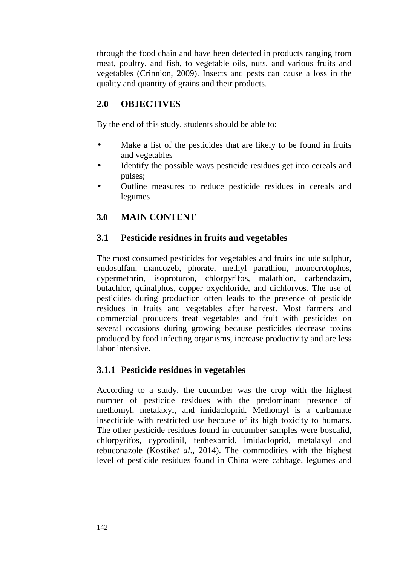through the food chain and have been detected in products ranging from meat, poultry, and fish, to vegetable oils, nuts, and various fruits and vegetables (Crinnion, 2009). Insects and pests can cause a loss in the quality and quantity of grains and their products.

# **2.0 OBJECTIVES**

By the end of this study, students should be able to:

- Make a list of the pesticides that are likely to be found in fruits and vegetables
- Identify the possible ways pesticide residues get into cereals and pulses;
- Outline measures to reduce pesticide residues in cereals and legumes

# **3.0 MAIN CONTENT**

### **3.1 Pesticide residues in fruits and vegetables**

The most consumed pesticides for vegetables and fruits include sulphur, endosulfan, mancozeb, phorate, methyl parathion, monocrotophos, cypermethrin, isoproturon, chlorpyrifos, malathion, carbendazim, butachlor, quinalphos, copper oxychloride, and dichlorvos. The use of pesticides during production often leads to the presence of pesticide residues in fruits and vegetables after harvest. Most farmers and commercial producers treat vegetables and fruit with pesticides on several occasions during growing because pesticides decrease toxins produced by food infecting organisms, increase productivity and are less labor intensive.

### **3.1.1 Pesticide residues in vegetables**

According to a study, the cucumber was the crop with the highest number of pesticide residues with the predominant presence of methomyl, metalaxyl, and imidacloprid. Methomyl is a carbamate insecticide with restricted use because of its high toxicity to humans. The other pesticide residues found in cucumber samples were boscalid, chlorpyrifos, cyprodinil, fenhexamid, imidacloprid, metalaxyl and tebuconazole (Kostik*et al*., 2014). The commodities with the highest level of pesticide residues found in China were cabbage, legumes and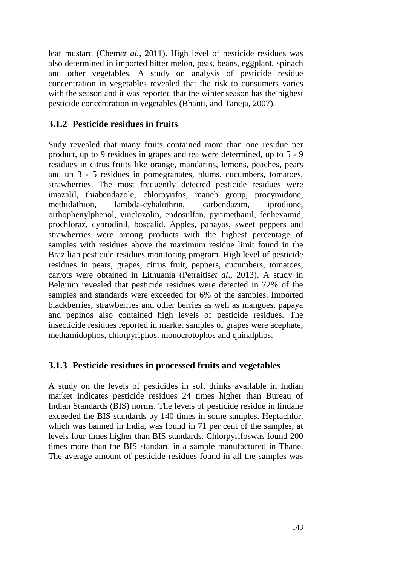leaf mustard (Chem*et al.*, 2011). High level of pesticide residues was also determined in imported bitter melon, peas, beans, eggplant, spinach and other vegetables. A study on analysis of pesticide residue concentration in vegetables revealed that the risk to consumers varies with the season and it was reported that the winter season has the highest pesticide concentration in vegetables (Bhanti, and Taneja, 2007).

#### **3.1.2 Pesticide residues in fruits**

Sudy revealed that many fruits contained more than one residue per product, up to 9 residues in grapes and tea were determined, up to 5 - 9 residues in citrus fruits like orange, mandarins, lemons, peaches, pears and up 3 - 5 residues in pomegranates, plums, cucumbers, tomatoes, strawberries. The most frequently detected pesticide residues were imazalil, thiabendazole, chlorpyrifos, maneb group, procymidone, methidathion, lambda-cyhalothrin, carbendazim, iprodione, orthophenylphenol, vinclozolin, endosulfan, pyrimethanil, fenhexamid, prochloraz, cyprodinil, boscalid. Apples, papayas, sweet peppers and strawberries were among products with the highest percentage of samples with residues above the maximum residue limit found in the Brazilian pesticide residues monitoring program. High level of pesticide residues in pears, grapes, citrus fruit, peppers, cucumbers, tomatoes, carrots were obtained in Lithuania (Petraitis*et al*., 2013). A study in Belgium revealed that pesticide residues were detected in 72% of the samples and standards were exceeded for 6% of the samples. Imported blackberries, strawberries and other berries as well as mangoes, papaya and pepinos also contained high levels of pesticide residues. The insecticide residues reported in market samples of grapes were acephate, methamidophos, chlorpyriphos, monocrotophos and quinalphos.

#### **3.1.3 Pesticide residues in processed fruits and vegetables**

A study on the levels of pesticides in soft drinks available in Indian market indicates pesticide residues 24 times higher than Bureau of Indian Standards (BIS) norms. The levels of pesticide residue in lindane exceeded the BIS standards by 140 times in some samples. Heptachlor, which was banned in India, was found in 71 per cent of the samples, at levels four times higher than BIS standards. Chlorpyrifoswas found 200 times more than the BIS standard in a sample manufactured in Thane. The average amount of pesticide residues found in all the samples was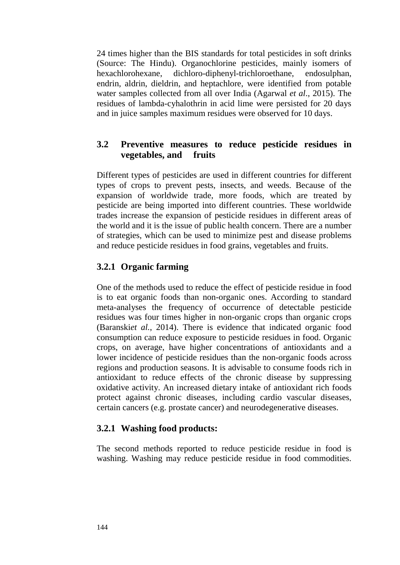24 times higher than the BIS standards for total pesticides in soft drinks (Source: The Hindu). Organochlorine pesticides, mainly isomers of hexachlorohexane, dichloro-diphenyl-trichloroethane, endosulphan, endrin, aldrin, dieldrin, and heptachlore, were identified from potable water samples collected from all over India (Agarwal *et al*., 2015). The residues of lambda-cyhalothrin in acid lime were persisted for 20 days and in juice samples maximum residues were observed for 10 days.

## **3.2 Preventive measures to reduce pesticide residues in vegetables, and fruits**

Different types of pesticides are used in different countries for different types of crops to prevent pests, insects, and weeds. Because of the expansion of worldwide trade, more foods, which are treated by pesticide are being imported into different countries. These worldwide trades increase the expansion of pesticide residues in different areas of the world and it is the issue of public health concern. There are a number of strategies, which can be used to minimize pest and disease problems and reduce pesticide residues in food grains, vegetables and fruits.

### **3.2.1 Organic farming**

One of the methods used to reduce the effect of pesticide residue in food is to eat organic foods than non-organic ones. According to standard meta-analyses the frequency of occurrence of detectable pesticide residues was four times higher in non-organic crops than organic crops (Baranski*et al.*, 2014). There is evidence that indicated organic food consumption can reduce exposure to pesticide residues in food. Organic crops, on average, have higher concentrations of antioxidants and a lower incidence of pesticide residues than the non-organic foods across regions and production seasons. It is advisable to consume foods rich in antioxidant to reduce effects of the chronic disease by suppressing oxidative activity. An increased dietary intake of antioxidant rich foods protect against chronic diseases, including cardio vascular diseases, certain cancers (e.g. prostate cancer) and neurodegenerative diseases.

### **3.2.1 Washing food products:**

The second methods reported to reduce pesticide residue in food is washing. Washing may reduce pesticide residue in food commodities.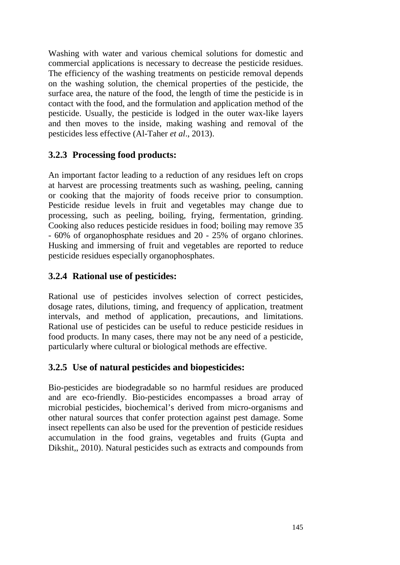Washing with water and various chemical solutions for domestic and commercial applications is necessary to decrease the pesticide residues. The efficiency of the washing treatments on pesticide removal depends on the washing solution, the chemical properties of the pesticide, the surface area, the nature of the food, the length of time the pesticide is in contact with the food, and the formulation and application method of the pesticide. Usually, the pesticide is lodged in the outer wax-like layers and then moves to the inside, making washing and removal of the pesticides less effective (Al-Taher *et al*., 2013).

## **3.2.3 Processing food products:**

An important factor leading to a reduction of any residues left on crops at harvest are processing treatments such as washing, peeling, canning or cooking that the majority of foods receive prior to consumption. Pesticide residue levels in fruit and vegetables may change due to processing, such as peeling, boiling, frying, fermentation, grinding. Cooking also reduces pesticide residues in food; boiling may remove 35 - 60% of organophosphate residues and 20 - 25% of organo chlorines. Husking and immersing of fruit and vegetables are reported to reduce pesticide residues especially organophosphates.

## **3.2.4 Rational use of pesticides:**

Rational use of pesticides involves selection of correct pesticides, dosage rates, dilutions, timing, and frequency of application, treatment intervals, and method of application, precautions, and limitations. Rational use of pesticides can be useful to reduce pesticide residues in food products. In many cases, there may not be any need of a pesticide, particularly where cultural or biological methods are effective.

### **3.2.5 Use of natural pesticides and biopesticides:**

Bio-pesticides are biodegradable so no harmful residues are produced and are eco-friendly. Bio-pesticides encompasses a broad array of microbial pesticides, biochemical's derived from micro-organisms and other natural sources that confer protection against pest damage. Some insect repellents can also be used for the prevention of pesticide residues accumulation in the food grains, vegetables and fruits (Gupta and Dikshit,, 2010). Natural pesticides such as extracts and compounds from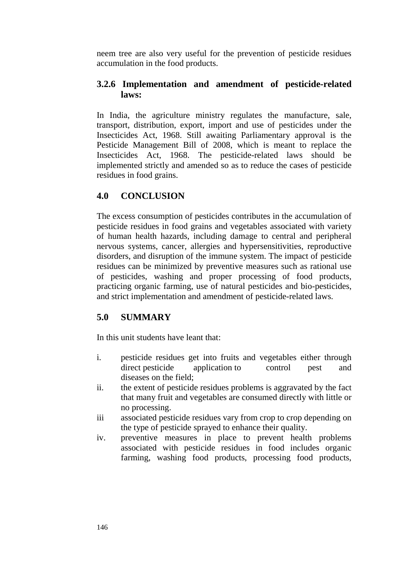neem tree are also very useful for the prevention of pesticide residues accumulation in the food products.

# **3.2.6 Implementation and amendment of pesticide-related laws:**

In India, the agriculture ministry regulates the manufacture, sale, transport, distribution, export, import and use of pesticides under the Insecticides Act, 1968. Still awaiting Parliamentary approval is the Pesticide Management Bill of 2008, which is meant to replace the Insecticides Act, 1968. The pesticide-related laws should be implemented strictly and amended so as to reduce the cases of pesticide residues in food grains.

# **4.0 CONCLUSION**

The excess consumption of pesticides contributes in the accumulation of pesticide residues in food grains and vegetables associated with variety of human health hazards, including damage to central and peripheral nervous systems, cancer, allergies and hypersensitivities, reproductive disorders, and disruption of the immune system. The impact of pesticide residues can be minimized by preventive measures such as rational use of pesticides, washing and proper processing of food products, practicing organic farming, use of natural pesticides and bio-pesticides, and strict implementation and amendment of pesticide-related laws.

# **5.0 SUMMARY**

In this unit students have leant that:

- i. pesticide residues get into fruits and vegetables either through direct pesticide application to control pest and diseases on the field;
- ii. the extent of pesticide residues problems is aggravated by the fact that many fruit and vegetables are consumed directly with little or no processing.
- iii associated pesticide residues vary from crop to crop depending on the type of pesticide sprayed to enhance their quality.
- iv. preventive measures in place to prevent health problems associated with pesticide residues in food includes organic farming, washing food products, processing food products,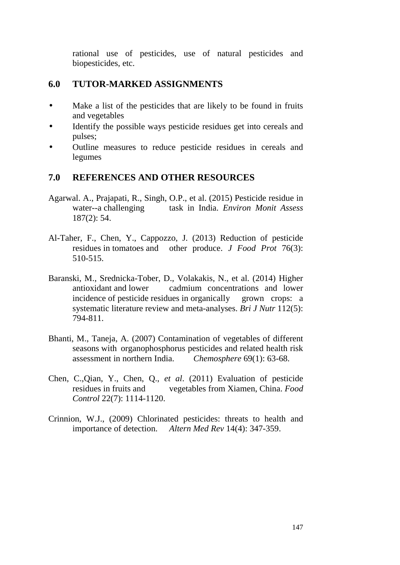rational use of pesticides, use of natural pesticides and biopesticides, etc.

### **6.0 TUTOR-MARKED ASSIGNMENTS**

- Make a list of the pesticides that are likely to be found in fruits and vegetables
- Identify the possible ways pesticide residues get into cereals and pulses;
- Outline measures to reduce pesticide residues in cereals and legumes

## **7.0 REFERENCES AND OTHER RESOURCES**

- Agarwal. A., Prajapati, R., Singh, O.P., et al. (2015) Pesticide residue in water--a challenging task in India. *Environ Monit Assess* 187(2): 54.
- Al-Taher, F., Chen, Y., Cappozzo, J. (2013) Reduction of pesticide residues in tomatoes and other produce. *J Food Prot* 76(3): 510-515.
- Baranski, M., Srednicka-Tober, D., Volakakis, N., et al. (2014) Higher antioxidant and lower cadmium concentrations and lower incidence of pesticide residues in organically grown crops: a systematic literature review and meta-analyses. *Bri J Nutr* 112(5): 794-811.
- Bhanti, M., Taneja, A. (2007) Contamination of vegetables of different seasons with organophosphorus pesticides and related health risk<br>assessment in northern India. Chemosphere 69(1): 63-68. Chemosphere 69(1): 63-68.
- Chen, C.,Qian, Y., Chen, Q., *et al*. (2011) Evaluation of pesticide residues in fruits and vegetables from Xiamen, China. *Food Control* 22(7): 1114-1120.
- Crinnion, W.J., (2009) Chlorinated pesticides: threats to health and importance of detection. *Altern Med Rev* 14(4): 347-359.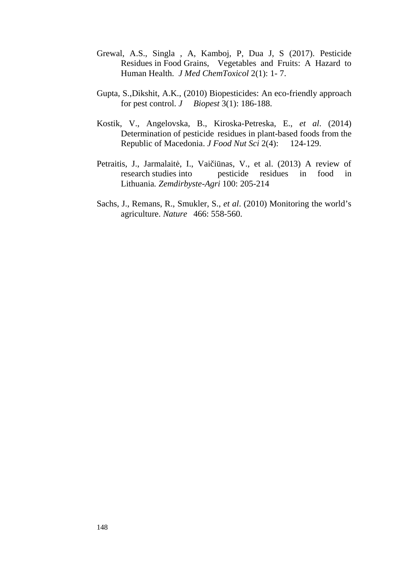- Grewal, A.S., Singla , A, Kamboj, P, Dua J, S (2017). Pesticide Residues in Food Grains, Vegetables and Fruits: A Hazard to Human Health. *J Med ChemToxicol* 2(1): 1- 7.
- Gupta, S.,Dikshit, A.K., (2010) Biopesticides: An eco-friendly approach for pest control. *J Biopest* 3(1): 186-188.
- Kostik, V., Angelovska, B., Kiroska-Petreska, E., *et al*. (2014) Determination of pesticide residues in plant-based foods from the Republic of Macedonia. *J Food Nut Sci* 2(4): 124-129.
- Petraitis, J., Jarmalait, I., Vai i nas, V., et al. (2013) A review of research studies into pesticide residues in food in Lithuania*. Zemdirbyste-Agri* 100: 205-214
- Sachs, J., Remans, R., Smukler, S., *et al*. (2010) Monitoring the world's agriculture. *Nature* 466: 558-560.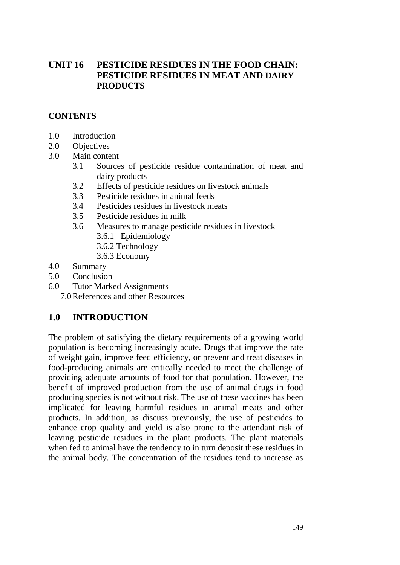## **UNIT 16 PESTICIDE RESIDUES IN THE FOOD CHAIN: PESTICIDE RESIDUES IN MEAT AND DAIRY PRODUCTS**

### **CONTENTS**

- 1.0 Introduction
- 2.0 Objectives
- 3.0 Main content
	- 3.1 Sources of pesticide residue contamination of meat and dairy products
	- 3.2 Effects of pesticide residues on livestock animals
	- 3.3 Pesticide residues in animal feeds
	- 3.4 Pesticides residues in livestock meats
	- 3.5 Pesticide residues in milk
	- 3.6 Measures to manage pesticide residues in livestock
		- 3.6.1 Epidemiology
		- 3.6.2 Technology
		- 3.6.3 Economy
- 4.0 Summary
- 5.0 Conclusion
- 6.0 Tutor Marked Assignments
	- 7.0References and other Resources

### **1.0 INTRODUCTION**

The problem of satisfying the dietary requirements of a growing world population is becoming increasingly acute. Drugs that improve the rate of weight gain, improve feed efficiency, or prevent and treat diseases in food-producing animals are critically needed to meet the challenge of providing adequate amounts of food for that population. However, the benefit of improved production from the use of animal drugs in food producing species is not without risk. The use of these vaccines has been implicated for leaving harmful residues in animal meats and other products. In addition, as discuss previously, the use of pesticides to enhance crop quality and yield is also prone to the attendant risk of leaving pesticide residues in the plant products. The plant materials when fed to animal have the tendency to in turn deposit these residues in the animal body. The concentration of the residues tend to increase as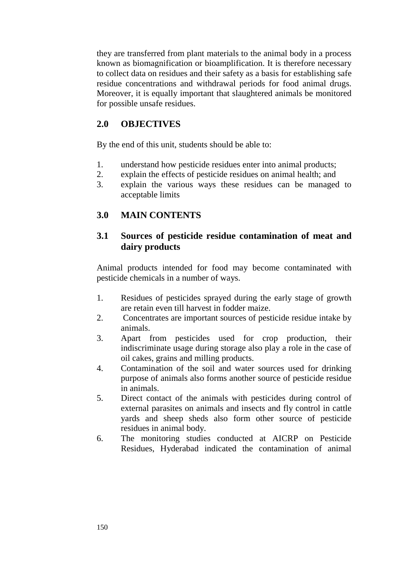they are transferred from plant materials to the animal body in a process known as biomagnification or bioamplification. It is therefore necessary to collect data on residues and their safety as a basis for establishing safe residue concentrations and withdrawal periods for food animal drugs. Moreover, it is equally important that slaughtered animals be monitored for possible unsafe residues.

## **2.0 OBJECTIVES**

By the end of this unit, students should be able to:

- 1. understand how pesticide residues enter into animal products;
- 2. explain the effects of pesticide residues on animal health; and
- 3. explain the various ways these residues can be managed to acceptable limits

### **3.0 MAIN CONTENTS**

### **3.1 Sources of pesticide residue contamination of meat and dairy products**

Animal products intended for food may become contaminated with pesticide chemicals in a number of ways.

- 1. Residues of pesticides sprayed during the early stage of growth are retain even till harvest in fodder maize.
- 2. Concentrates are important sources of pesticide residue intake by animals.
- 3. Apart from pesticides used for crop production, their indiscriminate usage during storage also play a role in the case of oil cakes, grains and milling products.
- 4. Contamination of the soil and water sources used for drinking purpose of animals also forms another source of pesticide residue in animals.
- 5. Direct contact of the animals with pesticides during control of external parasites on animals and insects and fly control in cattle yards and sheep sheds also form other source of pesticide residues in animal body.
- 6. The monitoring studies conducted at AICRP on Pesticide Residues, Hyderabad indicated the contamination of animal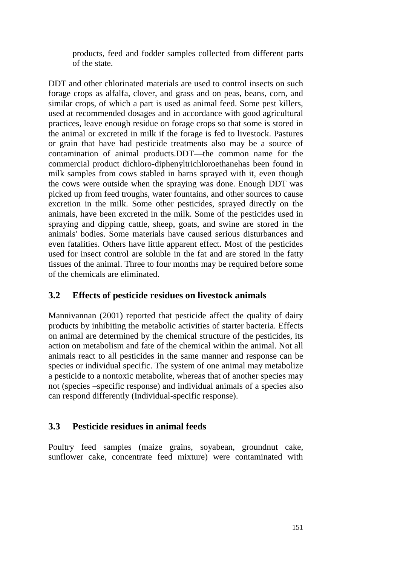products, feed and fodder samples collected from different parts of the state.

DDT and other chlorinated materials are used to control insects on such forage crops as alfalfa, clover, and grass and on peas, beans, corn, and similar crops, of which a part is used as animal feed. Some pest killers, used at recommended dosages and in accordance with good agricultural practices, leave enough residue on forage crops so that some is stored in the animal or excreted in milk if the forage is fed to livestock. Pastures or grain that have had pesticide treatments also may be a source of contamination of animal products.DDT—the common name for the commercial product dichloro-diphenyltrichloroethanehas been found in milk samples from cows stabled in barns sprayed with it, even though the cows were outside when the spraying was done. Enough DDT was picked up from feed troughs, water fountains, and other sources to cause excretion in the milk. Some other pesticides, sprayed directly on the animals, have been excreted in the milk. Some of the pesticides used in spraying and dipping cattle, sheep, goats, and swine are stored in the animals' bodies. Some materials have caused serious disturbances and even fatalities. Others have little apparent effect. Most of the pesticides used for insect control are soluble in the fat and are stored in the fatty tissues of the animal. Three to four months may be required before some of the chemicals are eliminated.

### **3.2 Effects of pesticide residues on livestock animals**

Mannivannan (2001) reported that pesticide affect the quality of dairy products by inhibiting the metabolic activities of starter bacteria. Effects on animal are determined by the chemical structure of the pesticides, its action on metabolism and fate of the chemical within the animal. Not all animals react to all pesticides in the same manner and response can be species or individual specific. The system of one animal may metabolize a pesticide to a nontoxic metabolite, whereas that of another species may not (species –specific response) and individual animals of a species also can respond differently (Individual-specific response).

### **3.3 Pesticide residues in animal feeds**

Poultry feed samples (maize grains, soyabean, groundnut cake, sunflower cake, concentrate feed mixture) were contaminated with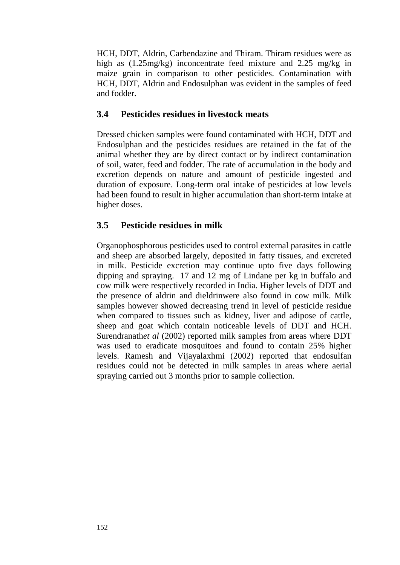HCH, DDT, Aldrin, Carbendazine and Thiram. Thiram residues were as high as (1.25mg/kg) inconcentrate feed mixture and 2.25 mg/kg in maize grain in comparison to other pesticides. Contamination with HCH, DDT, Aldrin and Endosulphan was evident in the samples of feed and fodder.

### **3.4 Pesticides residues in livestock meats**

Dressed chicken samples were found contaminated with HCH, DDT and Endosulphan and the pesticides residues are retained in the fat of the animal whether they are by direct contact or by indirect contamination of soil, water, feed and fodder. The rate of accumulation in the body and excretion depends on nature and amount of pesticide ingested and duration of exposure. Long-term oral intake of pesticides at low levels had been found to result in higher accumulation than short-term intake at higher doses.

# **3.5 Pesticide residues in milk**

Organophosphorous pesticides used to control external parasites in cattle and sheep are absorbed largely, deposited in fatty tissues, and excreted in milk. Pesticide excretion may continue upto five days following dipping and spraying. 17 and 12 mg of Lindane per kg in buffalo and cow milk were respectively recorded in India. Higher levels of DDT and the presence of aldrin and dieldrinwere also found in cow milk. Milk samples however showed decreasing trend in level of pesticide residue when compared to tissues such as kidney, liver and adipose of cattle, sheep and goat which contain noticeable levels of DDT and HCH. Surendranath*et al* (2002) reported milk samples from areas where DDT was used to eradicate mosquitoes and found to contain 25% higher levels. Ramesh and Vijayalaxhmi (2002) reported that endosulfan residues could not be detected in milk samples in areas where aerial spraying carried out 3 months prior to sample collection.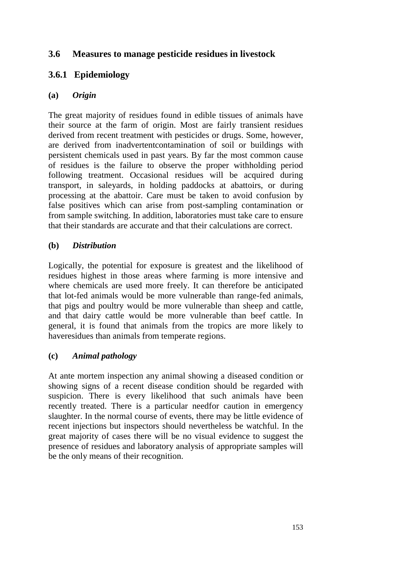## **3.6 Measures to manage pesticide residues in livestock**

# **3.6.1 Epidemiology**

### **(a)** *Origin*

The great majority of residues found in edible tissues of animals have their source at the farm of origin. Most are fairly transient residues derived from recent treatment with pesticides or drugs. Some, however, are derived from inadvertentcontamination of soil or buildings with persistent chemicals used in past years. By far the most common cause of residues is the failure to observe the proper withholding period following treatment. Occasional residues will be acquired during transport, in saleyards, in holding paddocks at abattoirs, or during processing at the abattoir. Care must be taken to avoid confusion by false positives which can arise from post-sampling contamination or from sample switching. In addition, laboratories must take care to ensure that their standards are accurate and that their calculations are correct.

### **(b)** *Distribution*

Logically, the potential for exposure is greatest and the likelihood of residues highest in those areas where farming is more intensive and where chemicals are used more freely. It can therefore be anticipated that lot-fed animals would be more vulnerable than range-fed animals, that pigs and poultry would be more vulnerable than sheep and cattle, and that dairy cattle would be more vulnerable than beef cattle. In general, it is found that animals from the tropics are more likely to haveresidues than animals from temperate regions.

### **(c)** *Animal pathology*

At ante mortem inspection any animal showing a diseased condition or showing signs of a recent disease condition should be regarded with suspicion. There is every likelihood that such animals have been recently treated. There is a particular needfor caution in emergency slaughter. In the normal course of events, there may be little evidence of recent injections but inspectors should nevertheless be watchful. In the great majority of cases there will be no visual evidence to suggest the presence of residues and laboratory analysis of appropriate samples will be the only means of their recognition.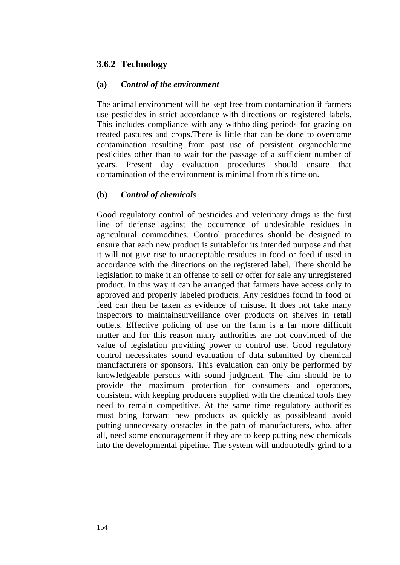## **3.6.2 Technology**

### **(a)** *Control of the environment*

The animal environment will be kept free from contamination if farmers use pesticides in strict accordance with directions on registered labels. This includes compliance with any withholding periods for grazing on treated pastures and crops.There is little that can be done to overcome contamination resulting from past use of persistent organochlorine pesticides other than to wait for the passage of a sufficient number of years. Present day evaluation procedures should ensure that contamination of the environment is minimal from this time on.

### **(b)** *Control of chemicals*

Good regulatory control of pesticides and veterinary drugs is the first line of defense against the occurrence of undesirable residues in agricultural commodities. Control procedures should be designed to ensure that each new product is suitablefor its intended purpose and that it will not give rise to unacceptable residues in food or feed if used in accordance with the directions on the registered label. There should be legislation to make it an offense to sell or offer for sale any unregistered product. In this way it can be arranged that farmers have access only to approved and properly labeled products. Any residues found in food or feed can then be taken as evidence of misuse. It does not take many inspectors to maintainsurveillance over products on shelves in retail outlets. Effective policing of use on the farm is a far more difficult matter and for this reason many authorities are not convinced of the value of legislation providing power to control use. Good regulatory control necessitates sound evaluation of data submitted by chemical manufacturers or sponsors. This evaluation can only be performed by knowledgeable persons with sound judgment. The aim should be to provide the maximum protection for consumers and operators, consistent with keeping producers supplied with the chemical tools they need to remain competitive. At the same time regulatory authorities must bring forward new products as quickly as possibleand avoid putting unnecessary obstacles in the path of manufacturers, who, after all, need some encouragement if they are to keep putting new chemicals into the developmental pipeline. The system will undoubtedly grind to a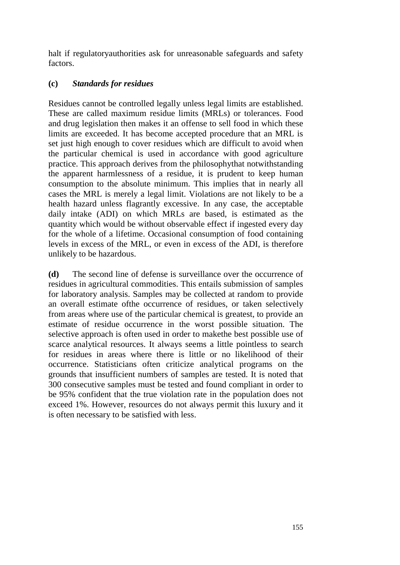halt if regulatoryauthorities ask for unreasonable safeguards and safety factors.

### **(c)** *Standards for residues*

Residues cannot be controlled legally unless legal limits are established. These are called maximum residue limits (MRLs) or tolerances. Food and drug legislation then makes it an offense to sell food in which these limits are exceeded. It has become accepted procedure that an MRL is set just high enough to cover residues which are difficult to avoid when the particular chemical is used in accordance with good agriculture practice. This approach derives from the philosophythat notwithstanding the apparent harmlessness of a residue, it is prudent to keep human consumption to the absolute minimum. This implies that in nearly all cases the MRL is merely a legal limit. Violations are not likely to be a health hazard unless flagrantly excessive. In any case, the acceptable daily intake (ADI) on which MRLs are based, is estimated as the quantity which would be without observable effect if ingested every day for the whole of a lifetime. Occasional consumption of food containing levels in excess of the MRL, or even in excess of the ADI, is therefore unlikely to be hazardous.

**(d)** The second line of defense is surveillance over the occurrence of residues in agricultural commodities. This entails submission of samples for laboratory analysis. Samples may be collected at random to provide an overall estimate ofthe occurrence of residues, or taken selectively from areas where use of the particular chemical is greatest, to provide an estimate of residue occurrence in the worst possible situation. The selective approach is often used in order to makethe best possible use of scarce analytical resources. It always seems a little pointless to search for residues in areas where there is little or no likelihood of their occurrence. Statisticians often criticize analytical programs on the grounds that insufficient numbers of samples are tested. It is noted that 300 consecutive samples must be tested and found compliant in order to be 95% confident that the true violation rate in the population does not exceed 1%. However, resources do not always permit this luxury and it is often necessary to be satisfied with less.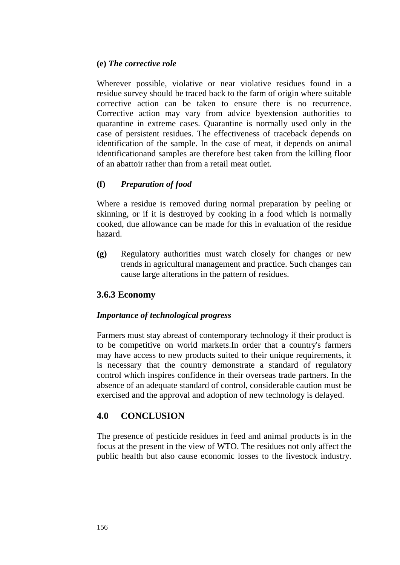### **(e)** *The corrective role*

Wherever possible, violative or near violative residues found in a residue survey should be traced back to the farm of origin where suitable corrective action can be taken to ensure there is no recurrence. Corrective action may vary from advice byextension authorities to quarantine in extreme cases. Quarantine is normally used only in the case of persistent residues. The effectiveness of traceback depends on identification of the sample. In the case of meat, it depends on animal identificationand samples are therefore best taken from the killing floor of an abattoir rather than from a retail meat outlet.

### **(f)** *Preparation of food*

Where a residue is removed during normal preparation by peeling or skinning, or if it is destroyed by cooking in a food which is normally cooked, due allowance can be made for this in evaluation of the residue hazard.

**(g)** Regulatory authorities must watch closely for changes or new trends in agricultural management and practice. Such changes can cause large alterations in the pattern of residues.

### **3.6.3 Economy**

### *Importance of technological progress*

Farmers must stay abreast of contemporary technology if their product is to be competitive on world markets.In order that a country's farmers may have access to new products suited to their unique requirements, it is necessary that the country demonstrate a standard of regulatory control which inspires confidence in their overseas trade partners. In the absence of an adequate standard of control, considerable caution must be exercised and the approval and adoption of new technology is delayed.

### **4.0 CONCLUSION**

The presence of pesticide residues in feed and animal products is in the focus at the present in the view of WTO. The residues not only affect the public health but also cause economic losses to the livestock industry.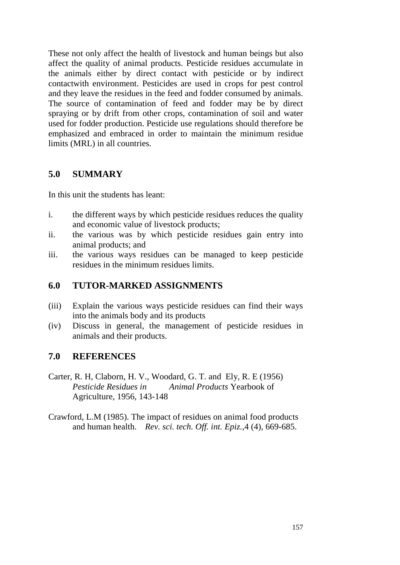These not only affect the health of livestock and human beings but also affect the quality of animal products. Pesticide residues accumulate in the animals either by direct contact with pesticide or by indirect contactwith environment. Pesticides are used in crops for pest control and they leave the residues in the feed and fodder consumed by animals. The source of contamination of feed and fodder may be by direct spraying or by drift from other crops, contamination of soil and water used for fodder production. Pesticide use regulations should therefore be emphasized and embraced in order to maintain the minimum residue limits (MRL) in all countries.

### **5.0 SUMMARY**

In this unit the students has leant:

- i. the different ways by which pesticide residues reduces the quality and economic value of livestock products;
- ii. the various was by which pesticide residues gain entry into animal products; and
- iii. the various ways residues can be managed to keep pesticide residues in the minimum residues limits.

### **6.0 TUTOR-MARKED ASSIGNMENTS**

- (iii) Explain the various ways pesticide residues can find their ways into the animals body and its products
- (iv) Discuss in general, the management of pesticide residues in animals and their products.

### **7.0 REFERENCES**

- Carter, R. H, Claborn, H. V., Woodard, G. T. and Ely, R. E (1956) *Pesticide Residues in Animal Products* Yearbook of Agriculture, 1956, 143-148
- Crawford, L.M (1985). The impact of residues on animal food products and human health. *Rev. sci. tech. Off. int. Epiz.,*4 (4), 669-685.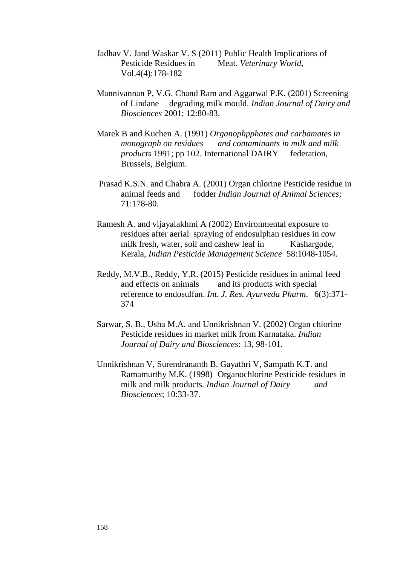- Jadhav V. Jand Waskar V. S (2011) Public Health Implications of Pesticide Residues in Meat. *Veterinary World*, Vol.4(4):178-182
- Mannivannan P, V.G. Chand Ram and Aggarwal P.K. (2001) Screening of Lindane degrading milk mould. *Indian Journal of Dairy and Biosciences* 2001; 12:80-83.
- Marek B and Kuchen A. (1991) *Organophpphates and carbamates in monograph on residues and contaminants in milk and milk products* 1991; pp 102. International DAIRY federation, Brussels, Belgium.
- Prasad K.S.N. and Chabra A. (2001) Organ chlorine Pesticide residue in animal feeds and fodder *Indian Journal of Animal Sciences*; 71:178-80.
- Ramesh A. and vijayalakhmi A (2002) Environmental exposure to residues after aerial spraying of endosulphan residues in cow milk fresh, water, soil and cashew leaf in Kashargode, Kerala, *Indian Pesticide Management Science* 58:1048-1054.
- Reddy, M.V.B., Reddy, Y.R. (2015) Pesticide residues in animal feed and effects on animals and its products with special reference to endosulfan. *Int. J. Res. Ayurveda Pharm*. 6(3):371- 374
- Sarwar, S. B., Usha M.A. and Unnikrishnan V. (2002) Organ chlorine Pesticide residues in market milk from Karnataka. *Indian Journal of Dairy and Biosciences*: 13, 98-101.
- Unnikrishnan V, Surendrananth B. Gayathri V, Sampath K.T. and Ramamurthy M.K. (1998) Organochlorine Pesticide residues in milk and milk products. *Indian Journal of Dairy and Biosciences*; 10:33-37.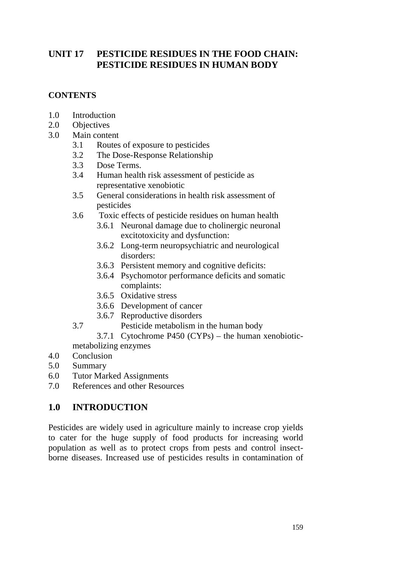# **UNIT 17 PESTICIDE RESIDUES IN THE FOOD CHAIN: PESTICIDE RESIDUES IN HUMAN BODY**

# **CONTENTS**

- 1.0 Introduction
- 2.0 Objectives
- 3.0 Main content
	- 3.1 Routes of exposure to pesticides
	- 3.2 The Dose-Response Relationship
	- 3.3 Dose Terms.
	- 3.4 Human health risk assessment of pesticide as representative xenobiotic
	- 3.5 General considerations in health risk assessment of pesticides
	- 3.6 Toxic effects of pesticide residues on human health
		- 3.6.1 Neuronal damage due to cholinergic neuronal excitotoxicity and dysfunction:
		- 3.6.2 Long-term neuropsychiatric and neurological disorders:
		- 3.6.3 Persistent memory and cognitive deficits:
		- 3.6.4 Psychomotor performance deficits and somatic complaints:
		- 3.6.5 Oxidative stress
		- 3.6.6 Development of cancer
		- 3.6.7 Reproductive disorders
	- 3.7 Pesticide metabolism in the human body

3.7.1 Cytochrome P450 (CYPs) – the human xenobiotic metabolizing enzymes

- 4.0 Conclusion
- 5.0 Summary
- 6.0 Tutor Marked Assignments
- 7.0 References and other Resources

# **1.0 INTRODUCTION**

Pesticides are widely used in agriculture mainly to increase crop yields to cater for the huge supply of food products for increasing world population as well as to protect crops from pests and control insect borne diseases. Increased use of pesticides results in contamination of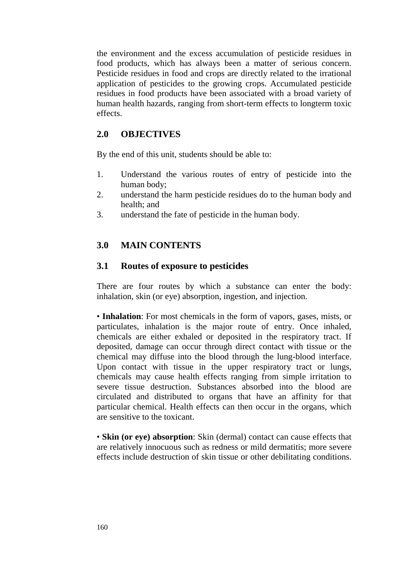the environment and the excess accumulation of pesticide residues in food products, which has always been a matter of serious concern. Pesticide residues in food and crops are directly related to the irrational application of pesticides to the growing crops. Accumulated pesticide residues in food products have been associated with a broad variety of human health hazards, ranging from short-term effects to longterm toxic effects.

## **2.0 OBJECTIVES**

By the end of this unit, students should be able to:

- 1. Understand the various routes of entry of pesticide into the human body;
- 2. understand the harm pesticide residues do to the human body and health; and
- 3. understand the fate of pesticide in the human body.

# **3.0 MAIN CONTENTS**

### **3.1 Routes of exposure to pesticides**

There are four routes by which a substance can enter the body: inhalation, skin (or eye) absorption, ingestion, and injection.

• **Inhalation**: For most chemicals in the form of vapors, gases, mists, or particulates, inhalation is the major route of entry. Once inhaled, chemicals are either exhaled or deposited in the respiratory tract. If deposited, damage can occur through direct contact with tissue or the chemical may diffuse into the blood through the lung-blood interface. Upon contact with tissue in the upper respiratory tract or lungs, chemicals may cause health effects ranging from simple irritation to severe tissue destruction. Substances absorbed into the blood are circulated and distributed to organs that have an affinity for that particular chemical. Health effects can then occur in the organs, which are sensitive to the toxicant.

• **Skin (or eye) absorption**: Skin (dermal) contact can cause effects that are relatively innocuous such as redness or mild dermatitis; more severe effects include destruction of skin tissue or other debilitating conditions.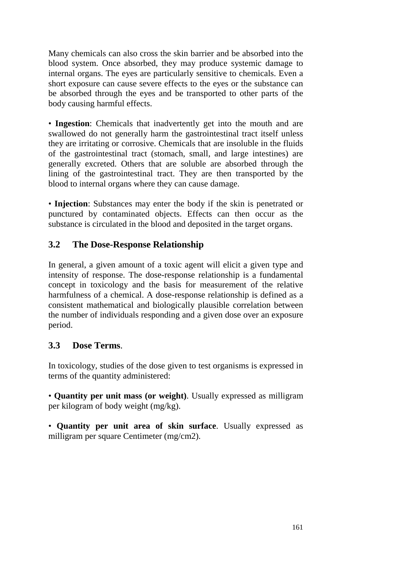Many chemicals can also cross the skin barrier and be absorbed into the blood system. Once absorbed, they may produce systemic damage to internal organs. The eyes are particularly sensitive to chemicals. Even a short exposure can cause severe effects to the eyes or the substance can be absorbed through the eyes and be transported to other parts of the body causing harmful effects.

• **Ingestion**: Chemicals that inadvertently get into the mouth and are swallowed do not generally harm the gastrointestinal tract itself unless they are irritating or corrosive. Chemicals that are insoluble in the fluids of the gastrointestinal tract (stomach, small, and large intestines) are generally excreted. Others that are soluble are absorbed through the lining of the gastrointestinal tract. They are then transported by the blood to internal organs where they can cause damage.

• **Injection**: Substances may enter the body if the skin is penetrated or punctured by contaminated objects. Effects can then occur as the substance is circulated in the blood and deposited in the target organs.

# **3.2 The Dose-Response Relationship**

In general, a given amount of a toxic agent will elicit a given type and intensity of response. The dose-response relationship is a fundamental concept in toxicology and the basis for measurement of the relative harmfulness of a chemical. A dose-response relationship is defined as a consistent mathematical and biologically plausible correlation between the number of individuals responding and a given dose over an exposure period.

# **3.3 Dose Terms**.

In toxicology, studies of the dose given to test organisms is expressed in terms of the quantity administered:

• **Quantity per unit mass (or weight)**. Usually expressed as milligram per kilogram of body weight (mg/kg).

• **Quantity per unit area of skin surface**. Usually expressed as milligram per square Centimeter (mg/cm2).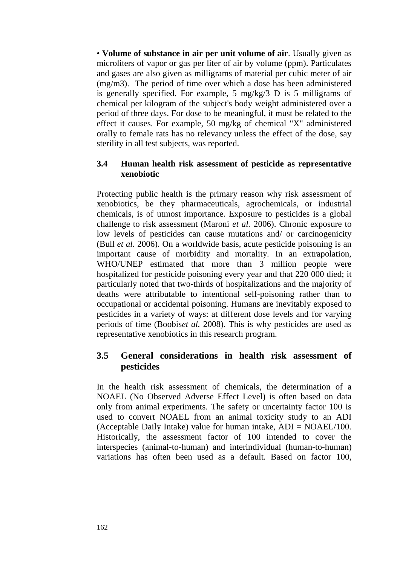• **Volume of substance in air per unit volume of air**. Usually given as microliters of vapor or gas per liter of air by volume (ppm). Particulates and gases are also given as milligrams of material per cubic meter of air (mg/m3). The period of time over which a dose has been administered is generally specified. For example, 5 mg/kg/3 D is 5 milligrams of chemical per kilogram of the subject's body weight administered over a period of three days. For dose to be meaningful, it must be related to the effect it causes. For example, 50 mg/kg of chemical "X" administered orally to female rats has no relevancy unless the effect of the dose, say sterility in all test subjects, was reported.

#### **3.4 Human health risk assessment of pesticide as representative xenobiotic**

Protecting public health is the primary reason why risk assessment of xenobiotics, be they pharmaceuticals, agrochemicals, or industrial chemicals, is of utmost importance. Exposure to pesticides is a global challenge to risk assessment (Maroni *et al.* 2006). Chronic exposure to low levels of pesticides can cause mutations and/ or carcinogenicity (Bull *et al.* 2006). On a worldwide basis, acute pesticide poisoning is an important cause of morbidity and mortality. In an extrapolation, WHO/UNEP estimated that more than 3 million people were hospitalized for pesticide poisoning every year and that 220 000 died; it particularly noted that two-thirds of hospitalizations and the majority of deaths were attributable to intentional self-poisoning rather than to occupational or accidental poisoning. Humans are inevitably exposed to pesticides in a variety of ways: at different dose levels and for varying periods of time (Boobis*et al.* 2008). This is why pesticides are used as representative xenobiotics in this research program.

### **3.5 General considerations in health risk assessment of pesticides**

In the health risk assessment of chemicals, the determination of a NOAEL (No Observed Adverse Effect Level) is often based on data only from animal experiments. The safety or uncertainty factor 100 is used to convert NOAEL from an animal toxicity study to an ADI (Acceptable Daily Intake) value for human intake,  $ADI = NOAEL/100$ . Historically, the assessment factor of 100 intended to cover the interspecies (animal-to-human) and interindividual (human-to-human) variations has often been used as a default. Based on factor 100,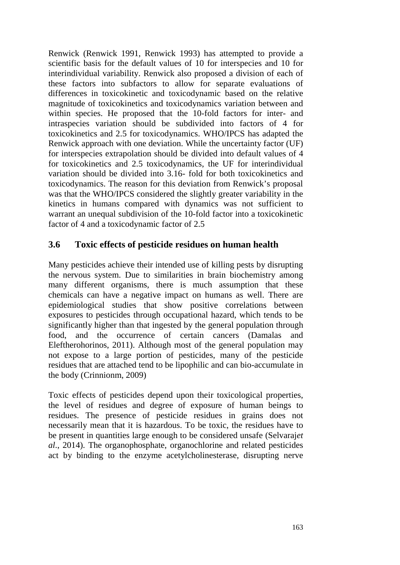Renwick (Renwick 1991, Renwick 1993) has attempted to provide a scientific basis for the default values of 10 for interspecies and 10 for interindividual variability. Renwick also proposed a division of each of these factors into subfactors to allow for separate evaluations of differences in toxicokinetic and toxicodynamic based on the relative magnitude of toxicokinetics and toxicodynamics variation between and within species. He proposed that the 10-fold factors for inter- and intraspecies variation should be subdivided into factors of 4 for toxicokinetics and 2.5 for toxicodynamics. WHO/IPCS has adapted the Renwick approach with one deviation. While the uncertainty factor (UF) for interspecies extrapolation should be divided into default values of 4 for toxicokinetics and 2.5 toxicodynamics, the UF for interindividual variation should be divided into 3.16- fold for both toxicokinetics and toxicodynamics. The reason for this deviation from Renwick's proposal was that the WHO/IPCS considered the slightly greater variability in the kinetics in humans compared with dynamics was not sufficient to warrant an unequal subdivision of the 10-fold factor into a toxicokinetic factor of 4 and a toxicodynamic factor of 2.5

### **3.6 Toxic effects of pesticide residues on human health**

Many pesticides achieve their intended use of killing pests by disrupting the nervous system. Due to similarities in brain biochemistry among many different organisms, there is much assumption that these chemicals can have a negative impact on humans as well. There are epidemiological studies that show positive correlations between exposures to pesticides through occupational hazard, which tends to be significantly higher than that ingested by the general population through food, and the occurrence of certain cancers (Damalas and Eleftherohorinos, 2011). Although most of the general population may not expose to a large portion of pesticides, many of the pesticide residues that are attached tend to be lipophilic and can bio-accumulate in the body (Crinnionm, 2009)

Toxic effects of pesticides depend upon their toxicological properties, the level of residues and degree of exposure of human beings to residues. The presence of pesticide residues in grains does not necessarily mean that it is hazardous. To be toxic, the residues have to be present in quantities large enough to be considered unsafe (Selvaraj*et al*., 2014). The organophosphate, organochlorine and related pesticides act by binding to the enzyme acetylcholinesterase, disrupting nerve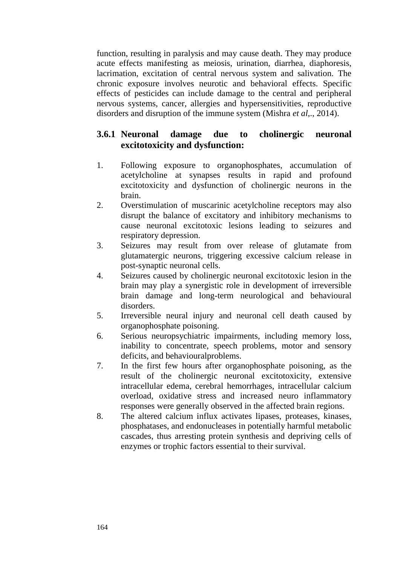function, resulting in paralysis and may cause death. They may produce acute effects manifesting as meiosis, urination, diarrhea, diaphoresis, lacrimation, excitation of central nervous system and salivation. The chronic exposure involves neurotic and behavioral effects. Specific effects of pesticides can include damage to the central and peripheral nervous systems, cancer, allergies and hypersensitivities, reproductive disorders and disruption of the immune system (Mishra *et al*,., 2014).

## **3.6.1 Neuronal damage due to cholinergic neuronal excitotoxicity and dysfunction:**

- 1. Following exposure to organophosphates, accumulation of acetylcholine at synapses results in rapid and profound excitotoxicity and dysfunction of cholinergic neurons in the brain.
- 2. Overstimulation of muscarinic acetylcholine receptors may also disrupt the balance of excitatory and inhibitory mechanisms to cause neuronal excitotoxic lesions leading to seizures and respiratory depression.
- 3. Seizures may result from over release of glutamate from glutamatergic neurons, triggering excessive calcium release in post-synaptic neuronal cells.
- 4. Seizures caused by cholinergic neuronal excitotoxic lesion in the brain may play a synergistic role in development of irreversible brain damage and long-term neurological and behavioural disorders.
- 5. Irreversible neural injury and neuronal cell death caused by organophosphate poisoning.
- 6. Serious neuropsychiatric impairments, including memory loss, inability to concentrate, speech problems, motor and sensory deficits, and behaviouralproblems.
- 7. In the first few hours after organophosphate poisoning, as the result of the cholinergic neuronal excitotoxicity, extensive intracellular edema, cerebral hemorrhages, intracellular calcium overload, oxidative stress and increased neuro inflammatory responses were generally observed in the affected brain regions.
- 8. The altered calcium influx activates lipases, proteases, kinases, phosphatases, and endonucleases in potentially harmful metabolic cascades, thus arresting protein synthesis and depriving cells of enzymes or trophic factors essential to their survival.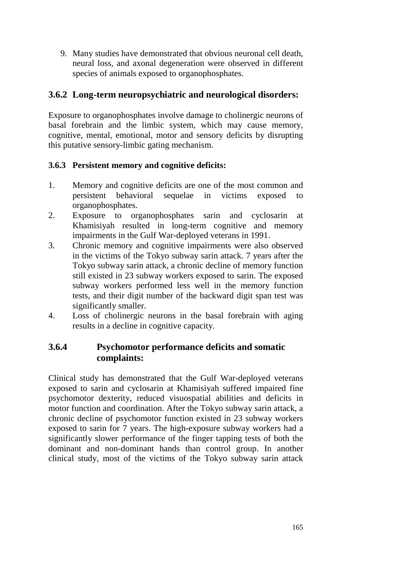9. Many studies have demonstrated that obvious neuronal cell death, neural loss, and axonal degeneration were observed in different species of animals exposed to organophosphates.

## **3.6.2 Long-term neuropsychiatric and neurological disorders:**

Exposure to organophosphates involve damage to cholinergic neurons of basal forebrain and the limbic system, which may cause memory, cognitive, mental, emotional, motor and sensory deficits by disrupting this putative sensory-limbic gating mechanism.

### **3.6.3 Persistent memory and cognitive deficits:**

- 1. Memory and cognitive deficits are one of the most common and persistent behavioral sequelae in victims exposed to organophosphates.
- 2. Exposure to organophosphates sarin and cyclosarin at Khamisiyah resulted in long-term cognitive and memory impairments in the Gulf War-deployed veterans in 1991.
- 3. Chronic memory and cognitive impairments were also observed in the victims of the Tokyo subway sarin attack. 7 years after the Tokyo subway sarin attack, a chronic decline of memory function still existed in 23 subway workers exposed to sarin. The exposed subway workers performed less well in the memory function tests, and their digit number of the backward digit span test was significantly smaller.
- 4. Loss of cholinergic neurons in the basal forebrain with aging results in a decline in cognitive capacity.

# **3.6.4 Psychomotor performance deficits and somatic complaints:**

Clinical study has demonstrated that the Gulf War-deployed veterans exposed to sarin and cyclosarin at Khamisiyah suffered impaired fine psychomotor dexterity, reduced visuospatial abilities and deficits in motor function and coordination. After the Tokyo subway sarin attack, a chronic decline of psychomotor function existed in 23 subway workers exposed to sarin for 7 years. The high-exposure subway workers had a significantly slower performance of the finger tapping tests of both the dominant and non-dominant hands than control group. In another clinical study, most of the victims of the Tokyo subway sarin attack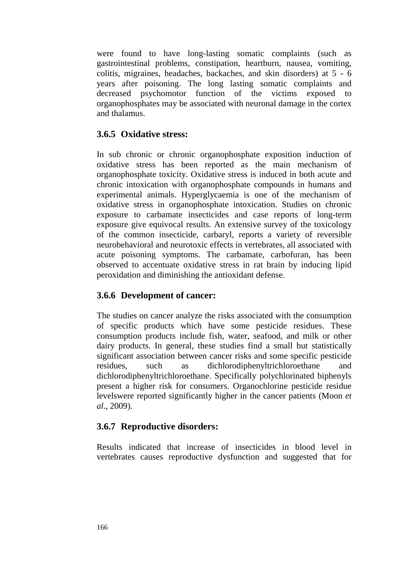were found to have long-lasting somatic complaints (such as gastrointestinal problems, constipation, heartburn, nausea, vomiting, colitis, migraines, headaches, backaches, and skin disorders) at 5 - 6 years after poisoning. The long lasting somatic complaints and decreased psychomotor function of the victims exposed to organophosphates may be associated with neuronal damage in the cortex and thalamus.

## **3.6.5 Oxidative stress:**

In sub chronic or chronic organophosphate exposition induction of oxidative stress has been reported as the main mechanism of organophosphate toxicity. Oxidative stress is induced in both acute and chronic intoxication with organophosphate compounds in humans and experimental animals. Hyperglycaemia is one of the mechanism of oxidative stress in organophosphate intoxication. Studies on chronic exposure to carbamate insecticides and case reports of long-term exposure give equivocal results. An extensive survey of the toxicology of the common insecticide, carbaryl, reports a variety of reversible neurobehavioral and neurotoxic effects in vertebrates, all associated with acute poisoning symptoms. The carbamate, carbofuran, has been observed to accentuate oxidative stress in rat brain by inducing lipid peroxidation and diminishing the antioxidant defense.

### **3.6.6 Development of cancer:**

The studies on cancer analyze the risks associated with the consumption of specific products which have some pesticide residues. These consumption products include fish, water, seafood, and milk or other dairy products. In general, these studies find a small but statistically significant association between cancer risks and some specific pesticide residues, such as dichlorodiphenyltrichloroethane and dichlorodiphenyltrichloroethane. Specifically polychlorinated biphenyls present a higher risk for consumers. Organochlorine pesticide residue levelswere reported significantly higher in the cancer patients (Moon *et al*., 2009).

# **3.6.7 Reproductive disorders:**

Results indicated that increase of insecticides in blood level in vertebrates causes reproductive dysfunction and suggested that for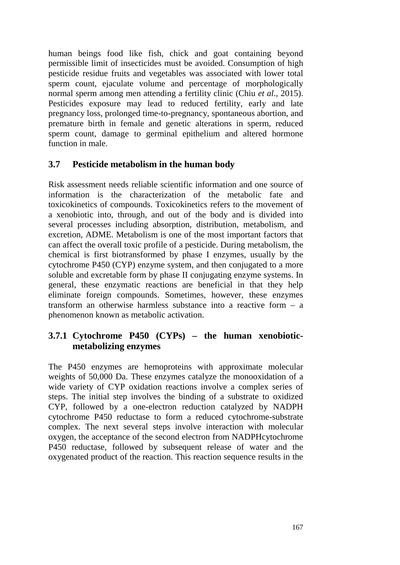human beings food like fish, chick and goat containing beyond permissible limit of insecticides must be avoided. Consumption of high pesticide residue fruits and vegetables was associated with lower total sperm count, ejaculate volume and percentage of morphologically normal sperm among men attending a fertility clinic (Chiu *et al*., 2015). Pesticides exposure may lead to reduced fertility, early and late pregnancy loss, prolonged time-to-pregnancy, spontaneous abortion, and premature birth in female and genetic alterations in sperm, reduced sperm count, damage to germinal epithelium and altered hormone function in male.

### **3.7 Pesticide metabolism in the human body**

Risk assessment needs reliable scientific information and one source of information is the characterization of the metabolic fate and toxicokinetics of compounds. Toxicokinetics refers to the movement of a xenobiotic into, through, and out of the body and is divided into several processes including absorption, distribution, metabolism, and excretion, ADME. Metabolism is one of the most important factors that can affect the overall toxic profile of a pesticide. During metabolism, the chemical is first biotransformed by phase I enzymes, usually by the cytochrome P450 (CYP) enzyme system, and then conjugated to a more soluble and excretable form by phase II conjugating enzyme systems. In general, these enzymatic reactions are beneficial in that they help eliminate foreign compounds. Sometimes, however, these enzymes transform an otherwise harmless substance into a reactive form – a phenomenon known as metabolic activation.

## **3.7.1 Cytochrome P450 (CYPs) – the human xenobiotic metabolizing enzymes**

The P450 enzymes are hemoproteins with approximate molecular weights of 50,000 Da. These enzymes catalyze the monooxidation of a wide variety of CYP oxidation reactions involve a complex series of steps. The initial step involves the binding of a substrate to oxidized CYP, followed by a one-electron reduction catalyzed by NADPH cytochrome P450 reductase to form a reduced cytochrome-substrate complex. The next several steps involve interaction with molecular oxygen, the acceptance of the second electron from NADPHcytochrome P450 reductase, followed by subsequent release of water and the oxygenated product of the reaction. This reaction sequence results in the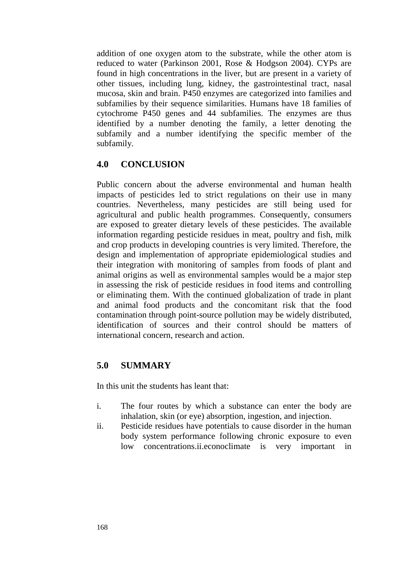addition of one oxygen atom to the substrate, while the other atom is reduced to water (Parkinson 2001, Rose & Hodgson 2004). CYPs are found in high concentrations in the liver, but are present in a variety of other tissues, including lung, kidney, the gastrointestinal tract, nasal mucosa, skin and brain. P450 enzymes are categorized into families and subfamilies by their sequence similarities. Humans have 18 families of cytochrome P450 genes and 44 subfamilies. The enzymes are thus identified by a number denoting the family, a letter denoting the subfamily and a number identifying the specific member of the subfamily.

### **4.0 CONCLUSION**

Public concern about the adverse environmental and human health impacts of pesticides led to strict regulations on their use in many countries. Nevertheless, many pesticides are still being used for agricultural and public health programmes. Consequently, consumers are exposed to greater dietary levels of these pesticides. The available information regarding pesticide residues in meat, poultry and fish, milk and crop products in developing countries is very limited. Therefore, the design and implementation of appropriate epidemiological studies and their integration with monitoring of samples from foods of plant and animal origins as well as environmental samples would be a major step in assessing the risk of pesticide residues in food items and controlling or eliminating them. With the continued globalization of trade in plant and animal food products and the concomitant risk that the food contamination through point-source pollution may be widely distributed, identification of sources and their control should be matters of international concern, research and action.

### **5.0 SUMMARY**

In this unit the students has leant that:

- i. The four routes by which a substance can enter the body are inhalation, skin (or eye) absorption, ingestion, and injection.
- ii. Pesticide residues have potentials to cause disorder in the human body system performance following chronic exposure to even low concentrations.ii.econoclimate is very important in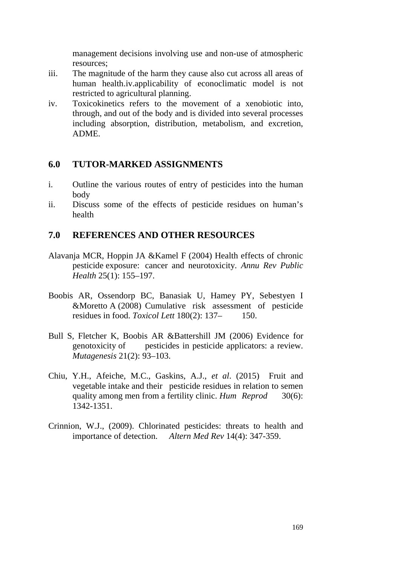management decisions involving use and non-use of atmospheric resources;

- iii. The magnitude of the harm they cause also cut across all areas of human health.iv.applicability of econoclimatic model is not restricted to agricultural planning.
- iv. Toxicokinetics refers to the movement of a xenobiotic into, through, and out of the body and is divided into several processes including absorption, distribution, metabolism, and excretion, ADME.

### **6.0 TUTOR-MARKED ASSIGNMENTS**

- i. Outline the various routes of entry of pesticides into the human body
- ii. Discuss some of the effects of pesticide residues on human's health

### **7.0 REFERENCES AND OTHER RESOURCES**

- Alavanja MCR, Hoppin JA &Kamel F (2004) Health effects of chronic pesticide exposure: cancer and neurotoxicity. *Annu Rev Public Health* 25(1): 155–197.
- Boobis AR, Ossendorp BC, Banasiak U, Hamey PY, Sebestyen I &Moretto A (2008) Cumulative risk assessment of pesticide residues in food. *Toxicol Lett* 180(2): 137– 150.
- Bull S, Fletcher K, Boobis AR &Battershill JM (2006) Evidence for genotoxicity of pesticides in pesticide applicators: a review. *Mutagenesis* 21(2): 93–103.
- Chiu, Y.H., Afeiche, M.C., Gaskins, A.J., *et al*. (2015) Fruit and vegetable intake and their pesticide residues in relation to semen quality among men from a fertility clinic. *Hum Reprod* 30(6): 1342-1351.
- Crinnion, W.J., (2009). Chlorinated pesticides: threats to health and importance of detection. *Altern Med Rev* 14(4): 347-359.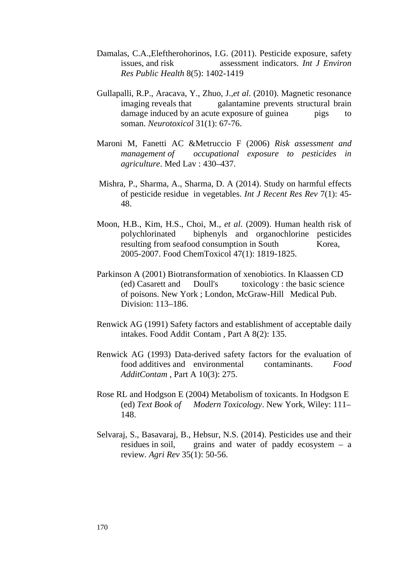- Damalas, C.A.,Eleftherohorinos, I.G. (2011). Pesticide exposure, safety issues, and risk assessment indicators. *Int J Environ Res Public Health* 8(5): 1402-1419
- Gullapalli, R.P., Aracava, Y., Zhuo, J.,*et al*. (2010). Magnetic resonance imaging reveals that galantamine prevents structural brain damage induced by an acute exposure of guinea pigs to soman. *Neurotoxicol* 31(1): 67-76.
- Maroni M, Fanetti AC &Metruccio F (2006) *Risk assessment and management of occupational exposure to pesticides in agriculture*. Med Lav : 430–437.
- Mishra, P., Sharma, A., Sharma, D. A (2014). Study on harmful effects of pesticide residue in vegetables. *Int J Recent Res Rev* 7(1): 45- 48.
- Moon, H.B., Kim, H.S., Choi, M., *et al*. (2009). Human health risk of polychlorinated biphenyls and organochlorine pesticides resulting from seafood consumption in South Korea, 2005-2007. Food ChemToxicol 47(1): 1819-1825.
- Parkinson A (2001) Biotransformation of xenobiotics. In Klaassen CD (ed) Casarett and Doull's toxicology : the basic science of poisons. New York ; London, McGraw-Hill Medical Pub. Division: 113–186.
- Renwick AG (1991) Safety factors and establishment of acceptable daily intakes. Food Addit Contam , Part A 8(2): 135.
- Renwick AG (1993) Data-derived safety factors for the evaluation of food additives and environmental contaminants. *Food AdditContam* , Part A 10(3): 275.
- Rose RL and Hodgson E (2004) Metabolism of toxicants. In Hodgson E (ed) *Text Book of Modern Toxicology*. New York, Wiley: 111– 148.
- Selvaraj, S., Basavaraj, B., Hebsur, N.S. (2014). Pesticides use and their residues in soil. grains and water of paddy ecosystem  $-$  a review*. Agri Rev* 35(1): 50-56.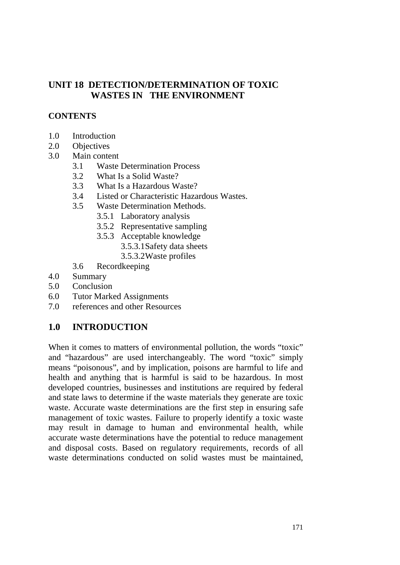## **UNIT 18 DETECTION/DETERMINATION OF TOXIC WASTES IN THE ENVIRONMENT**

## **CONTENTS**

- 1.0 Introduction
- 2.0 Objectives
- 3.0 Main content
	- 3.1 Waste Determination Process
	- 3.2 What Is a Solid Waste?
	- 3.3 What Is a Hazardous Waste?
	- 3.4 Listed or Characteristic Hazardous Wastes.
	- 3.5 Waste Determination Methods.
		- 3.5.1 Laboratory analysis
		- 3.5.2 Representative sampling
		- 3.5.3 Acceptable knowledge
			- 3.5.3.1Safety data sheets
			- 3.5.3.2Waste profiles
	- 3.6 Recordkeeping
- 4.0 Summary
- 5.0 Conclusion
- 6.0 Tutor Marked Assignments
- 7.0 references and other Resources

### **1.0 INTRODUCTION**

When it comes to matters of environmental pollution, the words "toxic" and "hazardous" are used interchangeably. The word "toxic" simply means "poisonous", and by implication, poisons are harmful to life and health and anything that is harmful is said to be hazardous. In most developed countries, businesses and institutions are required by federal and state laws to determine if the waste materials they generate are toxic waste. Accurate waste determinations are the first step in ensuring safe management of toxic wastes. Failure to properly identify a toxic waste may result in damage to human and environmental health, while accurate waste determinations have the potential to reduce management and disposal costs. Based on regulatory requirements, records of all waste determinations conducted on solid wastes must be maintained,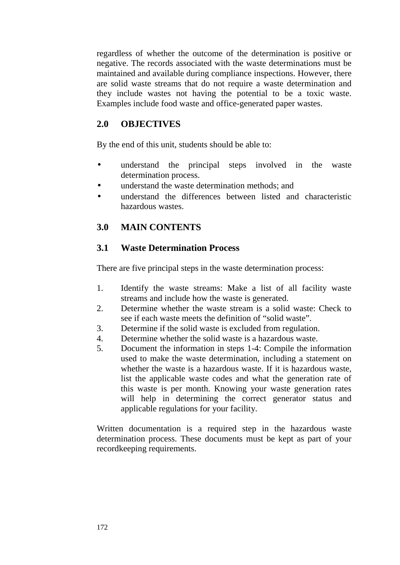regardless of whether the outcome of the determination is positive or negative. The records associated with the waste determinations must be maintained and available during compliance inspections. However, there are solid waste streams that do not require a waste determination and they include wastes not having the potential to be a toxic waste. Examples include food waste and office-generated paper wastes.

## **2.0 OBJECTIVES**

By the end of this unit, students should be able to:

- understand the principal steps involved in the waste determination process.
- understand the waste determination methods; and
- understand the differences between listed and characteristic hazardous wastes.

## **3.0 MAIN CONTENTS**

### **3.1 Waste Determination Process**

There are five principal steps in the waste determination process:

- 1. Identify the waste streams: Make a list of all facility waste streams and include how the waste is generated.
- 2. Determine whether the waste stream is a solid waste: Check to see if each waste meets the definition of "solid waste".
- 3. Determine if the solid waste is excluded from regulation.
- 4. Determine whether the solid waste is a hazardous waste.
- 5. Document the information in steps 1-4: Compile the information used to make the waste determination, including a statement on whether the waste is a hazardous waste. If it is hazardous waste, list the applicable waste codes and what the generation rate of this waste is per month. Knowing your waste generation rates will help in determining the correct generator status and applicable regulations for your facility.

Written documentation is a required step in the hazardous waste determination process. These documents must be kept as part of your recordkeeping requirements.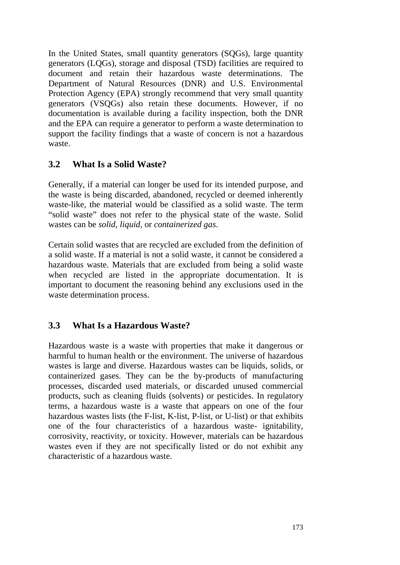In the United States, small quantity generators (SQGs), large quantity generators (LQGs), storage and disposal (TSD) facilities are required to document and retain their hazardous waste determinations. The Department of Natural Resources (DNR) and U.S. Environmental Protection Agency (EPA) strongly recommend that very small quantity generators (VSQGs) also retain these documents. However, if no documentation is available during a facility inspection, both the DNR and the EPA can require a generator to perform a waste determination to support the facility findings that a waste of concern is not a hazardous waste.

### **3.2 What Is a Solid Waste?**

Generally, if a material can longer be used for its intended purpose, and the waste is being discarded, abandoned, recycled or deemed inherently waste-like, the material would be classified as a solid waste. The term "solid waste" does not refer to the physical state of the waste. Solid wastes can be *solid, liquid*, or *containerized gas*.

Certain solid wastes that are recycled are excluded from the definition of a solid waste. If a material is not a solid waste, it cannot be considered a hazardous waste. Materials that are excluded from being a solid waste when recycled are listed in the appropriate documentation. It is important to document the reasoning behind any exclusions used in the waste determination process.

# **3.3 What Is a Hazardous Waste?**

Hazardous waste is a waste with properties that make it dangerous or harmful to human health or the environment. The universe of hazardous wastes is large and diverse. Hazardous wastes can be liquids, solids, or containerized gases. They can be the by-products of manufacturing processes, discarded used materials, or discarded unused commercial products, such as cleaning fluids (solvents) or pesticides. In regulatory terms, a hazardous waste is a waste that appears on one of the four hazardous wastes lists (the F-list, K-list, P-list, or U-list) or that exhibits one of the four characteristics of a hazardous waste- ignitability, corrosivity, reactivity, or toxicity. However, materials can be hazardous wastes even if they are not specifically listed or do not exhibit any characteristic of a hazardous waste.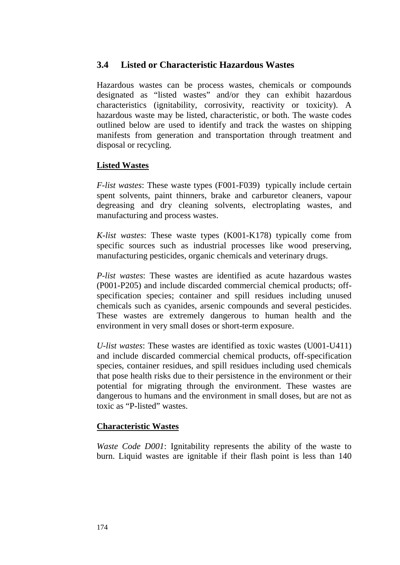## **3.4 Listed or Characteristic Hazardous Wastes**

Hazardous wastes can be process wastes, chemicals or compounds designated as "listed wastes" and/or they can exhibit hazardous characteristics (ignitability, corrosivity, reactivity or toxicity). A hazardous waste may be listed, characteristic, or both. The waste codes outlined below are used to identify and track the wastes on shipping manifests from generation and transportation through treatment and disposal or recycling.

### **Listed Wastes**

*F-list wastes*: These waste types (F001-F039) typically include certain spent solvents, paint thinners, brake and carburetor cleaners, vapour degreasing and dry cleaning solvents, electroplating wastes, and manufacturing and process wastes.

*K-list wastes*: These waste types (K001-K178) typically come from specific sources such as industrial processes like wood preserving, manufacturing pesticides, organic chemicals and veterinary drugs.

*P-list wastes*: These wastes are identified as acute hazardous wastes (P001-P205) and include discarded commercial chemical products; off specification species; container and spill residues including unused chemicals such as cyanides, arsenic compounds and several pesticides. These wastes are extremely dangerous to human health and the environment in very small doses or short-term exposure.

*U-list wastes*: These wastes are identified as toxic wastes (U001-U411) and include discarded commercial chemical products, off-specification species, container residues, and spill residues including used chemicals that pose health risks due to their persistence in the environment or their potential for migrating through the environment. These wastes are dangerous to humans and the environment in small doses, but are not as toxic as "P-listed" wastes.

### **Characteristic Wastes**

*Waste Code D001*: Ignitability represents the ability of the waste to burn. Liquid wastes are ignitable if their flash point is less than 140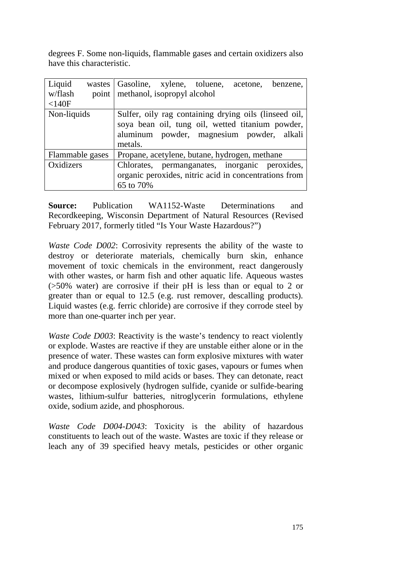degrees F. Some non-liquids, flammable gases and certain oxidizers also have this characteristic.

| Liquid          | wastes | Gasoline, xylene, toluene, acetone,<br>benzene,                                                                                                                   |
|-----------------|--------|-------------------------------------------------------------------------------------------------------------------------------------------------------------------|
| w/flash         |        | point   methanol, isopropyl alcohol                                                                                                                               |
| $<$ 140 $F$     |        |                                                                                                                                                                   |
| Non-liquids     |        | Sulfer, oily rag containing drying oils (linseed oil,<br>soya bean oil, tung oil, wetted titanium powder,<br>aluminum powder, magnesium powder, alkali<br>metals. |
| Flammable gases |        | Propane, acetylene, butane, hydrogen, methane                                                                                                                     |
| Oxidizers       |        | Chlorates, permanganates, inorganic peroxides,                                                                                                                    |
|                 |        | organic peroxides, nitric acid in concentrations from                                                                                                             |
|                 |        | 65 to 70%                                                                                                                                                         |

**Source:** Publication WA1152-Waste Determinations and Recordkeeping, Wisconsin Department of Natural Resources (Revised February 2017, formerly titled "Is Your Waste Hazardous?")

*Waste Code D002*: Corrosivity represents the ability of the waste to destroy or deteriorate materials, chemically burn skin, enhance movement of toxic chemicals in the environment, react dangerously with other wastes, or harm fish and other aquatic life. Aqueous wastes (>50% water) are corrosive if their pH is less than or equal to 2 or greater than or equal to 12.5 (e.g. rust remover, descalling products). Liquid wastes (e.g. ferric chloride) are corrosive if they corrode steel by more than one-quarter inch per year.

*Waste Code D003*: Reactivity is the waste's tendency to react violently or explode. Wastes are reactive if they are unstable either alone or in the presence of water. These wastes can form explosive mixtures with water and produce dangerous quantities of toxic gases, vapours or fumes when mixed or when exposed to mild acids or bases. They can detonate, react or decompose explosively (hydrogen sulfide, cyanide or sulfide-bearing wastes, lithium-sulfur batteries, nitroglycerin formulations, ethylene oxide, sodium azide, and phosphorous.

*Waste Code D004-D043*: Toxicity is the ability of hazardous constituents to leach out of the waste. Wastes are toxic if they release or leach any of 39 specified heavy metals, pesticides or other organic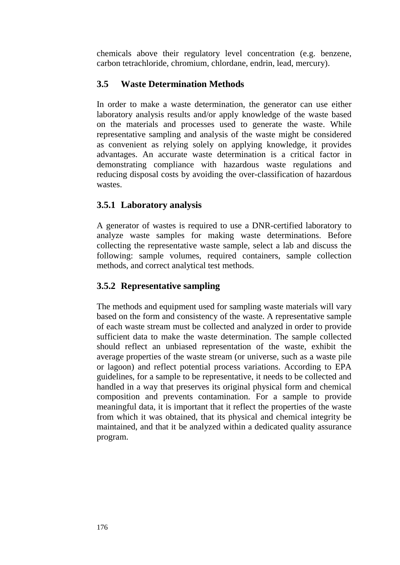chemicals above their regulatory level concentration (e.g. benzene, carbon tetrachloride, chromium, chlordane, endrin, lead, mercury).

# **3.5 Waste Determination Methods**

In order to make a waste determination, the generator can use either laboratory analysis results and/or apply knowledge of the waste based on the materials and processes used to generate the waste. While representative sampling and analysis of the waste might be considered as convenient as relying solely on applying knowledge, it provides advantages. An accurate waste determination is a critical factor in demonstrating compliance with hazardous waste regulations and reducing disposal costs by avoiding the over-classification of hazardous wastes.

# **3.5.1 Laboratory analysis**

A generator of wastes is required to use a DNR-certified laboratory to analyze waste samples for making waste determinations. Before collecting the representative waste sample, select a lab and discuss the following: sample volumes, required containers, sample collection methods, and correct analytical test methods.

# **3.5.2 Representative sampling**

The methods and equipment used for sampling waste materials will vary based on the form and consistency of the waste. A representative sample of each waste stream must be collected and analyzed in order to provide sufficient data to make the waste determination. The sample collected should reflect an unbiased representation of the waste, exhibit the average properties of the waste stream (or universe, such as a waste pile or lagoon) and reflect potential process variations. According to EPA guidelines, for a sample to be representative, it needs to be collected and handled in a way that preserves its original physical form and chemical composition and prevents contamination. For a sample to provide meaningful data, it is important that it reflect the properties of the waste from which it was obtained, that its physical and chemical integrity be maintained, and that it be analyzed within a dedicated quality assurance program.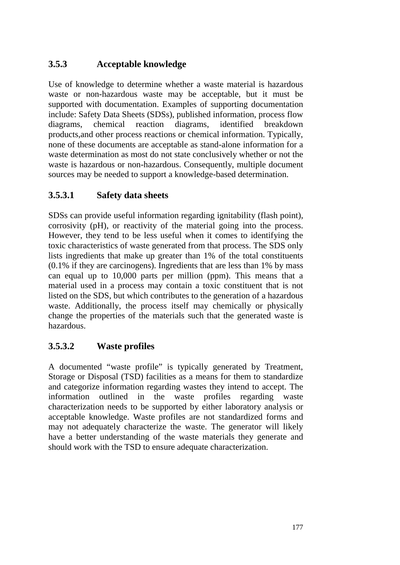# **3.5.3 Acceptable knowledge**

Use of knowledge to determine whether a waste material is hazardous waste or non-hazardous waste may be acceptable, but it must be supported with documentation. Examples of supporting documentation include: Safety Data Sheets (SDSs), published information, process flow diagrams, chemical reaction diagrams, identified breakdown products,and other process reactions or chemical information. Typically, none of these documents are acceptable as stand-alone information for a waste determination as most do not state conclusively whether or not the waste is hazardous or non-hazardous. Consequently, multiple document sources may be needed to support a knowledge-based determination.

# **3.5.3.1 Safety data sheets**

SDSs can provide useful information regarding ignitability (flash point), corrosivity (pH), or reactivity of the material going into the process. However, they tend to be less useful when it comes to identifying the toxic characteristics of waste generated from that process. The SDS only lists ingredients that make up greater than 1% of the total constituents (0.1% if they are carcinogens). Ingredients that are less than 1% by mass can equal up to 10,000 parts per million (ppm). This means that a material used in a process may contain a toxic constituent that is not listed on the SDS, but which contributes to the generation of a hazardous waste. Additionally, the process itself may chemically or physically change the properties of the materials such that the generated waste is hazardous.

# **3.5.3.2 Waste profiles**

A documented "waste profile" is typically generated by Treatment, Storage or Disposal (TSD) facilities as a means for them to standardize and categorize information regarding wastes they intend to accept. The information outlined in the waste profiles regarding waste characterization needs to be supported by either laboratory analysis or acceptable knowledge. Waste profiles are not standardized forms and may not adequately characterize the waste. The generator will likely have a better understanding of the waste materials they generate and should work with the TSD to ensure adequate characterization.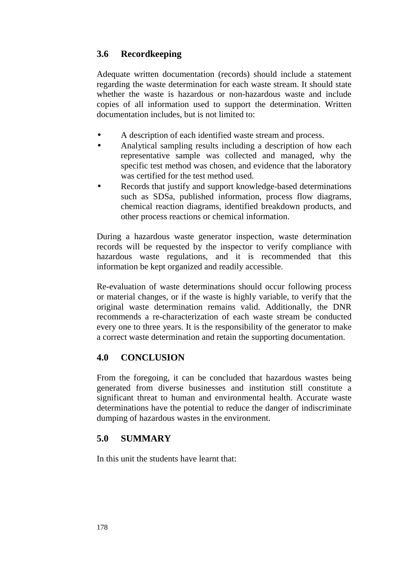# **3.6 Recordkeeping**

Adequate written documentation (records) should include a statement regarding the waste determination for each waste stream. It should state whether the waste is hazardous or non-hazardous waste and include copies of all information used to support the determination. Written documentation includes, but is not limited to:

- A description of each identified waste stream and process.
- Analytical sampling results including a description of how each representative sample was collected and managed, why the specific test method was chosen, and evidence that the laboratory was certified for the test method used.
- Records that justify and support knowledge-based determinations such as SDSa, published information, process flow diagrams, chemical reaction diagrams, identified breakdown products, and other process reactions or chemical information.

During a hazardous waste generator inspection, waste determination records will be requested by the inspector to verify compliance with hazardous waste regulations, and it is recommended that this information be kept organized and readily accessible.

Re-evaluation of waste determinations should occur following process or material changes, or if the waste is highly variable, to verify that the original waste determination remains valid. Additionally, the DNR recommends a re-characterization of each waste stream be conducted every one to three years. It is the responsibility of the generator to make a correct waste determination and retain the supporting documentation.

# **4.0 CONCLUSION**

From the foregoing, it can be concluded that hazardous wastes being generated from diverse businesses and institution still constitute a significant threat to human and environmental health. Accurate waste determinations have the potential to reduce the danger of indiscriminate dumping of hazardous wastes in the environment.

# **5.0 SUMMARY**

In this unit the students have learnt that: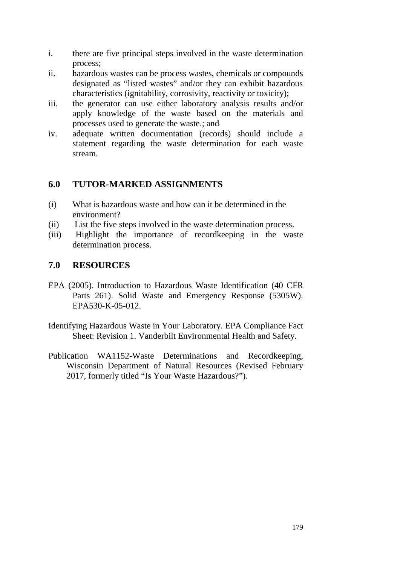- i. there are five principal steps involved in the waste determination process;
- ii. hazardous wastes can be process wastes, chemicals or compounds designated as "listed wastes" and/or they can exhibit hazardous characteristics (ignitability, corrosivity, reactivity or toxicity);
- iii. the generator can use either laboratory analysis results and/or apply knowledge of the waste based on the materials and processes used to generate the waste.; and
- iv. adequate written documentation (records) should include a statement regarding the waste determination for each waste stream.

### **6.0 TUTOR-MARKED ASSIGNMENTS**

- (i) What is hazardous waste and how can it be determined in the environment?
- (ii) List the five steps involved in the waste determination process.
- (iii) Highlight the importance of recordkeeping in the waste determination process.

### **7.0 RESOURCES**

- EPA (2005). Introduction to Hazardous Waste Identification (40 CFR Parts 261). Solid Waste and Emergency Response (5305W). EPA530-K-05-012.
- Identifying Hazardous Waste in Your Laboratory. EPA Compliance Fact Sheet: Revision 1. Vanderbilt Environmental Health and Safety.
- Publication WA1152-Waste Determinations and Recordkeeping, Wisconsin Department of Natural Resources (Revised February 2017, formerly titled "Is Your Waste Hazardous?").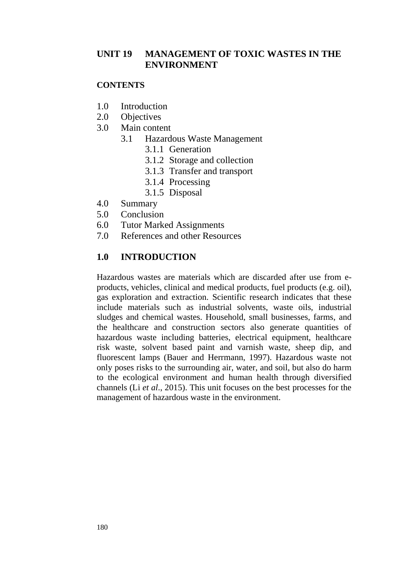#### **UNIT 19 MANAGEMENT OF TOXIC WASTES IN THE ENVIRONMENT**

#### **CONTENTS**

- 1.0 Introduction
- 2.0 Objectives
- 3.0 Main content
	- 3.1 Hazardous Waste Management
		- 3.1.1 Generation
		- 3.1.2 Storage and collection
		- 3.1.3 Transfer and transport
		- 3.1.4 Processing
		- 3.1.5 Disposal
- 4.0 Summary
- 5.0 Conclusion
- 6.0 Tutor Marked Assignments
- 7.0 References and other Resources

## **1.0 INTRODUCTION**

Hazardous wastes are materials which are discarded after use from e products, vehicles, clinical and medical products, fuel products (e.g. oil), gas exploration and extraction. Scientific research indicates that these include materials such as industrial solvents, waste oils, industrial sludges and chemical wastes. Household, small businesses, farms, and the healthcare and construction sectors also generate quantities of hazardous waste including batteries, electrical equipment, healthcare risk waste, solvent based paint and varnish waste, sheep dip, and fluorescent lamps (Bauer and Herrmann, 1997). Hazardous waste not only poses risks to the surrounding air, water, and soil, but also do harm to the ecological environment and human health through diversified channels (Li *et al*., 2015). This unit focuses on the best processes for the management of hazardous waste in the environment.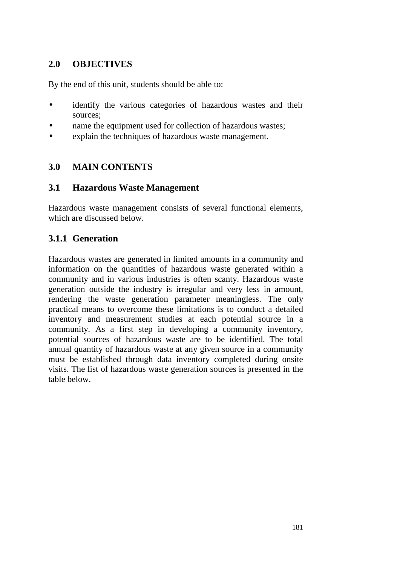# **2.0 OBJECTIVES**

By the end of this unit, students should be able to:

- identify the various categories of hazardous wastes and their sources;
- name the equipment used for collection of hazardous wastes;
- explain the techniques of hazardous waste management.

## **3.0 MAIN CONTENTS**

#### **3.1 Hazardous Waste Management**

Hazardous waste management consists of several functional elements, which are discussed below.

# **3.1.1 Generation**

Hazardous wastes are generated in limited amounts in a community and information on the quantities of hazardous waste generated within a community and in various industries is often scanty. Hazardous waste generation outside the industry is irregular and very less in amount, rendering the waste generation parameter meaningless. The only practical means to overcome these limitations is to conduct a detailed inventory and measurement studies at each potential source in a community. As a first step in developing a community inventory, potential sources of hazardous waste are to be identified. The total annual quantity of hazardous waste at any given source in a community must be established through data inventory completed during onsite visits. The list of hazardous waste generation sources is presented in the table below.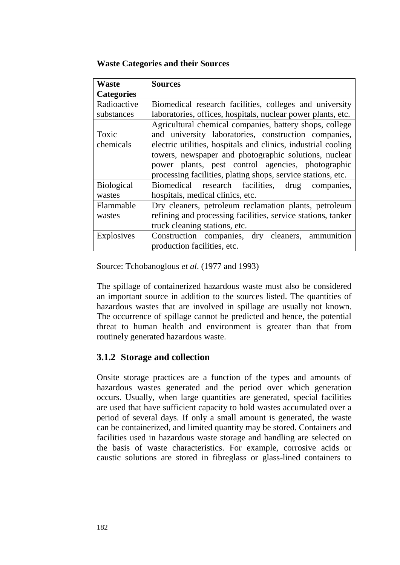#### **Waste Categories and their Sources**

| <b>Waste</b>       | <b>Sources</b>                                                                                                                                                                                                                                                                                                                                                 |  |  |
|--------------------|----------------------------------------------------------------------------------------------------------------------------------------------------------------------------------------------------------------------------------------------------------------------------------------------------------------------------------------------------------------|--|--|
| <b>Categories</b>  |                                                                                                                                                                                                                                                                                                                                                                |  |  |
| Radioactive        | Biomedical research facilities, colleges and university                                                                                                                                                                                                                                                                                                        |  |  |
| substances         | laboratories, offices, hospitals, nuclear power plants, etc.                                                                                                                                                                                                                                                                                                   |  |  |
| Toxic<br>chemicals | Agricultural chemical companies, battery shops, college<br>and university laboratories, construction companies,<br>electric utilities, hospitals and clinics, industrial cooling<br>towers, newspaper and photographic solutions, nuclear<br>power plants, pest control agencies, photographic<br>processing facilities, plating shops, service stations, etc. |  |  |
| <b>Biological</b>  | Biomedical research facilities, drug companies,                                                                                                                                                                                                                                                                                                                |  |  |
| wastes             | hospitals, medical clinics, etc.                                                                                                                                                                                                                                                                                                                               |  |  |
| Flammable          | Dry cleaners, petroleum reclamation plants, petroleum                                                                                                                                                                                                                                                                                                          |  |  |
| wastes             | refining and processing facilities, service stations, tanker                                                                                                                                                                                                                                                                                                   |  |  |
|                    | truck cleaning stations, etc.                                                                                                                                                                                                                                                                                                                                  |  |  |
| Explosives         | Construction companies, dry cleaners, ammunition<br>production facilities, etc.                                                                                                                                                                                                                                                                                |  |  |

Source: Tchobanoglous *et al*. (1977 and 1993)

The spillage of containerized hazardous waste must also be considered an important source in addition to the sources listed. The quantities of hazardous wastes that are involved in spillage are usually not known. The occurrence of spillage cannot be predicted and hence, the potential threat to human health and environment is greater than that from routinely generated hazardous waste.

#### **3.1.2 Storage and collection**

Onsite storage practices are a function of the types and amounts of hazardous wastes generated and the period over which generation occurs. Usually, when large quantities are generated, special facilities are used that have sufficient capacity to hold wastes accumulated over a period of several days. If only a small amount is generated, the waste can be containerized, and limited quantity may be stored. Containers and facilities used in hazardous waste storage and handling are selected on the basis of waste characteristics. For example, corrosive acids or caustic solutions are stored in fibreglass or glass-lined containers to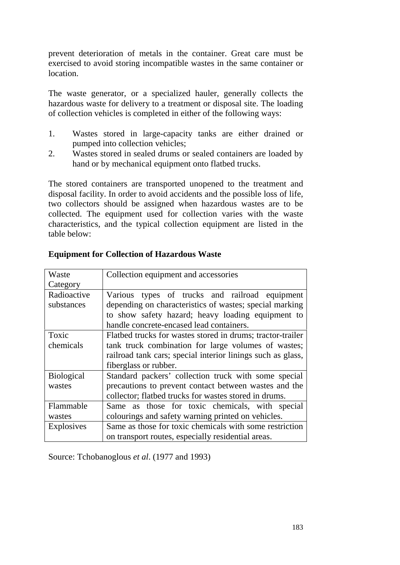prevent deterioration of metals in the container. Great care must be exercised to avoid storing incompatible wastes in the same container or location.

The waste generator, or a specialized hauler, generally collects the hazardous waste for delivery to a treatment or disposal site. The loading of collection vehicles is completed in either of the following ways:

- 1. Wastes stored in large-capacity tanks are either drained or pumped into collection vehicles;
- 2. Wastes stored in sealed drums or sealed containers are loaded by hand or by mechanical equipment onto flatbed trucks.

The stored containers are transported unopened to the treatment and disposal facility. In order to avoid accidents and the possible loss of life, two collectors should be assigned when hazardous wastes are to be collected. The equipment used for collection varies with the waste characteristics, and the typical collection equipment are listed in the table below:

| Waste                     | Collection equipment and accessories                                                                                                                                                                       |  |  |
|---------------------------|------------------------------------------------------------------------------------------------------------------------------------------------------------------------------------------------------------|--|--|
| Category                  |                                                                                                                                                                                                            |  |  |
| Radioactive<br>substances | Various types of trucks and railroad equipment<br>depending on characteristics of wastes; special marking<br>to show safety hazard; heavy loading equipment to<br>handle concrete-encased lead containers. |  |  |
| Toxic                     | Flatbed trucks for wastes stored in drums; tractor-trailer                                                                                                                                                 |  |  |
| chemicals                 | tank truck combination for large volumes of wastes;<br>railroad tank cars; special interior linings such as glass,<br>fiberglass or rubber.                                                                |  |  |
| <b>Biological</b>         | Standard packers' collection truck with some special                                                                                                                                                       |  |  |
| wastes                    | precautions to prevent contact between wastes and the<br>collector; flatbed trucks for wastes stored in drums.                                                                                             |  |  |
| Flammable                 | Same as those for toxic chemicals, with special                                                                                                                                                            |  |  |
| wastes                    | colourings and safety warning printed on vehicles.                                                                                                                                                         |  |  |
| Explosives                | Same as those for toxic chemicals with some restriction<br>on transport routes, especially residential areas.                                                                                              |  |  |

## **Equipment for Collection of Hazardous Waste**

Source: Tchobanoglous *et al*. (1977 and 1993)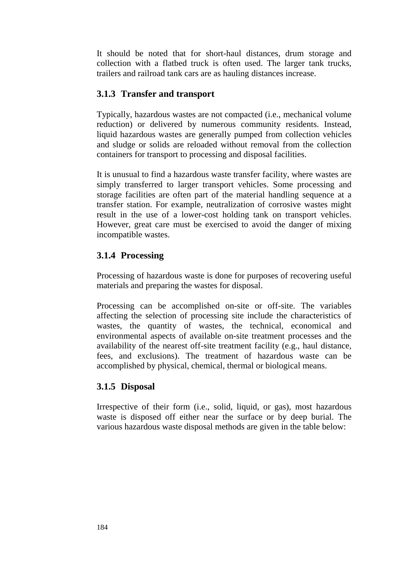It should be noted that for short-haul distances, drum storage and collection with a flatbed truck is often used. The larger tank trucks, trailers and railroad tank cars are as hauling distances increase.

#### **3.1.3 Transfer and transport**

Typically, hazardous wastes are not compacted (i.e., mechanical volume reduction) or delivered by numerous community residents. Instead, liquid hazardous wastes are generally pumped from collection vehicles and sludge or solids are reloaded without removal from the collection containers for transport to processing and disposal facilities.

It is unusual to find a hazardous waste transfer facility, where wastes are simply transferred to larger transport vehicles. Some processing and storage facilities are often part of the material handling sequence at a transfer station. For example, neutralization of corrosive wastes might result in the use of a lower-cost holding tank on transport vehicles. However, great care must be exercised to avoid the danger of mixing incompatible wastes.

# **3.1.4 Processing**

Processing of hazardous waste is done for purposes of recovering useful materials and preparing the wastes for disposal.

Processing can be accomplished on-site or off-site. The variables affecting the selection of processing site include the characteristics of wastes, the quantity of wastes, the technical, economical and environmental aspects of available on-site treatment processes and the availability of the nearest off-site treatment facility (e.g., haul distance, fees, and exclusions). The treatment of hazardous waste can be accomplished by physical, chemical, thermal or biological means.

#### **3.1.5 Disposal**

Irrespective of their form (i.e., solid, liquid, or gas), most hazardous waste is disposed off either near the surface or by deep burial. The various hazardous waste disposal methods are given in the table below: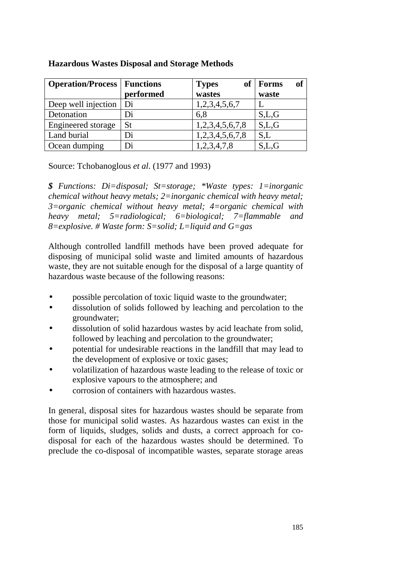| <b>Operation/Process   Functions</b> |           | <b>Types</b><br>of | of<br><b>Forms</b> |
|--------------------------------------|-----------|--------------------|--------------------|
|                                      | performed | wastes             | waste              |
| Deep well injection $\vert$ Di       |           | 1,2,3,4,5,6,7      |                    |
| Detonation                           | Di        | 6,8                | S,L,G              |
| Engineered storage                   | <b>St</b> | 1,2,3,4,5,6,7,8    | S,L,G              |
| Land burial                          | Di        | 1,2,3,4,5,6,7,8    | S <sub>1</sub> L   |
| Ocean dumping                        | Di        | 1,2,3,4,7,8        | S,L,G              |

#### **Hazardous Wastes Disposal and Storage Methods**

Source: Tchobanoglous *et al*. (1977 and 1993)

*\$ Functions: Di=disposal; St=storage; \*Waste types: 1=inorganic chemical without heavy metals; 2=inorganic chemical with heavy metal; 3=organic chemical without heavy metal; 4=organic chemical with heavy metal; 5=radiological; 6=biological; 7=flammable and 8=explosive. # Waste form: S=solid; L=liquid and G=gas*

Although controlled landfill methods have been proved adequate for disposing of municipal solid waste and limited amounts of hazardous waste, they are not suitable enough for the disposal of a large quantity of hazardous waste because of the following reasons:

- possible percolation of toxic liquid waste to the groundwater;
- dissolution of solids followed by leaching and percolation to the groundwater;
- dissolution of solid hazardous wastes by acid leachate from solid, followed by leaching and percolation to the groundwater;
- potential for undesirable reactions in the landfill that may lead to the development of explosive or toxic gases;
- volatilization of hazardous waste leading to the release of toxic or explosive vapours to the atmosphere; and
- corrosion of containers with hazardous wastes.

In general, disposal sites for hazardous wastes should be separate from those for municipal solid wastes. As hazardous wastes can exist in the form of liquids, sludges, solids and dusts, a correct approach for co disposal for each of the hazardous wastes should be determined. To preclude the co-disposal of incompatible wastes, separate storage areas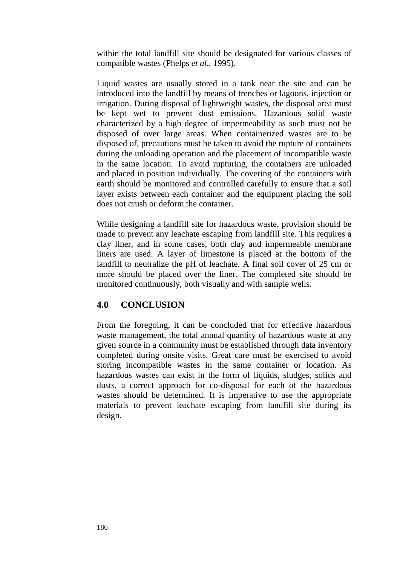within the total landfill site should be designated for various classes of compatible wastes (Phelps *et al*., 1995).

Liquid wastes are usually stored in a tank near the site and can be introduced into the landfill by means of trenches or lagoons, injection or irrigation. During disposal of lightweight wastes, the disposal area must be kept wet to prevent dust emissions. Hazardous solid waste characterized by a high degree of impermeability as such must not be disposed of over large areas. When containerized wastes are to be disposed of, precautions must be taken to avoid the rupture of containers during the unloading operation and the placement of incompatible waste in the same location. To avoid rupturing, the containers are unloaded and placed in position individually. The covering of the containers with earth should be monitored and controlled carefully to ensure that a soil layer exists between each container and the equipment placing the soil does not crush or deform the container.

While designing a landfill site for hazardous waste, provision should be made to prevent any leachate escaping from landfill site. This requires a clay liner, and in some cases, both clay and impermeable membrane liners are used. A layer of limestone is placed at the bottom of the landfill to neutralize the pH of leachate. A final soil cover of 25 cm or more should be placed over the liner. The completed site should be monitored continuously, both visually and with sample wells.

#### **4.0 CONCLUSION**

From the foregoing, it can be concluded that for effective hazardous waste management, the total annual quantity of hazardous waste at any given source in a community must be established through data inventory completed during onsite visits. Great care must be exercised to avoid storing incompatible wastes in the same container or location. As hazardous wastes can exist in the form of liquids, sludges, solids and dusts, a correct approach for co-disposal for each of the hazardous wastes should be determined. It is imperative to use the appropriate materials to prevent leachate escaping from landfill site during its design.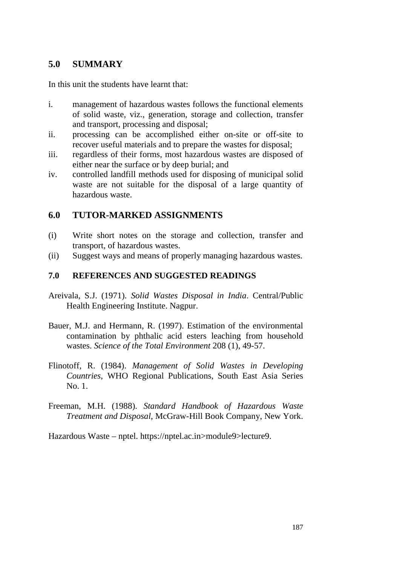#### **5.0 SUMMARY**

In this unit the students have learnt that:

- i. management of hazardous wastes follows the functional elements of solid waste, viz., generation, storage and collection, transfer and transport, processing and disposal;
- ii. processing can be accomplished either on-site or off-site to recover useful materials and to prepare the wastes for disposal;
- iii. regardless of their forms, most hazardous wastes are disposed of either near the surface or by deep burial; and
- iv. controlled landfill methods used for disposing of municipal solid waste are not suitable for the disposal of a large quantity of hazardous waste.

#### **6.0 TUTOR-MARKED ASSIGNMENTS**

- (i) Write short notes on the storage and collection, transfer and transport, of hazardous wastes.
- (ii) Suggest ways and means of properly managing hazardous wastes.

#### **7.0 REFERENCES AND SUGGESTED READINGS**

- Areivala, S.J. (1971). *Solid Wastes Disposal in India*. Central/Public Health Engineering Institute. Nagpur.
- Bauer, M.J. and Hermann, R. (1997). Estimation of the environmental contamination by phthalic acid esters leaching from household wastes. *Science of the Total Environment* 208 (1), 49-57.
- Flinotoff, R. (1984). *Management of Solid Wastes in Developing Countries*, WHO Regional Publications, South East Asia Series No. 1.
- Freeman, M.H. (1988). *Standard Handbook of Hazardous Waste Treatment and Disposal*, McGraw-Hill Book Company, New York.

Hazardous Waste – nptel. https://nptel.ac.in>module9>lecture9.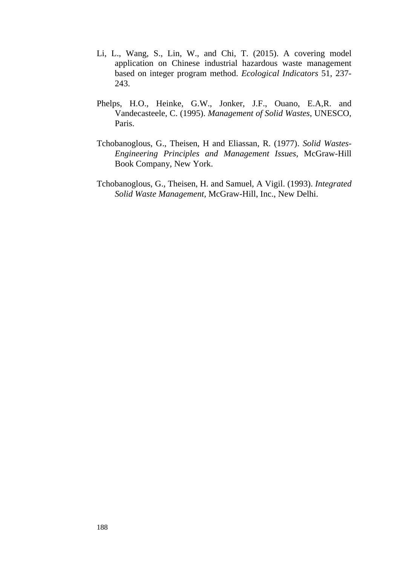- Li, L., Wang, S., Lin, W., and Chi, T. (2015). A covering model application on Chinese industrial hazardous waste management based on integer program method. *Ecological Indicators* 51, 237- 243.
- Phelps, H.O., Heinke, G.W., Jonker, J.F., Ouano, E.A,R. and Vandecasteele, C. (1995). *Management of Solid Wastes*, UNESCO, Paris.
- Tchobanoglous, G., Theisen, H and Eliassan, R. (1977). *Solid Wastes- Engineering Principles and Management Issues*, McGraw-Hill Book Company, New York.
- Tchobanoglous, G., Theisen, H. and Samuel, A Vigil. (1993). *Integrated Solid Waste Management*, McGraw-Hill, Inc., New Delhi.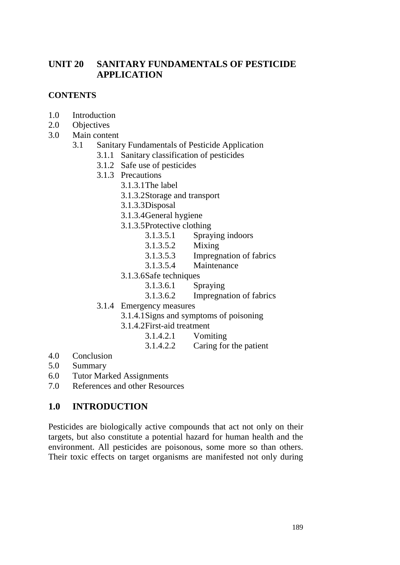# **UNIT 20 SANITARY FUNDAMENTALS OF PESTICIDE APPLICATION**

#### **CONTENTS**

- 1.0 Introduction
- 2.0 Objectives
- 3.0 Main content
	- 3.1 Sanitary Fundamentals of Pesticide Application
		- 3.1.1 Sanitary classification of pesticides
		- 3.1.2 Safe use of pesticides
		- 3.1.3 Precautions
			- 3.1.3.1The label
				- 3.1.3.2Storage and transport
				- 3.1.3.3Disposal
				- 3.1.3.4General hygiene
				- 3.1.3.5Protective clothing
					- 3.1.3.5.1 Spraying indoors
					- 3.1.3.5.2 Mixing
					- 3.1.3.5.3 Impregnation of fabrics
					- 3.1.3.5.4 Maintenance
				- 3.1.3.6Safe techniques
					- 3.1.3.6.1 Spraying
					- 3.1.3.6.2 Impregnation of fabrics
		- 3.1.4 Emergency measures
			- 3.1.4.1Signs and symptoms of poisoning
			- 3.1.4.2First-aid treatment
				- 3.1.4.2.1 Vomiting
				- 3.1.4.2.2 Caring for the patient
- 4.0 Conclusion
- 5.0 Summary
- 6.0 Tutor Marked Assignments
- 7.0 References and other Resources

#### **1.0 INTRODUCTION**

Pesticides are biologically active compounds that act not only on their targets, but also constitute a potential hazard for human health and the environment. All pesticides are poisonous, some more so than others. Their toxic effects on target organisms are manifested not only during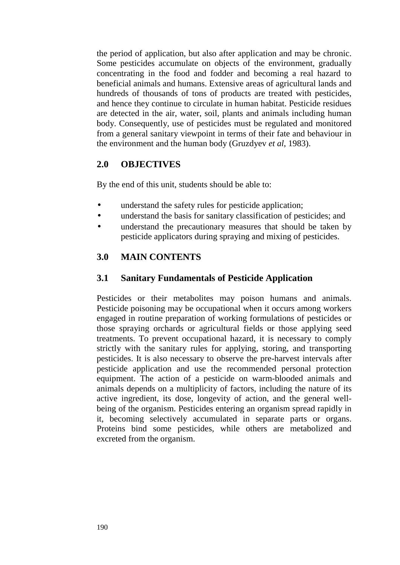the period of application, but also after application and may be chronic. Some pesticides accumulate on objects of the environment, gradually concentrating in the food and fodder and becoming a real hazard to beneficial animals and humans. Extensive areas of agricultural lands and hundreds of thousands of tons of products are treated with pesticides, and hence they continue to circulate in human habitat. Pesticide residues are detected in the air, water, soil, plants and animals including human body. Consequently, use of pesticides must be regulated and monitored from a general sanitary viewpoint in terms of their fate and behaviour in the environment and the human body (Gruzdyev *et al*, 1983).

#### **2.0 OBJECTIVES**

By the end of this unit, students should be able to:

- understand the safety rules for pesticide application;
- understand the basis for sanitary classification of pesticides; and
- understand the precautionary measures that should be taken by pesticide applicators during spraying and mixing of pesticides.

## **3.0 MAIN CONTENTS**

#### **3.1 Sanitary Fundamentals of Pesticide Application**

Pesticides or their metabolites may poison humans and animals. Pesticide poisoning may be occupational when it occurs among workers engaged in routine preparation of working formulations of pesticides or those spraying orchards or agricultural fields or those applying seed treatments. To prevent occupational hazard, it is necessary to comply strictly with the sanitary rules for applying, storing, and transporting pesticides. It is also necessary to observe the pre-harvest intervals after pesticide application and use the recommended personal protection equipment. The action of a pesticide on warm-blooded animals and animals depends on a multiplicity of factors, including the nature of its active ingredient, its dose, longevity of action, and the general well being of the organism. Pesticides entering an organism spread rapidly in it, becoming selectively accumulated in separate parts or organs. Proteins bind some pesticides, while others are metabolized and excreted from the organism.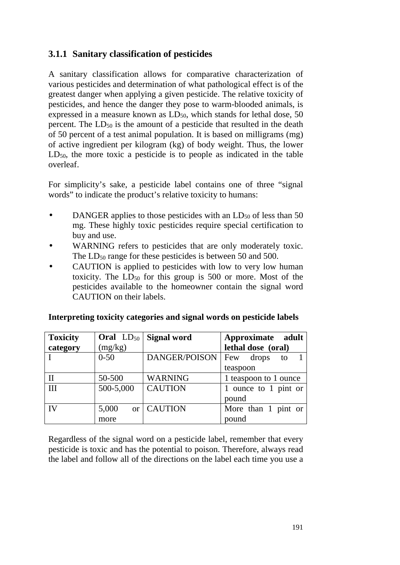## **3.1.1 Sanitary classification of pesticides**

A sanitary classification allows for comparative characterization of various pesticides and determination of what pathological effect is of the greatest danger when applying a given pesticide. The relative toxicity of pesticides, and hence the danger they pose to warm-blooded animals, is expressed in a measure known as  $LD_{50}$ , which stands for lethal dose, 50 percent. The  $LD_{50}$  is the amount of a pesticide that resulted in the death of 50 percent of a test animal population. It is based on milligrams (mg) of active ingredient per kilogram (kg) of body weight. Thus, the lower  $LD_{50}$ , the more toxic a pesticide is to people as indicated in the table overleaf.

For simplicity's sake, a pesticide label contains one of three "signal words" to indicate the product's relative toxicity to humans:

- DANGER applies to those pesticides with an  $LD_{50}$  of less than 50 mg. These highly toxic pesticides require special certification to buy and use.
- WARNING refers to pesticides that are only moderately toxic. The LD<sub>50</sub> range for these pesticides is between 50 and 500.
- CAUTION is applied to pesticides with low to very low human toxicity. The  $LD_{50}$  for this group is 500 or more. Most of the pesticides available to the homeowner contain the signal word CAUTION on their labels.

| <b>Toxicity</b> |           | <b>Oral</b> LD <sub>50</sub> Signal word | Approximate adult     |
|-----------------|-----------|------------------------------------------|-----------------------|
| category        | (mg/kg)   |                                          | lethal dose (oral)    |
|                 | $0 - 50$  | DANGER/POISON                            | Few drops<br>to       |
|                 |           |                                          | teaspoon              |
| $\mathbf{I}$    | 50-500    | <b>WARNING</b>                           | 1 teaspoon to 1 ounce |
| III             | 500-5,000 | <b>CAUTION</b>                           | 1 ounce to 1 pint or  |
|                 |           |                                          | pound                 |
| IV              | 5,000     | or   CAUTION                             | More than 1 pint or   |
|                 | more      |                                          | pound                 |

#### **Interpreting toxicity categories and signal words on pesticide labels**

Regardless of the signal word on a pesticide label, remember that every pesticide is toxic and has the potential to poison. Therefore, always read the label and follow all of the directions on the label each time you use a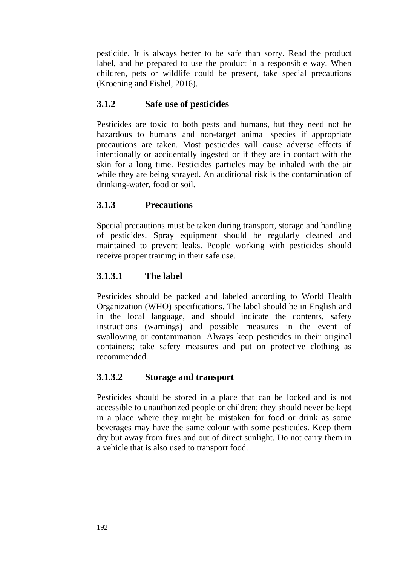pesticide. It is always better to be safe than sorry. Read the product label, and be prepared to use the product in a responsible way. When children, pets or wildlife could be present, take special precautions (Kroening and Fishel, 2016).

# **3.1.2 Safe use of pesticides**

Pesticides are toxic to both pests and humans, but they need not be hazardous to humans and non-target animal species if appropriate precautions are taken. Most pesticides will cause adverse effects if intentionally or accidentally ingested or if they are in contact with the skin for a long time. Pesticides particles may be inhaled with the air while they are being sprayed. An additional risk is the contamination of drinking-water, food or soil.

## **3.1.3 Precautions**

Special precautions must be taken during transport, storage and handling of pesticides. Spray equipment should be regularly cleaned and maintained to prevent leaks. People working with pesticides should receive proper training in their safe use.

## **3.1.3.1 The label**

Pesticides should be packed and labeled according to World Health Organization (WHO) specifications. The label should be in English and in the local language, and should indicate the contents, safety instructions (warnings) and possible measures in the event of swallowing or contamination. Always keep pesticides in their original containers; take safety measures and put on protective clothing as recommended.

#### **3.1.3.2 Storage and transport**

Pesticides should be stored in a place that can be locked and is not accessible to unauthorized people or children; they should never be kept in a place where they might be mistaken for food or drink as some beverages may have the same colour with some pesticides. Keep them dry but away from fires and out of direct sunlight. Do not carry them in a vehicle that is also used to transport food.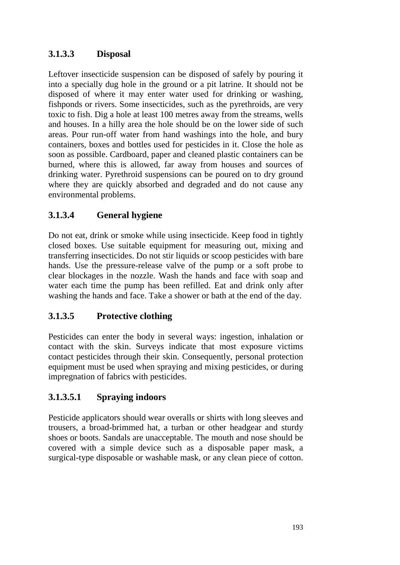# **3.1.3.3 Disposal**

Leftover insecticide suspension can be disposed of safely by pouring it into a specially dug hole in the ground or a pit latrine. It should not be disposed of where it may enter water used for drinking or washing, fishponds or rivers. Some insecticides, such as the pyrethroids, are very toxic to fish. Dig a hole at least 100 metres away from the streams, wells and houses. In a hilly area the hole should be on the lower side of such areas. Pour run-off water from hand washings into the hole, and bury containers, boxes and bottles used for pesticides in it. Close the hole as soon as possible. Cardboard, paper and cleaned plastic containers can be burned, where this is allowed, far away from houses and sources of drinking water. Pyrethroid suspensions can be poured on to dry ground where they are quickly absorbed and degraded and do not cause any environmental problems.

# **3.1.3.4 General hygiene**

Do not eat, drink or smoke while using insecticide. Keep food in tightly closed boxes. Use suitable equipment for measuring out, mixing and transferring insecticides. Do not stir liquids or scoop pesticides with bare hands. Use the pressure-release valve of the pump or a soft probe to clear blockages in the nozzle. Wash the hands and face with soap and water each time the pump has been refilled. Eat and drink only after washing the hands and face. Take a shower or bath at the end of the day.

# **3.1.3.5 Protective clothing**

Pesticides can enter the body in several ways: ingestion, inhalation or contact with the skin. Surveys indicate that most exposure victims contact pesticides through their skin. Consequently, personal protection equipment must be used when spraying and mixing pesticides, or during impregnation of fabrics with pesticides.

# **3.1.3.5.1 Spraying indoors**

Pesticide applicators should wear overalls or shirts with long sleeves and trousers, a broad-brimmed hat, a turban or other headgear and sturdy shoes or boots. Sandals are unacceptable. The mouth and nose should be covered with a simple device such as a disposable paper mask, a surgical-type disposable or washable mask, or any clean piece of cotton.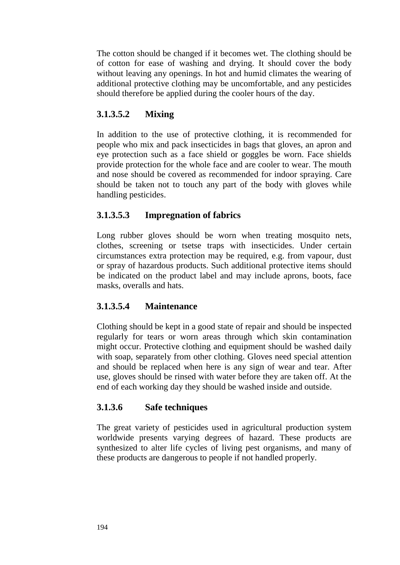The cotton should be changed if it becomes wet. The clothing should be of cotton for ease of washing and drying. It should cover the body without leaving any openings. In hot and humid climates the wearing of additional protective clothing may be uncomfortable, and any pesticides should therefore be applied during the cooler hours of the day.

# **3.1.3.5.2 Mixing**

In addition to the use of protective clothing, it is recommended for people who mix and pack insecticides in bags that gloves, an apron and eye protection such as a face shield or goggles be worn. Face shields provide protection for the whole face and are cooler to wear. The mouth and nose should be covered as recommended for indoor spraying. Care should be taken not to touch any part of the body with gloves while handling pesticides.

# **3.1.3.5.3 Impregnation of fabrics**

Long rubber gloves should be worn when treating mosquito nets, clothes, screening or tsetse traps with insecticides. Under certain circumstances extra protection may be required, e.g. from vapour, dust or spray of hazardous products. Such additional protective items should be indicated on the product label and may include aprons, boots, face masks, overalls and hats.

# **3.1.3.5.4 Maintenance**

Clothing should be kept in a good state of repair and should be inspected regularly for tears or worn areas through which skin contamination might occur. Protective clothing and equipment should be washed daily with soap, separately from other clothing. Gloves need special attention and should be replaced when here is any sign of wear and tear. After use, gloves should be rinsed with water before they are taken off. At the end of each working day they should be washed inside and outside.

# **3.1.3.6 Safe techniques**

The great variety of pesticides used in agricultural production system worldwide presents varying degrees of hazard. These products are synthesized to alter life cycles of living pest organisms, and many of these products are dangerous to people if not handled properly.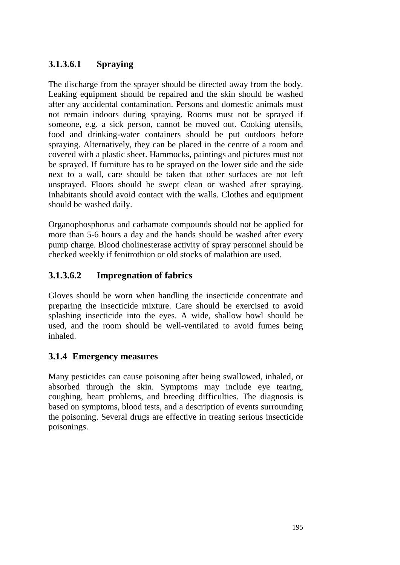# **3.1.3.6.1 Spraying**

The discharge from the sprayer should be directed away from the body. Leaking equipment should be repaired and the skin should be washed after any accidental contamination. Persons and domestic animals must not remain indoors during spraying. Rooms must not be sprayed if someone, e.g. a sick person, cannot be moved out. Cooking utensils, food and drinking-water containers should be put outdoors before spraying. Alternatively, they can be placed in the centre of a room and covered with a plastic sheet. Hammocks, paintings and pictures must not be sprayed. If furniture has to be sprayed on the lower side and the side next to a wall, care should be taken that other surfaces are not left unsprayed. Floors should be swept clean or washed after spraying. Inhabitants should avoid contact with the walls. Clothes and equipment should be washed daily.

Organophosphorus and carbamate compounds should not be applied for more than 5-6 hours a day and the hands should be washed after every pump charge. Blood cholinesterase activity of spray personnel should be checked weekly if fenitrothion or old stocks of malathion are used.

# **3.1.3.6.2 Impregnation of fabrics**

Gloves should be worn when handling the insecticide concentrate and preparing the insecticide mixture. Care should be exercised to avoid splashing insecticide into the eyes. A wide, shallow bowl should be used, and the room should be well-ventilated to avoid fumes being inhaled.

#### **3.1.4 Emergency measures**

Many pesticides can cause poisoning after being swallowed, inhaled, or absorbed through the skin. Symptoms may include eye tearing, coughing, heart problems, and breeding difficulties. The diagnosis is based on symptoms, blood tests, and a description of events surrounding the poisoning. Several drugs are effective in treating serious insecticide poisonings.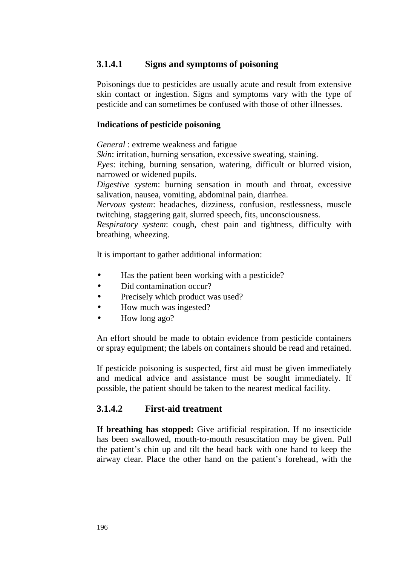# **3.1.4.1 Signs and symptoms of poisoning**

Poisonings due to pesticides are usually acute and result from extensive skin contact or ingestion. Signs and symptoms vary with the type of pesticide and can sometimes be confused with those of other illnesses.

#### **Indications of pesticide poisoning**

*General* : extreme weakness and fatigue

*Skin*: irritation, burning sensation, excessive sweating, staining.

*Eyes*: itching, burning sensation, watering, difficult or blurred vision, narrowed or widened pupils.

*Digestive system*: burning sensation in mouth and throat, excessive salivation, nausea, vomiting, abdominal pain, diarrhea.

*Nervous system*: headaches, dizziness, confusion, restlessness, muscle twitching, staggering gait, slurred speech, fits, unconsciousness.

*Respiratory system*: cough, chest pain and tightness, difficulty with breathing, wheezing.

It is important to gather additional information:

- Has the patient been working with a pesticide?
- Did contamination occur?
- Precisely which product was used?
- How much was ingested?
- How long ago?

An effort should be made to obtain evidence from pesticide containers or spray equipment; the labels on containers should be read and retained.

If pesticide poisoning is suspected, first aid must be given immediately and medical advice and assistance must be sought immediately. If possible, the patient should be taken to the nearest medical facility.

#### **3.1.4.2 First-aid treatment**

**If breathing has stopped:** Give artificial respiration. If no insecticide has been swallowed, mouth-to-mouth resuscitation may be given. Pull the patient's chin up and tilt the head back with one hand to keep the airway clear. Place the other hand on the patient's forehead, with the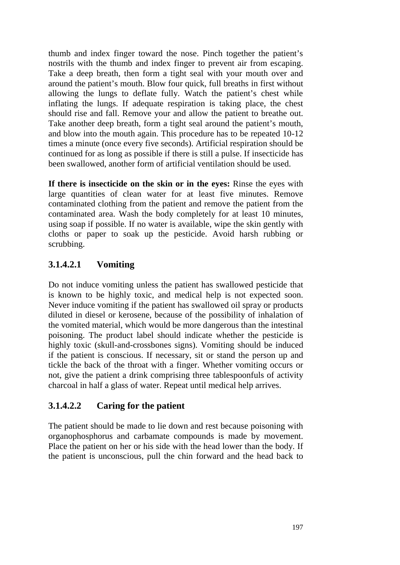thumb and index finger toward the nose. Pinch together the patient's nostrils with the thumb and index finger to prevent air from escaping. Take a deep breath, then form a tight seal with your mouth over and around the patient's mouth. Blow four quick, full breaths in first without allowing the lungs to deflate fully. Watch the patient's chest while inflating the lungs. If adequate respiration is taking place, the chest should rise and fall. Remove your and allow the patient to breathe out. Take another deep breath, form a tight seal around the patient's mouth, and blow into the mouth again. This procedure has to be repeated 10-12 times a minute (once every five seconds). Artificial respiration should be continued for as long as possible if there is still a pulse. If insecticide has been swallowed, another form of artificial ventilation should be used.

**If there is insecticide on the skin or in the eyes:** Rinse the eyes with large quantities of clean water for at least five minutes. Remove contaminated clothing from the patient and remove the patient from the contaminated area. Wash the body completely for at least 10 minutes, using soap if possible. If no water is available, wipe the skin gently with cloths or paper to soak up the pesticide. Avoid harsh rubbing or scrubbing.

# **3.1.4.2.1 Vomiting**

Do not induce vomiting unless the patient has swallowed pesticide that is known to be highly toxic, and medical help is not expected soon. Never induce vomiting if the patient has swallowed oil spray or products diluted in diesel or kerosene, because of the possibility of inhalation of the vomited material, which would be more dangerous than the intestinal poisoning. The product label should indicate whether the pesticide is highly toxic (skull-and-crossbones signs). Vomiting should be induced if the patient is conscious. If necessary, sit or stand the person up and tickle the back of the throat with a finger. Whether vomiting occurs or not, give the patient a drink comprising three tablespoonfuls of activity charcoal in half a glass of water. Repeat until medical help arrives.

# **3.1.4.2.2 Caring for the patient**

The patient should be made to lie down and rest because poisoning with organophosphorus and carbamate compounds is made by movement. Place the patient on her or his side with the head lower than the body. If the patient is unconscious, pull the chin forward and the head back to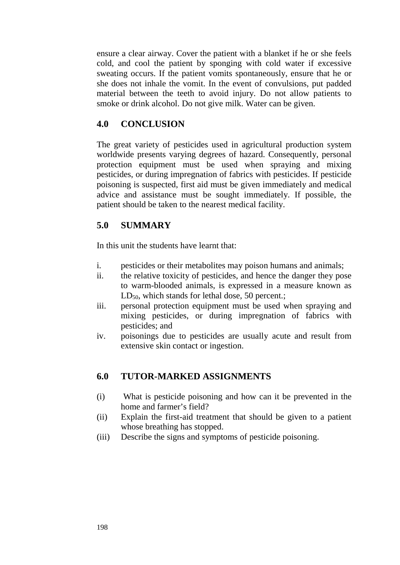ensure a clear airway. Cover the patient with a blanket if he or she feels cold, and cool the patient by sponging with cold water if excessive sweating occurs. If the patient vomits spontaneously, ensure that he or she does not inhale the vomit. In the event of convulsions, put padded material between the teeth to avoid injury. Do not allow patients to smoke or drink alcohol. Do not give milk. Water can be given.

#### **4.0 CONCLUSION**

The great variety of pesticides used in agricultural production system worldwide presents varying degrees of hazard. Consequently, personal protection equipment must be used when spraying and mixing pesticides, or during impregnation of fabrics with pesticides. If pesticide poisoning is suspected, first aid must be given immediately and medical advice and assistance must be sought immediately. If possible, the patient should be taken to the nearest medical facility.

## **5.0 SUMMARY**

In this unit the students have learnt that:

- i. pesticides or their metabolites may poison humans and animals;
- ii. the relative toxicity of pesticides, and hence the danger they pose to warm-blooded animals, is expressed in a measure known as LD<sub>50</sub>, which stands for lethal dose, 50 percent.;
- iii. personal protection equipment must be used when spraying and mixing pesticides, or during impregnation of fabrics with pesticides; and
- iv. poisonings due to pesticides are usually acute and result from extensive skin contact or ingestion.

#### **6.0 TUTOR-MARKED ASSIGNMENTS**

- (i) What is pesticide poisoning and how can it be prevented in the home and farmer's field?
- (ii) Explain the first-aid treatment that should be given to a patient whose breathing has stopped.
- (iii) Describe the signs and symptoms of pesticide poisoning.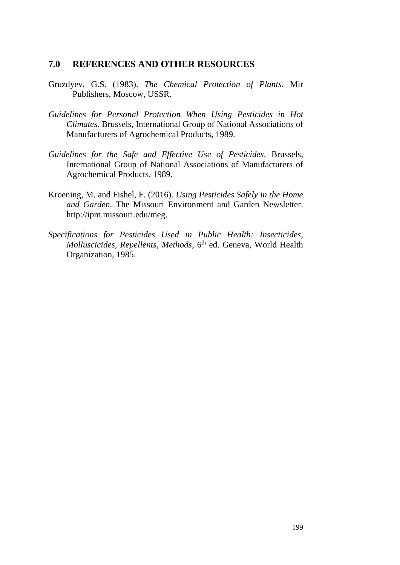#### **7.0 REFERENCES AND OTHER RESOURCES**

- Gruzdyev, G.S. (1983). *The Chemical Protection of Plants*. Mir Publishers, Moscow, USSR.
- *Guidelines for Personal Protection When Using Pesticides in Hot Climates.* Brussels, International Group of National Associations of Manufacturers of Agrochemical Products, 1989.
- *Guidelines for the Safe and Effective Use of Pesticides*. Brussels, International Group of National Associations of Manufacturers of Agrochemical Products, 1989.
- Kroening, M. and Fishel, F. (2016). *Using Pesticides Safely in the Home and Garden*. The Missouri Environment and Garden Newsletter. http://ipm.missouri.edu/meg.
- *Specifications for Pesticides Used in Public Health: Insecticides, Molluscicides, Repellents, Methods, 6<sup>th</sup> ed. Geneva, World Health* Organization, 1985.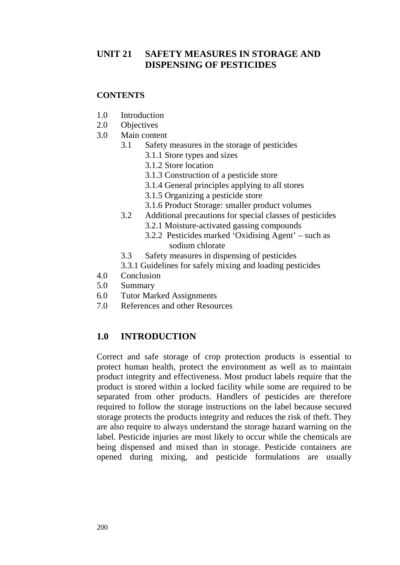## **UNIT 21 SAFETY MEASURES IN STORAGE AND DISPENSING OF PESTICIDES**

#### **CONTENTS**

- 1.0 Introduction
- 2.0 Objectives
- 3.0 Main content
	- 3.1 Safety measures in the storage of pesticides
		- 3.1.1 Store types and sizes
		- 3.1.2 Store location
		- 3.1.3 Construction of a pesticide store
		- 3.1.4 General principles applying to all stores
		- 3.1.5 Organizing a pesticide store
		- 3.1.6 Product Storage: smaller product volumes
	- 3.2 Additional precautions for special classes of pesticides
		- 3.2.1 Moisture-activated gassing compounds
		- 3.2.2 Pesticides marked 'Oxidising Agent' such as sodium chlorate
	- 3.3 Safety measures in dispensing of pesticides
	- 3.3.1 Guidelines for safely mixing and loading pesticides
- 4.0 Conclusion
- 5.0 Summary
- 6.0 Tutor Marked Assignments
- 7.0 References and other Resources

# **1.0 INTRODUCTION**

Correct and safe storage of crop protection products is essential to protect human health, protect the environment as well as to maintain product integrity and effectiveness. Most product labels require that the product is stored within a locked facility while some are required to be separated from other products. Handlers of pesticides are therefore required to follow the storage instructions on the label because secured storage protects the products integrity and reduces the risk of theft. They are also require to always understand the storage hazard warning on the label. Pesticide injuries are most likely to occur while the chemicals are being dispensed and mixed than in storage. Pesticide containers are opened during mixing, and pesticide formulations are usually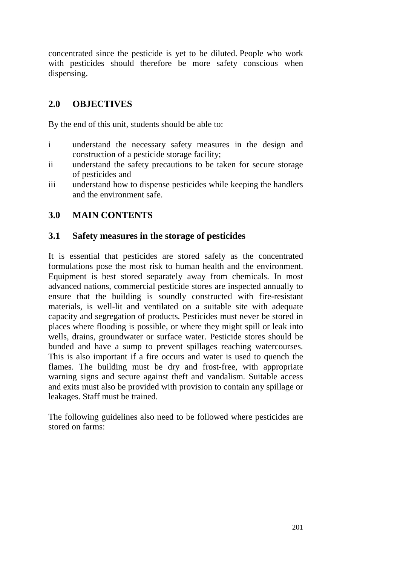concentrated since the pesticide is yet to be diluted. People who work with pesticides should therefore be more safety conscious when dispensing.

# **2.0 OBJECTIVES**

By the end of this unit, students should be able to:

- i understand the necessary safety measures in the design and construction of a pesticide storage facility;
- ii understand the safety precautions to be taken for secure storage of pesticides and
- iii understand how to dispense pesticides while keeping the handlers and the environment safe.

# **3.0 MAIN CONTENTS**

#### **3.1 Safety measures in the storage of pesticides**

It is essential that pesticides are stored safely as the concentrated formulations pose the most risk to human health and the environment. Equipment is best stored separately away from chemicals. In most advanced nations, commercial pesticide stores are inspected annually to ensure that the building is soundly constructed with fire-resistant materials, is well-lit and ventilated on a suitable site with adequate capacity and segregation of products. Pesticides must never be stored in places where flooding is possible, or where they might spill or leak into wells, drains, groundwater or surface water. Pesticide stores should be bunded and have a sump to prevent spillages reaching watercourses. This is also important if a fire occurs and water is used to quench the flames. The building must be dry and frost-free, with appropriate warning signs and secure against theft and vandalism. Suitable access and exits must also be provided with provision to contain any spillage or leakages. Staff must be trained.

The following guidelines also need to be followed where pesticides are stored on farms: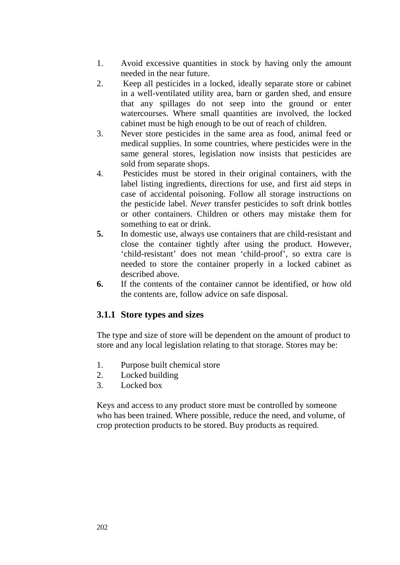- 1. Avoid excessive quantities in stock by having only the amount needed in the near future.
- 2. Keep all pesticides in a locked, ideally separate store or cabinet in a well-ventilated utility area, barn or garden shed, and ensure that any spillages do not seep into the ground or enter watercourses. Where small quantities are involved, the locked cabinet must be high enough to be out of reach of children.
- 3. Never store pesticides in the same area as food, animal feed or medical supplies. In some countries, where pesticides were in the same general stores, legislation now insists that pesticides are sold from separate shops.
- 4. Pesticides must be stored in their original containers, with the label listing ingredients, directions for use, and first aid steps in case of accidental poisoning. Follow all storage instructions on the pesticide label. *Never* transfer pesticides to soft drink bottles or other containers. Children or others may mistake them for something to eat or drink.
- **5.** In domestic use, always use containers that are child-resistant and close the container tightly after using the product. However, 'child-resistant' does not mean 'child-proof', so extra care is needed to store the container properly in a locked cabinet as described above.
- **6.** If the contents of the container cannot be identified, or how old the contents are, follow advice on safe disposal.

# **3.1.1 Store types and sizes**

The type and size of store will be dependent on the amount of product to store and any local legislation relating to that storage. Stores may be:

- 1. Purpose built chemical store
- 2. Locked building
- 3. Locked box

Keys and access to any product store must be controlled by someone who has been trained. Where possible, reduce the need, and volume, of crop protection products to be stored. Buy products as required.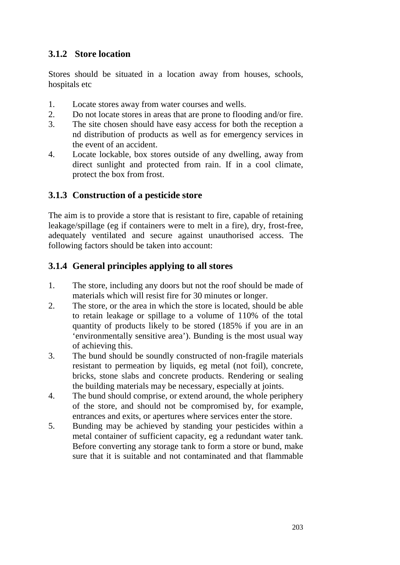# **3.1.2 Store location**

Stores should be situated in a location away from houses, schools, hospitals etc

- 1. Locate stores away from water courses and wells.
- 2. Do not locate stores in areas that are prone to flooding and/or fire.
- 3. The site chosen should have easy access for both the reception a nd distribution of products as well as for emergency services in the event of an accident.
- 4. Locate lockable, box stores outside of any dwelling, away from direct sunlight and protected from rain. If in a cool climate, protect the box from frost.

# **3.1.3 Construction of a pesticide store**

The aim is to provide a store that is resistant to fire, capable of retaining leakage/spillage (eg if containers were to melt in a fire), dry, frost-free, adequately ventilated and secure against unauthorised access. The following factors should be taken into account:

# **3.1.4 General principles applying to all stores**

- 1. The store, including any doors but not the roof should be made of materials which will resist fire for 30 minutes or longer.
- 2. The store, or the area in which the store is located, should be able to retain leakage or spillage to a volume of 110% of the total quantity of products likely to be stored (185% if you are in an 'environmentally sensitive area'). Bunding is the most usual way of achieving this.
- 3. The bund should be soundly constructed of non-fragile materials resistant to permeation by liquids, eg metal (not foil), concrete, bricks, stone slabs and concrete products. Rendering or sealing the building materials may be necessary, especially at joints.
- 4. The bund should comprise, or extend around, the whole periphery of the store, and should not be compromised by, for example, entrances and exits, or apertures where services enter the store.
- 5. Bunding may be achieved by standing your pesticides within a metal container of sufficient capacity, eg a redundant water tank. Before converting any storage tank to form a store or bund, make sure that it is suitable and not contaminated and that flammable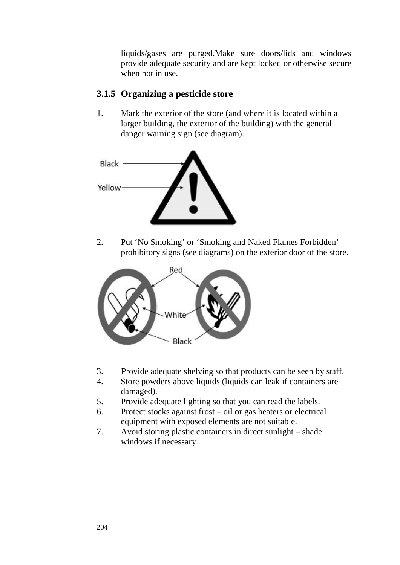liquids/gases are purged.Make sure doors/lids and windows provide adequate security and are kept locked or otherwise secure when not in use.

## **3.1.5 Organizing a pesticide store**

1. Mark the exterior of the store (and where it is located within a larger building, the exterior of the building) with the general danger warning sign (see diagram).



2. Put 'No Smoking' or 'Smoking and Naked Flames Forbidden' prohibitory signs (see diagrams) on the exterior door of the store.



- 3. Provide adequate shelving so that products can be seen by staff.
- 4. Store powders above liquids (liquids can leak if containers are damaged).
- 5. Provide adequate lighting so that you can read the labels.
- 6. Protect stocks against frost oil or gas heaters or electrical equipment with exposed elements are not suitable.
- 7. Avoid storing plastic containers in direct sunlight shade windows if necessary.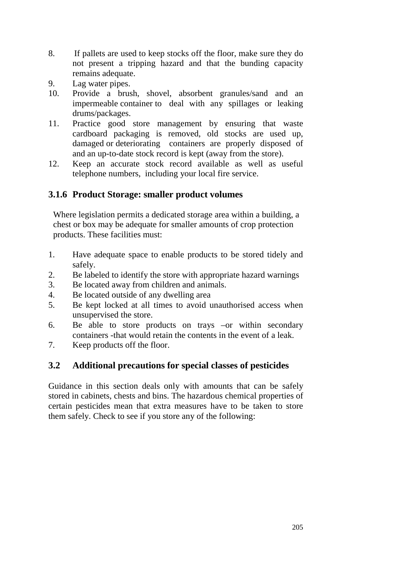- 8. If pallets are used to keep stocks off the floor, make sure they do not present a tripping hazard and that the bunding capacity remains adequate.
- 9. Lag water pipes.
- 10. Provide a brush, shovel, absorbent granules/sand and an impermeable container to deal with any spillages or leaking drums/packages.
- 11. Practice good store management by ensuring that waste cardboard packaging is removed, old stocks are used up, damaged or deteriorating containers are properly disposed of and an up-to-date stock record is kept (away from the store).
- 12. Keep an accurate stock record available as well as useful telephone numbers, including your local fire service.

## **3.1.6 Product Storage: smaller product volumes**

Where legislation permits a dedicated storage area within a building, a chest or box may be adequate for smaller amounts of crop protection products. These facilities must:

- 1. Have adequate space to enable products to be stored tidely and safely.
- 2. Be labeled to identify the store with appropriate hazard warnings
- 3. Be located away from children and animals.
- 4. Be located outside of any dwelling area
- 5. Be kept locked at all times to avoid unauthorised access when unsupervised the store.
- 6. Be able to store products on trays –or within secondary containers -that would retain the contents in the event of a leak.
- 7. Keep products off the floor.

# **3.2 Additional precautions for special classes of pesticides**

Guidance in this section deals only with amounts that can be safely stored in cabinets, chests and bins. The hazardous chemical properties of certain pesticides mean that extra measures have to be taken to store them safely. Check to see if you store any of the following: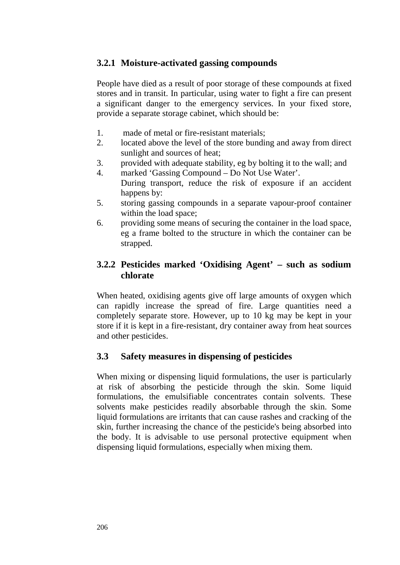# **3.2.1 Moisture-activated gassing compounds**

People have died as a result of poor storage of these compounds at fixed stores and in transit. In particular, using water to fight a fire can present a significant danger to the emergency services. In your fixed store, provide a separate storage cabinet, which should be:

- 1. made of metal or fire-resistant materials;
- 2. located above the level of the store bunding and away from direct sunlight and sources of heat;
- 3. provided with adequate stability, eg by bolting it to the wall; and
- 4. marked 'Gassing Compound Do Not Use Water'.
- During transport, reduce the risk of exposure if an accident happens by:
- 5. storing gassing compounds in a separate vapour-proof container within the load space;
- 6. providing some means of securing the container in the load space, eg a frame bolted to the structure in which the container can be strapped.

## **3.2.2 Pesticides marked 'Oxidising Agent' – such as sodium chlorate**

When heated, oxidising agents give off large amounts of oxygen which can rapidly increase the spread of fire. Large quantities need a completely separate store. However, up to 10 kg may be kept in your store if it is kept in a fire-resistant, dry container away from heat sources and other pesticides.

#### **3.3 Safety measures in dispensing of pesticides**

When mixing or dispensing liquid formulations, the user is particularly at risk of absorbing the pesticide through the skin. Some liquid formulations, the emulsifiable concentrates contain solvents. These solvents make pesticides readily absorbable through the skin. Some liquid formulations are irritants that can cause rashes and cracking of the skin, further increasing the chance of the pesticide's being absorbed into the body. It is advisable to use personal protective equipment when dispensing liquid formulations, especially when mixing them.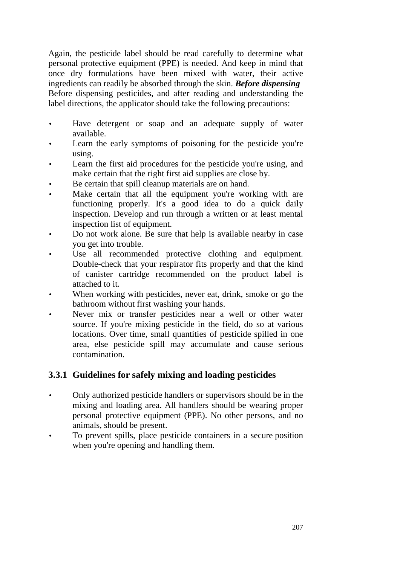Again, the pesticide label should be read carefully to determine what personal protective equipment (PPE) is needed. And keep in mind that once dry formulations have been mixed with water, their active ingredients can readily be absorbed through the skin. *Before dispensing* Before dispensing pesticides, and after reading and understanding the label directions, the applicator should take the following precautions:

- Have detergent or soap and an adequate supply of water available.
- Learn the early symptoms of poisoning for the pesticide you're using.
- Learn the first aid procedures for the pesticide you're using, and make certain that the right first aid supplies are close by.
- Be certain that spill cleanup materials are on hand.
- Make certain that all the equipment you're working with are functioning properly. It's a good idea to do a quick daily inspection. Develop and run through a written or at least mental inspection list of equipment.
- Do not work alone. Be sure that help is available nearby in case you get into trouble.
- Use all recommended protective clothing and equipment. Double-check that your respirator fits properly and that the kind of canister cartridge recommended on the product label is attached to it.
- When working with pesticides, never eat, drink, smoke or go the bathroom without first washing your hands.
- Never mix or transfer pesticides near a well or other water source. If you're mixing pesticide in the field, do so at various locations. Over time, small quantities of pesticide spilled in one area, else pesticide spill may accumulate and cause serious contamination.

# **3.3.1 Guidelines for safely mixing and loading pesticides**

- Only authorized pesticide handlers or supervisors should be in the mixing and loading area. All handlers should be wearing proper personal protective equipment (PPE). No other persons, and no animals, should be present.
- To prevent spills, place pesticide containers in a secure position when you're opening and handling them.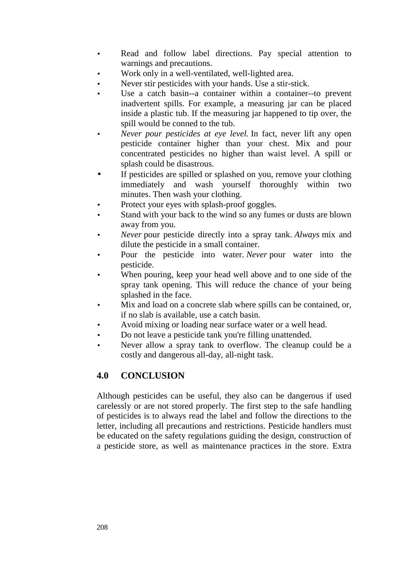- Read and follow label directions. Pay special attention to warnings and precautions.
- Work only in a well-ventilated, well-lighted area.
- Never stir pesticides with your hands. Use a stir-stick.
- Use a catch basin--a container within a container--to prevent inadvertent spills. For example, a measuring jar can be placed inside a plastic tub. If the measuring jar happened to tip over, the spill would be conned to the tub.
- *Never pour pesticides at eye level.* In fact, never lift any open pesticide container higher than your chest. Mix and pour concentrated pesticides no higher than waist level. A spill or splash could be disastrous.
- If pesticides are spilled or splashed on you, remove your clothing immediately and wash yourself thoroughly within two minutes. Then wash your clothing.
- Protect your eyes with splash-proof goggles.
- Stand with your back to the wind so any fumes or dusts are blown away from you.
- *Never* pour pesticide directly into a spray tank. *Always* mix and dilute the pesticide in a small container.
- Pour the pesticide into water. *Never* pour water into the pesticide.
- When pouring, keep your head well above and to one side of the spray tank opening. This will reduce the chance of your being splashed in the face.
- Mix and load on a concrete slab where spills can be contained, or, if no slab is available, use a catch basin.
- Avoid mixing or loading near surface water or a well head.
- Do not leave a pesticide tank you're filling unattended.
- Never allow a spray tank to overflow. The cleanup could be a costly and dangerous all-day, all-night task.

# **4.0 CONCLUSION**

Although pesticides can be useful, they also can be dangerous if used carelessly or are not stored properly. The first step to the safe handling of pesticides is to always read the label and follow the directions to the letter, including all precautions and restrictions. Pesticide handlers must be educated on the safety regulations guiding the design, construction of a pesticide store, as well as maintenance practices in the store. Extra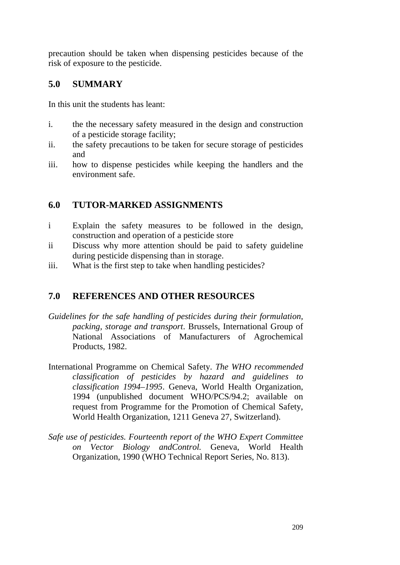precaution should be taken when dispensing pesticides because of the risk of exposure to the pesticide.

# **5.0 SUMMARY**

In this unit the students has leant:

- i. the the necessary safety measured in the design and construction of a pesticide storage facility;
- ii. the safety precautions to be taken for secure storage of pesticides and
- iii. how to dispense pesticides while keeping the handlers and the environment safe.

## **6.0 TUTOR-MARKED ASSIGNMENTS**

- i Explain the safety measures to be followed in the design, construction and operation of a pesticide store
- ii Discuss why more attention should be paid to safety guideline during pesticide dispensing than in storage.
- iii. What is the first step to take when handling pesticides?

# **7.0 REFERENCES AND OTHER RESOURCES**

- *Guidelines for the safe handling of pesticides during their formulation, packing, storage and transport*. Brussels, International Group of National Associations of Manufacturers of Agrochemical Products, 1982.
- International Programme on Chemical Safety. *The WHO recommended classification of pesticides by hazard and guidelines to classification 1994–1995*. Geneva, World Health Organization, 1994 (unpublished document WHO/PCS/94.2; available on request from Programme for the Promotion of Chemical Safety, World Health Organization, 1211 Geneva 27, Switzerland).
- *Safe use of pesticides. Fourteenth report of the WHO Expert Committee on Vector Biology andControl.* Geneva, World Health Organization, 1990 (WHO Technical Report Series, No. 813).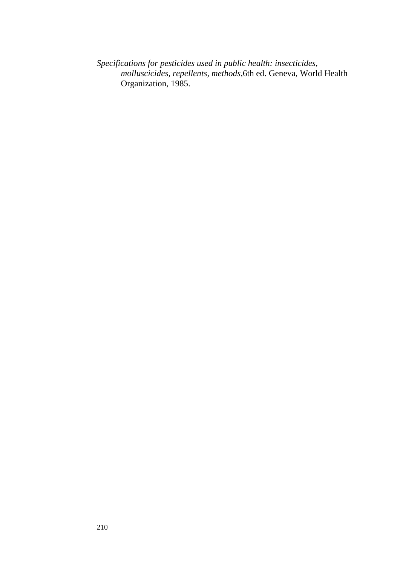*Specifications for pesticides used in public health: insecticides, molluscicides, repellents, methods*,6th ed. Geneva, World Health Organization, 1985.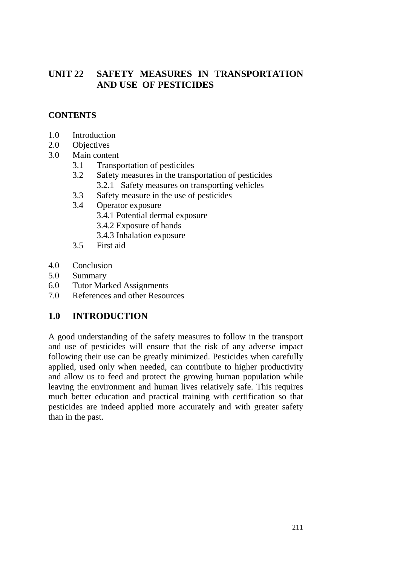# **UNIT 22 SAFETY MEASURES IN TRANSPORTATION AND USE OF PESTICIDES**

#### **CONTENTS**

- 1.0 Introduction
- 2.0 Objectives
- 3.0 Main content
	- 3.1 Transportation of pesticides
	- 3.2 Safety measures in the transportation of pesticides 3.2.1 Safety measures on transporting vehicles
	- 3.3 Safety measure in the use of pesticides
	- 3.4 Operator exposure
		- 3.4.1 Potential dermal exposure
		- 3.4.2 Exposure of hands
		- 3.4.3 Inhalation exposure
	- 3.5 First aid
- 4.0 Conclusion
- 5.0 Summary
- 6.0 Tutor Marked Assignments
- 7.0 References and other Resources

#### **1.0 INTRODUCTION**

A good understanding of the safety measures to follow in the transport and use of pesticides will ensure that the risk of any adverse impact following their use can be greatly minimized. Pesticides when carefully applied, used only when needed, can contribute to higher productivity and allow us to feed and protect the growing human population while leaving the environment and human lives relatively safe. This requires much better education and practical training with certification so that pesticides are indeed applied more accurately and with greater safety than in the past.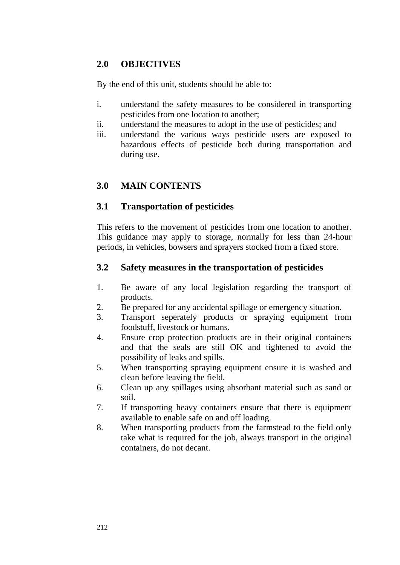# **2.0 OBJECTIVES**

By the end of this unit, students should be able to:

- i. understand the safety measures to be considered in transporting pesticides from one location to another;
- ii. understand the measures to adopt in the use of pesticides; and
- iii. understand the various ways pesticide users are exposed to hazardous effects of pesticide both during transportation and during use.

## **3.0 MAIN CONTENTS**

#### **3.1 Transportation of pesticides**

This refers to the movement of pesticides from one location to another. This guidance may apply to storage, normally for less than 24-hour periods, in vehicles, bowsers and sprayers stocked from a fixed store.

#### **3.2 Safety measures in the transportation of pesticides**

- 1. Be aware of any local legislation regarding the transport of products.
- 2. Be prepared for any accidental spillage or emergency situation.
- 3. Transport seperately products or spraying equipment from foodstuff, livestock or humans.
- 4. Ensure crop protection products are in their original containers and that the seals are still OK and tightened to avoid the possibility of leaks and spills.
- 5. When transporting spraying equipment ensure it is washed and clean before leaving the field.
- 6. Clean up any spillages using absorbant material such as sand or soil.
- 7. If transporting heavy containers ensure that there is equipment available to enable safe on and off loading.
- 8. When transporting products from the farmstead to the field only take what is required for the job, always transport in the original containers, do not decant.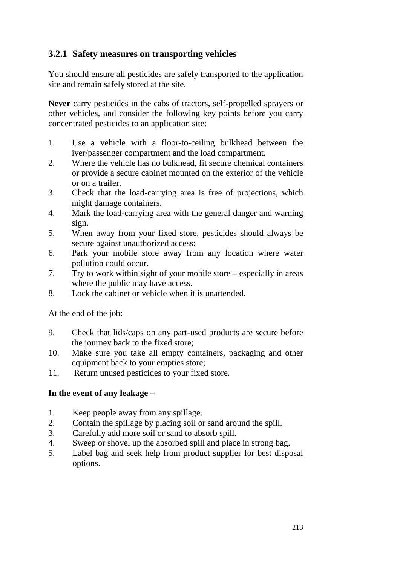# **3.2.1 Safety measures on transporting vehicles**

You should ensure all pesticides are safely transported to the application site and remain safely stored at the site.

**Never** carry pesticides in the cabs of tractors, self-propelled sprayers or other vehicles, and consider the following key points before you carry concentrated pesticides to an application site:

- 1. Use a vehicle with a floor-to-ceiling bulkhead between the iver/passenger compartment and the load compartment.
- 2. Where the vehicle has no bulkhead, fit secure chemical containers or provide a secure cabinet mounted on the exterior of the vehicle or on a trailer.
- 3. Check that the load-carrying area is free of projections, which might damage containers.
- 4. Mark the load-carrying area with the general danger and warning sign.
- 5. When away from your fixed store, pesticides should always be secure against unauthorized access:
- 6. Park your mobile store away from any location where water pollution could occur.
- 7. Try to work within sight of your mobile store especially in areas where the public may have access.
- 8. Lock the cabinet or vehicle when it is unattended.

At the end of the job:

- 9. Check that lids/caps on any part-used products are secure before the journey back to the fixed store;
- 10. Make sure you take all empty containers, packaging and other equipment back to your empties store;
- 11. Return unused pesticides to your fixed store.

#### **In the event of any leakage –**

- 1. Keep people away from any spillage.
- 2. Contain the spillage by placing soil or sand around the spill.
- 3. Carefully add more soil or sand to absorb spill.
- 4. Sweep or shovel up the absorbed spill and place in strong bag.
- 5. Label bag and seek help from product supplier for best disposal options.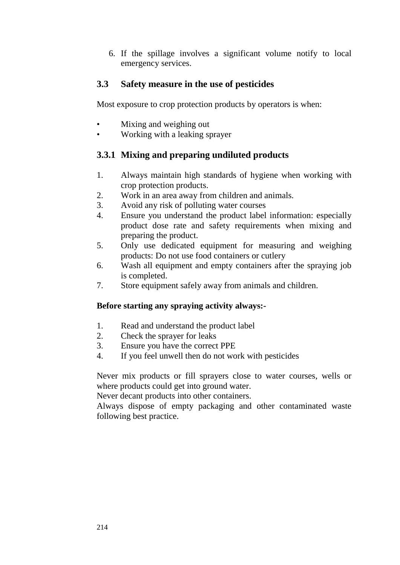6. If the spillage involves a significant volume notify to local emergency services.

#### **3.3 Safety measure in the use of pesticides**

Most exposure to crop protection products by operators is when:

- Mixing and weighing out
- Working with a leaking sprayer

## **3.3.1 Mixing and preparing undiluted products**

- 1. Always maintain high standards of hygiene when working with crop protection products.
- 2. Work in an area away from children and animals.
- 3. Avoid any risk of polluting water courses
- 4. Ensure you understand the product label information: especially product dose rate and safety requirements when mixing and preparing the product.
- 5. Only use dedicated equipment for measuring and weighing products: Do not use food containers or cutlery
- 6. Wash all equipment and empty containers after the spraying job is completed.
- 7. Store equipment safely away from animals and children.

#### **Before starting any spraying activity always:-**

- 1. Read and understand the product label
- 2. Check the sprayer for leaks
- 3. Ensure you have the correct PPE
- 4. If you feel unwell then do not work with pesticides

Never mix products or fill sprayers close to water courses, wells or where products could get into ground water.

Never decant products into other containers.

Always dispose of empty packaging and other contaminated waste following best practice.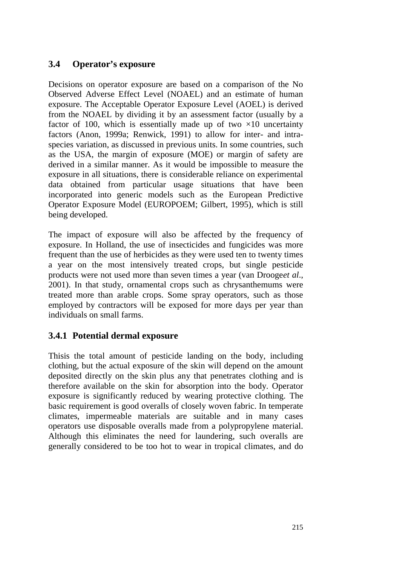#### **3.4 Operator's exposure**

Decisions on operator exposure are based on a comparison of the No Observed Adverse Effect Level (NOAEL) and an estimate of human exposure. The Acceptable Operator Exposure Level (AOEL) is derived from the NOAEL by dividing it by an assessment factor (usually by a factor of 100, which is essentially made up of two  $\times$ 10 uncertainty factors (Anon, 1999a; Renwick, 1991) to allow for inter- and intra species variation, as discussed in previous units. In some countries, such as the USA, the margin of exposure (MOE) or margin of safety are derived in a similar manner. As it would be impossible to measure the exposure in all situations, there is considerable reliance on experimental data obtained from particular usage situations that have been incorporated into generic models such as the European Predictive Operator Exposure Model (EUROPOEM; Gilbert, 1995), which is still being developed.

The impact of exposure will also be affected by the frequency of exposure. In Holland, the use of insecticides and fungicides was more frequent than the use of herbicides as they were used ten to twenty times a year on the most intensively treated crops, but single pesticide products were not used more than seven times a year (van Drooge*et al*., 2001). In that study, ornamental crops such as chrysanthemums were treated more than arable crops. Some spray operators, such as those employed by contractors will be exposed for more days per year than individuals on small farms.

# **3.4.1 Potential dermal exposure**

Thisis the total amount of pesticide landing on the body, including clothing, but the actual exposure of the skin will depend on the amount deposited directly on the skin plus any that penetrates clothing and is therefore available on the skin for absorption into the body. Operator exposure is significantly reduced by wearing protective clothing. The basic requirement is good overalls of closely woven fabric. In temperate climates, impermeable materials are suitable and in many cases operators use disposable overalls made from a polypropylene material. Although this eliminates the need for laundering, such overalls are generally considered to be too hot to wear in tropical climates, and do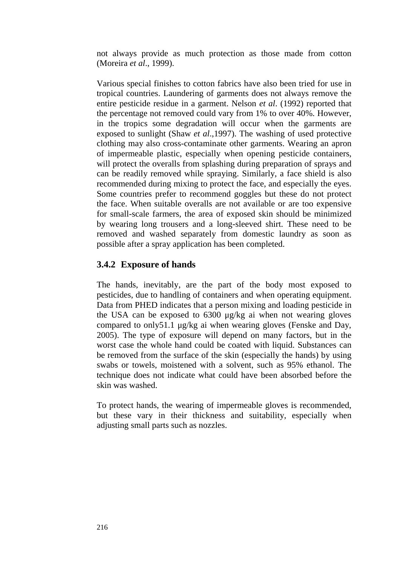not always provide as much protection as those made from cotton (Moreira *et al*., 1999).

Various special finishes to cotton fabrics have also been tried for use in tropical countries. Laundering of garments does not always remove the entire pesticide residue in a garment. Nelson *et al*. (1992) reported that the percentage not removed could vary from 1% to over 40%. However, in the tropics some degradation will occur when the garments are exposed to sunlight (Shaw *et al*.,1997). The washing of used protective clothing may also cross-contaminate other garments. Wearing an apron of impermeable plastic, especially when opening pesticide containers, will protect the overalls from splashing during preparation of sprays and can be readily removed while spraying. Similarly, a face shield is also recommended during mixing to protect the face, and especially the eyes. Some countries prefer to recommend goggles but these do not protect the face. When suitable overalls are not available or are too expensive for small-scale farmers, the area of exposed skin should be minimized by wearing long trousers and a long-sleeved shirt. These need to be removed and washed separately from domestic laundry as soon as possible after a spray application has been completed.

## **3.4.2 Exposure of hands**

The hands, inevitably, are the part of the body most exposed to pesticides, due to handling of containers and when operating equipment. Data from PHED indicates that a person mixing and loading pesticide in the USA can be exposed to 6300 μg/kg ai when not wearing gloves compared to only51.1 μg/kg ai when wearing gloves (Fenske and Day, 2005). The type of exposure will depend on many factors, but in the worst case the whole hand could be coated with liquid. Substances can be removed from the surface of the skin (especially the hands) by using swabs or towels, moistened with a solvent, such as 95% ethanol. The technique does not indicate what could have been absorbed before the skin was washed.

To protect hands, the wearing of impermeable gloves is recommended, but these vary in their thickness and suitability, especially when adjusting small parts such as nozzles.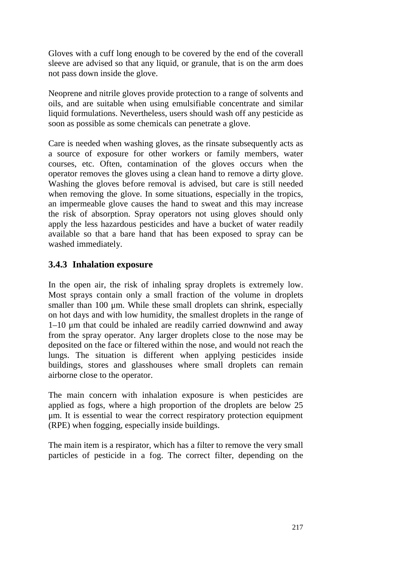Gloves with a cuff long enough to be covered by the end of the coverall sleeve are advised so that any liquid, or granule, that is on the arm does not pass down inside the glove.

Neoprene and nitrile gloves provide protection to a range of solvents and oils, and are suitable when using emulsifiable concentrate and similar liquid formulations. Nevertheless, users should wash off any pesticide as soon as possible as some chemicals can penetrate a glove.

Care is needed when washing gloves, as the rinsate subsequently acts as a source of exposure for other workers or family members, water courses, etc. Often, contamination of the gloves occurs when the operator removes the gloves using a clean hand to remove a dirty glove. Washing the gloves before removal is advised, but care is still needed when removing the glove. In some situations, especially in the tropics, an impermeable glove causes the hand to sweat and this may increase the risk of absorption. Spray operators not using gloves should only apply the less hazardous pesticides and have a bucket of water readily available so that a bare hand that has been exposed to spray can be washed immediately.

## **3.4.3 Inhalation exposure**

In the open air, the risk of inhaling spray droplets is extremely low. Most sprays contain only a small fraction of the volume in droplets smaller than 100 μm. While these small droplets can shrink, especially on hot days and with low humidity, the smallest droplets in the range of 1–10 μm that could be inhaled are readily carried downwind and away from the spray operator. Any larger droplets close to the nose may be deposited on the face or filtered within the nose, and would not reach the lungs. The situation is different when applying pesticides inside buildings, stores and glasshouses where small droplets can remain airborne close to the operator.

The main concern with inhalation exposure is when pesticides are applied as fogs, where a high proportion of the droplets are below 25 μm. It is essential to wear the correct respiratory protection equipment (RPE) when fogging, especially inside buildings.

The main item is a respirator, which has a filter to remove the very small particles of pesticide in a fog. The correct filter, depending on the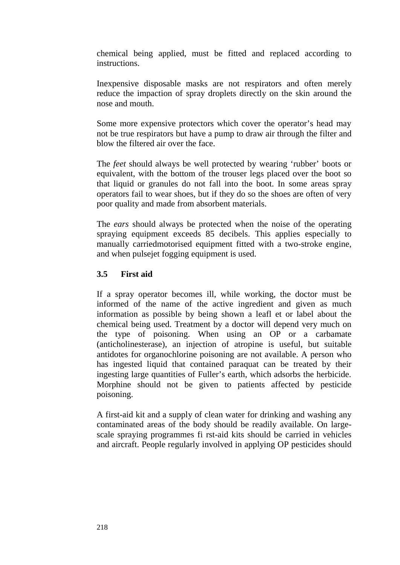chemical being applied, must be fitted and replaced according to instructions.

Inexpensive disposable masks are not respirators and often merely reduce the impaction of spray droplets directly on the skin around the nose and mouth.

Some more expensive protectors which cover the operator's head may not be true respirators but have a pump to draw air through the filter and blow the filtered air over the face.

The *feet* should always be well protected by wearing 'rubber' boots or equivalent, with the bottom of the trouser legs placed over the boot so that liquid or granules do not fall into the boot. In some areas spray operators fail to wear shoes, but if they do so the shoes are often of very poor quality and made from absorbent materials.

The *ears* should always be protected when the noise of the operating spraying equipment exceeds 85 decibels. This applies especially to manually carriedmotorised equipment fitted with a two-stroke engine, and when pulsejet fogging equipment is used.

#### **3.5 First aid**

If a spray operator becomes ill, while working, the doctor must be informed of the name of the active ingredient and given as much information as possible by being shown a leafl et or label about the chemical being used. Treatment by a doctor will depend very much on the type of poisoning. When using an OP or a carbamate (anticholinesterase), an injection of atropine is useful, but suitable antidotes for organochlorine poisoning are not available. A person who has ingested liquid that contained paraquat can be treated by their ingesting large quantities of Fuller's earth, which adsorbs the herbicide. Morphine should not be given to patients affected by pesticide poisoning.

A first-aid kit and a supply of clean water for drinking and washing any contaminated areas of the body should be readily available. On large scale spraying programmes fi rst-aid kits should be carried in vehicles and aircraft. People regularly involved in applying OP pesticides should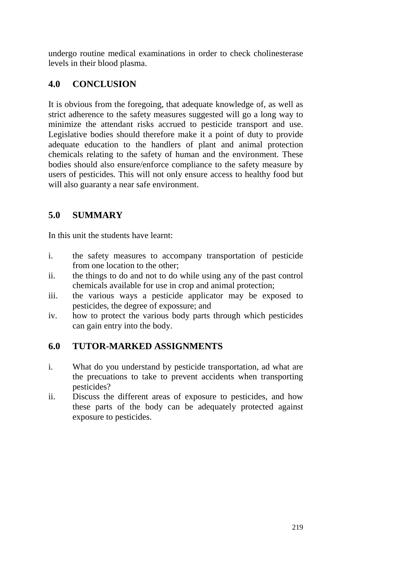undergo routine medical examinations in order to check cholinesterase levels in their blood plasma.

# **4.0 CONCLUSION**

It is obvious from the foregoing, that adequate knowledge of, as well as strict adherence to the safety measures suggested will go a long way to minimize the attendant risks accrued to pesticide transport and use. Legislative bodies should therefore make it a point of duty to provide adequate education to the handlers of plant and animal protection chemicals relating to the safety of human and the environment. These bodies should also ensure/enforce compliance to the safety measure by users of pesticides. This will not only ensure access to healthy food but will also guaranty a near safe environment.

# **5.0 SUMMARY**

In this unit the students have learnt:

- i. the safety measures to accompany transportation of pesticide from one location to the other;
- ii. the things to do and not to do while using any of the past control chemicals available for use in crop and animal protection;
- iii. the various ways a pesticide applicator may be exposed to pesticides, the degree of expossure; and
- iv. how to protect the various body parts through which pesticides can gain entry into the body.

## **6.0 TUTOR-MARKED ASSIGNMENTS**

- i. What do you understand by pesticide transportation, ad what are the precuations to take to prevent accidents when transporting pesticides?
- ii. Discuss the different areas of exposure to pesticides, and how these parts of the body can be adequately protected against exposure to pesticides.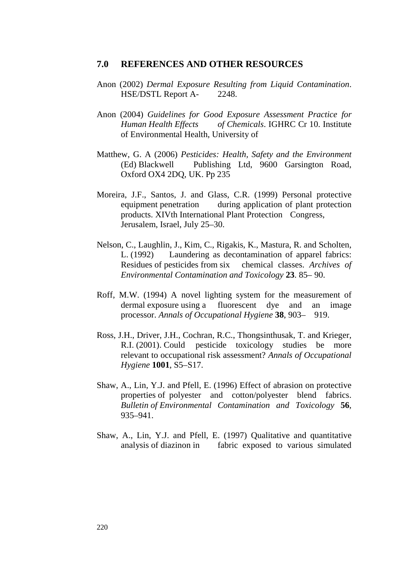#### **7.0 REFERENCES AND OTHER RESOURCES**

- Anon (2002) *Dermal Exposure Resulting from Liquid Contamination*. HSE/DSTL Report A- 2248.
- Anon (2004) *Guidelines for Good Exposure Assessment Practice for Human Health Effects of Chemicals*. IGHRC Cr 10. Institute of Environmental Health, University of
- Matthew, G. A (2006) *Pesticides: Health, Safety and the Environment* (Ed) Blackwell Publishing Ltd, 9600 Garsington Road, Oxford OX4 2DQ, UK. Pp 235
- Moreira, J.F., Santos, J. and Glass, C.R. (1999) Personal protective equipment penetration during application of plant protection products. XIVth International Plant Protection Congress, Jerusalem, Israel, July 25–30.
- Nelson, C., Laughlin, J., Kim, C., Rigakis, K., Mastura, R. and Scholten, L. (1992) Laundering as decontamination of apparel fabrics: Residues of pesticides from six chemical classes. *Archives of Environmental Contamination and Toxicology* **23**. 85– 90.
- Roff, M.W. (1994) A novel lighting system for the measurement of dermal exposure using a fluorescent dye and an image processor. *Annals of Occupational Hygiene* **38**, 903– 919.
- Ross, J.H., Driver, J.H., Cochran, R.C., Thongsinthusak, T. and Krieger, R.I. (2001). Could pesticide toxicology studies be more relevant to occupational risk assessment? *Annals of Occupational Hygiene* **1001**, S5–S17.
- Shaw, A., Lin, Y.J. and Pfell, E. (1996) Effect of abrasion on protective properties of polyester and cotton/polyester blend fabrics. *Bulletin of Environmental Contamination and Toxicology* **56**, 935–941.
- Shaw, A., Lin, Y.J. and Pfell, E. (1997) Qualitative and quantitative analysis of diazinon in fabric exposed to various simulated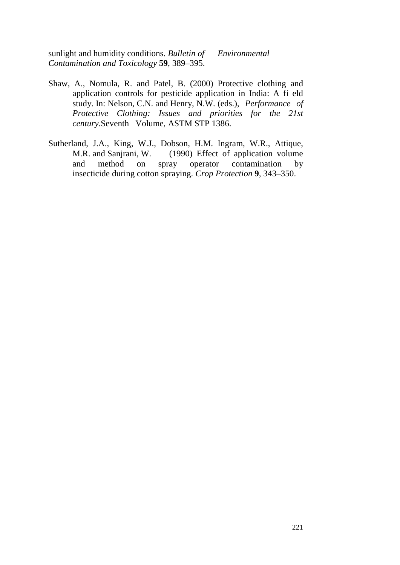sunlight and humidity conditions. *Bulletin of Environmental Contamination and Toxicology* **59**, 389–395.

- Shaw, A., Nomula, R. and Patel, B. (2000) Protective clothing and application controls for pesticide application in India: A fi eld study. In: Nelson, C.N. and Henry, N.W. (eds.), *Performance of Protective Clothing: Issues and priorities for the 21st century*.Seventh Volume, ASTM STP 1386.
- Sutherland, J.A., King, W.J., Dobson, H.M. Ingram, W.R., Attique, M.R. and Sanjrani, W. (1990) Effect of application volume and method on spray operator contamination by insecticide during cotton spraying. *Crop Protection* **9**, 343–350.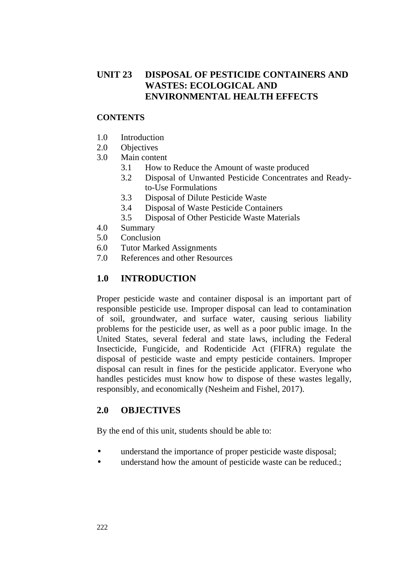## **UNIT 23 DISPOSAL OF PESTICIDE CONTAINERS AND WASTES: ECOLOGICAL AND ENVIRONMENTAL HEALTH EFFECTS**

#### **CONTENTS**

- 1.0 Introduction
- 2.0 Objectives
- 3.0 Main content
	- 3.1 How to Reduce the Amount of waste produced
	- 3.2 Disposal of Unwanted Pesticide Concentrates and Readyto-Use Formulations
	- 3.3 Disposal of Dilute Pesticide Waste
	- 3.4 Disposal of Waste Pesticide Containers
	- 3.5 Disposal of Other Pesticide Waste Materials
- 4.0 Summary
- 5.0 Conclusion
- 6.0 Tutor Marked Assignments
- 7.0 References and other Resources

## **1.0 INTRODUCTION**

Proper pesticide waste and container disposal is an important part of responsible pesticide use. Improper disposal can lead to contamination of soil, groundwater, and surface water, causing serious liability problems for the pesticide user, as well as a poor public image. In the United States, several federal and state laws, including the Federal Insecticide, Fungicide, and Rodenticide Act (FIFRA) regulate the disposal of pesticide waste and empty pesticide containers. Improper disposal can result in fines for the pesticide applicator. Everyone who handles pesticides must know how to dispose of these wastes legally, responsibly, and economically (Nesheim and Fishel, 2017).

## **2.0 OBJECTIVES**

By the end of this unit, students should be able to:

- understand the importance of proper pesticide waste disposal;
- understand how the amount of pesticide waste can be reduced.;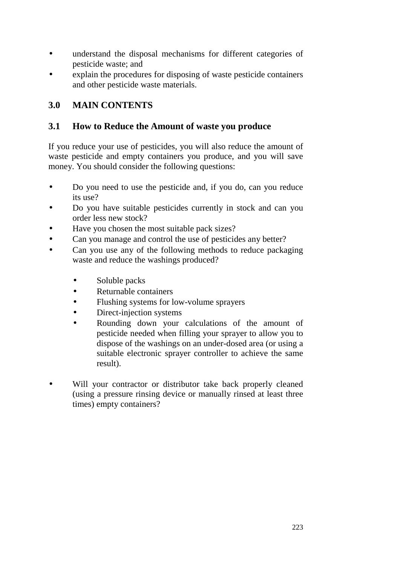- understand the disposal mechanisms for different categories of pesticide waste; and
- explain the procedures for disposing of waste pesticide containers and other pesticide waste materials.

# **3.0 MAIN CONTENTS**

## **3.1 How to Reduce the Amount of waste you produce**

If you reduce your use of pesticides, you will also reduce the amount of waste pesticide and empty containers you produce, and you will save money. You should consider the following questions:

- Do you need to use the pesticide and, if you do, can you reduce its use?
- Do you have suitable pesticides currently in stock and can you order less new stock?
- Have you chosen the most suitable pack sizes?
- Can you manage and control the use of pesticides any better?
- Can you use any of the following methods to reduce packaging waste and reduce the washings produced?
	- Soluble packs
	- Returnable containers
	- Flushing systems for low-volume sprayers
	- Direct-injection systems
	- Rounding down your calculations of the amount of pesticide needed when filling your sprayer to allow you to dispose of the washings on an under-dosed area (or using a suitable electronic sprayer controller to achieve the same result).
- Will your contractor or distributor take back properly cleaned (using a pressure rinsing device or manually rinsed at least three times) empty containers?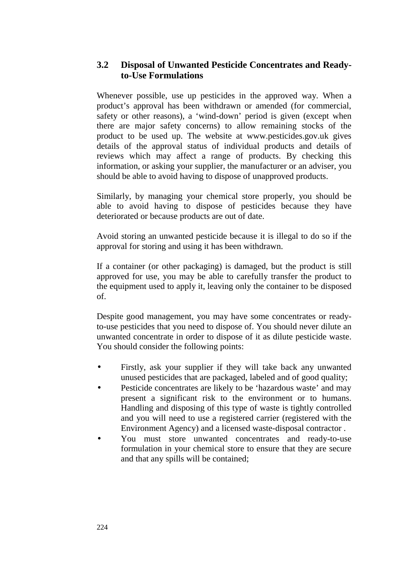## **3.2 Disposal of Unwanted Pesticide Concentrates and Readyto-Use Formulations**

Whenever possible, use up pesticides in the approved way. When a product's approval has been withdrawn or amended (for commercial, safety or other reasons), a 'wind-down' period is given (except when there are major safety concerns) to allow remaining stocks of the product to be used up. The website at www.pesticides.gov.uk gives details of the approval status of individual products and details of reviews which may affect a range of products. By checking this information, or asking your supplier, the manufacturer or an adviser, you should be able to avoid having to dispose of unapproved products.

Similarly, by managing your chemical store properly, you should be able to avoid having to dispose of pesticides because they have deteriorated or because products are out of date.

Avoid storing an unwanted pesticide because it is illegal to do so if the approval for storing and using it has been withdrawn.

If a container (or other packaging) is damaged, but the product is still approved for use, you may be able to carefully transfer the product to the equipment used to apply it, leaving only the container to be disposed of.

Despite good management, you may have some concentrates or readyto-use pesticides that you need to dispose of. You should never dilute an unwanted concentrate in order to dispose of it as dilute pesticide waste. You should consider the following points:

- Firstly, ask your supplier if they will take back any unwanted unused pesticides that are packaged, labeled and of good quality;
- Pesticide concentrates are likely to be 'hazardous waste' and may present a significant risk to the environment or to humans. Handling and disposing of this type of waste is tightly controlled and you will need to use a registered carrier (registered with the Environment Agency) and a licensed waste-disposal contractor .
- You must store unwanted concentrates and ready-to-use formulation in your chemical store to ensure that they are secure and that any spills will be contained;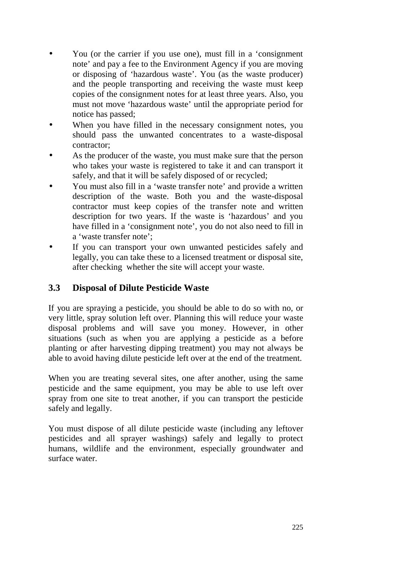- You (or the carrier if you use one), must fill in a 'consignment note' and pay a fee to the Environment Agency if you are moving or disposing of 'hazardous waste'. You (as the waste producer) and the people transporting and receiving the waste must keep copies of the consignment notes for at least three years. Also, you must not move 'hazardous waste' until the appropriate period for notice has passed;
- When you have filled in the necessary consignment notes, you should pass the unwanted concentrates to a waste-disposal contractor;
- As the producer of the waste, you must make sure that the person who takes your waste is registered to take it and can transport it safely, and that it will be safely disposed of or recycled;
- You must also fill in a 'waste transfer note' and provide a written description of the waste. Both you and the waste-disposal contractor must keep copies of the transfer note and written description for two years. If the waste is 'hazardous' and you have filled in a 'consignment note', you do not also need to fill in a 'waste transfer note';
- If you can transport your own unwanted pesticides safely and legally, you can take these to a licensed treatment or disposal site, after checking whether the site will accept your waste.

## **3.3 Disposal of Dilute Pesticide Waste**

If you are spraying a pesticide, you should be able to do so with no, or very little, spray solution left over. Planning this will reduce your waste disposal problems and will save you money. However, in other situations (such as when you are applying a pesticide as a before planting or after harvesting dipping treatment) you may not always be able to avoid having dilute pesticide left over at the end of the treatment.

When you are treating several sites, one after another, using the same pesticide and the same equipment, you may be able to use left over spray from one site to treat another, if you can transport the pesticide safely and legally.

You must dispose of all dilute pesticide waste (including any leftover pesticides and all sprayer washings) safely and legally to protect humans, wildlife and the environment, especially groundwater and surface water.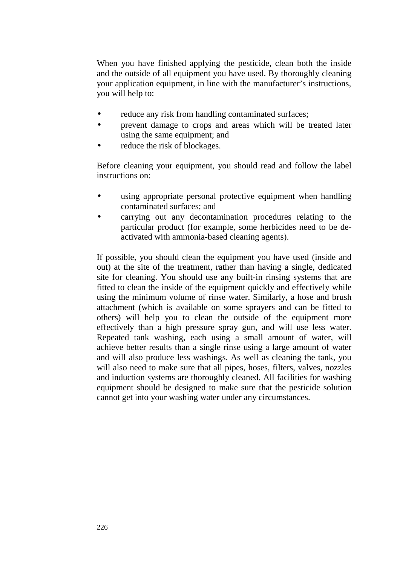When you have finished applying the pesticide, clean both the inside and the outside of all equipment you have used. By thoroughly cleaning your application equipment, in line with the manufacturer's instructions, you will help to:

- reduce any risk from handling contaminated surfaces;
- prevent damage to crops and areas which will be treated later using the same equipment; and
- reduce the risk of blockages.

Before cleaning your equipment, you should read and follow the label instructions on:

- using appropriate personal protective equipment when handling contaminated surfaces; and
- carrying out any decontamination procedures relating to the particular product (for example, some herbicides need to be de activated with ammonia-based cleaning agents).

If possible, you should clean the equipment you have used (inside and out) at the site of the treatment, rather than having a single, dedicated site for cleaning. You should use any built-in rinsing systems that are fitted to clean the inside of the equipment quickly and effectively while using the minimum volume of rinse water. Similarly, a hose and brush attachment (which is available on some sprayers and can be fitted to others) will help you to clean the outside of the equipment more effectively than a high pressure spray gun, and will use less water. Repeated tank washing, each using a small amount of water, will achieve better results than a single rinse using a large amount of water and will also produce less washings. As well as cleaning the tank, you will also need to make sure that all pipes, hoses, filters, valves, nozzles and induction systems are thoroughly cleaned. All facilities for washing equipment should be designed to make sure that the pesticide solution cannot get into your washing water under any circumstances.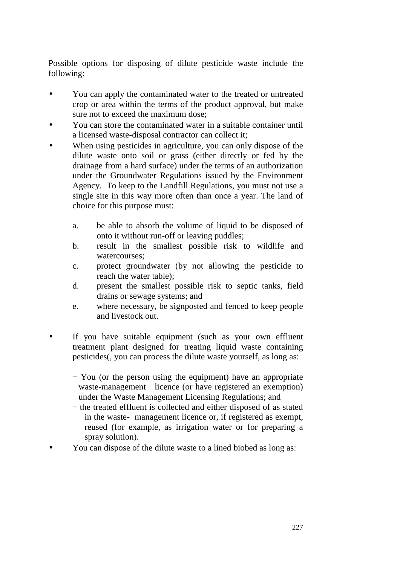Possible options for disposing of dilute pesticide waste include the following:

- You can apply the contaminated water to the treated or untreated crop or area within the terms of the product approval, but make sure not to exceed the maximum dose;
- You can store the contaminated water in a suitable container until a licensed waste-disposal contractor can collect it;
- When using pesticides in agriculture, you can only dispose of the dilute waste onto soil or grass (either directly or fed by the drainage from a hard surface) under the terms of an authorization under the Groundwater Regulations issued by the Environment Agency. To keep to the Landfill Regulations, you must not use a single site in this way more often than once a year. The land of choice for this purpose must:
	- a. be able to absorb the volume of liquid to be disposed of onto it without run-off or leaving puddles;
	- b. result in the smallest possible risk to wildlife and watercourses;
	- c. protect groundwater (by not allowing the pesticide to reach the water table);
	- d. present the smallest possible risk to septic tanks, field drains or sewage systems; and
	- e. where necessary, be signposted and fenced to keep people and livestock out.
- If you have suitable equipment (such as your own effluent treatment plant designed for treating liquid waste containing pesticides(, you can process the dilute waste yourself, as long as:
	- − You (or the person using the equipment) have an appropriate waste-management licence (or have registered an exemption) under the Waste Management Licensing Regulations; and
	- − the treated effluent is collected and either disposed of as stated in the waste- management licence or, if registered as exempt, reused (for example, as irrigation water or for preparing a spray solution).
- You can dispose of the dilute waste to a lined biobed as long as: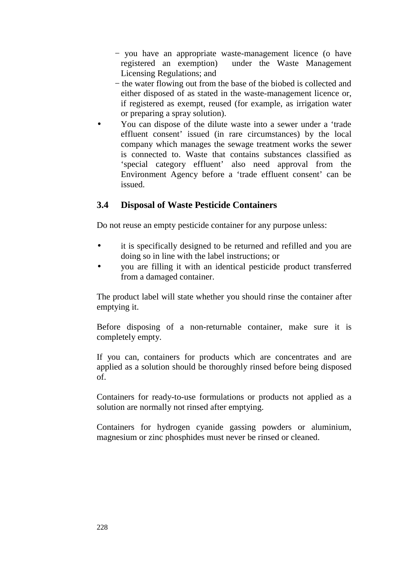- − you have an appropriate waste-management licence (o have registered an exemption) under the Waste Management Licensing Regulations; and
- − the water flowing out from the base of the biobed is collected and either disposed of as stated in the waste-management licence or, if registered as exempt, reused (for example, as irrigation water or preparing a spray solution).
- You can dispose of the dilute waste into a sewer under a 'trade effluent consent' issued (in rare circumstances) by the local company which manages the sewage treatment works the sewer is connected to. Waste that contains substances classified as 'special category effluent' also need approval from the Environment Agency before a 'trade effluent consent' can be issued.

## **3.4 Disposal of Waste Pesticide Containers**

Do not reuse an empty pesticide container for any purpose unless:

- it is specifically designed to be returned and refilled and you are doing so in line with the label instructions; or
- you are filling it with an identical pesticide product transferred from a damaged container.

The product label will state whether you should rinse the container after emptying it.

Before disposing of a non-returnable container, make sure it is completely empty.

If you can, containers for products which are concentrates and are applied as a solution should be thoroughly rinsed before being disposed of.

Containers for ready-to-use formulations or products not applied as a solution are normally not rinsed after emptying.

Containers for hydrogen cyanide gassing powders or aluminium, magnesium or zinc phosphides must never be rinsed or cleaned.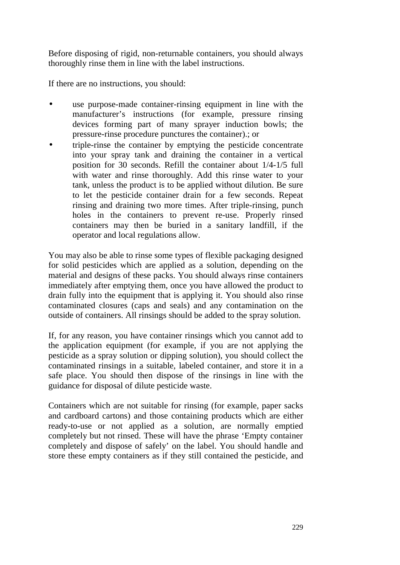Before disposing of rigid, non-returnable containers, you should always thoroughly rinse them in line with the label instructions.

If there are no instructions, you should:

- use purpose-made container-rinsing equipment in line with the manufacturer's instructions (for example, pressure rinsing devices forming part of many sprayer induction bowls; the pressure-rinse procedure punctures the container).; or
- triple-rinse the container by emptying the pesticide concentrate into your spray tank and draining the container in a vertical position for 30 seconds. Refill the container about 1/4-1/5 full with water and rinse thoroughly. Add this rinse water to your tank, unless the product is to be applied without dilution. Be sure to let the pesticide container drain for a few seconds. Repeat rinsing and draining two more times. After triple-rinsing, punch holes in the containers to prevent re-use. Properly rinsed containers may then be buried in a sanitary landfill, if the operator and local regulations allow.

You may also be able to rinse some types of flexible packaging designed for solid pesticides which are applied as a solution, depending on the material and designs of these packs. You should always rinse containers immediately after emptying them, once you have allowed the product to drain fully into the equipment that is applying it. You should also rinse contaminated closures (caps and seals) and any contamination on the outside of containers. All rinsings should be added to the spray solution.

If, for any reason, you have container rinsings which you cannot add to the application equipment (for example, if you are not applying the pesticide as a spray solution or dipping solution), you should collect the contaminated rinsings in a suitable, labeled container, and store it in a safe place. You should then dispose of the rinsings in line with the guidance for disposal of dilute pesticide waste.

Containers which are not suitable for rinsing (for example, paper sacks and cardboard cartons) and those containing products which are either ready-to-use or not applied as a solution, are normally emptied completely but not rinsed. These will have the phrase 'Empty container completely and dispose of safely' on the label. You should handle and store these empty containers as if they still contained the pesticide, and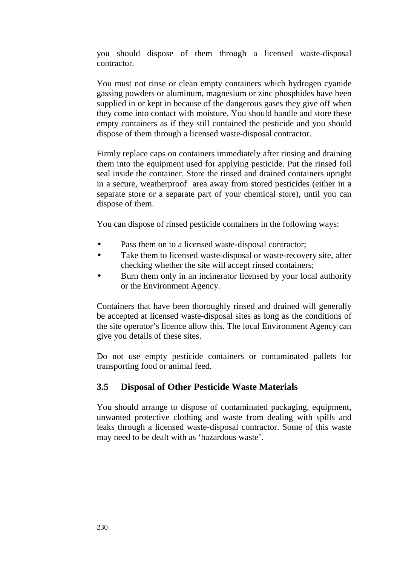you should dispose of them through a licensed waste-disposal contractor.

You must not rinse or clean empty containers which hydrogen cyanide gassing powders or aluminum, magnesium or zinc phosphides have been supplied in or kept in because of the dangerous gases they give off when they come into contact with moisture. You should handle and store these empty containers as if they still contained the pesticide and you should dispose of them through a licensed waste-disposal contractor.

Firmly replace caps on containers immediately after rinsing and draining them into the equipment used for applying pesticide. Put the rinsed foil seal inside the container. Store the rinsed and drained containers upright in a secure, weatherproof area away from stored pesticides (either in a separate store or a separate part of your chemical store), until you can dispose of them.

You can dispose of rinsed pesticide containers in the following ways:

- Pass them on to a licensed waste-disposal contractor;
- Take them to licensed waste-disposal or waste-recovery site, after checking whether the site will accept rinsed containers;
- Burn them only in an incinerator licensed by your local authority or the Environment Agency.

Containers that have been thoroughly rinsed and drained will generally be accepted at licensed waste-disposal sites as long as the conditions of the site operator's licence allow this. The local Environment Agency can give you details of these sites.

Do not use empty pesticide containers or contaminated pallets for transporting food or animal feed.

## **3.5 Disposal of Other Pesticide Waste Materials**

You should arrange to dispose of contaminated packaging, equipment, unwanted protective clothing and waste from dealing with spills and leaks through a licensed waste-disposal contractor. Some of this waste may need to be dealt with as 'hazardous waste'.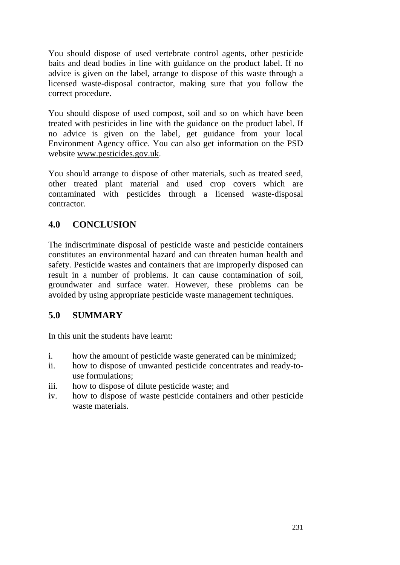You should dispose of used vertebrate control agents, other pesticide baits and dead bodies in line with guidance on the product label. If no advice is given on the label, arrange to dispose of this waste through a licensed waste-disposal contractor, making sure that you follow the correct procedure.

You should dispose of used compost, soil and so on which have been treated with pesticides in line with the guidance on the product label. If no advice is given on the label, get guidance from your local Environment Agency office. You can also get information on the PSD website www.pesticides.gov.uk.

You should arrange to dispose of other materials, such as treated seed, other treated plant material and used crop covers which are contaminated with pesticides through a licensed waste-disposal contractor.

# **4.0 CONCLUSION**

The indiscriminate disposal of pesticide waste and pesticide containers constitutes an environmental hazard and can threaten human health and safety. Pesticide wastes and containers that are improperly disposed can result in a number of problems. It can cause contamination of soil, groundwater and surface water. However, these problems can be avoided by using appropriate pesticide waste management techniques.

## **5.0 SUMMARY**

In this unit the students have learnt:

- i. how the amount of pesticide waste generated can be minimized;
- ii. how to dispose of unwanted pesticide concentrates and ready-to use formulations;
- iii. how to dispose of dilute pesticide waste; and
- iv. how to dispose of waste pesticide containers and other pesticide waste materials.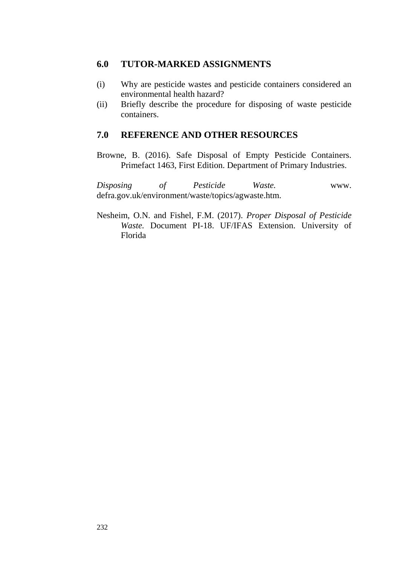## **6.0 TUTOR-MARKED ASSIGNMENTS**

- (i) Why are pesticide wastes and pesticide containers considered an environmental health hazard?
- (ii) Briefly describe the procedure for disposing of waste pesticide containers.

#### **7.0 REFERENCE AND OTHER RESOURCES**

Browne, B. (2016). Safe Disposal of Empty Pesticide Containers. Primefact 1463, First Edition. Department of Primary Industries.

*Disposing of Pesticide Waste.* www. defra.gov.uk/environment/waste/topics/agwaste.htm.

Nesheim, O.N. and Fishel, F.M. (2017). *Proper Disposal of Pesticide Waste.* Document PI-18. UF/IFAS Extension. University of Florida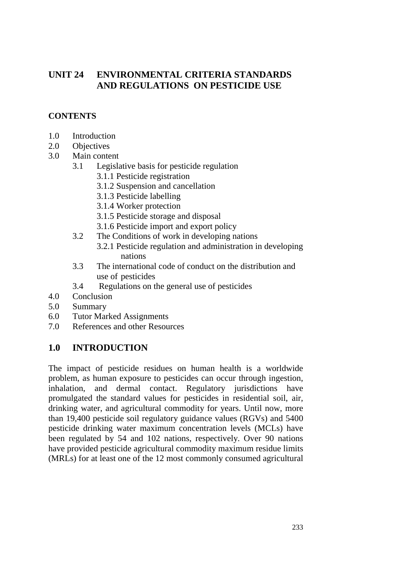## **UNIT 24 ENVIRONMENTAL CRITERIA STANDARDS AND REGULATIONS ON PESTICIDE USE**

## **CONTENTS**

- 1.0 Introduction
- 2.0 Objectives
- 3.0 Main content
	- 3.1 Legislative basis for pesticide regulation
		- 3.1.1 Pesticide registration
		- 3.1.2 Suspension and cancellation
		- 3.1.3 Pesticide labelling
		- 3.1.4 Worker protection
		- 3.1.5 Pesticide storage and disposal
		- 3.1.6 Pesticide import and export policy
	- 3.2 The Conditions of work in developing nations
		- 3.2.1 Pesticide regulation and administration in developing nations
	- 3.3 The international code of conduct on the distribution and use of pesticides
	- 3.4 Regulations on the general use of pesticides
- 4.0 Conclusion
- 5.0 Summary
- 6.0 Tutor Marked Assignments
- 7.0 References and other Resources

## **1.0 INTRODUCTION**

The impact of pesticide residues on human health is a worldwide problem, as human exposure to pesticides can occur through ingestion, inhalation, and dermal contact. Regulatory jurisdictions have promulgated the standard values for pesticides in residential soil, air, drinking water, and agricultural commodity for years. Until now, more than 19,400 pesticide soil regulatory guidance values (RGVs) and 5400 pesticide drinking water maximum concentration levels (MCLs) have been regulated by 54 and 102 nations, respectively. Over 90 nations have provided pesticide agricultural commodity maximum residue limits (MRLs) for at least one of the 12 most commonly consumed agricultural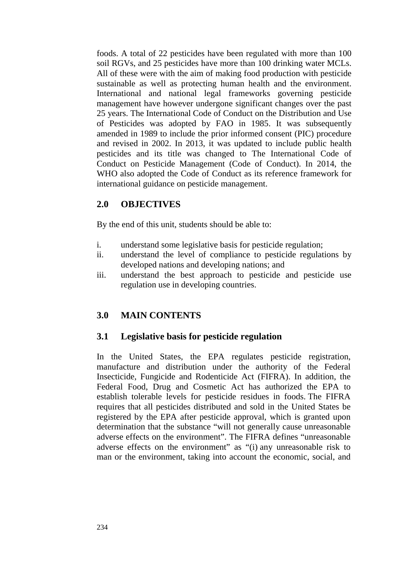foods. A total of 22 pesticides have been regulated with more than 100 soil RGVs, and 25 pesticides have more than 100 drinking water MCLs. All of these were with the aim of making food production with pesticide sustainable as well as protecting human health and the environment. International and national legal frameworks governing pesticide management have however undergone significant changes over the past 25 years. The International Code of Conduct on the Distribution and Use of Pesticides was adopted by FAO in 1985. It was subsequently amended in 1989 to include the prior informed consent (PIC) procedure and revised in 2002. In 2013, it was updated to include public health pesticides and its title was changed to The International Code of Conduct on Pesticide Management (Code of Conduct). In 2014, the WHO also adopted the Code of Conduct as its reference framework for international guidance on pesticide management.

## **2.0 OBJECTIVES**

By the end of this unit, students should be able to:

- i. understand some legislative basis for pesticide regulation;
- ii. understand the level of compliance to pesticide regulations by developed nations and developing nations; and
- iii. understand the best approach to pesticide and pesticide use regulation use in developing countries.

## **3.0 MAIN CONTENTS**

## **3.1 Legislative basis for pesticide regulation**

In the United States, the EPA regulates pesticide registration, manufacture and distribution under the authority of the Federal Insecticide, Fungicide and Rodenticide Act (FIFRA). In addition, the Federal Food, Drug and Cosmetic Act has authorized the EPA to establish tolerable levels for pesticide residues in foods. The FIFRA requires that all pesticides distributed and sold in the United States be registered by the EPA after pesticide approval, which is granted upon determination that the substance "will not generally cause unreasonable adverse effects on the environment". The FIFRA defines "unreasonable adverse effects on the environment" as "(i) any unreasonable risk to man or the environment, taking into account the economic, social, and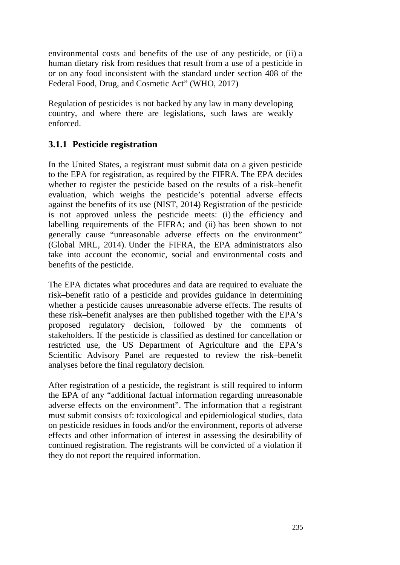environmental costs and benefits of the use of any pesticide, or (ii) a human dietary risk from residues that result from a use of a pesticide in or on any food inconsistent with the standard under section 408 of the Federal Food, Drug, and Cosmetic Act" (WHO, 2017)

Regulation of pesticides is not backed by any law in many developing country, and where there are legislations, such laws are weakly enforced.

## **3.1.1 Pesticide registration**

In the United States, a registrant must submit data on a given pesticide to the EPA for registration, as required by the FIFRA. The EPA decides whether to register the pesticide based on the results of a risk–benefit evaluation, which weighs the pesticide's potential adverse effects against the benefits of its use (NIST, 2014) Registration of the pesticide is not approved unless the pesticide meets: (i) the efficiency and labelling requirements of the FIFRA; and (ii) has been shown to not generally cause "unreasonable adverse effects on the environment" (Global MRL, 2014). Under the FIFRA, the EPA administrators also take into account the economic, social and environmental costs and benefits of the pesticide.

The EPA dictates what procedures and data are required to evaluate the risk–benefit ratio of a pesticide and provides guidance in determining whether a pesticide causes unreasonable adverse effects. The results of these risk–benefit analyses are then published together with the EPA's proposed regulatory decision, followed by the comments of stakeholders. If the pesticide is classified as destined for cancellation or restricted use, the US Department of Agriculture and the EPA's Scientific Advisory Panel are requested to review the risk–benefit analyses before the final regulatory decision.

After registration of a pesticide, the registrant is still required to inform the EPA of any "additional factual information regarding unreasonable adverse effects on the environment". The information that a registrant must submit consists of: toxicological and epidemiological studies, data on pesticide residues in foods and/or the environment, reports of adverse effects and other information of interest in assessing the desirability of continued registration. The registrants will be convicted of a violation if they do not report the required information.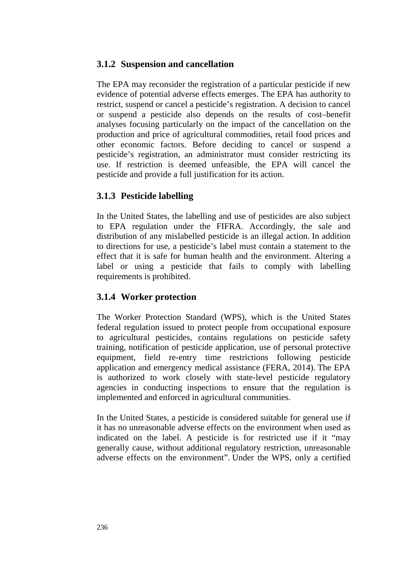## **3.1.2 Suspension and cancellation**

The EPA may reconsider the registration of a particular pesticide if new evidence of potential adverse effects emerges. The EPA has authority to restrict, suspend or cancel a pesticide's registration. A decision to cancel or suspend a pesticide also depends on the results of cost–benefit analyses focusing particularly on the impact of the cancellation on the production and price of agricultural commodities, retail food prices and other economic factors. Before deciding to cancel or suspend a pesticide's registration, an administrator must consider restricting its use. If restriction is deemed unfeasible, the EPA will cancel the pesticide and provide a full justification for its action.

## **3.1.3 Pesticide labelling**

In the United States, the labelling and use of pesticides are also subject to EPA regulation under the FIFRA. Accordingly, the sale and distribution of any mislabelled pesticide is an illegal action. In addition to directions for use, a pesticide's label must contain a statement to the effect that it is safe for human health and the environment. Altering a label or using a pesticide that fails to comply with labelling requirements is prohibited.

## **3.1.4 Worker protection**

The Worker Protection Standard (WPS), which is the United States federal regulation issued to protect people from occupational exposure to agricultural pesticides, contains regulations on pesticide safety training, notification of pesticide application, use of personal protective equipment, field re-entry time restrictions following pesticide application and emergency medical assistance (FERA, 2014). The EPA is authorized to work closely with state-level pesticide regulatory agencies in conducting inspections to ensure that the regulation is implemented and enforced in agricultural communities.

In the United States, a pesticide is considered suitable for general use if it has no unreasonable adverse effects on the environment when used as indicated on the label. A pesticide is for restricted use if it "may generally cause, without additional regulatory restriction, unreasonable adverse effects on the environment". Under the WPS, only a certified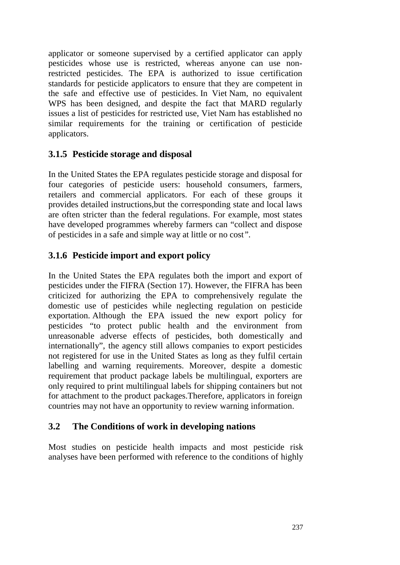applicator or someone supervised by a certified applicator can apply pesticides whose use is restricted, whereas anyone can use nonrestricted pesticides. The EPA is authorized to issue certification standards for pesticide applicators to ensure that they are competent in the safe and effective use of pesticides. In Viet Nam, no equivalent WPS has been designed, and despite the fact that MARD regularly issues a list of pesticides for restricted use, Viet Nam has established no similar requirements for the training or certification of pesticide applicators.

## **3.1.5 Pesticide storage and disposal**

In the United States the EPA regulates pesticide storage and disposal for four categories of pesticide users: household consumers, farmers, retailers and commercial applicators. For each of these groups it provides detailed instructions,but the corresponding state and local laws are often stricter than the federal regulations. For example, most states have developed programmes whereby farmers can "collect and dispose of pesticides in a safe and simple way at little or no cost*".*

## **3.1.6 Pesticide import and export policy**

In the United States the EPA regulates both the import and export of pesticides under the FIFRA (Section 17). However, the FIFRA has been criticized for authorizing the EPA to comprehensively regulate the domestic use of pesticides while neglecting regulation on pesticide exportation. Although the EPA issued the new export policy for pesticides "to protect public health and the environment from unreasonable adverse effects of pesticides, both domestically and internationally", the agency still allows companies to export pesticides not registered for use in the United States as long as they fulfil certain labelling and warning requirements. Moreover, despite a domestic requirement that product package labels be multilingual, exporters are only required to print multilingual labels for shipping containers but not for attachment to the product packages.Therefore, applicators in foreign countries may not have an opportunity to review warning information.

## **3.2 The Conditions of work in developing nations**

Most studies on pesticide health impacts and most pesticide risk analyses have been performed with reference to the conditions of highly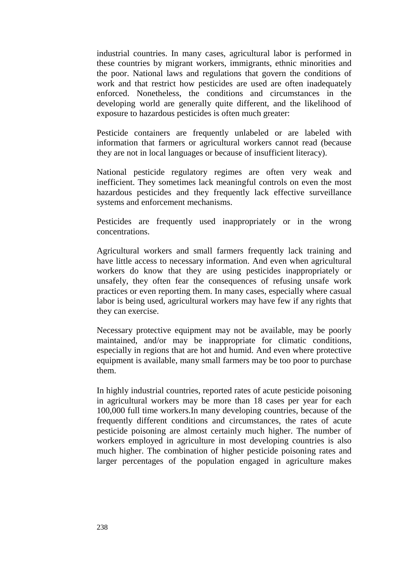industrial countries. In many cases, agricultural labor is performed in these countries by migrant workers, immigrants, ethnic minorities and the poor. National laws and regulations that govern the conditions of work and that restrict how pesticides are used are often inadequately enforced. Nonetheless, the conditions and circumstances in the developing world are generally quite different, and the likelihood of exposure to hazardous pesticides is often much greater:

Pesticide containers are frequently unlabeled or are labeled with information that farmers or agricultural workers cannot read (because they are not in local languages or because of insufficient literacy).

National pesticide regulatory regimes are often very weak and inefficient. They sometimes lack meaningful controls on even the most hazardous pesticides and they frequently lack effective surveillance systems and enforcement mechanisms.

Pesticides are frequently used inappropriately or in the wrong concentrations.

Agricultural workers and small farmers frequently lack training and have little access to necessary information. And even when agricultural workers do know that they are using pesticides inappropriately or unsafely, they often fear the consequences of refusing unsafe work practices or even reporting them. In many cases, especially where casual labor is being used, agricultural workers may have few if any rights that they can exercise.

Necessary protective equipment may not be available, may be poorly maintained, and/or may be inappropriate for climatic conditions, especially in regions that are hot and humid. And even where protective equipment is available, many small farmers may be too poor to purchase them.

In highly industrial countries, reported rates of acute pesticide poisoning in agricultural workers may be more than 18 cases per year for each 100,000 full time workers.In many developing countries, because of the frequently different conditions and circumstances, the rates of acute pesticide poisoning are almost certainly much higher. The number of workers employed in agriculture in most developing countries is also much higher. The combination of higher pesticide poisoning rates and larger percentages of the population engaged in agriculture makes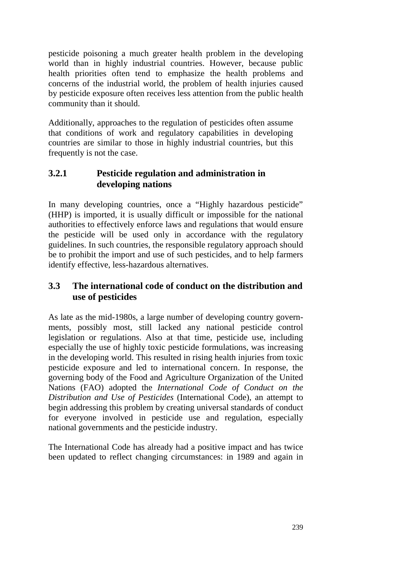pesticide poisoning a much greater health problem in the developing world than in highly industrial countries. However, because public health priorities often tend to emphasize the health problems and concerns of the industrial world, the problem of health injuries caused by pesticide exposure often receives less attention from the public health community than it should.

Additionally, approaches to the regulation of pesticides often assume that conditions of work and regulatory capabilities in developing countries are similar to those in highly industrial countries, but this frequently is not the case.

## **3.2.1 Pesticide regulation and administration in developing nations**

In many developing countries, once a "Highly hazardous pesticide" (HHP) is imported, it is usually difficult or impossible for the national authorities to effectively enforce laws and regulations that would ensure the pesticide will be used only in accordance with the regulatory guidelines. In such countries, the responsible regulatory approach should be to prohibit the import and use of such pesticides, and to help farmers identify effective, less-hazardous alternatives.

## **3.3 The international code of conduct on the distribution and use of pesticides**

As late as the mid-1980s, a large number of developing country govern ments, possibly most, still lacked any national pesticide control legislation or regulations. Also at that time, pesticide use, including especially the use of highly toxic pesticide formulations, was increasing in the developing world. This resulted in rising health injuries from toxic pesticide exposure and led to international concern. In response, the governing body of the Food and Agriculture Organization of the United Nations (FAO) adopted the *International Code of Conduct on the Distribution and Use of Pesticides* (International Code), an attempt to begin addressing this problem by creating universal standards of conduct for everyone involved in pesticide use and regulation, especially national governments and the pesticide industry.

The International Code has already had a positive impact and has twice been updated to reflect changing circumstances: in 1989 and again in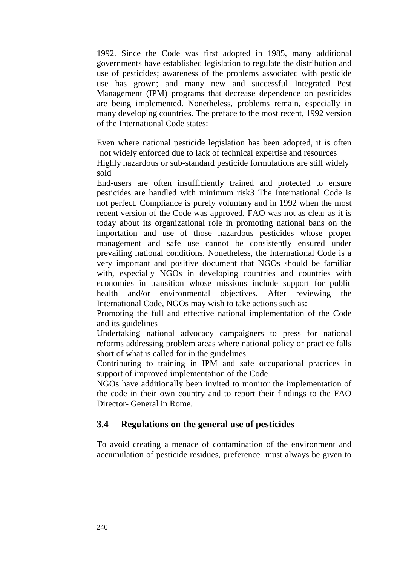1992. Since the Code was first adopted in 1985, many additional governments have established legislation to regulate the distribution and use of pesticides; awareness of the problems associated with pesticide use has grown; and many new and successful Integrated Pest Management (IPM) programs that decrease dependence on pesticides are being implemented. Nonetheless, problems remain, especially in many developing countries. The preface to the most recent, 1992 version of the International Code states:

Even where national pesticide legislation has been adopted, it is often not widely enforced due to lack of technical expertise and resources

Highly hazardous or sub-standard pesticide formulations are still widely sold

End-users are often insufficiently trained and protected to ensure pesticides are handled with minimum risk3 The International Code is not perfect. Compliance is purely voluntary and in 1992 when the most recent version of the Code was approved, FAO was not as clear as it is today about its organizational role in promoting national bans on the importation and use of those hazardous pesticides whose proper management and safe use cannot be consistently ensured under prevailing national conditions. Nonetheless, the International Code is a very important and positive document that NGOs should be familiar with, especially NGOs in developing countries and countries with economies in transition whose missions include support for public health and/or environmental objectives. After reviewing the International Code, NGOs may wish to take actions such as:

Promoting the full and effective national implementation of the Code and its guidelines

Undertaking national advocacy campaigners to press for national reforms addressing problem areas where national policy or practice falls short of what is called for in the guidelines

Contributing to training in IPM and safe occupational practices in support of improved implementation of the Code

NGOs have additionally been invited to monitor the implementation of the code in their own country and to report their findings to the FAO Director- General in Rome.

## **3.4 Regulations on the general use of pesticides**

To avoid creating a menace of contamination of the environment and accumulation of pesticide residues, preference must always be given to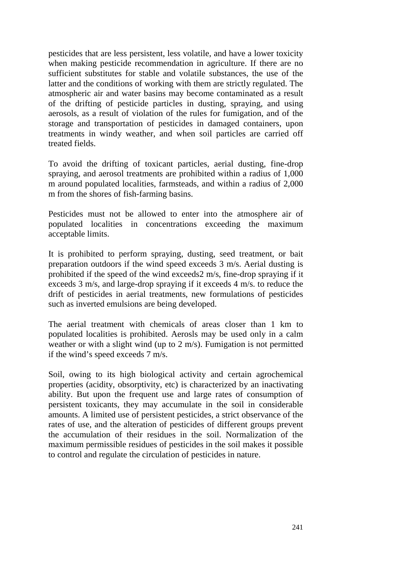pesticides that are less persistent, less volatile, and have a lower toxicity when making pesticide recommendation in agriculture. If there are no sufficient substitutes for stable and volatile substances, the use of the latter and the conditions of working with them are strictly regulated. The atmospheric air and water basins may become contaminated as a result of the drifting of pesticide particles in dusting, spraying, and using aerosols, as a result of violation of the rules for fumigation, and of the storage and transportation of pesticides in damaged containers, upon treatments in windy weather, and when soil particles are carried off treated fields.

To avoid the drifting of toxicant particles, aerial dusting, fine-drop spraying, and aerosol treatments are prohibited within a radius of 1,000 m around populated localities, farmsteads, and within a radius of 2,000 m from the shores of fish-farming basins.

Pesticides must not be allowed to enter into the atmosphere air of populated localities in concentrations exceeding the maximum acceptable limits.

It is prohibited to perform spraying, dusting, seed treatment, or bait preparation outdoors if the wind speed exceeds 3 m/s. Aerial dusting is prohibited if the speed of the wind exceeds2 m/s, fine-drop spraying if it exceeds 3 m/s, and large-drop spraying if it exceeds 4 m/s. to reduce the drift of pesticides in aerial treatments, new formulations of pesticides such as inverted emulsions are being developed.

The aerial treatment with chemicals of areas closer than 1 km to populated localities is prohibited. Aerosls may be used only in a calm weather or with a slight wind (up to 2 m/s). Fumigation is not permitted if the wind's speed exceeds 7 m/s.

Soil, owing to its high biological activity and certain agrochemical properties (acidity, obsorptivity, etc) is characterized by an inactivating ability. But upon the frequent use and large rates of consumption of persistent toxicants, they may accumulate in the soil in considerable amounts. A limited use of persistent pesticides, a strict observance of the rates of use, and the alteration of pesticides of different groups prevent the accumulation of their residues in the soil. Normalization of the maximum permissible residues of pesticides in the soil makes it possible to control and regulate the circulation of pesticides in nature.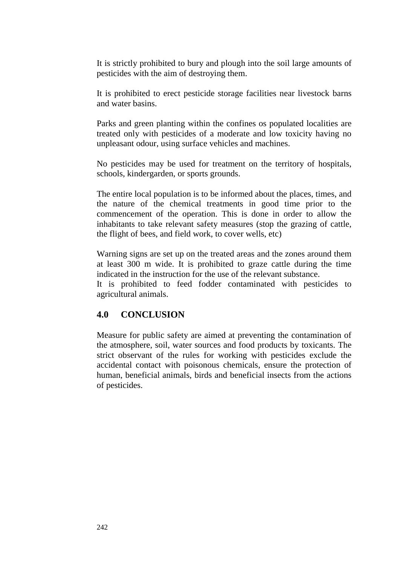It is strictly prohibited to bury and plough into the soil large amounts of pesticides with the aim of destroying them.

It is prohibited to erect pesticide storage facilities near livestock barns and water basins.

Parks and green planting within the confines os populated localities are treated only with pesticides of a moderate and low toxicity having no unpleasant odour, using surface vehicles and machines.

No pesticides may be used for treatment on the territory of hospitals, schools, kindergarden, or sports grounds.

The entire local population is to be informed about the places, times, and the nature of the chemical treatments in good time prior to the commencement of the operation. This is done in order to allow the inhabitants to take relevant safety measures (stop the grazing of cattle, the flight of bees, and field work, to cover wells, etc)

Warning signs are set up on the treated areas and the zones around them at least 300 m wide. It is prohibited to graze cattle during the time indicated in the instruction for the use of the relevant substance.

It is prohibited to feed fodder contaminated with pesticides to agricultural animals.

## **4.0 CONCLUSION**

Measure for public safety are aimed at preventing the contamination of the atmosphere, soil, water sources and food products by toxicants. The strict observant of the rules for working with pesticides exclude the accidental contact with poisonous chemicals, ensure the protection of human, beneficial animals, birds and beneficial insects from the actions of pesticides.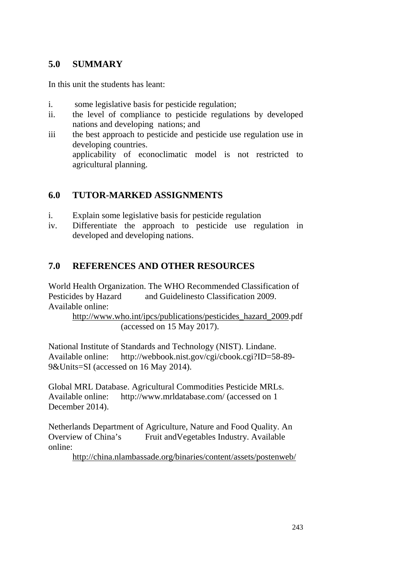## **5.0 SUMMARY**

In this unit the students has leant:

- i. some legislative basis for pesticide regulation;
- ii. the level of compliance to pesticide regulations by developed nations and developing nations; and
- iii the best approach to pesticide and pesticide use regulation use in developing countries. applicability of econoclimatic model is not restricted to

#### agricultural planning.

## **6.0 TUTOR-MARKED ASSIGNMENTS**

- i. Explain some legislative basis for pesticide regulation
- iv. Differentiate the approach to pesticide use regulation in developed and developing nations.

## **7.0 REFERENCES AND OTHER RESOURCES**

World Health Organization. The WHO Recommended Classification of Pesticides by Hazard and Guidelinesto Classification 2009. Available online:

http://www.who.int/ipcs/publications/pesticides\_hazard\_2009.pdf (accessed on 15 May 2017).

National Institute of Standards and Technology (NIST). Lindane. Available online: http://webbook.nist.gov/cgi/cbook.cgi?ID=58-89- 9&Units=SI (accessed on 16 May 2014).

Global MRL Database. Agricultural Commodities Pesticide MRLs. Available online: http://www.mrldatabase.com/ (accessed on 1 December 2014).

Netherlands Department of Agriculture, Nature and Food Quality. An Overview of China's Fruit andVegetables Industry. Available online:

http://china.nlambassade.org/binaries/content/assets/postenweb/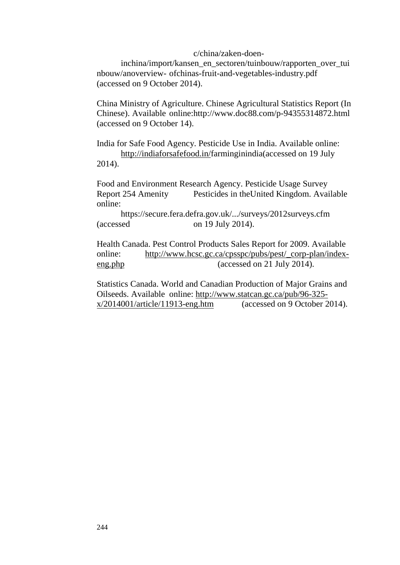#### c/china/zaken-doen-

inchina/import/kansen\_en\_sectoren/tuinbouw/rapporten\_over\_tui nbouw/anoverview- ofchinas-fruit-and-vegetables-industry.pdf (accessed on 9 October 2014).

China Ministry of Agriculture. Chinese Agricultural Statistics Report (In Chinese). Available online:http://www.doc88.com/p-94355314872.html (accessed on 9 October 14).

India for Safe Food Agency. Pesticide Use in India. Available online: http://indiaforsafefood.in/farminginindia(accessed on 19 July 2014).

Food and Environment Research Agency. Pesticide Usage Survey Report 254 Amenity Pesticides in theUnited Kingdom. Available online:

https://secure.fera.defra.gov.uk/.../surveys/2012surveys.cfm (accessed on 19 July 2014).

Health Canada. Pest Control Products Sales Report for 2009. Available online: http://www.hcsc.gc.ca/cpsspc/pubs/pest/\_corp-plan/indexeng.php (accessed on 21 July 2014).

Statistics Canada. World and Canadian Production of Major Grains and Oilseeds. Available online: http://www.statcan.gc.ca/pub/96-325 x/2014001/article/11913-eng.htm (accessed on 9 October 2014).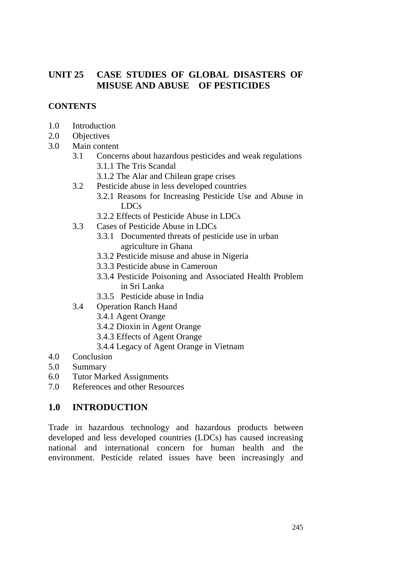## **UNIT 25 CASE STUDIES OF GLOBAL DISASTERS OF MISUSE AND ABUSE OF PESTICIDES**

## **CONTENTS**

- 1.0 Introduction
- 2.0 Objectives
- 3.0 Main content
	- 3.1 Concerns about hazardous pesticides and weak regulations
		- 3.1.1 The Tris Scandal
		- 3.1.2 The Alar and Chilean grape crises
	- 3.2 Pesticide abuse in less developed countries
		- 3.2.1 Reasons for Increasing Pesticide Use and Abuse in LDCs
		- 3.2.2 Effects of Pesticide Abuse in LDCs
	- 3.3 Cases of Pesticide Abuse in LDCs
		- 3.3.1 Documented threats of pesticide use in urban agriculture in Ghana
		- 3.3.2 Pesticide misuse and abuse in Nigeria
		- 3.3.3 Pesticide abuse in Cameroun
		- 3.3.4 Pesticide Poisoning and Associated Health Problem in Sri Lanka
		- 3.3.5 Pesticide abuse in India
	- 3.4 Operation Ranch Hand
		- 3.4.1 Agent Orange
		- 3.4.2 Dioxin in Agent Orange
		- 3.4.3 Effects of Agent Orange
		- 3.4.4 Legacy of Agent Orange in Vietnam
- 4.0 Conclusion
- 5.0 Summary
- 6.0 Tutor Marked Assignments
- 7.0 References and other Resources

## **1.0 INTRODUCTION**

Trade in hazardous technology and hazardous products between developed and less developed countries (LDCs) has caused increasing national and international concern for human health and the environment. Pesticide related issues have been increasingly and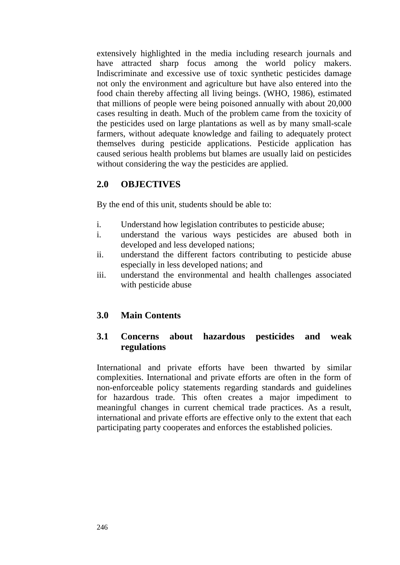extensively highlighted in the media including research journals and have attracted sharp focus among the world policy makers. Indiscriminate and excessive use of toxic synthetic pesticides damage not only the environment and agriculture but have also entered into the food chain thereby affecting all living beings. (WHO, 1986), estimated that millions of people were being poisoned annually with about 20,000 cases resulting in death. Much of the problem came from the toxicity of the pesticides used on large plantations as well as by many small-scale farmers, without adequate knowledge and failing to adequately protect themselves during pesticide applications. Pesticide application has caused serious health problems but blames are usually laid on pesticides without considering the way the pesticides are applied.

## **2.0 OBJECTIVES**

By the end of this unit, students should be able to:

- i. Understand how legislation contributes to pesticide abuse;
- i. understand the various ways pesticides are abused both in developed and less developed nations;
- ii. understand the different factors contributing to pesticide abuse especially in less developed nations; and
- iii. understand the environmental and health challenges associated with pesticide abuse

## **3.0 Main Contents**

#### **3.1 Concerns about hazardous pesticides and weak regulations**

International and private efforts have been thwarted by similar complexities. International and private efforts are often in the form of non-enforceable policy statements regarding standards and guidelines for hazardous trade. This often creates a major impediment to meaningful changes in current chemical trade practices. As a result, international and private efforts are effective only to the extent that each participating party cooperates and enforces the established policies.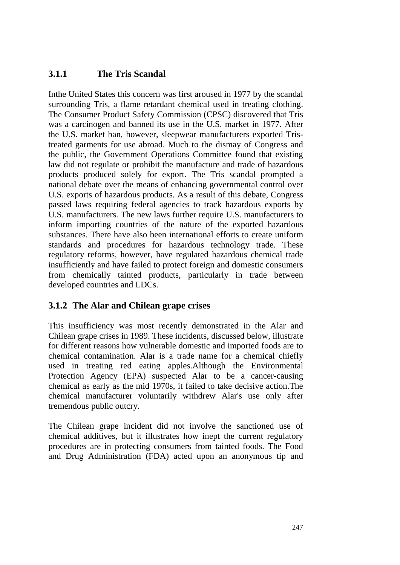## **3.1.1 The Tris Scandal**

Inthe United States this concern was first aroused in 1977 by the scandal surrounding Tris, a flame retardant chemical used in treating clothing. The Consumer Product Safety Commission (CPSC) discovered that Tris was a carcinogen and banned its use in the U.S. market in 1977. After the U.S. market ban, however, sleepwear manufacturers exported Tristreated garments for use abroad. Much to the dismay of Congress and the public, the Government Operations Committee found that existing law did not regulate or prohibit the manufacture and trade of hazardous products produced solely for export. The Tris scandal prompted a national debate over the means of enhancing governmental control over U.S. exports of hazardous products. As a result of this debate, Congress passed laws requiring federal agencies to track hazardous exports by U.S. manufacturers. The new laws further require U.S. manufacturers to inform importing countries of the nature of the exported hazardous substances. There have also been international efforts to create uniform standards and procedures for hazardous technology trade. These regulatory reforms, however, have regulated hazardous chemical trade insufficiently and have failed to protect foreign and domestic consumers from chemically tainted products, particularly in trade between developed countries and LDCs.

## **3.1.2 The Alar and Chilean grape crises**

This insufficiency was most recently demonstrated in the Alar and Chilean grape crises in 1989. These incidents, discussed below, illustrate for different reasons how vulnerable domestic and imported foods are to chemical contamination. Alar is a trade name for a chemical chiefly used in treating red eating apples.Although the Environmental Protection Agency (EPA) suspected Alar to be a cancer-causing chemical as early as the mid 1970s, it failed to take decisive action.The chemical manufacturer voluntarily withdrew Alar's use only after tremendous public outcry.

The Chilean grape incident did not involve the sanctioned use of chemical additives, but it illustrates how inept the current regulatory procedures are in protecting consumers from tainted foods. The Food and Drug Administration (FDA) acted upon an anonymous tip and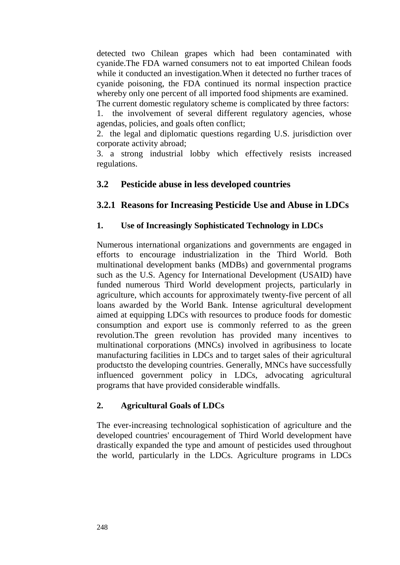detected two Chilean grapes which had been contaminated with cyanide.The FDA warned consumers not to eat imported Chilean foods while it conducted an investigation.When it detected no further traces of cyanide poisoning, the FDA continued its normal inspection practice whereby only one percent of all imported food shipments are examined. The current domestic regulatory scheme is complicated by three factors:

1. the involvement of several different regulatory agencies, whose agendas, policies, and goals often conflict;

2. the legal and diplomatic questions regarding U.S. jurisdiction over corporate activity abroad;

3. a strong industrial lobby which effectively resists increased regulations.

## **3.2 Pesticide abuse in less developed countries**

## **3.2.1 Reasons for Increasing Pesticide Use and Abuse in LDCs**

## **1. Use of Increasingly Sophisticated Technology in LDCs**

Numerous international organizations and governments are engaged in efforts to encourage industrialization in the Third World. Both multinational development banks (MDBs) and governmental programs such as the U.S. Agency for International Development (USAID) have funded numerous Third World development projects, particularly in agriculture, which accounts for approximately twenty-five percent of all loans awarded by the World Bank. Intense agricultural development aimed at equipping LDCs with resources to produce foods for domestic consumption and export use is commonly referred to as the green revolution.The green revolution has provided many incentives to multinational corporations (MNCs) involved in agribusiness to locate manufacturing facilities in LDCs and to target sales of their agricultural productsto the developing countries. Generally, MNCs have successfully influenced government policy in LDCs, advocating agricultural programs that have provided considerable windfalls.

#### **2. Agricultural Goals of LDCs**

The ever-increasing technological sophistication of agriculture and the developed countries' encouragement of Third World development have drastically expanded the type and amount of pesticides used throughout the world, particularly in the LDCs. Agriculture programs in LDCs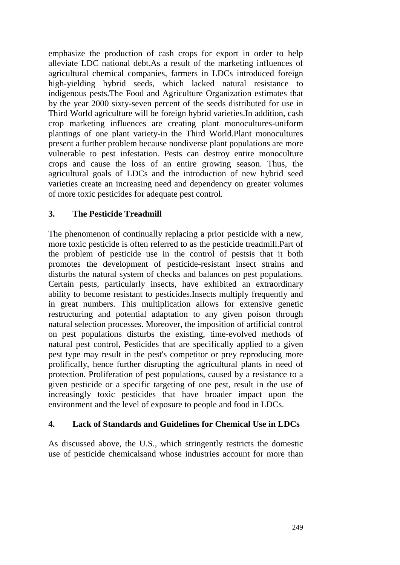emphasize the production of cash crops for export in order to help alleviate LDC national debt.As a result of the marketing influences of agricultural chemical companies, farmers in LDCs introduced foreign high-yielding hybrid seeds, which lacked natural resistance to indigenous pests.The Food and Agriculture Organization estimates that by the year 2000 sixty-seven percent of the seeds distributed for use in Third World agriculture will be foreign hybrid varieties.In addition, cash crop marketing influences are creating plant monocultures-uniform plantings of one plant variety-in the Third World.Plant monocultures present a further problem because nondiverse plant populations are more vulnerable to pest infestation. Pests can destroy entire monoculture crops and cause the loss of an entire growing season. Thus, the agricultural goals of LDCs and the introduction of new hybrid seed varieties create an increasing need and dependency on greater volumes of more toxic pesticides for adequate pest control.

#### **3. The Pesticide Treadmill**

The phenomenon of continually replacing a prior pesticide with a new, more toxic pesticide is often referred to as the pesticide treadmill.Part of the problem of pesticide use in the control of pestsis that it both promotes the development of pesticide-resistant insect strains and disturbs the natural system of checks and balances on pest populations. Certain pests, particularly insects, have exhibited an extraordinary ability to become resistant to pesticides.Insects multiply frequently and in great numbers. This multiplication allows for extensive genetic restructuring and potential adaptation to any given poison through natural selection processes. Moreover, the imposition of artificial control on pest populations disturbs the existing, time-evolved methods of natural pest control, Pesticides that are specifically applied to a given pest type may result in the pest's competitor or prey reproducing more prolifically, hence further disrupting the agricultural plants in need of protection. Proliferation of pest populations, caused by a resistance to a given pesticide or a specific targeting of one pest, result in the use of increasingly toxic pesticides that have broader impact upon the environment and the level of exposure to people and food in LDCs.

#### **4. Lack of Standards and Guidelines for Chemical Use in LDCs**

As discussed above, the U.S., which stringently restricts the domestic use of pesticide chemicalsand whose industries account for more than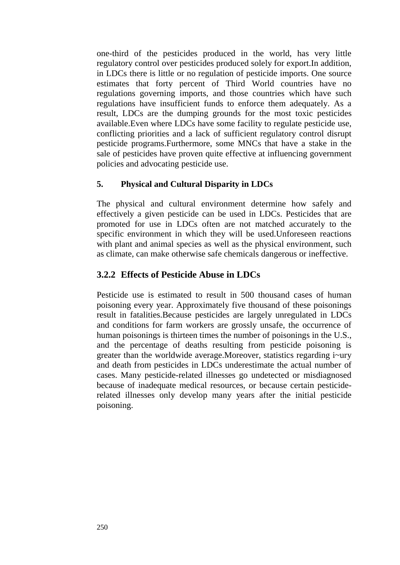one-third of the pesticides produced in the world, has very little regulatory control over pesticides produced solely for export.In addition, in LDCs there is little or no regulation of pesticide imports. One source estimates that forty percent of Third World countries have no regulations governing imports, and those countries which have such regulations have insufficient funds to enforce them adequately. As a result, LDCs are the dumping grounds for the most toxic pesticides available.Even where LDCs have some facility to regulate pesticide use, conflicting priorities and a lack of sufficient regulatory control disrupt pesticide programs.Furthermore, some MNCs that have a stake in the sale of pesticides have proven quite effective at influencing government policies and advocating pesticide use.

## **5. Physical and Cultural Disparity in LDCs**

The physical and cultural environment determine how safely and effectively a given pesticide can be used in LDCs. Pesticides that are promoted for use in LDCs often are not matched accurately to the specific environment in which they will be used.Unforeseen reactions with plant and animal species as well as the physical environment, such as climate, can make otherwise safe chemicals dangerous or ineffective.

## **3.2.2 Effects of Pesticide Abuse in LDCs**

Pesticide use is estimated to result in 500 thousand cases of human poisoning every year. Approximately five thousand of these poisonings result in fatalities.Because pesticides are largely unregulated in LDCs and conditions for farm workers are grossly unsafe, the occurrence of human poisonings is thirteen times the number of poisonings in the U.S., and the percentage of deaths resulting from pesticide poisoning is greater than the worldwide average.Moreover, statistics regarding i~ury and death from pesticides in LDCs underestimate the actual number of cases. Many pesticide-related illnesses go undetected or misdiagnosed because of inadequate medical resources, or because certain pesticiderelated illnesses only develop many years after the initial pesticide poisoning.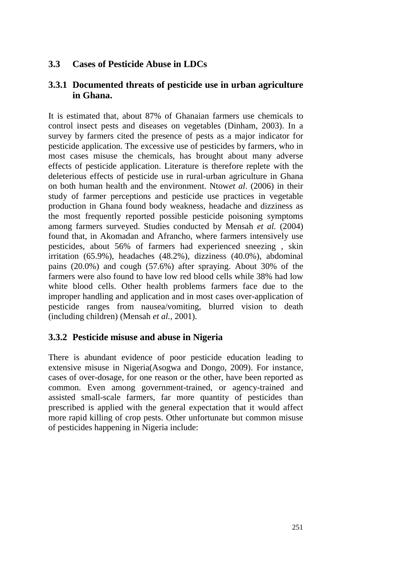## **3.3 Cases of Pesticide Abuse in LDCs**

## **3.3.1 Documented threats of pesticide use in urban agriculture in Ghana.**

It is estimated that, about 87% of Ghanaian farmers use chemicals to control insect pests and diseases on vegetables (Dinham, 2003). In a survey by farmers cited the presence of pests as a major indicator for pesticide application. The excessive use of pesticides by farmers, who in most cases misuse the chemicals, has brought about many adverse effects of pesticide application. Literature is therefore replete with the deleterious effects of pesticide use in rural-urban agriculture in Ghana on both human health and the environment. Ntow*et al*. (2006) in their study of farmer perceptions and pesticide use practices in vegetable production in Ghana found body weakness, headache and dizziness as the most frequently reported possible pesticide poisoning symptoms among farmers surveyed. Studies conducted by Mensah *et al.* (2004) found that, in Akomadan and Afrancho, where farmers intensively use pesticides, about 56% of farmers had experienced sneezing , skin irritation (65.9%), headaches (48.2%), dizziness (40.0%), abdominal pains (20.0%) and cough (57.6%) after spraying. About 30% of the farmers were also found to have low red blood cells while 38% had low white blood cells. Other health problems farmers face due to the improper handling and application and in most cases over-application of pesticide ranges from nausea/vomiting, blurred vision to death (including children) (Mensah *et al.*, 2001).

## **3.3.2 Pesticide misuse and abuse in Nigeria**

There is abundant evidence of poor pesticide education leading to extensive misuse in Nigeria(Asogwa and Dongo, 2009). For instance, cases of over-dosage, for one reason or the other, have been reported as common. Even among government-trained, or agency-trained and assisted small-scale farmers, far more quantity of pesticides than prescribed is applied with the general expectation that it would affect more rapid killing of crop pests. Other unfortunate but common misuse of pesticides happening in Nigeria include: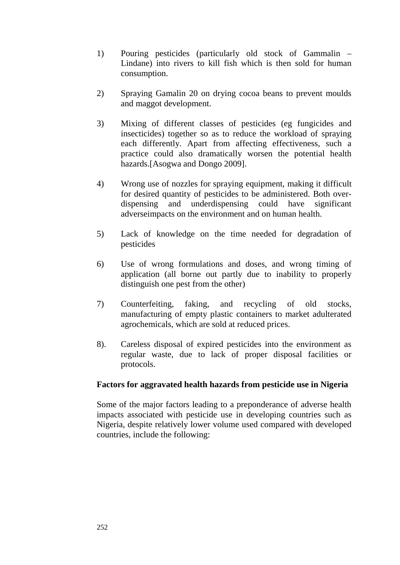- 1) Pouring pesticides (particularly old stock of Gammalin Lindane) into rivers to kill fish which is then sold for human consumption.
- 2) Spraying Gamalin 20 on drying cocoa beans to prevent moulds and maggot development.
- 3) Mixing of different classes of pesticides (eg fungicides and insecticides) together so as to reduce the workload of spraying each differently. Apart from affecting effectiveness, such a practice could also dramatically worsen the potential health hazards.[Asogwa and Dongo 2009].
- 4) Wrong use of nozzles for spraying equipment, making it difficult for desired quantity of pesticides to be administered. Both over dispensing and underdispensing could have significant adverseimpacts on the environment and on human health.
- 5) Lack of knowledge on the time needed for degradation of pesticides
- 6) Use of wrong formulations and doses, and wrong timing of application (all borne out partly due to inability to properly distinguish one pest from the other)
- 7) Counterfeiting, faking, and recycling of old stocks, manufacturing of empty plastic containers to market adulterated agrochemicals, which are sold at reduced prices.
- 8). Careless disposal of expired pesticides into the environment as regular waste, due to lack of proper disposal facilities or protocols.

#### **Factors for aggravated health hazards from pesticide use in Nigeria**

Some of the major factors leading to a preponderance of adverse health impacts associated with pesticide use in developing countries such as Nigeria, despite relatively lower volume used compared with developed countries, include the following: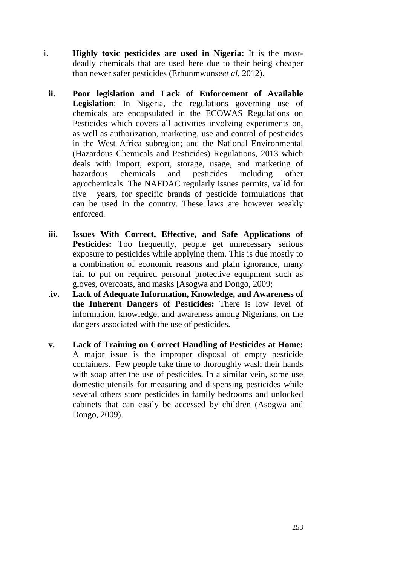- i. **Highly toxic pesticides are used in Nigeria:** It is the most deadly chemicals that are used here due to their being cheaper than newer safer pesticides (Erhunmwunse*et al*, 2012).
	- **ii. Poor legislation and Lack of Enforcement of Available** Legislation: In Nigeria, the regulations governing use of chemicals are encapsulated in the ECOWAS Regulations on Pesticides which covers all activities involving experiments on, as well as authorization, marketing, use and control of pesticides in the West Africa subregion; and the National Environmental (Hazardous Chemicals and Pesticides) Regulations, 2013 which deals with import, export, storage, usage, and marketing of hazardous chemicals and pesticides including other agrochemicals. The NAFDAC regularly issues permits, valid for five years, for specific brands of pesticide formulations that can be used in the country. These laws are however weakly enforced.
	- **iii. Issues With Correct, Effective, and Safe Applications of** Pesticides: Too frequently, people get unnecessary serious exposure to pesticides while applying them. This is due mostly to a combination of economic reasons and plain ignorance, many fail to put on required personal protective equipment such as gloves, overcoats, and masks [Asogwa and Dongo, 2009;
	- .**iv. Lack of Adequate Information, Knowledge, and Awareness of the Inherent Dangers of Pesticides:** There is low level of information, knowledge, and awareness among Nigerians, on the dangers associated with the use of pesticides.
	- **v. Lack of Training on Correct Handling of Pesticides at Home:** A major issue is the improper disposal of empty pesticide containers. Few people take time to thoroughly wash their hands with soap after the use of pesticides. In a similar vein, some use domestic utensils for measuring and dispensing pesticides while several others store pesticides in family bedrooms and unlocked cabinets that can easily be accessed by children (Asogwa and Dongo, 2009).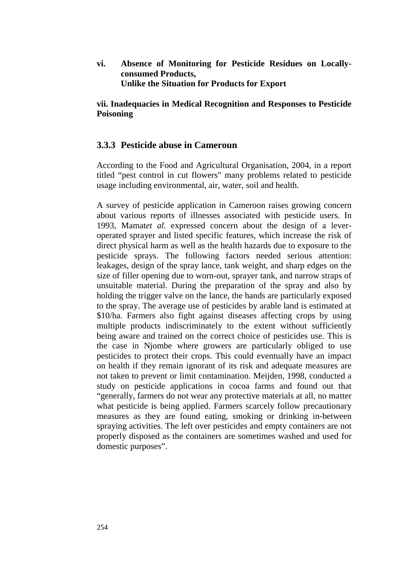**vi. Absence of Monitoring for Pesticide Residues on Locally consumed Products, Unlike the Situation for Products for Export**

#### **vii. Inadequacies in Medical Recognition and Responses to Pesticide Poisoning**

### **3.3.3 Pesticide abuse in Cameroun**

According to the Food and Agricultural Organisation, 2004, in a report titled "pest control in cut flowers" many problems related to pesticide usage including environmental, air, water, soil and health.

A survey of pesticide application in Cameroon raises growing concern about various reports of illnesses associated with pesticide users. In 1993, Mamat*et al.* expressed concern about the design of a lever operated sprayer and listed specific features, which increase the risk of direct physical harm as well as the health hazards due to exposure to the pesticide sprays. The following factors needed serious attention: leakages, design of the spray lance, tank weight, and sharp edges on the size of filler opening due to worn-out, sprayer tank, and narrow straps of unsuitable material. During the preparation of the spray and also by holding the trigger valve on the lance, the hands are particularly exposed to the spray. The average use of pesticides by arable land is estimated at \$10/ha. Farmers also fight against diseases affecting crops by using multiple products indiscriminately to the extent without sufficiently being aware and trained on the correct choice of pesticides use. This is the case in Njombe where growers are particularly obliged to use pesticides to protect their crops. This could eventually have an impact on health if they remain ignorant of its risk and adequate measures are not taken to prevent or limit contamination. Meijden, 1998, conducted a study on pesticide applications in cocoa farms and found out that "generally, farmers do not wear any protective materials at all, no matter what pesticide is being applied. Farmers scarcely follow precautionary measures as they are found eating, smoking or drinking in-between spraying activities. The left over pesticides and empty containers are not properly disposed as the containers are sometimes washed and used for domestic purposes".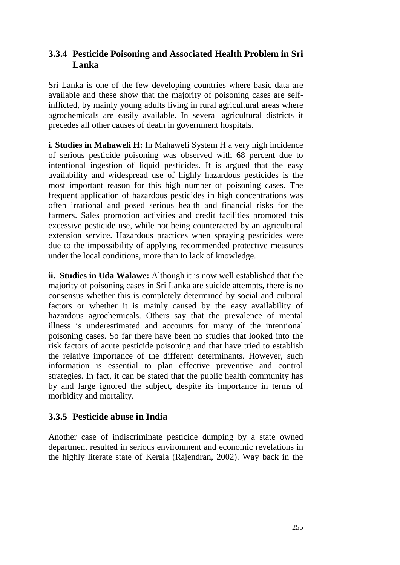# **3.3.4 Pesticide Poisoning and Associated Health Problem in Sri Lanka**

Sri Lanka is one of the few developing countries where basic data are available and these show that the majority of poisoning cases are selfinflicted, by mainly young adults living in rural agricultural areas where agrochemicals are easily available. In several agricultural districts it precedes all other causes of death in government hospitals.

**i. Studies in Mahaweli H:** In Mahaweli System H a very high incidence of serious pesticide poisoning was observed with 68 percent due to intentional ingestion of liquid pesticides. It is argued that the easy availability and widespread use of highly hazardous pesticides is the most important reason for this high number of poisoning cases. The frequent application of hazardous pesticides in high concentrations was often irrational and posed serious health and financial risks for the farmers. Sales promotion activities and credit facilities promoted this excessive pesticide use, while not being counteracted by an agricultural extension service. Hazardous practices when spraying pesticides were due to the impossibility of applying recommended protective measures under the local conditions, more than to lack of knowledge.

**ii. Studies in Uda Walawe:** Although it is now well established that the majority of poisoning cases in Sri Lanka are suicide attempts, there is no consensus whether this is completely determined by social and cultural factors or whether it is mainly caused by the easy availability of hazardous agrochemicals. Others say that the prevalence of mental illness is underestimated and accounts for many of the intentional poisoning cases. So far there have been no studies that looked into the risk factors of acute pesticide poisoning and that have tried to establish the relative importance of the different determinants. However, such information is essential to plan effective preventive and control strategies. In fact, it can be stated that the public health community has by and large ignored the subject, despite its importance in terms of morbidity and mortality.

# **3.3.5 Pesticide abuse in India**

Another case of indiscriminate pesticide dumping by a state owned department resulted in serious environment and economic revelations in the highly literate state of Kerala (Rajendran, 2002). Way back in the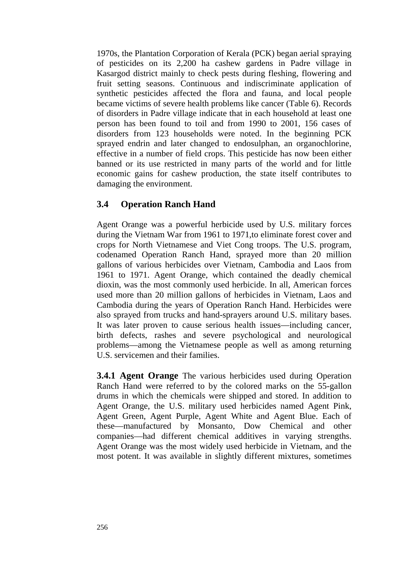1970s, the Plantation Corporation of Kerala (PCK) began aerial spraying of pesticides on its 2,200 ha cashew gardens in Padre village in Kasargod district mainly to check pests during fleshing, flowering and fruit setting seasons. Continuous and indiscriminate application of synthetic pesticides affected the flora and fauna, and local people became victims of severe health problems like cancer (Table 6). Records of disorders in Padre village indicate that in each household at least one person has been found to toil and from 1990 to 2001, 156 cases of disorders from 123 households were noted. In the beginning PCK sprayed endrin and later changed to endosulphan, an organochlorine, effective in a number of field crops. This pesticide has now been either banned or its use restricted in many parts of the world and for little economic gains for cashew production, the state itself contributes to damaging the environment.

# **3.4 Operation Ranch Hand**

Agent Orange was a powerful herbicide used by U.S. military forces during the Vietnam War from 1961 to 1971,to eliminate forest cover and crops for North Vietnamese and Viet Cong troops. The U.S. program, codenamed Operation Ranch Hand, sprayed more than 20 million gallons of various herbicides over Vietnam, Cambodia and Laos from 1961 to 1971. Agent Orange, which contained the deadly chemical dioxin, was the most commonly used herbicide. In all, American forces used more than 20 million gallons of herbicides in Vietnam, Laos and Cambodia during the years of Operation Ranch Hand. Herbicides were also sprayed from trucks and hand-sprayers around U.S. military bases. It was later proven to cause serious health issues—including cancer, birth defects, rashes and severe psychological and neurological problems—among the Vietnamese people as well as among returning U.S. servicemen and their families.

**3.4.1 Agent Orange** The various herbicides used during Operation Ranch Hand were referred to by the colored marks on the 55-gallon drums in which the chemicals were shipped and stored. In addition to Agent Orange, the U.S. military used herbicides named Agent Pink, Agent Green, Agent Purple, Agent White and Agent Blue. Each of these—manufactured by Monsanto, Dow Chemical and other companies—had different chemical additives in varying strengths. Agent Orange was the most widely used herbicide in Vietnam, and the most potent. It was available in slightly different mixtures, sometimes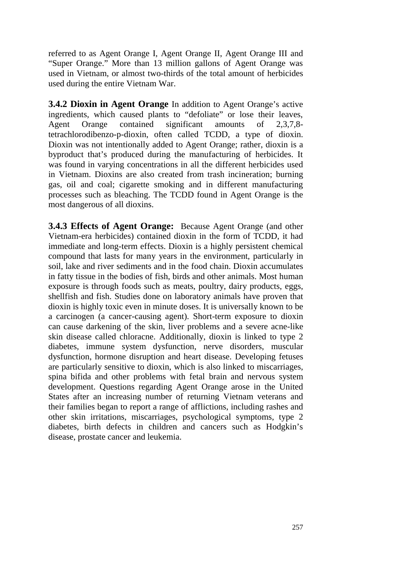referred to as Agent Orange I, Agent Orange II, Agent Orange III and "Super Orange." More than 13 million gallons of Agent Orange was used in Vietnam, or almost two-thirds of the total amount of herbicides used during the entire Vietnam War.

**3.4.2 Dioxin in Agent Orange** In addition to Agent Orange's active ingredients, which caused plants to "defoliate" or lose their leaves, Agent Orange contained significant amounts of 2,3,7,8 tetrachlorodibenzo-p-dioxin, often called TCDD, a type of dioxin. Dioxin was not intentionally added to Agent Orange; rather, dioxin is a byproduct that's produced during the manufacturing of herbicides. It was found in varying concentrations in all the different herbicides used in Vietnam. Dioxins are also created from trash incineration; burning gas, oil and coal; cigarette smoking and in different manufacturing processes such as bleaching. The TCDD found in Agent Orange is the most dangerous of all dioxins.

**3.4.3 Effects of Agent Orange:** Because Agent Orange (and other Vietnam-era herbicides) contained dioxin in the form of TCDD, it had immediate and long-term effects. Dioxin is a highly persistent chemical compound that lasts for many years in the environment, particularly in soil, lake and river sediments and in the food chain. Dioxin accumulates in fatty tissue in the bodies of fish, birds and other animals. Most human exposure is through foods such as meats, poultry, dairy products, eggs, shellfish and fish. Studies done on laboratory animals have proven that dioxin is highly toxic even in minute doses. It is universally known to be a carcinogen (a cancer-causing agent). Short-term exposure to dioxin can cause darkening of the skin, liver problems and a severe acne-like skin disease called chloracne. Additionally, dioxin is linked to type 2 diabetes, immune system dysfunction, nerve disorders, muscular dysfunction, hormone disruption and heart disease. Developing fetuses are particularly sensitive to dioxin, which is also linked to miscarriages, spina bifida and other problems with fetal brain and nervous system development. Questions regarding Agent Orange arose in the United States after an increasing number of returning Vietnam veterans and their families began to report a range of afflictions, including rashes and other skin irritations, miscarriages, psychological symptoms, type 2 diabetes, birth defects in children and cancers such as Hodgkin's disease, prostate cancer and leukemia.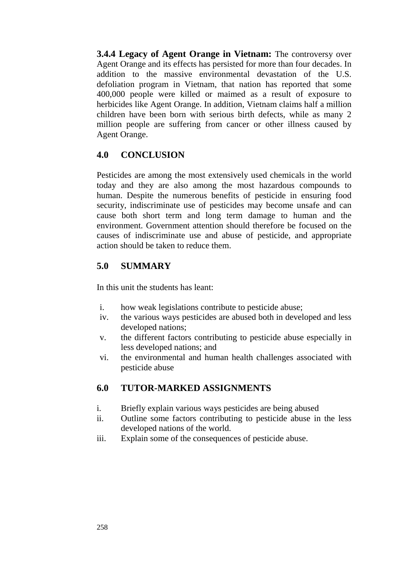**3.4.4 Legacy of Agent Orange in Vietnam:** The controversy over Agent Orange and its effects has persisted for more than four decades. In addition to the massive environmental devastation of the U.S. defoliation program in Vietnam, that nation has reported that some 400,000 people were killed or maimed as a result of exposure to herbicides like Agent Orange. In addition, Vietnam claims half a million children have been born with serious birth defects, while as many 2 million people are suffering from cancer or other illness caused by Agent Orange.

## **4.0 CONCLUSION**

Pesticides are among the most extensively used chemicals in the world today and they are also among the most hazardous compounds to human. Despite the numerous benefits of pesticide in ensuring food security, indiscriminate use of pesticides may become unsafe and can cause both short term and long term damage to human and the environment. Government attention should therefore be focused on the causes of indiscriminate use and abuse of pesticide, and appropriate action should be taken to reduce them.

## **5.0 SUMMARY**

In this unit the students has leant:

- i. how weak legislations contribute to pesticide abuse;
- iv. the various ways pesticides are abused both in developed and less developed nations;
- v. the different factors contributing to pesticide abuse especially in less developed nations; and
- vi. the environmental and human health challenges associated with pesticide abuse

## **6.0 TUTOR-MARKED ASSIGNMENTS**

- i. Briefly explain various ways pesticides are being abused
- ii. Outline some factors contributing to pesticide abuse in the less developed nations of the world.
- iii. Explain some of the consequences of pesticide abuse.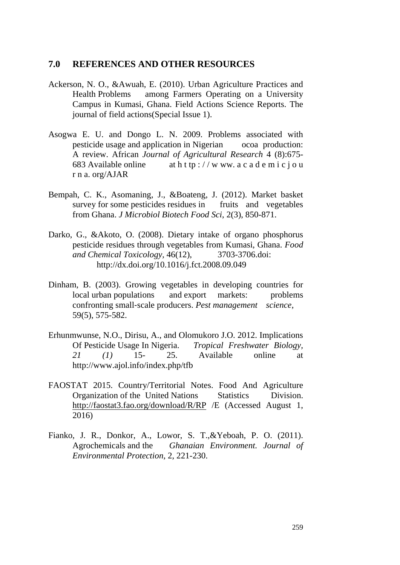#### **7.0 REFERENCES AND OTHER RESOURCES**

- Ackerson, N. O., &Awuah, E. (2010). Urban Agriculture Practices and Health Problems among Farmers Operating on a University Campus in Kumasi, Ghana. Field Actions Science Reports. The journal of field actions(Special Issue 1).
- Asogwa E. U. and Dongo L. N. 2009. Problems associated with pesticide usage and application in Nigerian ocoa production: A review. African *Journal of Agricultural Research* 4 (8):675- 683 Available online at h t tp :  $//$  w ww. a c a d e m i c j o u r n a. org/AJAR
- Bempah, C. K., Asomaning, J., &Boateng, J. (2012). Market basket survey for some pesticides residues in fruits and vegetables from Ghana. *J Microbiol Biotech Food Sci*, 2(3), 850-871.
- Darko, G., &Akoto, O. (2008). Dietary intake of organo phosphorus pesticide residues through vegetables from Kumasi, Ghana. *Food and Chemical Toxicology,* 46(12), 3703-3706.doi: http://dx.doi.org/10.1016/j.fct.2008.09.049
- Dinham, B. (2003). Growing vegetables in developing countries for local urban populations and export markets: problems confronting small‐scale producers. *Pest management science*, 59(5), 575-582.
- Erhunmwunse, N.O., Dirisu, A., and Olomukoro J.O. 2012. Implications Of Pesticide Usage In Nigeria. *Tropical Freshwater Biology, 21 (1)* 15- 25. Available online at http://www.ajol.info/index.php/tfb
- FAOSTAT 2015. Country/Territorial Notes. Food And Agriculture Organization of the United Nations Statistics Division. http://faostat3.fao.org/download/R/RP /E (Accessed August 1, 2016)
- Fianko, J. R., Donkor, A., Lowor, S. T.,&Yeboah, P. O. (2011). Agrochemicals and the *Ghanaian Environment. Journal of Environmental Protection*, 2, 221-230.